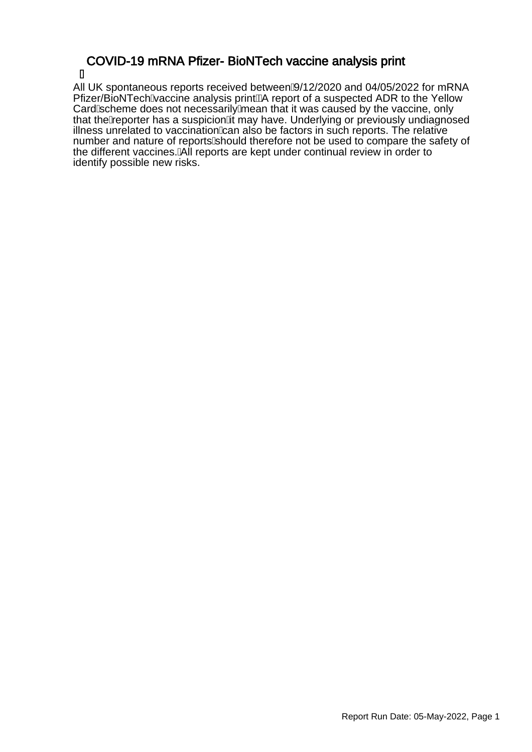### COVID-19 mRNA Pfizer- BioNTech vaccine analysis print Á

All UK spontaneous reports received between $\hat{A}/12/2020$  and 04/05/2022 for mRNA Pfizer/BioNTechA accine analysis printEA report of a suspected ADR to the Yellow CardAscheme does not necessarily Amean that it was caused by the vaccine, only that the A eporter has a suspicion A may have. Underlying or previously undiagnosed illness unrelated to vaccination  $\&$  an also be factors in such reports. The relative number and nature of reports should therefore not be used to compare the safety of the different vaccines. All reports are kept under continual review in order to identify possible new risks.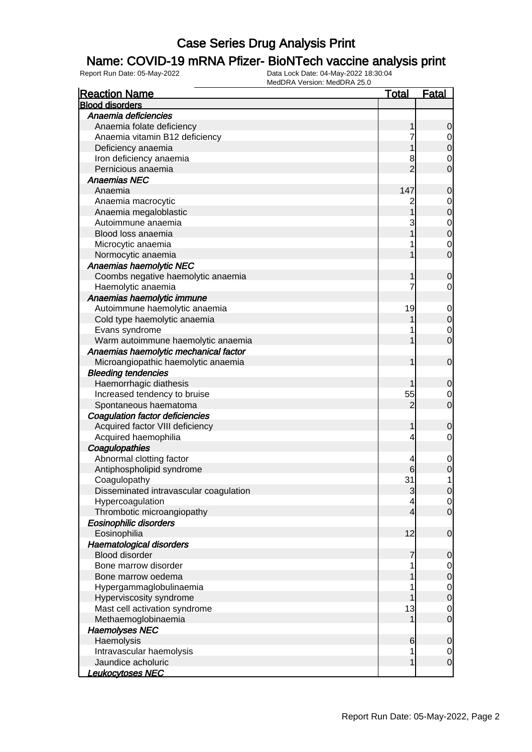### Name: COVID-19 mRNA Pfizer- BioNTech vaccine analysis print

| <b>Reaction Name</b>                           | <u>Total</u>   | <b>Fatal</b>     |
|------------------------------------------------|----------------|------------------|
| <b>Blood disorders</b>                         |                |                  |
| Anaemia deficiencies                           |                |                  |
| Anaemia folate deficiency                      | 1              | 0                |
| Anaemia vitamin B12 deficiency                 |                | $\overline{0}$   |
| Deficiency anaemia                             |                | $\mathbf 0$      |
| Iron deficiency anaemia                        | 8              | 0                |
| Pernicious anaemia                             | $\overline{2}$ | 0                |
| <b>Anaemias NEC</b>                            |                |                  |
| Anaemia                                        | 147            | $\mathbf 0$      |
| Anaemia macrocytic                             |                | $\mathbf 0$      |
| Anaemia megaloblastic                          |                | $\mathbf 0$      |
| Autoimmune anaemia                             | 3              | $\mathbf 0$      |
| Blood loss anaemia                             |                | $\mathbf 0$      |
| Microcytic anaemia                             |                | $\mathbf 0$      |
| Normocytic anaemia                             |                | $\overline{0}$   |
| Anaemias haemolytic NEC                        |                |                  |
| Coombs negative haemolytic anaemia             |                | 0                |
| Haemolytic anaemia                             |                | 0                |
| Anaemias haemolytic immune                     |                |                  |
| Autoimmune haemolytic anaemia                  | 19             | $\mathbf 0$      |
| Cold type haemolytic anaemia                   |                | $\pmb{0}$        |
| Evans syndrome                                 |                | $\mathbf 0$      |
| Warm autoimmune haemolytic anaemia             |                | $\overline{0}$   |
| Anaemias haemolytic mechanical factor          |                |                  |
| Microangiopathic haemolytic anaemia            | 1              | $\mathbf 0$      |
| <b>Bleeding tendencies</b>                     |                |                  |
| Haemorrhagic diathesis                         |                | 0                |
| Increased tendency to bruise                   | 55             | 0                |
| Spontaneous haematoma                          | 2              | $\overline{0}$   |
| <b>Coagulation factor deficiencies</b>         |                |                  |
| Acquired factor VIII deficiency                | 1              | 0                |
| Acquired haemophilia                           | 4              | 0                |
| Coagulopathies                                 |                |                  |
| Abnormal clotting factor                       | 4              | $\mathbf 0$      |
| Antiphospholipid syndrome                      | 6              | $\mathbf 0$      |
| Coagulopathy                                   | 31             | 1                |
| Disseminated intravascular coagulation         | 3              | $\overline{0}$   |
| Hypercoagulation                               | 4              | $\overline{0}$   |
| Thrombotic microangiopathy                     | $\overline{4}$ | $\overline{0}$   |
| <b>Eosinophilic disorders</b>                  |                |                  |
| Eosinophilia                                   | 12             | $\mathbf 0$      |
| <b>Haematological disorders</b>                |                |                  |
| <b>Blood disorder</b>                          | 7              | 0                |
| Bone marrow disorder                           |                |                  |
| Bone marrow oedema                             |                | $\overline{0}$   |
| Hypergammaglobulinaemia                        |                | 0                |
|                                                |                | $\mathbf 0$      |
| Hyperviscosity syndrome                        |                | $\pmb{0}$        |
| Mast cell activation syndrome                  | 13             | 0                |
| Methaemoglobinaemia                            | 1              | $\boldsymbol{0}$ |
| <b>Haemolyses NEC</b>                          |                |                  |
| Haemolysis                                     | 6              | $\mathbf 0$      |
| Intravascular haemolysis                       | 1              | 0                |
|                                                |                |                  |
| Jaundice acholuric<br><u> Leukocytoses NEC</u> | 1              | $\boldsymbol{0}$ |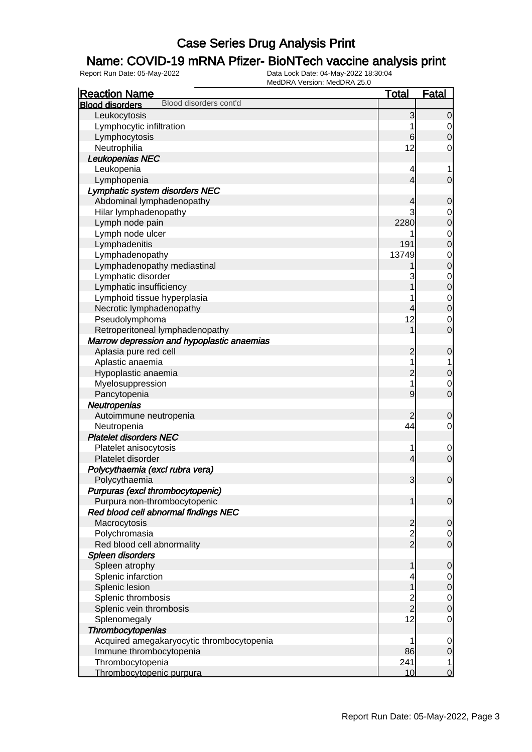### Name: COVID-19 mRNA Pfizer- BioNTech vaccine analysis print

| <b>Reaction Name</b>                             | <b>Total</b>   | <b>Fatal</b>     |
|--------------------------------------------------|----------------|------------------|
| Blood disorders cont'd<br><b>Blood disorders</b> |                |                  |
| Leukocytosis                                     | 3              | $\overline{0}$   |
| Lymphocytic infiltration                         | 1              | $\overline{0}$   |
| Lymphocytosis                                    | 6              | $\mathbf 0$      |
| Neutrophilia                                     | 12             | $\mathbf 0$      |
| Leukopenias NEC                                  |                |                  |
| Leukopenia                                       | 4              | 1                |
| Lymphopenia                                      | 4              | $\mathbf 0$      |
| Lymphatic system disorders NEC                   |                |                  |
| Abdominal lymphadenopathy                        | 4              | $\mathbf 0$      |
| Hilar lymphadenopathy                            | 3              | 0                |
| Lymph node pain                                  | 2280           | $\mathbf 0$      |
| Lymph node ulcer                                 |                | $\mathbf 0$      |
| Lymphadenitis                                    | 191            | $\mathbf 0$      |
| Lymphadenopathy                                  | 13749          | $\mathbf 0$      |
| Lymphadenopathy mediastinal                      |                | $\mathbf 0$      |
| Lymphatic disorder                               | 3              | $\mathbf 0$      |
| Lymphatic insufficiency                          |                | $\mathbf 0$      |
| Lymphoid tissue hyperplasia                      |                | $\mathbf 0$      |
| Necrotic lymphadenopathy                         | 4              | $\mathbf 0$      |
| Pseudolymphoma                                   | 12             | 0                |
| Retroperitoneal lymphadenopathy                  | $\overline{1}$ | $\overline{0}$   |
| Marrow depression and hypoplastic anaemias       |                |                  |
| Aplasia pure red cell                            | $\overline{c}$ | $\mathbf 0$      |
| Aplastic anaemia                                 | 1              | 1                |
| Hypoplastic anaemia                              | $\overline{c}$ | $\mathbf 0$      |
| Myelosuppression                                 | 1              | 0                |
| Pancytopenia                                     | 9              | $\mathbf 0$      |
| Neutropenias                                     |                |                  |
| Autoimmune neutropenia                           | 2              | 0                |
| Neutropenia                                      | 44             | $\mathbf 0$      |
| <b>Platelet disorders NEC</b>                    |                |                  |
| Platelet anisocytosis                            | 1              | $\mathbf 0$      |
| Platelet disorder                                | 4              | $\mathbf 0$      |
| Polycythaemia (excl rubra vera)                  |                |                  |
| Polycythaemia                                    | 3              | $\mathbf 0$      |
| Purpuras (excl thrombocytopenic)                 |                |                  |
| Purpura non-thrombocytopenic                     | 1              | $\mathbf 0$      |
| Red blood cell abnormal findings NEC             |                |                  |
| Macrocytosis                                     | $\overline{c}$ | 0                |
| Polychromasia                                    | $\frac{2}{2}$  | $\overline{0}$   |
| Red blood cell abnormality                       |                | $\mathbf 0$      |
| Spleen disorders                                 |                |                  |
| Spleen atrophy                                   | 1              | $\mathbf 0$      |
| Splenic infarction                               |                | $\overline{0}$   |
| Splenic lesion                                   |                | $\mathbf 0$      |
| Splenic thrombosis                               |                | $\overline{0}$   |
| Splenic vein thrombosis                          | $\frac{2}{2}$  | $\boldsymbol{0}$ |
| Splenomegaly                                     | 12             | $\mathbf 0$      |
| Thrombocytopenias                                |                |                  |
| Acquired amegakaryocytic thrombocytopenia        | 1              | $\mathbf 0$      |
| Immune thrombocytopenia                          | 86             | $\mathbf 0$      |
| Thrombocytopenia                                 | 241            | 1                |
| Thrombocytopenic purpura                         | 10             | $\overline{0}$   |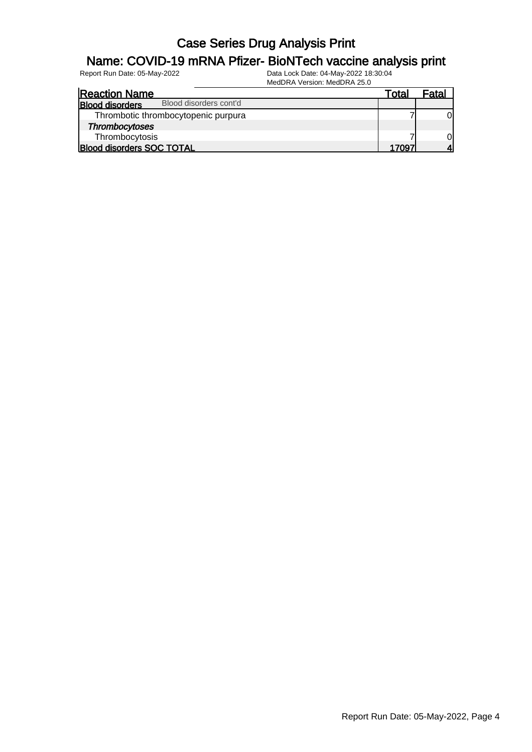#### Name: COVID-19 mRNA Pfizer- BioNTech vaccine analysis print

| <b>Reaction Name</b>                             | Total | Fatal |
|--------------------------------------------------|-------|-------|
| Blood disorders cont'd<br><b>Blood disorders</b> |       |       |
| Thrombotic thrombocytopenic purpura              |       | Οl    |
| <b>Thrombocytoses</b>                            |       |       |
| Thrombocytosis                                   |       | Οl    |
| <b>Blood disorders SOC TOTAL</b>                 | 17097 |       |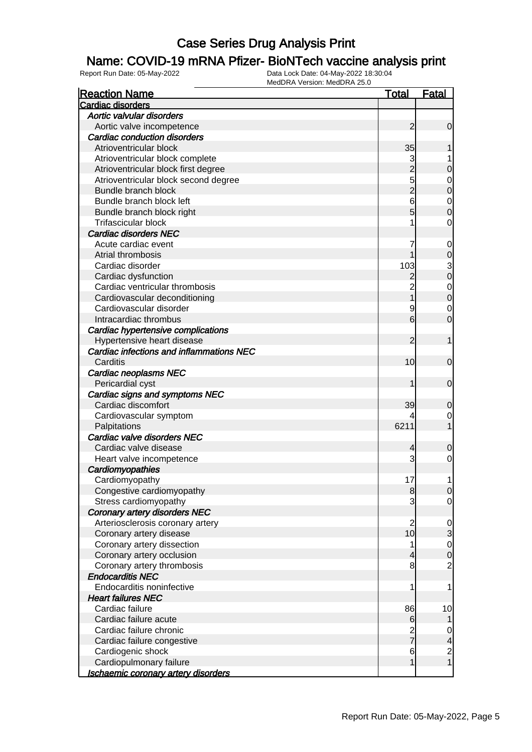### Name: COVID-19 mRNA Pfizer- BioNTech vaccine analysis print

| <b>Reaction Name</b>                       | <u>Total</u>    | <b>Fatal</b>            |
|--------------------------------------------|-----------------|-------------------------|
| <b>Cardiac disorders</b>                   |                 |                         |
| Aortic valvular disorders                  |                 |                         |
| Aortic valve incompetence                  | $\overline{c}$  | $\mathbf 0$             |
| <b>Cardiac conduction disorders</b>        |                 |                         |
| Atrioventricular block                     | 35              |                         |
| Atrioventricular block complete            | 3               |                         |
| Atrioventricular block first degree        | $\overline{2}$  | 0                       |
| Atrioventricular block second degree       | 5               | 0                       |
| Bundle branch block                        |                 | 0                       |
| Bundle branch block left                   | 6               | $\mathbf 0$             |
| Bundle branch block right                  | 5               | 0                       |
| <b>Trifascicular block</b>                 | 1               | 0                       |
| <b>Cardiac disorders NEC</b>               |                 |                         |
| Acute cardiac event                        | 7               | 0                       |
| Atrial thrombosis                          |                 | 0                       |
| Cardiac disorder                           | 103             | 3                       |
| Cardiac dysfunction                        | 2               | $\mathbf 0$             |
| Cardiac ventricular thrombosis             | $\overline{c}$  | $\mathbf 0$             |
| Cardiovascular deconditioning              |                 | $\mathbf 0$             |
| Cardiovascular disorder                    | 9               | $\mathbf 0$             |
| Intracardiac thrombus                      | 6               | 0                       |
| Cardiac hypertensive complications         |                 |                         |
| Hypertensive heart disease                 | 2               |                         |
| Cardiac infections and inflammations NEC   |                 |                         |
| Carditis                                   | 10              | 0                       |
| Cardiac neoplasms NEC                      |                 |                         |
| Pericardial cyst                           |                 | $\mathbf 0$             |
| Cardiac signs and symptoms NEC             |                 |                         |
| Cardiac discomfort                         | 39              | 0                       |
| Cardiovascular symptom                     | 4               | 0                       |
| Palpitations                               | 6211            |                         |
| Cardiac valve disorders NEC                |                 |                         |
| Cardiac valve disease                      | 4               | 0                       |
| Heart valve incompetence                   | 3               | 0                       |
| Cardiomyopathies                           |                 |                         |
| Cardiomyopathy                             | 17              |                         |
| Congestive cardiomyopathy                  | 8               | $\Omega$                |
| Stress cardiomyopathy                      | 3               | $\overline{0}$          |
| <b>Coronary artery disorders NEC</b>       |                 |                         |
| Arteriosclerosis coronary artery           | $\overline{2}$  | $\mathbf 0$             |
| Coronary artery disease                    | 10              | 3                       |
| Coronary artery dissection                 | 1               | $\mathbf 0$             |
| Coronary artery occlusion                  | 4               | 0                       |
| Coronary artery thrombosis                 | 8               | $\overline{2}$          |
| <b>Endocarditis NEC</b>                    |                 |                         |
| Endocarditis noninfective                  | 1               | 1                       |
| <b>Heart failures NEC</b>                  |                 |                         |
| Cardiac failure                            | 86              | 10                      |
| Cardiac failure acute                      | 6               |                         |
| Cardiac failure chronic                    |                 | 0                       |
| Cardiac failure congestive                 | $\frac{2}{7}$   | 4                       |
| Cardiogenic shock                          | $6\phantom{1}6$ | $\overline{\mathbf{c}}$ |
| Cardiopulmonary failure                    | 1               | 1                       |
| <u>Ischaemic coronary artery disorders</u> |                 |                         |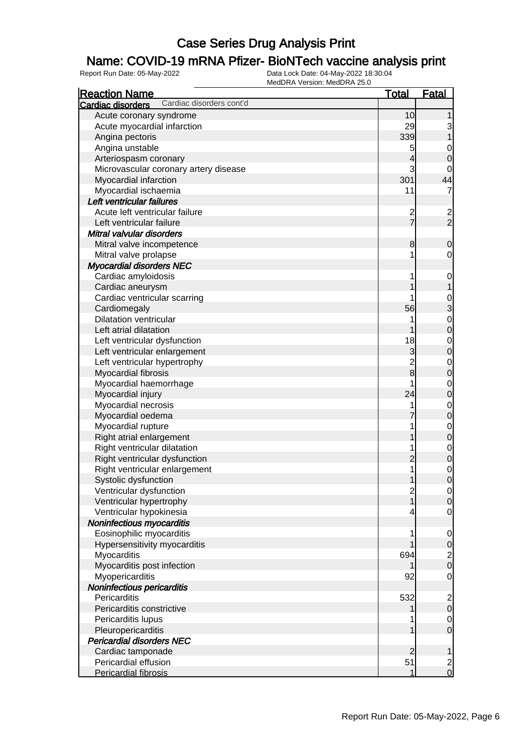### Name: COVID-19 mRNA Pfizer- BioNTech vaccine analysis print

| Cardiac disorders<br>Acute coronary syndrome<br>10<br>1<br>29<br>Acute myocardial infarction<br>3<br>339<br>Angina pectoris<br>Angina unstable<br>5<br>$\mathbf 0$<br>Arteriospasm coronary<br>4<br>$\mathbf 0$<br>3<br>Microvascular coronary artery disease<br>0<br>301<br>44<br>Myocardial infarction<br>11<br>Myocardial ischaemia<br>Left ventricular failures<br>Acute left ventricular failure<br>$\frac{2}{7}$<br>$\overline{\mathbf{c}}$<br>$\overline{2}$<br>Left ventricular failure<br>Mitral valvular disorders<br>Mitral valve incompetence<br>8<br>0<br>Mitral valve prolapse<br>1<br>0<br><b>Myocardial disorders NEC</b><br>Cardiac amyloidosis<br>1<br>$\mathbf 0$<br>Cardiac aneurysm<br>1<br>Cardiac ventricular scarring<br>$\frac{0}{3}$<br>56<br>Cardiomegaly<br><b>Dilatation ventricular</b><br>$\mathbf 0$<br>Left atrial dilatation<br>$\mathbf 0$<br>18<br>Left ventricular dysfunction<br>$\mathbf 0$<br>3<br>Left ventricular enlargement<br>$\mathbf 0$<br>$\overline{2}$<br>Left ventricular hypertrophy<br>$\mathbf 0$<br>$\overline{8}$<br>$\mathbf 0$<br>Myocardial fibrosis<br>Myocardial haemorrhage<br>$\mathbf 0$<br>24<br>$\mathbf 0$<br>Myocardial injury<br>Myocardial necrosis<br>1<br>$\mathbf 0$<br>$\mathbf 0$<br>Myocardial oedema<br>Myocardial rupture<br>$\mathbf 0$<br>1<br>$\mathbf 0$<br>Right atrial enlargement<br>Right ventricular dilatation<br>$\mathbf 0$<br>1<br>$\boldsymbol{0}$<br>Right ventricular dysfunction<br>2<br>1<br>Right ventricular enlargement<br>$\mathbf 0$<br>$\overline{0}$<br>Systolic dysfunction<br>1<br>Ventricular dysfunction<br>$\overline{0}$<br>$\begin{array}{c} 2 \\ 1 \end{array}$<br>Ventricular hypertrophy<br>$\overline{0}$<br>Ventricular hypokinesia<br>$\overline{0}$<br>Noninfectious myocarditis<br>Eosinophilic myocarditis<br>1<br>$\mathbf 0$<br>Hypersensitivity myocarditis<br>$\pmb{0}$<br>694<br>$\overline{\mathbf{c}}$<br>Myocarditis<br>$\overline{0}$<br>Myocarditis post infection<br>Myopericarditis<br>92<br>$\mathbf 0$<br>Noninfectious pericarditis<br>532<br>Pericarditis<br>$\overline{\mathbf{c}}$<br>Pericarditis constrictive<br>$\mathbf 0$<br>Pericarditis lupus<br>$\overline{0}$<br>$\mathbf 0$<br>Pleuropericarditis<br><b>Pericardial disorders NEC</b><br>Cardiac tamponade<br>$\overline{2}$<br>1 | <b>Reaction Name</b>     | <b>Total</b> | <b>Fatal</b> |
|--------------------------------------------------------------------------------------------------------------------------------------------------------------------------------------------------------------------------------------------------------------------------------------------------------------------------------------------------------------------------------------------------------------------------------------------------------------------------------------------------------------------------------------------------------------------------------------------------------------------------------------------------------------------------------------------------------------------------------------------------------------------------------------------------------------------------------------------------------------------------------------------------------------------------------------------------------------------------------------------------------------------------------------------------------------------------------------------------------------------------------------------------------------------------------------------------------------------------------------------------------------------------------------------------------------------------------------------------------------------------------------------------------------------------------------------------------------------------------------------------------------------------------------------------------------------------------------------------------------------------------------------------------------------------------------------------------------------------------------------------------------------------------------------------------------------------------------------------------------------------------------------------------------------------------------------------------------------------------------------------------------------------------------------------------------------------------------------------------------------------------------------------------------------------------------------------------------------------------------------------------------------------------------------------------------------------------------|--------------------------|--------------|--------------|
|                                                                                                                                                                                                                                                                                                                                                                                                                                                                                                                                                                                                                                                                                                                                                                                                                                                                                                                                                                                                                                                                                                                                                                                                                                                                                                                                                                                                                                                                                                                                                                                                                                                                                                                                                                                                                                                                                                                                                                                                                                                                                                                                                                                                                                                                                                                                      | Cardiac disorders cont'd |              |              |
|                                                                                                                                                                                                                                                                                                                                                                                                                                                                                                                                                                                                                                                                                                                                                                                                                                                                                                                                                                                                                                                                                                                                                                                                                                                                                                                                                                                                                                                                                                                                                                                                                                                                                                                                                                                                                                                                                                                                                                                                                                                                                                                                                                                                                                                                                                                                      |                          |              |              |
|                                                                                                                                                                                                                                                                                                                                                                                                                                                                                                                                                                                                                                                                                                                                                                                                                                                                                                                                                                                                                                                                                                                                                                                                                                                                                                                                                                                                                                                                                                                                                                                                                                                                                                                                                                                                                                                                                                                                                                                                                                                                                                                                                                                                                                                                                                                                      |                          |              |              |
|                                                                                                                                                                                                                                                                                                                                                                                                                                                                                                                                                                                                                                                                                                                                                                                                                                                                                                                                                                                                                                                                                                                                                                                                                                                                                                                                                                                                                                                                                                                                                                                                                                                                                                                                                                                                                                                                                                                                                                                                                                                                                                                                                                                                                                                                                                                                      |                          |              |              |
|                                                                                                                                                                                                                                                                                                                                                                                                                                                                                                                                                                                                                                                                                                                                                                                                                                                                                                                                                                                                                                                                                                                                                                                                                                                                                                                                                                                                                                                                                                                                                                                                                                                                                                                                                                                                                                                                                                                                                                                                                                                                                                                                                                                                                                                                                                                                      |                          |              |              |
|                                                                                                                                                                                                                                                                                                                                                                                                                                                                                                                                                                                                                                                                                                                                                                                                                                                                                                                                                                                                                                                                                                                                                                                                                                                                                                                                                                                                                                                                                                                                                                                                                                                                                                                                                                                                                                                                                                                                                                                                                                                                                                                                                                                                                                                                                                                                      |                          |              |              |
|                                                                                                                                                                                                                                                                                                                                                                                                                                                                                                                                                                                                                                                                                                                                                                                                                                                                                                                                                                                                                                                                                                                                                                                                                                                                                                                                                                                                                                                                                                                                                                                                                                                                                                                                                                                                                                                                                                                                                                                                                                                                                                                                                                                                                                                                                                                                      |                          |              |              |
|                                                                                                                                                                                                                                                                                                                                                                                                                                                                                                                                                                                                                                                                                                                                                                                                                                                                                                                                                                                                                                                                                                                                                                                                                                                                                                                                                                                                                                                                                                                                                                                                                                                                                                                                                                                                                                                                                                                                                                                                                                                                                                                                                                                                                                                                                                                                      |                          |              |              |
|                                                                                                                                                                                                                                                                                                                                                                                                                                                                                                                                                                                                                                                                                                                                                                                                                                                                                                                                                                                                                                                                                                                                                                                                                                                                                                                                                                                                                                                                                                                                                                                                                                                                                                                                                                                                                                                                                                                                                                                                                                                                                                                                                                                                                                                                                                                                      |                          |              |              |
|                                                                                                                                                                                                                                                                                                                                                                                                                                                                                                                                                                                                                                                                                                                                                                                                                                                                                                                                                                                                                                                                                                                                                                                                                                                                                                                                                                                                                                                                                                                                                                                                                                                                                                                                                                                                                                                                                                                                                                                                                                                                                                                                                                                                                                                                                                                                      |                          |              |              |
|                                                                                                                                                                                                                                                                                                                                                                                                                                                                                                                                                                                                                                                                                                                                                                                                                                                                                                                                                                                                                                                                                                                                                                                                                                                                                                                                                                                                                                                                                                                                                                                                                                                                                                                                                                                                                                                                                                                                                                                                                                                                                                                                                                                                                                                                                                                                      |                          |              |              |
|                                                                                                                                                                                                                                                                                                                                                                                                                                                                                                                                                                                                                                                                                                                                                                                                                                                                                                                                                                                                                                                                                                                                                                                                                                                                                                                                                                                                                                                                                                                                                                                                                                                                                                                                                                                                                                                                                                                                                                                                                                                                                                                                                                                                                                                                                                                                      |                          |              |              |
|                                                                                                                                                                                                                                                                                                                                                                                                                                                                                                                                                                                                                                                                                                                                                                                                                                                                                                                                                                                                                                                                                                                                                                                                                                                                                                                                                                                                                                                                                                                                                                                                                                                                                                                                                                                                                                                                                                                                                                                                                                                                                                                                                                                                                                                                                                                                      |                          |              |              |
|                                                                                                                                                                                                                                                                                                                                                                                                                                                                                                                                                                                                                                                                                                                                                                                                                                                                                                                                                                                                                                                                                                                                                                                                                                                                                                                                                                                                                                                                                                                                                                                                                                                                                                                                                                                                                                                                                                                                                                                                                                                                                                                                                                                                                                                                                                                                      |                          |              |              |
|                                                                                                                                                                                                                                                                                                                                                                                                                                                                                                                                                                                                                                                                                                                                                                                                                                                                                                                                                                                                                                                                                                                                                                                                                                                                                                                                                                                                                                                                                                                                                                                                                                                                                                                                                                                                                                                                                                                                                                                                                                                                                                                                                                                                                                                                                                                                      |                          |              |              |
|                                                                                                                                                                                                                                                                                                                                                                                                                                                                                                                                                                                                                                                                                                                                                                                                                                                                                                                                                                                                                                                                                                                                                                                                                                                                                                                                                                                                                                                                                                                                                                                                                                                                                                                                                                                                                                                                                                                                                                                                                                                                                                                                                                                                                                                                                                                                      |                          |              |              |
|                                                                                                                                                                                                                                                                                                                                                                                                                                                                                                                                                                                                                                                                                                                                                                                                                                                                                                                                                                                                                                                                                                                                                                                                                                                                                                                                                                                                                                                                                                                                                                                                                                                                                                                                                                                                                                                                                                                                                                                                                                                                                                                                                                                                                                                                                                                                      |                          |              |              |
|                                                                                                                                                                                                                                                                                                                                                                                                                                                                                                                                                                                                                                                                                                                                                                                                                                                                                                                                                                                                                                                                                                                                                                                                                                                                                                                                                                                                                                                                                                                                                                                                                                                                                                                                                                                                                                                                                                                                                                                                                                                                                                                                                                                                                                                                                                                                      |                          |              |              |
|                                                                                                                                                                                                                                                                                                                                                                                                                                                                                                                                                                                                                                                                                                                                                                                                                                                                                                                                                                                                                                                                                                                                                                                                                                                                                                                                                                                                                                                                                                                                                                                                                                                                                                                                                                                                                                                                                                                                                                                                                                                                                                                                                                                                                                                                                                                                      |                          |              |              |
|                                                                                                                                                                                                                                                                                                                                                                                                                                                                                                                                                                                                                                                                                                                                                                                                                                                                                                                                                                                                                                                                                                                                                                                                                                                                                                                                                                                                                                                                                                                                                                                                                                                                                                                                                                                                                                                                                                                                                                                                                                                                                                                                                                                                                                                                                                                                      |                          |              |              |
|                                                                                                                                                                                                                                                                                                                                                                                                                                                                                                                                                                                                                                                                                                                                                                                                                                                                                                                                                                                                                                                                                                                                                                                                                                                                                                                                                                                                                                                                                                                                                                                                                                                                                                                                                                                                                                                                                                                                                                                                                                                                                                                                                                                                                                                                                                                                      |                          |              |              |
|                                                                                                                                                                                                                                                                                                                                                                                                                                                                                                                                                                                                                                                                                                                                                                                                                                                                                                                                                                                                                                                                                                                                                                                                                                                                                                                                                                                                                                                                                                                                                                                                                                                                                                                                                                                                                                                                                                                                                                                                                                                                                                                                                                                                                                                                                                                                      |                          |              |              |
|                                                                                                                                                                                                                                                                                                                                                                                                                                                                                                                                                                                                                                                                                                                                                                                                                                                                                                                                                                                                                                                                                                                                                                                                                                                                                                                                                                                                                                                                                                                                                                                                                                                                                                                                                                                                                                                                                                                                                                                                                                                                                                                                                                                                                                                                                                                                      |                          |              |              |
|                                                                                                                                                                                                                                                                                                                                                                                                                                                                                                                                                                                                                                                                                                                                                                                                                                                                                                                                                                                                                                                                                                                                                                                                                                                                                                                                                                                                                                                                                                                                                                                                                                                                                                                                                                                                                                                                                                                                                                                                                                                                                                                                                                                                                                                                                                                                      |                          |              |              |
|                                                                                                                                                                                                                                                                                                                                                                                                                                                                                                                                                                                                                                                                                                                                                                                                                                                                                                                                                                                                                                                                                                                                                                                                                                                                                                                                                                                                                                                                                                                                                                                                                                                                                                                                                                                                                                                                                                                                                                                                                                                                                                                                                                                                                                                                                                                                      |                          |              |              |
|                                                                                                                                                                                                                                                                                                                                                                                                                                                                                                                                                                                                                                                                                                                                                                                                                                                                                                                                                                                                                                                                                                                                                                                                                                                                                                                                                                                                                                                                                                                                                                                                                                                                                                                                                                                                                                                                                                                                                                                                                                                                                                                                                                                                                                                                                                                                      |                          |              |              |
|                                                                                                                                                                                                                                                                                                                                                                                                                                                                                                                                                                                                                                                                                                                                                                                                                                                                                                                                                                                                                                                                                                                                                                                                                                                                                                                                                                                                                                                                                                                                                                                                                                                                                                                                                                                                                                                                                                                                                                                                                                                                                                                                                                                                                                                                                                                                      |                          |              |              |
|                                                                                                                                                                                                                                                                                                                                                                                                                                                                                                                                                                                                                                                                                                                                                                                                                                                                                                                                                                                                                                                                                                                                                                                                                                                                                                                                                                                                                                                                                                                                                                                                                                                                                                                                                                                                                                                                                                                                                                                                                                                                                                                                                                                                                                                                                                                                      |                          |              |              |
|                                                                                                                                                                                                                                                                                                                                                                                                                                                                                                                                                                                                                                                                                                                                                                                                                                                                                                                                                                                                                                                                                                                                                                                                                                                                                                                                                                                                                                                                                                                                                                                                                                                                                                                                                                                                                                                                                                                                                                                                                                                                                                                                                                                                                                                                                                                                      |                          |              |              |
|                                                                                                                                                                                                                                                                                                                                                                                                                                                                                                                                                                                                                                                                                                                                                                                                                                                                                                                                                                                                                                                                                                                                                                                                                                                                                                                                                                                                                                                                                                                                                                                                                                                                                                                                                                                                                                                                                                                                                                                                                                                                                                                                                                                                                                                                                                                                      |                          |              |              |
|                                                                                                                                                                                                                                                                                                                                                                                                                                                                                                                                                                                                                                                                                                                                                                                                                                                                                                                                                                                                                                                                                                                                                                                                                                                                                                                                                                                                                                                                                                                                                                                                                                                                                                                                                                                                                                                                                                                                                                                                                                                                                                                                                                                                                                                                                                                                      |                          |              |              |
|                                                                                                                                                                                                                                                                                                                                                                                                                                                                                                                                                                                                                                                                                                                                                                                                                                                                                                                                                                                                                                                                                                                                                                                                                                                                                                                                                                                                                                                                                                                                                                                                                                                                                                                                                                                                                                                                                                                                                                                                                                                                                                                                                                                                                                                                                                                                      |                          |              |              |
|                                                                                                                                                                                                                                                                                                                                                                                                                                                                                                                                                                                                                                                                                                                                                                                                                                                                                                                                                                                                                                                                                                                                                                                                                                                                                                                                                                                                                                                                                                                                                                                                                                                                                                                                                                                                                                                                                                                                                                                                                                                                                                                                                                                                                                                                                                                                      |                          |              |              |
|                                                                                                                                                                                                                                                                                                                                                                                                                                                                                                                                                                                                                                                                                                                                                                                                                                                                                                                                                                                                                                                                                                                                                                                                                                                                                                                                                                                                                                                                                                                                                                                                                                                                                                                                                                                                                                                                                                                                                                                                                                                                                                                                                                                                                                                                                                                                      |                          |              |              |
|                                                                                                                                                                                                                                                                                                                                                                                                                                                                                                                                                                                                                                                                                                                                                                                                                                                                                                                                                                                                                                                                                                                                                                                                                                                                                                                                                                                                                                                                                                                                                                                                                                                                                                                                                                                                                                                                                                                                                                                                                                                                                                                                                                                                                                                                                                                                      |                          |              |              |
|                                                                                                                                                                                                                                                                                                                                                                                                                                                                                                                                                                                                                                                                                                                                                                                                                                                                                                                                                                                                                                                                                                                                                                                                                                                                                                                                                                                                                                                                                                                                                                                                                                                                                                                                                                                                                                                                                                                                                                                                                                                                                                                                                                                                                                                                                                                                      |                          |              |              |
|                                                                                                                                                                                                                                                                                                                                                                                                                                                                                                                                                                                                                                                                                                                                                                                                                                                                                                                                                                                                                                                                                                                                                                                                                                                                                                                                                                                                                                                                                                                                                                                                                                                                                                                                                                                                                                                                                                                                                                                                                                                                                                                                                                                                                                                                                                                                      |                          |              |              |
|                                                                                                                                                                                                                                                                                                                                                                                                                                                                                                                                                                                                                                                                                                                                                                                                                                                                                                                                                                                                                                                                                                                                                                                                                                                                                                                                                                                                                                                                                                                                                                                                                                                                                                                                                                                                                                                                                                                                                                                                                                                                                                                                                                                                                                                                                                                                      |                          |              |              |
|                                                                                                                                                                                                                                                                                                                                                                                                                                                                                                                                                                                                                                                                                                                                                                                                                                                                                                                                                                                                                                                                                                                                                                                                                                                                                                                                                                                                                                                                                                                                                                                                                                                                                                                                                                                                                                                                                                                                                                                                                                                                                                                                                                                                                                                                                                                                      |                          |              |              |
|                                                                                                                                                                                                                                                                                                                                                                                                                                                                                                                                                                                                                                                                                                                                                                                                                                                                                                                                                                                                                                                                                                                                                                                                                                                                                                                                                                                                                                                                                                                                                                                                                                                                                                                                                                                                                                                                                                                                                                                                                                                                                                                                                                                                                                                                                                                                      |                          |              |              |
|                                                                                                                                                                                                                                                                                                                                                                                                                                                                                                                                                                                                                                                                                                                                                                                                                                                                                                                                                                                                                                                                                                                                                                                                                                                                                                                                                                                                                                                                                                                                                                                                                                                                                                                                                                                                                                                                                                                                                                                                                                                                                                                                                                                                                                                                                                                                      |                          |              |              |
|                                                                                                                                                                                                                                                                                                                                                                                                                                                                                                                                                                                                                                                                                                                                                                                                                                                                                                                                                                                                                                                                                                                                                                                                                                                                                                                                                                                                                                                                                                                                                                                                                                                                                                                                                                                                                                                                                                                                                                                                                                                                                                                                                                                                                                                                                                                                      |                          |              |              |
|                                                                                                                                                                                                                                                                                                                                                                                                                                                                                                                                                                                                                                                                                                                                                                                                                                                                                                                                                                                                                                                                                                                                                                                                                                                                                                                                                                                                                                                                                                                                                                                                                                                                                                                                                                                                                                                                                                                                                                                                                                                                                                                                                                                                                                                                                                                                      |                          |              |              |
|                                                                                                                                                                                                                                                                                                                                                                                                                                                                                                                                                                                                                                                                                                                                                                                                                                                                                                                                                                                                                                                                                                                                                                                                                                                                                                                                                                                                                                                                                                                                                                                                                                                                                                                                                                                                                                                                                                                                                                                                                                                                                                                                                                                                                                                                                                                                      |                          |              |              |
|                                                                                                                                                                                                                                                                                                                                                                                                                                                                                                                                                                                                                                                                                                                                                                                                                                                                                                                                                                                                                                                                                                                                                                                                                                                                                                                                                                                                                                                                                                                                                                                                                                                                                                                                                                                                                                                                                                                                                                                                                                                                                                                                                                                                                                                                                                                                      |                          |              |              |
|                                                                                                                                                                                                                                                                                                                                                                                                                                                                                                                                                                                                                                                                                                                                                                                                                                                                                                                                                                                                                                                                                                                                                                                                                                                                                                                                                                                                                                                                                                                                                                                                                                                                                                                                                                                                                                                                                                                                                                                                                                                                                                                                                                                                                                                                                                                                      |                          |              |              |
|                                                                                                                                                                                                                                                                                                                                                                                                                                                                                                                                                                                                                                                                                                                                                                                                                                                                                                                                                                                                                                                                                                                                                                                                                                                                                                                                                                                                                                                                                                                                                                                                                                                                                                                                                                                                                                                                                                                                                                                                                                                                                                                                                                                                                                                                                                                                      |                          |              |              |
|                                                                                                                                                                                                                                                                                                                                                                                                                                                                                                                                                                                                                                                                                                                                                                                                                                                                                                                                                                                                                                                                                                                                                                                                                                                                                                                                                                                                                                                                                                                                                                                                                                                                                                                                                                                                                                                                                                                                                                                                                                                                                                                                                                                                                                                                                                                                      |                          |              |              |
|                                                                                                                                                                                                                                                                                                                                                                                                                                                                                                                                                                                                                                                                                                                                                                                                                                                                                                                                                                                                                                                                                                                                                                                                                                                                                                                                                                                                                                                                                                                                                                                                                                                                                                                                                                                                                                                                                                                                                                                                                                                                                                                                                                                                                                                                                                                                      |                          |              |              |
|                                                                                                                                                                                                                                                                                                                                                                                                                                                                                                                                                                                                                                                                                                                                                                                                                                                                                                                                                                                                                                                                                                                                                                                                                                                                                                                                                                                                                                                                                                                                                                                                                                                                                                                                                                                                                                                                                                                                                                                                                                                                                                                                                                                                                                                                                                                                      |                          |              |              |
|                                                                                                                                                                                                                                                                                                                                                                                                                                                                                                                                                                                                                                                                                                                                                                                                                                                                                                                                                                                                                                                                                                                                                                                                                                                                                                                                                                                                                                                                                                                                                                                                                                                                                                                                                                                                                                                                                                                                                                                                                                                                                                                                                                                                                                                                                                                                      |                          |              |              |
|                                                                                                                                                                                                                                                                                                                                                                                                                                                                                                                                                                                                                                                                                                                                                                                                                                                                                                                                                                                                                                                                                                                                                                                                                                                                                                                                                                                                                                                                                                                                                                                                                                                                                                                                                                                                                                                                                                                                                                                                                                                                                                                                                                                                                                                                                                                                      |                          |              |              |
|                                                                                                                                                                                                                                                                                                                                                                                                                                                                                                                                                                                                                                                                                                                                                                                                                                                                                                                                                                                                                                                                                                                                                                                                                                                                                                                                                                                                                                                                                                                                                                                                                                                                                                                                                                                                                                                                                                                                                                                                                                                                                                                                                                                                                                                                                                                                      | Pericardial effusion     | 51           |              |
| $\overline{\mathbf{c}}$<br>$\overline{0}$<br>Pericardial fibrosis<br>1                                                                                                                                                                                                                                                                                                                                                                                                                                                                                                                                                                                                                                                                                                                                                                                                                                                                                                                                                                                                                                                                                                                                                                                                                                                                                                                                                                                                                                                                                                                                                                                                                                                                                                                                                                                                                                                                                                                                                                                                                                                                                                                                                                                                                                                               |                          |              |              |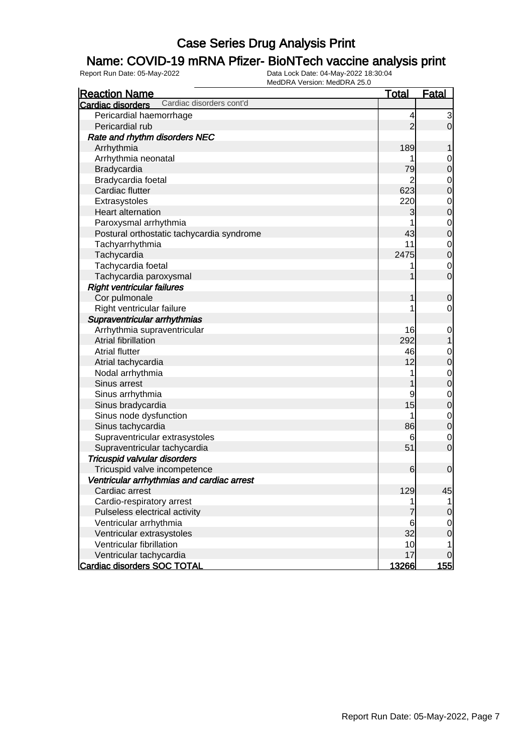### Name: COVID-19 mRNA Pfizer- BioNTech vaccine analysis print

| <b>Reaction Name</b>                                 | <b>Total</b>    | <b>Fatal</b>     |
|------------------------------------------------------|-----------------|------------------|
| Cardiac disorders cont'd<br><b>Cardiac disorders</b> |                 |                  |
| Pericardial haemorrhage                              | 4               | 3                |
| Pericardial rub                                      | $\overline{2}$  | $\mathbf 0$      |
| Rate and rhythm disorders NEC                        |                 |                  |
| Arrhythmia                                           | 189             |                  |
| Arrhythmia neonatal                                  |                 | $\mathbf 0$      |
| Bradycardia                                          | 79              | $\mathbf 0$      |
| Bradycardia foetal                                   | 2               | $\mathbf 0$      |
| Cardiac flutter                                      | 623             | $\mathbf 0$      |
| Extrasystoles                                        | 220             | $\mathbf 0$      |
| Heart alternation                                    | 3               | $\mathbf 0$      |
| Paroxysmal arrhythmia                                |                 | $\mathbf 0$      |
| Postural orthostatic tachycardia syndrome            | 43              | $\mathbf 0$      |
| Tachyarrhythmia                                      | 11              | $\mathbf 0$      |
| Tachycardia                                          | 2475            | $\mathbf 0$      |
| Tachycardia foetal                                   |                 | $\mathbf 0$      |
| Tachycardia paroxysmal                               |                 | $\mathbf 0$      |
| <b>Right ventricular failures</b>                    |                 |                  |
| Cor pulmonale                                        | 1               | $\mathbf 0$      |
| Right ventricular failure                            |                 | $\mathbf 0$      |
| Supraventricular arrhythmias                         |                 |                  |
| Arrhythmia supraventricular                          | 16              | $\mathbf 0$      |
| Atrial fibrillation                                  | 292             | 1                |
| <b>Atrial flutter</b>                                | 46              | $\mathbf 0$      |
| Atrial tachycardia                                   | 12              | $\mathbf 0$      |
| Nodal arrhythmia                                     |                 | $\mathbf 0$      |
| Sinus arrest                                         |                 | $\mathbf 0$      |
| Sinus arrhythmia                                     | 9               | $\mathbf 0$      |
| Sinus bradycardia                                    | 15              | $\mathbf 0$      |
| Sinus node dysfunction                               |                 | $\mathbf 0$      |
| Sinus tachycardia                                    | 86              | $\boldsymbol{0}$ |
| Supraventricular extrasystoles                       | 6               | $\mathbf 0$      |
| Supraventricular tachycardia                         | 51              | $\mathbf 0$      |
| Tricuspid valvular disorders                         |                 |                  |
| Tricuspid valve incompetence                         | 6               | $\mathbf 0$      |
| Ventricular arrhythmias and cardiac arrest           |                 |                  |
| Cardiac arrest                                       | 129             | 45               |
| Cardio-respiratory arrest                            | 1               |                  |
| Pulseless electrical activity                        |                 | $\boldsymbol{0}$ |
| Ventricular arrhythmia                               | $6\phantom{1}6$ | $\mathbf 0$      |
| Ventricular extrasystoles                            | 32              | $\mathbf 0$      |
| Ventricular fibrillation                             | 10              | 1                |
| Ventricular tachycardia                              | 17              | $\mathbf 0$      |
| <b>Cardiac disorders SOC TOTAL</b>                   | <u>13266 </u>   | <u> 155 </u>     |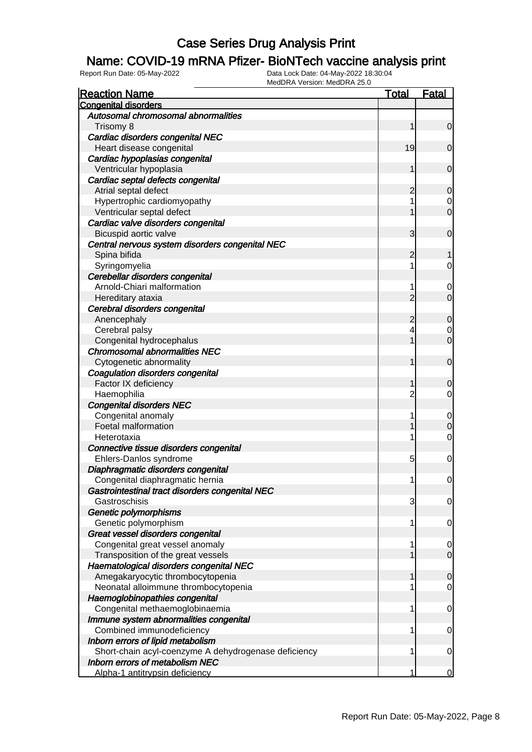### Name: COVID-19 mRNA Pfizer- BioNTech vaccine analysis print

| <b>Reaction Name</b>                                 | <b>Total</b>   | <b>Fatal</b>   |
|------------------------------------------------------|----------------|----------------|
| <b>Congenital disorders</b>                          |                |                |
| Autosomal chromosomal abnormalities                  |                |                |
| Trisomy 8                                            | 1              | $\mathbf 0$    |
| Cardiac disorders congenital NEC                     |                |                |
| Heart disease congenital                             | 19             | 0              |
| Cardiac hypoplasias congenital                       |                |                |
| Ventricular hypoplasia                               | 1              | $\mathbf 0$    |
| Cardiac septal defects congenital                    |                |                |
| Atrial septal defect                                 | 2              | 0              |
| Hypertrophic cardiomyopathy                          |                | 0              |
| Ventricular septal defect                            |                | $\mathbf 0$    |
| Cardiac valve disorders congenital                   |                |                |
| Bicuspid aortic valve                                | 3              | $\mathbf 0$    |
| Central nervous system disorders congenital NEC      |                |                |
| Spina bifida                                         | 2              |                |
| Syringomyelia                                        | 1              | 0              |
| Cerebellar disorders congenital                      |                |                |
| Arnold-Chiari malformation                           | 1              | 0              |
| Hereditary ataxia                                    | $\overline{2}$ | $\mathbf 0$    |
| Cerebral disorders congenital                        |                |                |
| Anencephaly                                          | $\overline{c}$ | $\mathbf 0$    |
| Cerebral palsy                                       | 4              | 0              |
| Congenital hydrocephalus                             | 1              | $\overline{0}$ |
| <b>Chromosomal abnormalities NEC</b>                 |                |                |
| Cytogenetic abnormality                              | 1              | $\mathbf 0$    |
| Coagulation disorders congenital                     |                |                |
| Factor IX deficiency                                 | 1              | 0              |
| Haemophilia                                          | $\overline{2}$ | 0              |
| <b>Congenital disorders NEC</b>                      |                |                |
| Congenital anomaly                                   | 1              | $\mathbf 0$    |
| Foetal malformation                                  |                | 0              |
| Heterotaxia                                          | 1              | $\mathbf 0$    |
| Connective tissue disorders congenital               |                |                |
| Ehlers-Danlos syndrome                               | 5              | 0              |
| Diaphragmatic disorders congenital                   |                |                |
| Congenital diaphragmatic hernia                      | 1              | 0              |
| Gastrointestinal tract disorders congenital NEC      |                |                |
| Gastroschisis                                        | 3              | $\mathbf 0$    |
| Genetic polymorphisms                                |                |                |
| Genetic polymorphism                                 | 1              | 0              |
| Great vessel disorders congenital                    |                |                |
| Congenital great vessel anomaly                      | 1              | 0              |
| Transposition of the great vessels                   |                | $\overline{0}$ |
| Haematological disorders congenital NEC              |                |                |
| Amegakaryocytic thrombocytopenia                     | 1              | 0              |
| Neonatal alloimmune thrombocytopenia                 |                | $\overline{0}$ |
| Haemoglobinopathies congenital                       |                |                |
| Congenital methaemoglobinaemia                       | 1              | 0              |
| Immune system abnormalities congenital               |                |                |
| Combined immunodeficiency                            | 1              | 0              |
| Inborn errors of lipid metabolism                    |                |                |
| Short-chain acyl-coenzyme A dehydrogenase deficiency | 1              | 0              |
| Inborn errors of metabolism NEC                      | 1              |                |
| Alpha-1 antitrypsin deficiency                       |                | $\Omega$       |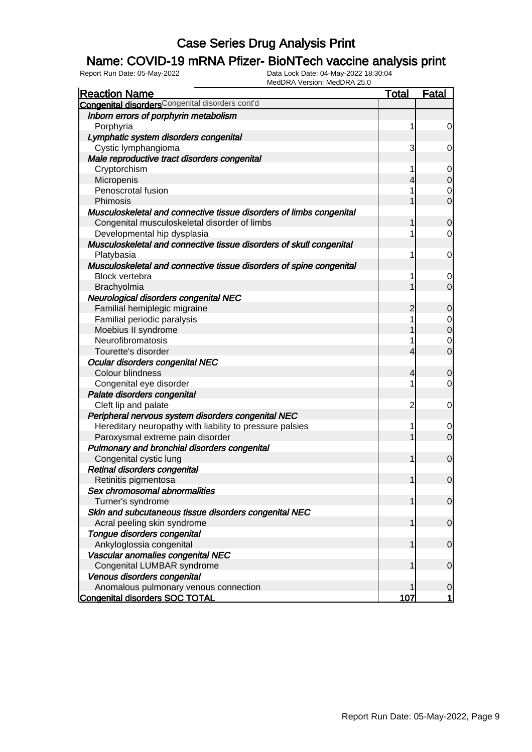### Name: COVID-19 mRNA Pfizer- BioNTech vaccine analysis print

| <b>Reaction Name</b>                                                | Total          | <b>Fatal</b>   |
|---------------------------------------------------------------------|----------------|----------------|
| Congenital disorders <sup>Congenital disorders cont'd</sup>         |                |                |
| Inborn errors of porphyrin metabolism                               |                |                |
| Porphyria                                                           | 1              | $\overline{0}$ |
| Lymphatic system disorders congenital                               |                |                |
| Cystic lymphangioma                                                 | 3              | $\overline{0}$ |
| Male reproductive tract disorders congenital                        |                |                |
| Cryptorchism                                                        | 1              | $\overline{0}$ |
| Micropenis                                                          | 4              | $\overline{0}$ |
| Penoscrotal fusion                                                  |                | $\mathbf 0$    |
| Phimosis                                                            |                | $\overline{0}$ |
| Musculoskeletal and connective tissue disorders of limbs congenital |                |                |
| Congenital musculoskeletal disorder of limbs                        | 1              | $\overline{0}$ |
| Developmental hip dysplasia                                         |                | $\overline{0}$ |
| Musculoskeletal and connective tissue disorders of skull congenital |                |                |
| Platybasia                                                          | 1              | $\overline{0}$ |
| Musculoskeletal and connective tissue disorders of spine congenital |                |                |
| <b>Block vertebra</b>                                               | 1              | 0              |
| Brachyolmia                                                         |                | $\overline{0}$ |
| Neurological disorders congenital NEC                               |                |                |
| Familial hemiplegic migraine                                        | 2              | $\overline{0}$ |
| Familial periodic paralysis                                         | 1              | $\overline{0}$ |
| Moebius II syndrome                                                 | 1              | $\overline{0}$ |
| Neurofibromatosis                                                   | 1              | $\mathbf 0$    |
| Tourette's disorder                                                 | 4              | $\overline{0}$ |
| Ocular disorders congenital NEC                                     |                |                |
| Colour blindness                                                    | 4              | $\overline{0}$ |
| Congenital eye disorder                                             |                | $\overline{0}$ |
| Palate disorders congenital                                         |                |                |
| Cleft lip and palate                                                | $\overline{c}$ | $\overline{0}$ |
| Peripheral nervous system disorders congenital NEC                  |                |                |
| Hereditary neuropathy with liability to pressure palsies            | 1              | 0              |
| Paroxysmal extreme pain disorder                                    |                | $\overline{0}$ |
| Pulmonary and bronchial disorders congenital                        |                |                |
| Congenital cystic lung                                              | 1              | $\overline{0}$ |
| Retinal disorders congenital                                        |                |                |
|                                                                     | 1              | $\overline{0}$ |
| Retinitis pigmentosa<br>Sex chromosomal abnormalities               |                |                |
|                                                                     | 1              | 0              |
| Turner's syndrome                                                   |                |                |
| Skin and subcutaneous tissue disorders congenital NEC               |                | $\overline{0}$ |
| Acral peeling skin syndrome                                         | 1              |                |
| Tongue disorders congenital                                         |                |                |
| Ankyloglossia congenital                                            | 1              | $\overline{0}$ |
| Vascular anomalies congenital NEC                                   |                |                |
| Congenital LUMBAR syndrome                                          |                | $\overline{0}$ |
| Venous disorders congenital                                         |                |                |
| Anomalous pulmonary venous connection                               |                | $\overline{0}$ |
| <b>Congenital disorders SOC TOTAL</b>                               | 107            | 1              |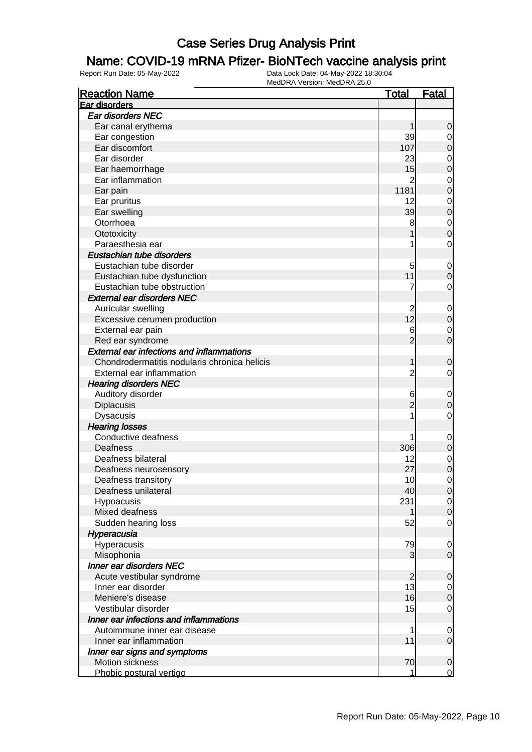### Name: COVID-19 mRNA Pfizer- BioNTech vaccine analysis print

| <b>Ear disorders NEC</b><br>Ear canal erythema<br>0<br>1<br>39<br>Ear congestion<br>0<br>Ear discomfort<br>107<br>$\mathbf 0$<br>Ear disorder<br>23<br>$\mathbf 0$<br>15<br>Ear haemorrhage<br>$\mathbf 0$<br>Ear inflammation<br>$\overline{2}$<br>$\mathbf 0$<br>1181<br>$\mathbf 0$<br>Ear pain<br>12<br>Ear pruritus<br>$\mathbf{0}$<br>39<br>$\mathbf 0$<br>Ear swelling<br>Otorrhoea<br>8<br>$\mathbf{0}$<br>$\mathbf{0}$<br>Ototoxicity<br>Paraesthesia ear<br>$\mathbf 0$<br>Eustachian tube disorders<br>Eustachian tube disorder<br>5<br>$\mathbf 0$<br>11<br>Eustachian tube dysfunction<br>$\mathbf 0$<br>Eustachian tube obstruction<br>7<br>$\mathbf 0$<br><b>External ear disorders NEC</b><br>Auricular swelling<br>2<br>$\mathbf 0$<br>12<br>$\pmb{0}$<br>Excessive cerumen production<br>External ear pain<br>6<br>$\mathbf 0$<br>$\overline{2}$<br>$\overline{0}$<br>Red ear syndrome<br><b>External ear infections and inflammations</b><br>Chondrodermatitis nodularis chronica helicis<br>1<br>$\mathbf 0$<br>$\overline{2}$<br>External ear inflammation<br>0<br><b>Hearing disorders NEC</b><br>Auditory disorder<br>6<br>$\mathbf 0$<br>$\overline{2}$<br>Diplacusis<br>$\mathbf 0$<br><b>Dysacusis</b><br>1<br>$\mathbf 0$<br><b>Hearing losses</b><br>Conductive deafness<br>$\mathbf 0$<br>306<br>Deafness<br>$\mathbf 0$<br>Deafness bilateral<br>12<br>$\mathbf 0$<br>27<br>$\mathbf 0$<br>Deafness neurosensory<br>10<br>0<br>Deafness transitory<br>Deafness unilateral<br>40<br>$\overline{0}$<br>231<br>Hypoacusis<br>$\overline{0}$<br>Mixed deafness<br>0<br>52<br>$\overline{0}$<br>Sudden hearing loss<br>Hyperacusia<br>Hyperacusis<br>79<br>0<br>Misophonia<br>3<br>$\mathbf 0$<br><b>Inner ear disorders NEC</b><br>Acute vestibular syndrome<br>$\overline{2}$<br>0<br>13<br>Inner ear disorder<br>0<br>Meniere's disease<br>16<br>0<br>15<br>Vestibular disorder<br>$\overline{0}$<br>Inner ear infections and inflammations<br>Autoimmune inner ear disease<br>1<br>0<br>11<br>Inner ear inflammation<br>$\boldsymbol{0}$<br>Inner ear signs and symptoms | <b>Reaction Name</b> | <u>Total</u> | <b>Fatal</b> |
|-------------------------------------------------------------------------------------------------------------------------------------------------------------------------------------------------------------------------------------------------------------------------------------------------------------------------------------------------------------------------------------------------------------------------------------------------------------------------------------------------------------------------------------------------------------------------------------------------------------------------------------------------------------------------------------------------------------------------------------------------------------------------------------------------------------------------------------------------------------------------------------------------------------------------------------------------------------------------------------------------------------------------------------------------------------------------------------------------------------------------------------------------------------------------------------------------------------------------------------------------------------------------------------------------------------------------------------------------------------------------------------------------------------------------------------------------------------------------------------------------------------------------------------------------------------------------------------------------------------------------------------------------------------------------------------------------------------------------------------------------------------------------------------------------------------------------------------------------------------------------------------------------------------------------------------------------------------------------------------------------------------------------------------------------------------------------------------------------------|----------------------|--------------|--------------|
|                                                                                                                                                                                                                                                                                                                                                                                                                                                                                                                                                                                                                                                                                                                                                                                                                                                                                                                                                                                                                                                                                                                                                                                                                                                                                                                                                                                                                                                                                                                                                                                                                                                                                                                                                                                                                                                                                                                                                                                                                                                                                                       | Ear disorders        |              |              |
|                                                                                                                                                                                                                                                                                                                                                                                                                                                                                                                                                                                                                                                                                                                                                                                                                                                                                                                                                                                                                                                                                                                                                                                                                                                                                                                                                                                                                                                                                                                                                                                                                                                                                                                                                                                                                                                                                                                                                                                                                                                                                                       |                      |              |              |
|                                                                                                                                                                                                                                                                                                                                                                                                                                                                                                                                                                                                                                                                                                                                                                                                                                                                                                                                                                                                                                                                                                                                                                                                                                                                                                                                                                                                                                                                                                                                                                                                                                                                                                                                                                                                                                                                                                                                                                                                                                                                                                       |                      |              |              |
|                                                                                                                                                                                                                                                                                                                                                                                                                                                                                                                                                                                                                                                                                                                                                                                                                                                                                                                                                                                                                                                                                                                                                                                                                                                                                                                                                                                                                                                                                                                                                                                                                                                                                                                                                                                                                                                                                                                                                                                                                                                                                                       |                      |              |              |
|                                                                                                                                                                                                                                                                                                                                                                                                                                                                                                                                                                                                                                                                                                                                                                                                                                                                                                                                                                                                                                                                                                                                                                                                                                                                                                                                                                                                                                                                                                                                                                                                                                                                                                                                                                                                                                                                                                                                                                                                                                                                                                       |                      |              |              |
|                                                                                                                                                                                                                                                                                                                                                                                                                                                                                                                                                                                                                                                                                                                                                                                                                                                                                                                                                                                                                                                                                                                                                                                                                                                                                                                                                                                                                                                                                                                                                                                                                                                                                                                                                                                                                                                                                                                                                                                                                                                                                                       |                      |              |              |
|                                                                                                                                                                                                                                                                                                                                                                                                                                                                                                                                                                                                                                                                                                                                                                                                                                                                                                                                                                                                                                                                                                                                                                                                                                                                                                                                                                                                                                                                                                                                                                                                                                                                                                                                                                                                                                                                                                                                                                                                                                                                                                       |                      |              |              |
|                                                                                                                                                                                                                                                                                                                                                                                                                                                                                                                                                                                                                                                                                                                                                                                                                                                                                                                                                                                                                                                                                                                                                                                                                                                                                                                                                                                                                                                                                                                                                                                                                                                                                                                                                                                                                                                                                                                                                                                                                                                                                                       |                      |              |              |
|                                                                                                                                                                                                                                                                                                                                                                                                                                                                                                                                                                                                                                                                                                                                                                                                                                                                                                                                                                                                                                                                                                                                                                                                                                                                                                                                                                                                                                                                                                                                                                                                                                                                                                                                                                                                                                                                                                                                                                                                                                                                                                       |                      |              |              |
|                                                                                                                                                                                                                                                                                                                                                                                                                                                                                                                                                                                                                                                                                                                                                                                                                                                                                                                                                                                                                                                                                                                                                                                                                                                                                                                                                                                                                                                                                                                                                                                                                                                                                                                                                                                                                                                                                                                                                                                                                                                                                                       |                      |              |              |
|                                                                                                                                                                                                                                                                                                                                                                                                                                                                                                                                                                                                                                                                                                                                                                                                                                                                                                                                                                                                                                                                                                                                                                                                                                                                                                                                                                                                                                                                                                                                                                                                                                                                                                                                                                                                                                                                                                                                                                                                                                                                                                       |                      |              |              |
|                                                                                                                                                                                                                                                                                                                                                                                                                                                                                                                                                                                                                                                                                                                                                                                                                                                                                                                                                                                                                                                                                                                                                                                                                                                                                                                                                                                                                                                                                                                                                                                                                                                                                                                                                                                                                                                                                                                                                                                                                                                                                                       |                      |              |              |
|                                                                                                                                                                                                                                                                                                                                                                                                                                                                                                                                                                                                                                                                                                                                                                                                                                                                                                                                                                                                                                                                                                                                                                                                                                                                                                                                                                                                                                                                                                                                                                                                                                                                                                                                                                                                                                                                                                                                                                                                                                                                                                       |                      |              |              |
|                                                                                                                                                                                                                                                                                                                                                                                                                                                                                                                                                                                                                                                                                                                                                                                                                                                                                                                                                                                                                                                                                                                                                                                                                                                                                                                                                                                                                                                                                                                                                                                                                                                                                                                                                                                                                                                                                                                                                                                                                                                                                                       |                      |              |              |
|                                                                                                                                                                                                                                                                                                                                                                                                                                                                                                                                                                                                                                                                                                                                                                                                                                                                                                                                                                                                                                                                                                                                                                                                                                                                                                                                                                                                                                                                                                                                                                                                                                                                                                                                                                                                                                                                                                                                                                                                                                                                                                       |                      |              |              |
|                                                                                                                                                                                                                                                                                                                                                                                                                                                                                                                                                                                                                                                                                                                                                                                                                                                                                                                                                                                                                                                                                                                                                                                                                                                                                                                                                                                                                                                                                                                                                                                                                                                                                                                                                                                                                                                                                                                                                                                                                                                                                                       |                      |              |              |
|                                                                                                                                                                                                                                                                                                                                                                                                                                                                                                                                                                                                                                                                                                                                                                                                                                                                                                                                                                                                                                                                                                                                                                                                                                                                                                                                                                                                                                                                                                                                                                                                                                                                                                                                                                                                                                                                                                                                                                                                                                                                                                       |                      |              |              |
|                                                                                                                                                                                                                                                                                                                                                                                                                                                                                                                                                                                                                                                                                                                                                                                                                                                                                                                                                                                                                                                                                                                                                                                                                                                                                                                                                                                                                                                                                                                                                                                                                                                                                                                                                                                                                                                                                                                                                                                                                                                                                                       |                      |              |              |
|                                                                                                                                                                                                                                                                                                                                                                                                                                                                                                                                                                                                                                                                                                                                                                                                                                                                                                                                                                                                                                                                                                                                                                                                                                                                                                                                                                                                                                                                                                                                                                                                                                                                                                                                                                                                                                                                                                                                                                                                                                                                                                       |                      |              |              |
|                                                                                                                                                                                                                                                                                                                                                                                                                                                                                                                                                                                                                                                                                                                                                                                                                                                                                                                                                                                                                                                                                                                                                                                                                                                                                                                                                                                                                                                                                                                                                                                                                                                                                                                                                                                                                                                                                                                                                                                                                                                                                                       |                      |              |              |
|                                                                                                                                                                                                                                                                                                                                                                                                                                                                                                                                                                                                                                                                                                                                                                                                                                                                                                                                                                                                                                                                                                                                                                                                                                                                                                                                                                                                                                                                                                                                                                                                                                                                                                                                                                                                                                                                                                                                                                                                                                                                                                       |                      |              |              |
|                                                                                                                                                                                                                                                                                                                                                                                                                                                                                                                                                                                                                                                                                                                                                                                                                                                                                                                                                                                                                                                                                                                                                                                                                                                                                                                                                                                                                                                                                                                                                                                                                                                                                                                                                                                                                                                                                                                                                                                                                                                                                                       |                      |              |              |
|                                                                                                                                                                                                                                                                                                                                                                                                                                                                                                                                                                                                                                                                                                                                                                                                                                                                                                                                                                                                                                                                                                                                                                                                                                                                                                                                                                                                                                                                                                                                                                                                                                                                                                                                                                                                                                                                                                                                                                                                                                                                                                       |                      |              |              |
|                                                                                                                                                                                                                                                                                                                                                                                                                                                                                                                                                                                                                                                                                                                                                                                                                                                                                                                                                                                                                                                                                                                                                                                                                                                                                                                                                                                                                                                                                                                                                                                                                                                                                                                                                                                                                                                                                                                                                                                                                                                                                                       |                      |              |              |
|                                                                                                                                                                                                                                                                                                                                                                                                                                                                                                                                                                                                                                                                                                                                                                                                                                                                                                                                                                                                                                                                                                                                                                                                                                                                                                                                                                                                                                                                                                                                                                                                                                                                                                                                                                                                                                                                                                                                                                                                                                                                                                       |                      |              |              |
|                                                                                                                                                                                                                                                                                                                                                                                                                                                                                                                                                                                                                                                                                                                                                                                                                                                                                                                                                                                                                                                                                                                                                                                                                                                                                                                                                                                                                                                                                                                                                                                                                                                                                                                                                                                                                                                                                                                                                                                                                                                                                                       |                      |              |              |
|                                                                                                                                                                                                                                                                                                                                                                                                                                                                                                                                                                                                                                                                                                                                                                                                                                                                                                                                                                                                                                                                                                                                                                                                                                                                                                                                                                                                                                                                                                                                                                                                                                                                                                                                                                                                                                                                                                                                                                                                                                                                                                       |                      |              |              |
|                                                                                                                                                                                                                                                                                                                                                                                                                                                                                                                                                                                                                                                                                                                                                                                                                                                                                                                                                                                                                                                                                                                                                                                                                                                                                                                                                                                                                                                                                                                                                                                                                                                                                                                                                                                                                                                                                                                                                                                                                                                                                                       |                      |              |              |
|                                                                                                                                                                                                                                                                                                                                                                                                                                                                                                                                                                                                                                                                                                                                                                                                                                                                                                                                                                                                                                                                                                                                                                                                                                                                                                                                                                                                                                                                                                                                                                                                                                                                                                                                                                                                                                                                                                                                                                                                                                                                                                       |                      |              |              |
|                                                                                                                                                                                                                                                                                                                                                                                                                                                                                                                                                                                                                                                                                                                                                                                                                                                                                                                                                                                                                                                                                                                                                                                                                                                                                                                                                                                                                                                                                                                                                                                                                                                                                                                                                                                                                                                                                                                                                                                                                                                                                                       |                      |              |              |
|                                                                                                                                                                                                                                                                                                                                                                                                                                                                                                                                                                                                                                                                                                                                                                                                                                                                                                                                                                                                                                                                                                                                                                                                                                                                                                                                                                                                                                                                                                                                                                                                                                                                                                                                                                                                                                                                                                                                                                                                                                                                                                       |                      |              |              |
|                                                                                                                                                                                                                                                                                                                                                                                                                                                                                                                                                                                                                                                                                                                                                                                                                                                                                                                                                                                                                                                                                                                                                                                                                                                                                                                                                                                                                                                                                                                                                                                                                                                                                                                                                                                                                                                                                                                                                                                                                                                                                                       |                      |              |              |
|                                                                                                                                                                                                                                                                                                                                                                                                                                                                                                                                                                                                                                                                                                                                                                                                                                                                                                                                                                                                                                                                                                                                                                                                                                                                                                                                                                                                                                                                                                                                                                                                                                                                                                                                                                                                                                                                                                                                                                                                                                                                                                       |                      |              |              |
|                                                                                                                                                                                                                                                                                                                                                                                                                                                                                                                                                                                                                                                                                                                                                                                                                                                                                                                                                                                                                                                                                                                                                                                                                                                                                                                                                                                                                                                                                                                                                                                                                                                                                                                                                                                                                                                                                                                                                                                                                                                                                                       |                      |              |              |
|                                                                                                                                                                                                                                                                                                                                                                                                                                                                                                                                                                                                                                                                                                                                                                                                                                                                                                                                                                                                                                                                                                                                                                                                                                                                                                                                                                                                                                                                                                                                                                                                                                                                                                                                                                                                                                                                                                                                                                                                                                                                                                       |                      |              |              |
|                                                                                                                                                                                                                                                                                                                                                                                                                                                                                                                                                                                                                                                                                                                                                                                                                                                                                                                                                                                                                                                                                                                                                                                                                                                                                                                                                                                                                                                                                                                                                                                                                                                                                                                                                                                                                                                                                                                                                                                                                                                                                                       |                      |              |              |
|                                                                                                                                                                                                                                                                                                                                                                                                                                                                                                                                                                                                                                                                                                                                                                                                                                                                                                                                                                                                                                                                                                                                                                                                                                                                                                                                                                                                                                                                                                                                                                                                                                                                                                                                                                                                                                                                                                                                                                                                                                                                                                       |                      |              |              |
|                                                                                                                                                                                                                                                                                                                                                                                                                                                                                                                                                                                                                                                                                                                                                                                                                                                                                                                                                                                                                                                                                                                                                                                                                                                                                                                                                                                                                                                                                                                                                                                                                                                                                                                                                                                                                                                                                                                                                                                                                                                                                                       |                      |              |              |
|                                                                                                                                                                                                                                                                                                                                                                                                                                                                                                                                                                                                                                                                                                                                                                                                                                                                                                                                                                                                                                                                                                                                                                                                                                                                                                                                                                                                                                                                                                                                                                                                                                                                                                                                                                                                                                                                                                                                                                                                                                                                                                       |                      |              |              |
|                                                                                                                                                                                                                                                                                                                                                                                                                                                                                                                                                                                                                                                                                                                                                                                                                                                                                                                                                                                                                                                                                                                                                                                                                                                                                                                                                                                                                                                                                                                                                                                                                                                                                                                                                                                                                                                                                                                                                                                                                                                                                                       |                      |              |              |
|                                                                                                                                                                                                                                                                                                                                                                                                                                                                                                                                                                                                                                                                                                                                                                                                                                                                                                                                                                                                                                                                                                                                                                                                                                                                                                                                                                                                                                                                                                                                                                                                                                                                                                                                                                                                                                                                                                                                                                                                                                                                                                       |                      |              |              |
|                                                                                                                                                                                                                                                                                                                                                                                                                                                                                                                                                                                                                                                                                                                                                                                                                                                                                                                                                                                                                                                                                                                                                                                                                                                                                                                                                                                                                                                                                                                                                                                                                                                                                                                                                                                                                                                                                                                                                                                                                                                                                                       |                      |              |              |
|                                                                                                                                                                                                                                                                                                                                                                                                                                                                                                                                                                                                                                                                                                                                                                                                                                                                                                                                                                                                                                                                                                                                                                                                                                                                                                                                                                                                                                                                                                                                                                                                                                                                                                                                                                                                                                                                                                                                                                                                                                                                                                       |                      |              |              |
|                                                                                                                                                                                                                                                                                                                                                                                                                                                                                                                                                                                                                                                                                                                                                                                                                                                                                                                                                                                                                                                                                                                                                                                                                                                                                                                                                                                                                                                                                                                                                                                                                                                                                                                                                                                                                                                                                                                                                                                                                                                                                                       |                      |              |              |
|                                                                                                                                                                                                                                                                                                                                                                                                                                                                                                                                                                                                                                                                                                                                                                                                                                                                                                                                                                                                                                                                                                                                                                                                                                                                                                                                                                                                                                                                                                                                                                                                                                                                                                                                                                                                                                                                                                                                                                                                                                                                                                       |                      |              |              |
|                                                                                                                                                                                                                                                                                                                                                                                                                                                                                                                                                                                                                                                                                                                                                                                                                                                                                                                                                                                                                                                                                                                                                                                                                                                                                                                                                                                                                                                                                                                                                                                                                                                                                                                                                                                                                                                                                                                                                                                                                                                                                                       |                      |              |              |
|                                                                                                                                                                                                                                                                                                                                                                                                                                                                                                                                                                                                                                                                                                                                                                                                                                                                                                                                                                                                                                                                                                                                                                                                                                                                                                                                                                                                                                                                                                                                                                                                                                                                                                                                                                                                                                                                                                                                                                                                                                                                                                       |                      |              |              |
|                                                                                                                                                                                                                                                                                                                                                                                                                                                                                                                                                                                                                                                                                                                                                                                                                                                                                                                                                                                                                                                                                                                                                                                                                                                                                                                                                                                                                                                                                                                                                                                                                                                                                                                                                                                                                                                                                                                                                                                                                                                                                                       |                      |              |              |
|                                                                                                                                                                                                                                                                                                                                                                                                                                                                                                                                                                                                                                                                                                                                                                                                                                                                                                                                                                                                                                                                                                                                                                                                                                                                                                                                                                                                                                                                                                                                                                                                                                                                                                                                                                                                                                                                                                                                                                                                                                                                                                       |                      |              |              |
|                                                                                                                                                                                                                                                                                                                                                                                                                                                                                                                                                                                                                                                                                                                                                                                                                                                                                                                                                                                                                                                                                                                                                                                                                                                                                                                                                                                                                                                                                                                                                                                                                                                                                                                                                                                                                                                                                                                                                                                                                                                                                                       |                      |              |              |
|                                                                                                                                                                                                                                                                                                                                                                                                                                                                                                                                                                                                                                                                                                                                                                                                                                                                                                                                                                                                                                                                                                                                                                                                                                                                                                                                                                                                                                                                                                                                                                                                                                                                                                                                                                                                                                                                                                                                                                                                                                                                                                       |                      |              |              |
|                                                                                                                                                                                                                                                                                                                                                                                                                                                                                                                                                                                                                                                                                                                                                                                                                                                                                                                                                                                                                                                                                                                                                                                                                                                                                                                                                                                                                                                                                                                                                                                                                                                                                                                                                                                                                                                                                                                                                                                                                                                                                                       |                      |              |              |
|                                                                                                                                                                                                                                                                                                                                                                                                                                                                                                                                                                                                                                                                                                                                                                                                                                                                                                                                                                                                                                                                                                                                                                                                                                                                                                                                                                                                                                                                                                                                                                                                                                                                                                                                                                                                                                                                                                                                                                                                                                                                                                       |                      |              |              |
| Motion sickness                                                                                                                                                                                                                                                                                                                                                                                                                                                                                                                                                                                                                                                                                                                                                                                                                                                                                                                                                                                                                                                                                                                                                                                                                                                                                                                                                                                                                                                                                                                                                                                                                                                                                                                                                                                                                                                                                                                                                                                                                                                                                       |                      |              |              |
| 70<br>$\mathbf 0$<br>1<br>$\overline{0}$<br>Phobic postural vertigo                                                                                                                                                                                                                                                                                                                                                                                                                                                                                                                                                                                                                                                                                                                                                                                                                                                                                                                                                                                                                                                                                                                                                                                                                                                                                                                                                                                                                                                                                                                                                                                                                                                                                                                                                                                                                                                                                                                                                                                                                                   |                      |              |              |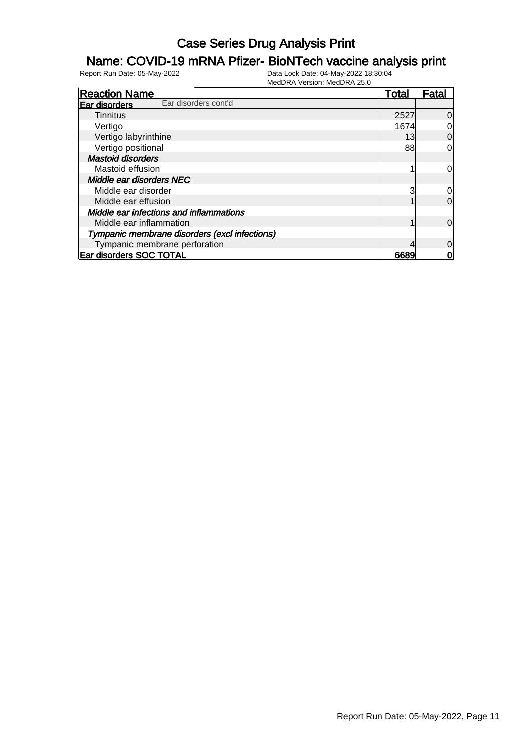#### Name: COVID-19 mRNA Pfizer- BioNTech vaccine analysis print

| <b>Reaction Name</b>                          | Total | Fatal          |
|-----------------------------------------------|-------|----------------|
| Ear disorders cont'd<br>Ear disorders         |       |                |
| <b>Tinnitus</b>                               | 2527  | <sup>O</sup>   |
| Vertigo                                       | 1674  | 0              |
| Vertigo labyrinthine                          | 13    | $\overline{0}$ |
| Vertigo positional                            | 88    | 0l             |
| <b>Mastoid disorders</b>                      |       |                |
| Mastoid effusion                              |       | 0l             |
| Middle ear disorders NEC                      |       |                |
| Middle ear disorder                           | 3     | 0l             |
| Middle ear effusion                           |       | 0l             |
| Middle ear infections and inflammations       |       |                |
| Middle ear inflammation                       |       | <sup>O</sup>   |
| Tympanic membrane disorders (excl infections) |       |                |
| Tympanic membrane perforation                 |       | 0l             |
| <b>Ear disorders SOC TOTAL</b>                | 6689  |                |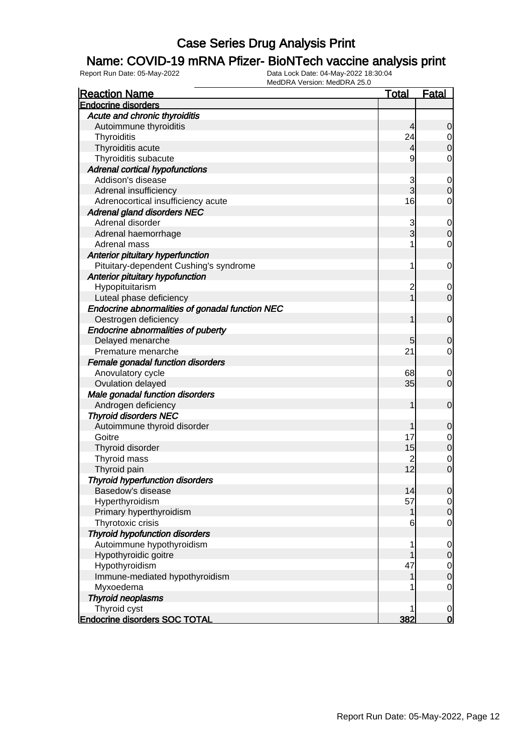#### Name: COVID-19 mRNA Pfizer- BioNTech vaccine analysis print

| <b>Reaction Name</b>                            | <b>Total</b>   | <b>Fatal</b>     |
|-------------------------------------------------|----------------|------------------|
| <b>Endocrine disorders</b>                      |                |                  |
| Acute and chronic thyroiditis                   |                |                  |
| Autoimmune thyroiditis                          | 4              | $\mathbf 0$      |
| Thyroiditis                                     | 24             | 0                |
| Thyroiditis acute                               | 4              | $\boldsymbol{0}$ |
| Thyroiditis subacute                            | 9              | 0                |
| <b>Adrenal cortical hypofunctions</b>           |                |                  |
| Addison's disease                               | 3              | 0                |
| Adrenal insufficiency                           | 3              | $\mathbf 0$      |
| Adrenocortical insufficiency acute              | 16             | 0                |
| <b>Adrenal gland disorders NEC</b>              |                |                  |
| Adrenal disorder                                | 3              | $\mathbf 0$      |
| Adrenal haemorrhage                             | 3              | $\boldsymbol{0}$ |
| Adrenal mass                                    |                | $\mathbf 0$      |
| Anterior pituitary hyperfunction                |                |                  |
| Pituitary-dependent Cushing's syndrome          | 1              | 0                |
| Anterior pituitary hypofunction                 |                |                  |
| Hypopituitarism                                 | $\overline{c}$ | 0                |
| Luteal phase deficiency                         |                | $\overline{0}$   |
| Endocrine abnormalities of gonadal function NEC |                |                  |
| Oestrogen deficiency                            | 1              | $\mathbf 0$      |
| <b>Endocrine abnormalities of puberty</b>       |                |                  |
| Delayed menarche                                | 5              | $\mathbf 0$      |
| Premature menarche                              | 21             | 0                |
| Female gonadal function disorders               |                |                  |
| Anovulatory cycle                               | 68             | 0                |
| Ovulation delayed                               | 35             | $\overline{0}$   |
| Male gonadal function disorders                 |                |                  |
| Androgen deficiency                             | 1              | $\mathbf 0$      |
| <b>Thyroid disorders NEC</b>                    |                |                  |
| Autoimmune thyroid disorder                     |                | $\mathbf 0$      |
| Goitre                                          | 17             | 0                |
| Thyroid disorder                                | 15             | $\mathbf 0$      |
| Thyroid mass                                    | 2              | 0                |
| Thyroid pain                                    | 12             | $\mathbf 0$      |
| <b>Thyroid hyperfunction disorders</b>          |                |                  |
| Basedow's disease                               | 14             | $\overline{0}$   |
| Hyperthyroidism                                 | 57             | $\overline{0}$   |
| Primary hyperthyroidism                         | 1              | $\mathbf 0$      |
| Thyrotoxic crisis                               | 6              | $\mathbf 0$      |
| <b>Thyroid hypofunction disorders</b>           |                |                  |
| Autoimmune hypothyroidism                       | 1              | $\mathbf 0$      |
| Hypothyroidic goitre                            |                | $\mathbf 0$      |
| Hypothyroidism                                  | 47             | $\overline{0}$   |
| Immune-mediated hypothyroidism                  | 1              | $\boldsymbol{0}$ |
| Myxoedema                                       |                | $\mathbf 0$      |
| <b>Thyroid neoplasms</b>                        |                |                  |
| Thyroid cyst                                    | 1              | $\mathbf 0$      |
| <b>Endocrine disorders SOC TOTAL</b>            | 382            | $\bf{0}$         |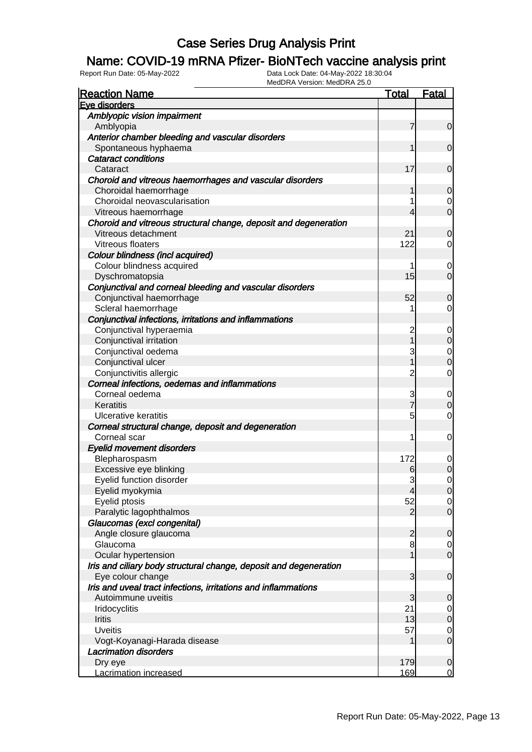#### Name: COVID-19 mRNA Pfizer- BioNTech vaccine analysis print

| <b>Reaction Name</b>                                              | <b>Total</b>   | <b>Fatal</b>   |
|-------------------------------------------------------------------|----------------|----------------|
| Eve disorders                                                     |                |                |
| Amblyopic vision impairment                                       |                |                |
| Amblyopia                                                         | 7              | $\overline{0}$ |
| Anterior chamber bleeding and vascular disorders                  |                |                |
| Spontaneous hyphaema                                              |                | $\overline{0}$ |
| <b>Cataract conditions</b>                                        |                |                |
| Cataract                                                          | 17             | $\overline{0}$ |
| Choroid and vitreous haemorrhages and vascular disorders          |                |                |
| Choroidal haemorrhage                                             | 1              | $\mathbf 0$    |
| Choroidal neovascularisation                                      |                | 0              |
| Vitreous haemorrhage                                              | 4              | $\overline{0}$ |
| Choroid and vitreous structural change, deposit and degeneration  |                |                |
| Vitreous detachment                                               | 21             | $\mathbf 0$    |
| Vitreous floaters                                                 | 122            | $\overline{0}$ |
| Colour blindness (incl acquired)                                  |                |                |
| Colour blindness acquired                                         |                | 0              |
| Dyschromatopsia                                                   | 15             | $\overline{0}$ |
| Conjunctival and corneal bleeding and vascular disorders          |                |                |
| Conjunctival haemorrhage                                          | 52             | $\mathbf 0$    |
| Scleral haemorrhage                                               |                | $\overline{0}$ |
| Conjunctival infections, irritations and inflammations            |                |                |
| Conjunctival hyperaemia                                           | 2              | 0              |
| Conjunctival irritation                                           |                | $\mathbf 0$    |
| Conjunctival oedema                                               | 3              | $\mathbf 0$    |
| Conjunctival ulcer                                                |                | $\mathbf 0$    |
| Conjunctivitis allergic                                           | 2              | $\overline{0}$ |
| Corneal infections, oedemas and inflammations                     |                |                |
| Corneal oedema                                                    | 3              | 0              |
| Keratitis                                                         | $\overline{7}$ | $\mathbf 0$    |
| <b>Ulcerative keratitis</b>                                       | 5              | $\mathbf 0$    |
| Corneal structural change, deposit and degeneration               |                |                |
| Corneal scar                                                      | 1              | 0              |
| <b>Eyelid movement disorders</b>                                  |                |                |
| Blepharospasm                                                     | 172            | 0              |
| Excessive eye blinking                                            | 6              | $\mathbf 0$    |
| Eyelid function disorder                                          | 3              | $\overline{0}$ |
| Eyelid myokymia                                                   | 4              | $\overline{0}$ |
| Eyelid ptosis                                                     | 52             | $\overline{0}$ |
| Paralytic lagophthalmos                                           | $\overline{2}$ | $\overline{0}$ |
| Glaucomas (excl congenital)                                       |                |                |
| Angle closure glaucoma                                            | $\overline{2}$ | $\mathbf 0$    |
| Glaucoma                                                          | 8              | $\overline{0}$ |
| Ocular hypertension                                               |                | $\overline{0}$ |
| Iris and ciliary body structural change, deposit and degeneration |                |                |
| Eye colour change                                                 | 3              | $\mathbf 0$    |
| Iris and uveal tract infections, irritations and inflammations    |                |                |
| Autoimmune uveitis                                                | 3              | $\mathbf 0$    |
| Iridocyclitis                                                     | 21             | $\overline{0}$ |
| Iritis                                                            | 13             | $\mathbf 0$    |
| <b>Uveitis</b>                                                    | 57             | $\overline{0}$ |
| Vogt-Koyanagi-Harada disease                                      | 1              | $\overline{0}$ |
| <b>Lacrimation disorders</b>                                      |                |                |
| Dry eye                                                           | 179            | $\mathbf 0$    |
| Lacrimation increased                                             | 169            | $\overline{0}$ |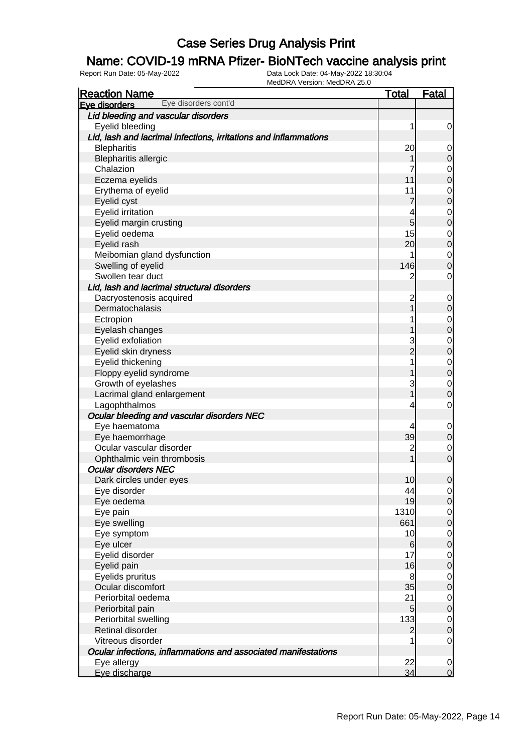### Name: COVID-19 mRNA Pfizer- BioNTech vaccine analysis print

| <b>Reaction Name</b>                                             | <u>Total</u>    | <u>Fatal</u>                         |
|------------------------------------------------------------------|-----------------|--------------------------------------|
| Eye disorders cont'd<br>Eye disorders                            |                 |                                      |
| Lid bleeding and vascular disorders                              |                 |                                      |
| Eyelid bleeding                                                  | 1               | 0                                    |
| Lid, lash and lacrimal infections, irritations and inflammations |                 |                                      |
| <b>Blepharitis</b>                                               | 20              | $\mathbf 0$                          |
| <b>Blepharitis allergic</b>                                      |                 | $\mathbf 0$                          |
| Chalazion                                                        | 7               | $\begin{matrix}0\\0\end{matrix}$     |
| Eczema eyelids                                                   | 11              |                                      |
| Erythema of eyelid                                               | 11              | $\begin{matrix}0\\0\end{matrix}$     |
| Eyelid cyst                                                      | 7               |                                      |
| Eyelid irritation                                                | 4               | $\begin{matrix}0\\0\end{matrix}$     |
| Eyelid margin crusting                                           | 5               |                                      |
| Eyelid oedema                                                    | 15              | $\begin{matrix}0\\0\end{matrix}$     |
| Eyelid rash                                                      | 20              |                                      |
| Meibomian gland dysfunction                                      | 1               | $\begin{matrix}0\\0\end{matrix}$     |
| Swelling of eyelid                                               | 146             |                                      |
| Swollen tear duct                                                | 2               | 0                                    |
| Lid, lash and lacrimal structural disorders                      |                 |                                      |
| Dacryostenosis acquired                                          | $\overline{c}$  | $\mathbf 0$                          |
| Dermatochalasis                                                  |                 | $\boldsymbol{0}$                     |
| Ectropion                                                        |                 | $\begin{matrix}0\\0\end{matrix}$     |
| Eyelash changes                                                  |                 |                                      |
| Eyelid exfoliation                                               | 3               | $\begin{matrix}0\\0\end{matrix}$     |
| Eyelid skin dryness                                              | $\overline{2}$  |                                      |
| Eyelid thickening                                                | 1               | $\begin{matrix}0\\0\end{matrix}$     |
| Floppy eyelid syndrome                                           |                 |                                      |
| Growth of eyelashes                                              | 3               | $\begin{matrix}0\\0\end{matrix}$     |
| Lacrimal gland enlargement                                       |                 |                                      |
| Lagophthalmos                                                    | 4               | $\mathbf 0$                          |
| Ocular bleeding and vascular disorders NEC                       |                 |                                      |
| Eye haematoma                                                    | 4               | $\mathbf 0$                          |
| Eye haemorrhage                                                  | 39              | $\mathbf 0$                          |
| Ocular vascular disorder                                         | $\overline{c}$  | $\mathbf 0$                          |
| Ophthalmic vein thrombosis                                       |                 | $\overline{0}$                       |
| <b>Ocular disorders NEC</b>                                      |                 |                                      |
| Dark circles under eyes                                          | 10              | $\mathbf 0$                          |
| Eye disorder                                                     | 44              | 이                                    |
| Eye oedema                                                       | 19              | $\overline{0}$                       |
| Eye pain                                                         | 1310            | $\begin{matrix} 0 \\ 0 \end{matrix}$ |
| Eye swelling                                                     | 661             |                                      |
| Eye symptom                                                      | 10              | $\begin{matrix} 0 \\ 0 \end{matrix}$ |
| Eye ulcer                                                        | 6               |                                      |
| Eyelid disorder                                                  | 17              | $\begin{matrix} 0 \\ 0 \end{matrix}$ |
| Eyelid pain                                                      | 16              |                                      |
| Eyelids pruritus                                                 | 8               | $\begin{matrix} 0 \\ 0 \end{matrix}$ |
| Ocular discomfort                                                | 35              |                                      |
| Periorbital oedema                                               | 21              | $\begin{matrix} 0 \\ 0 \end{matrix}$ |
| Periorbital pain                                                 | $5\overline{)}$ |                                      |
| Periorbital swelling                                             | 133             | $\begin{matrix}0\\0\end{matrix}$     |
| Retinal disorder                                                 | $\overline{2}$  |                                      |
| Vitreous disorder                                                |                 | $\mathbf 0$                          |
| Ocular infections, inflammations and associated manifestations   |                 |                                      |
| Eye allergy                                                      | 22              | $\mathbf 0$                          |
| Eye discharge                                                    | 34              | $\overline{O}$                       |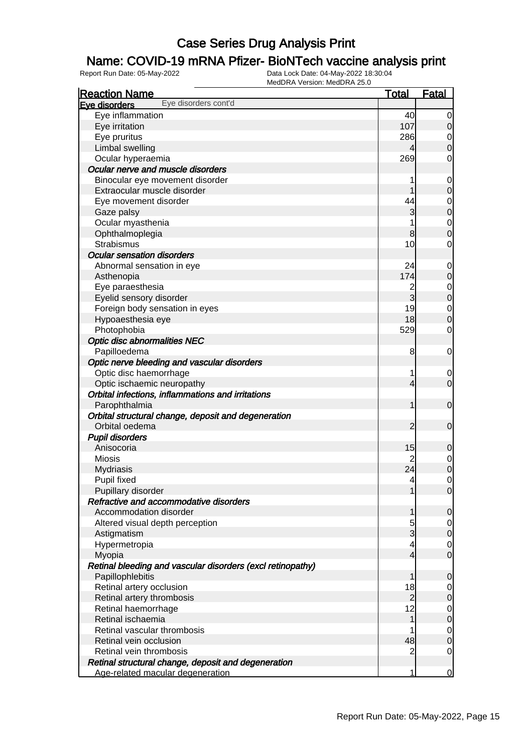### Name: COVID-19 mRNA Pfizer- BioNTech vaccine analysis print

| <b>Reaction Name</b>                                       | <b>Total</b>   | <b>Fatal</b>     |
|------------------------------------------------------------|----------------|------------------|
| Eye disorders cont'd<br>Eve disorders                      |                |                  |
| Eye inflammation                                           | 40             | 0                |
| Eye irritation                                             | 107            | 0                |
| Eye pruritus                                               | 286            | 0                |
| Limbal swelling                                            |                | $\overline{0}$   |
| Ocular hyperaemia                                          | 269            | 0                |
| Ocular nerve and muscle disorders                          |                |                  |
| Binocular eye movement disorder                            |                | $\mathbf 0$      |
| Extraocular muscle disorder                                |                | $\mathbf 0$      |
| Eye movement disorder                                      | 44             | $\mathbf 0$      |
| Gaze palsy                                                 | 3              | $\pmb{0}$        |
| Ocular myasthenia                                          |                | $\mathbf 0$      |
| Ophthalmoplegia                                            | 8              | $\mathbf 0$      |
| <b>Strabismus</b>                                          | 10             | $\mathbf 0$      |
| <b>Ocular sensation disorders</b>                          |                |                  |
| Abnormal sensation in eye                                  | 24             | 0                |
| Asthenopia                                                 | 174            | $\mathbf 0$      |
| Eye paraesthesia                                           | 2              | $\mathbf 0$      |
| Eyelid sensory disorder                                    | 3              | $\boldsymbol{0}$ |
| Foreign body sensation in eyes                             | 19             | $\mathbf 0$      |
| Hypoaesthesia eye                                          | 18             | $\mathbf 0$      |
| Photophobia                                                | 529            | $\mathbf 0$      |
| <b>Optic disc abnormalities NEC</b>                        |                |                  |
| Papilloedema                                               | 8              | $\mathbf 0$      |
| Optic nerve bleeding and vascular disorders                |                |                  |
| Optic disc haemorrhage                                     | 1              | 0                |
| Optic ischaemic neuropathy                                 | 4              | $\mathbf 0$      |
| Orbital infections, inflammations and irritations          |                |                  |
| Parophthalmia                                              | 1              | $\mathbf 0$      |
| Orbital structural change, deposit and degeneration        |                |                  |
| Orbital oedema                                             | $\overline{2}$ | $\mathbf 0$      |
| <b>Pupil disorders</b>                                     |                |                  |
| Anisocoria                                                 | 15             | 0                |
| <b>Miosis</b>                                              | 2              | $\mathbf 0$      |
| <b>Mydriasis</b>                                           | 24             | $\mathbf 0$      |
| Pupil fixed                                                | 4              | $\mathbf 0$      |
| Pupillary disorder                                         | 1              | $\overline{0}$   |
| Refractive and accommodative disorders                     |                |                  |
| Accommodation disorder                                     | 1              | 0                |
| Altered visual depth perception                            | 5              | $\overline{0}$   |
| Astigmatism                                                | 3              | $\mathbf 0$      |
| Hypermetropia                                              | 4              | 0                |
| Myopia                                                     | $\overline{4}$ | $\mathbf 0$      |
| Retinal bleeding and vascular disorders (excl retinopathy) |                |                  |
| Papillophlebitis                                           | 1              | $\mathbf 0$      |
| Retinal artery occlusion                                   | 18             | 0                |
| Retinal artery thrombosis                                  | $\overline{a}$ | $\mathbf 0$      |
| Retinal haemorrhage                                        | 12             | 0                |
| Retinal ischaemia                                          | 1              | $\mathbf 0$      |
| Retinal vascular thrombosis                                |                | $\overline{0}$   |
| Retinal vein occlusion                                     | 48             | $\mathbf 0$      |
| Retinal vein thrombosis                                    | 2              | $\overline{0}$   |
| Retinal structural change, deposit and degeneration        |                |                  |
| Age-related macular degeneration                           | 1              | 0                |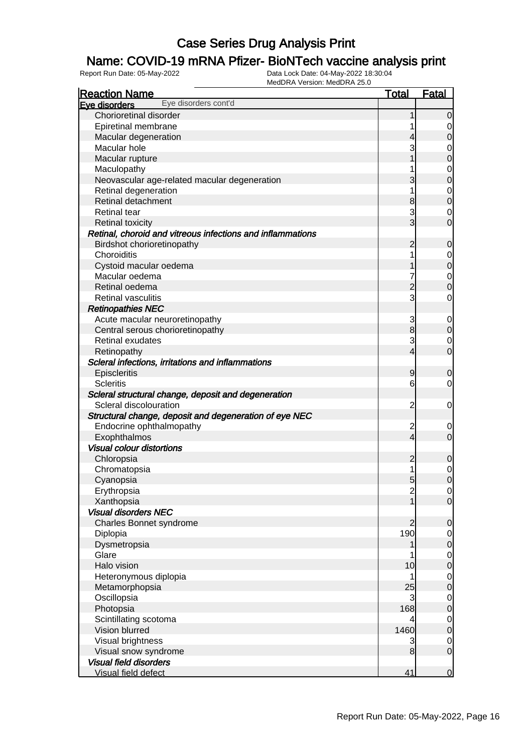### Name: COVID-19 mRNA Pfizer- BioNTech vaccine analysis print

| <b>Reaction Name</b>                                       | <b>Total</b>            | <b>Fatal</b>                         |
|------------------------------------------------------------|-------------------------|--------------------------------------|
| Eye disorders cont'd<br>Eye disorders                      |                         |                                      |
| Chorioretinal disorder                                     | 1                       | $\overline{0}$                       |
| Epiretinal membrane                                        |                         | 0                                    |
| Macular degeneration                                       | 4                       | $\overline{0}$                       |
| Macular hole                                               | 3                       | $\mathbf 0$                          |
| Macular rupture                                            | 1                       | $\overline{0}$                       |
| Maculopathy                                                |                         | $\mathbf 0$                          |
| Neovascular age-related macular degeneration               | 3                       | $\overline{0}$                       |
| Retinal degeneration                                       | 1                       | $\mathbf 0$                          |
| Retinal detachment                                         | 8                       | $\overline{0}$                       |
| <b>Retinal tear</b>                                        | 3                       | $\mathbf 0$                          |
| <b>Retinal toxicity</b>                                    | $\overline{3}$          | $\overline{0}$                       |
| Retinal, choroid and vitreous infections and inflammations |                         |                                      |
| Birdshot chorioretinopathy                                 | $\overline{2}$          | $\boldsymbol{0}$                     |
| Choroiditis                                                | 1                       | $\mathbf 0$                          |
| Cystoid macular oedema                                     |                         | $\overline{0}$                       |
| Macular oedema                                             | 7                       | $\mathbf 0$                          |
| Retinal oedema                                             | $\overline{2}$          | $\overline{0}$                       |
| Retinal vasculitis                                         | 3                       | 0                                    |
| <b>Retinopathies NEC</b>                                   |                         |                                      |
| Acute macular neuroretinopathy                             | 3                       | $\mathbf 0$                          |
| Central serous chorioretinopathy                           | $\bf{8}$                | $\mathbf 0$                          |
| <b>Retinal exudates</b>                                    | 3                       | $\mathbf 0$                          |
| Retinopathy                                                | 4                       | $\overline{0}$                       |
| Scleral infections, irritations and inflammations          |                         |                                      |
| Episcleritis                                               | $\overline{9}$          | $\mathbf 0$                          |
| <b>Scleritis</b>                                           | 6                       | 0                                    |
| Scleral structural change, deposit and degeneration        |                         |                                      |
| Scleral discolouration                                     | $\overline{2}$          | $\mathbf 0$                          |
| Structural change, deposit and degeneration of eye NEC     |                         |                                      |
| Endocrine ophthalmopathy                                   | $\overline{\mathbf{c}}$ | $\mathbf 0$                          |
| Exophthalmos                                               | $\overline{\mathbf{4}}$ | $\overline{0}$                       |
| <b>Visual colour distortions</b>                           |                         |                                      |
| Chloropsia                                                 | $\overline{2}$          | $\mathbf 0$                          |
| Chromatopsia                                               | 1                       | $\mathbf 0$                          |
| Cyanopsia                                                  | $5\overline{)}$         | $\overline{0}$                       |
| Erythropsia                                                | $\overline{c}$          | $\overline{0}$                       |
| Xanthopsia                                                 |                         | $\overline{0}$                       |
| <b>Visual disorders NEC</b>                                |                         |                                      |
| Charles Bonnet syndrome                                    | $\overline{2}$          | $\mathbf 0$                          |
| Diplopia                                                   | 190                     |                                      |
| Dysmetropsia                                               |                         | $\begin{matrix} 0 \\ 0 \end{matrix}$ |
| Glare                                                      |                         |                                      |
| Halo vision                                                | 10                      | $\begin{matrix} 0 \\ 0 \end{matrix}$ |
| Heteronymous diplopia                                      | 1                       |                                      |
| Metamorphopsia                                             | 25                      | $\begin{matrix} 0 \\ 0 \end{matrix}$ |
| Oscillopsia                                                | 3                       |                                      |
| Photopsia                                                  | 168                     | $\begin{matrix} 0 \\ 0 \end{matrix}$ |
| Scintillating scotoma                                      | 4                       |                                      |
| Vision blurred                                             | 1460                    | $\begin{matrix} 0 \\ 0 \end{matrix}$ |
| Visual brightness                                          | 3                       | $\boldsymbol{0}$                     |
| Visual snow syndrome                                       | 8                       | $\overline{0}$                       |
| <b>Visual field disorders</b>                              |                         |                                      |
| Visual field defect                                        | 41                      | $\overline{0}$                       |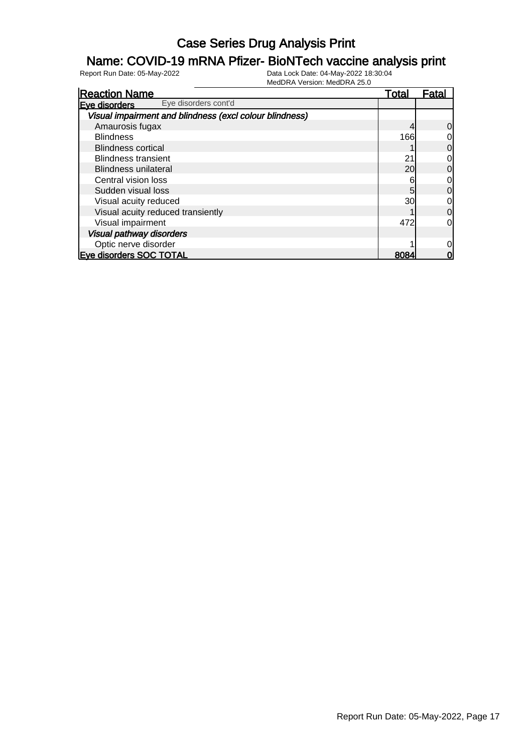#### Name: COVID-19 mRNA Pfizer- BioNTech vaccine analysis print

| <b>Reaction Name</b>                                    | Total | Fatal          |
|---------------------------------------------------------|-------|----------------|
| Eye disorders cont'd<br>Eve disorders                   |       |                |
| Visual impairment and blindness (excl colour blindness) |       |                |
| Amaurosis fugax                                         |       | $\overline{0}$ |
| <b>Blindness</b>                                        | 166   | $\overline{0}$ |
| <b>Blindness cortical</b>                               |       | $\overline{0}$ |
| <b>Blindness transient</b>                              | 21    | $\overline{0}$ |
| <b>Blindness unilateral</b>                             | 20    | $\overline{0}$ |
| Central vision loss                                     | 6     | $\overline{0}$ |
| Sudden visual loss                                      | 5     | $\overline{0}$ |
| Visual acuity reduced                                   | 30    | $\overline{0}$ |
| Visual acuity reduced transiently                       |       | $\overline{0}$ |
| Visual impairment                                       | 472   | 0l             |
| Visual pathway disorders                                |       |                |
| Optic nerve disorder                                    |       | $\overline{0}$ |
| <b>Eve disorders SOC TOTAL</b>                          | 8084  | 0              |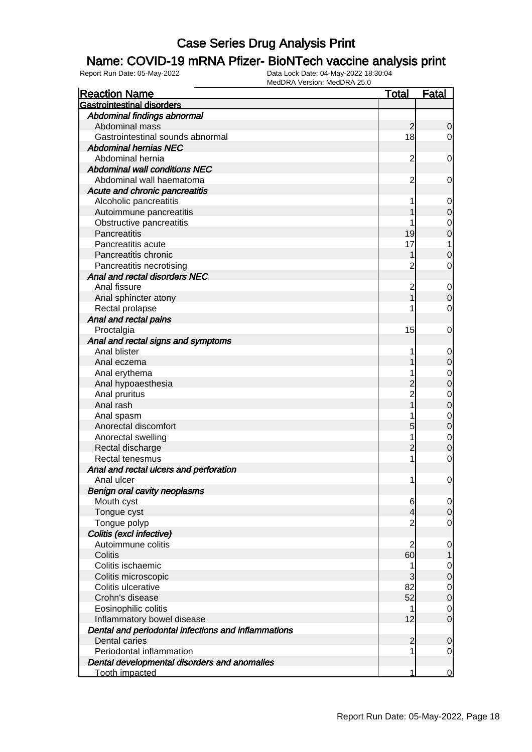#### Name: COVID-19 mRNA Pfizer- BioNTech vaccine analysis print

| <b>Reaction Name</b>                                | <b>Total</b>   | <b>Fatal</b>     |
|-----------------------------------------------------|----------------|------------------|
| <b>Gastrointestinal disorders</b>                   |                |                  |
| Abdominal findings abnormal                         |                |                  |
| Abdominal mass                                      | $\overline{2}$ | $\mathbf 0$      |
| Gastrointestinal sounds abnormal                    | 18             | $\overline{0}$   |
| <b>Abdominal hernias NEC</b>                        |                |                  |
| Abdominal hernia                                    | $\overline{c}$ | 0                |
| <b>Abdominal wall conditions NEC</b>                |                |                  |
| Abdominal wall haematoma                            | $\overline{c}$ | 0                |
| Acute and chronic pancreatitis                      |                |                  |
| Alcoholic pancreatitis                              |                | 0                |
| Autoimmune pancreatitis                             |                | $\mathbf 0$      |
| Obstructive pancreatitis                            |                | 0                |
| Pancreatitis                                        | 19             | $\mathbf 0$      |
| Pancreatitis acute                                  | 17             | 1                |
| Pancreatitis chronic                                |                | $\mathbf 0$      |
| Pancreatitis necrotising                            | 2              | 0                |
| Anal and rectal disorders NEC                       |                |                  |
| Anal fissure                                        | $\overline{c}$ | 0                |
| Anal sphincter atony                                |                | $\boldsymbol{0}$ |
| Rectal prolapse                                     |                | 0                |
| Anal and rectal pains                               |                |                  |
| Proctalgia                                          | 15             | 0                |
| Anal and rectal signs and symptoms                  |                |                  |
| Anal blister                                        |                | 0                |
| Anal eczema                                         |                | $\mathbf 0$      |
| Anal erythema                                       |                | 0                |
| Anal hypoaesthesia                                  | $\overline{c}$ | $\mathbf 0$      |
| Anal pruritus                                       | $\overline{c}$ | 0                |
| Anal rash                                           |                | $\mathbf 0$      |
| Anal spasm                                          |                | 0                |
| Anorectal discomfort                                | 5              | $\mathbf 0$      |
| Anorectal swelling                                  |                | $\mathbf 0$      |
| Rectal discharge                                    | $\overline{2}$ | $\mathbf 0$      |
| Rectal tenesmus                                     | 1              | 0                |
| Anal and rectal ulcers and perforation              |                |                  |
| Anal ulcer                                          | 1              | 0                |
| <b>Benign oral cavity neoplasms</b>                 |                |                  |
| Mouth cyst                                          | 6              | $\overline{0}$   |
| Tongue cyst                                         | 4              | $\mathbf 0$      |
| Tongue polyp                                        | $\overline{c}$ | $\overline{0}$   |
| Colitis (excl infective)                            |                |                  |
| Autoimmune colitis                                  | $\overline{c}$ | $\mathbf 0$      |
| Colitis                                             | 60             |                  |
| Colitis ischaemic                                   | 1              | $\mathbf 0$      |
| Colitis microscopic                                 | 3              | $\boldsymbol{0}$ |
| Colitis ulcerative                                  | 82             | $\overline{0}$   |
| Crohn's disease                                     | 52             | $\boldsymbol{0}$ |
| Eosinophilic colitis                                | 1              | $\mathbf 0$      |
| Inflammatory bowel disease                          | 12             | $\mathbf 0$      |
| Dental and periodontal infections and inflammations |                |                  |
| Dental caries                                       | $\overline{2}$ | $\mathbf 0$      |
| Periodontal inflammation                            |                | 0                |
| Dental developmental disorders and anomalies        |                |                  |
| <b>Tooth impacted</b>                               | 1              | 0                |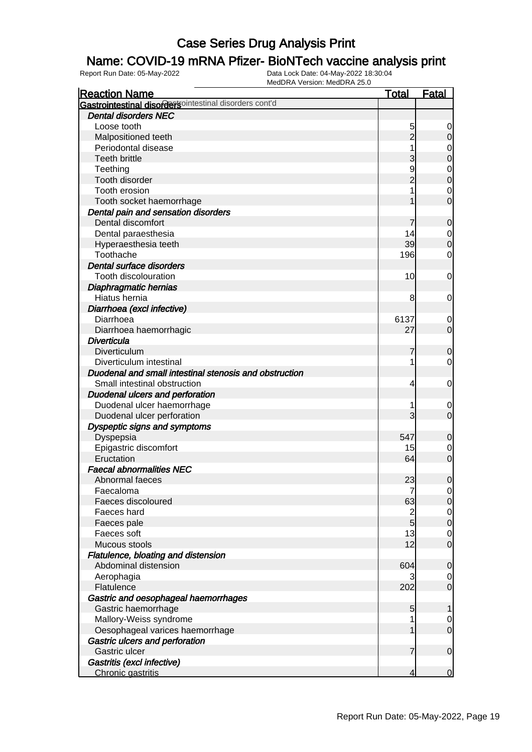### Name: COVID-19 mRNA Pfizer- BioNTech vaccine analysis print

| <b>Reaction Name</b>                                                 | <u>Total</u>            | <b>Fatal</b>     |
|----------------------------------------------------------------------|-------------------------|------------------|
| Gastrointestinal disordersointestinal disorders cont'd               |                         |                  |
| <b>Dental disorders NEC</b>                                          |                         |                  |
| Loose tooth                                                          | 5                       | 0                |
| Malpositioned teeth                                                  | $\overline{2}$          | 0                |
| Periodontal disease                                                  |                         | 0                |
| <b>Teeth brittle</b>                                                 | 3                       | $\mathbf 0$      |
| Teething                                                             | 9                       | $\mathbf 0$      |
| Tooth disorder                                                       |                         | $\mathbf 0$      |
| Tooth erosion                                                        |                         | 0                |
| Tooth socket haemorrhage                                             |                         | 0                |
| Dental pain and sensation disorders                                  |                         |                  |
| Dental discomfort                                                    |                         | $\mathbf 0$      |
| Dental paraesthesia                                                  | 14                      | 0                |
| Hyperaesthesia teeth                                                 | 39                      | $\mathbf 0$      |
| Toothache                                                            | 196                     | 0                |
| Dental surface disorders                                             |                         |                  |
| Tooth discolouration                                                 | 10                      | 0                |
| Diaphragmatic hernias                                                |                         |                  |
| Hiatus hernia                                                        | 8                       | 0                |
| Diarrhoea (excl infective)                                           |                         |                  |
| Diarrhoea                                                            | 6137                    | 0                |
| Diarrhoea haemorrhagic                                               | 27                      | $\mathbf 0$      |
| <b>Diverticula</b>                                                   |                         |                  |
| Diverticulum                                                         | 7                       | 0                |
| Diverticulum intestinal                                              |                         | 0                |
| Duodenal and small intestinal stenosis and obstruction               |                         |                  |
| Small intestinal obstruction                                         |                         | $\mathbf 0$      |
|                                                                      | 4                       |                  |
| <b>Duodenal ulcers and perforation</b><br>Duodenal ulcer haemorrhage |                         |                  |
|                                                                      | 3                       | 0<br>$\mathbf 0$ |
| Duodenal ulcer perforation                                           |                         |                  |
| Dyspeptic signs and symptoms                                         | 547                     |                  |
| Dyspepsia                                                            |                         | 0                |
| Epigastric discomfort<br>Eructation                                  | 15<br>64                | 0                |
| <b>Faecal abnormalities NEC</b>                                      |                         | $\mathbf 0$      |
| Abnormal faeces                                                      |                         |                  |
| Faecaloma                                                            | 23                      | $\mathbf 0$      |
|                                                                      | 7                       | $\overline{0}$   |
| Faeces discoloured                                                   | 63                      | $\mathbf 0$      |
| Faeces hard                                                          | $\overline{\mathbf{c}}$ | $\overline{0}$   |
| Faeces pale                                                          | $\overline{5}$          | $\mathbf 0$      |
| Faeces soft                                                          | 13                      | $\mathbf 0$      |
| Mucous stools                                                        | 12                      | $\mathbf 0$      |
| Flatulence, bloating and distension                                  |                         |                  |
| Abdominal distension                                                 | 604                     | $\mathbf 0$      |
| Aerophagia                                                           |                         | 0                |
| Flatulence                                                           | 202                     | $\mathbf 0$      |
| Gastric and oesophageal haemorrhages                                 |                         |                  |
| Gastric haemorrhage                                                  | 5                       | 1                |
| Mallory-Weiss syndrome                                               |                         | 0                |
| Oesophageal varices haemorrhage                                      |                         | $\mathbf 0$      |
| Gastric ulcers and perforation                                       |                         |                  |
| Gastric ulcer                                                        | 7                       | $\mathbf 0$      |
| Gastritis (excl infective)                                           |                         |                  |
| Chronic gastritis                                                    | 4                       | $\mathbf 0$      |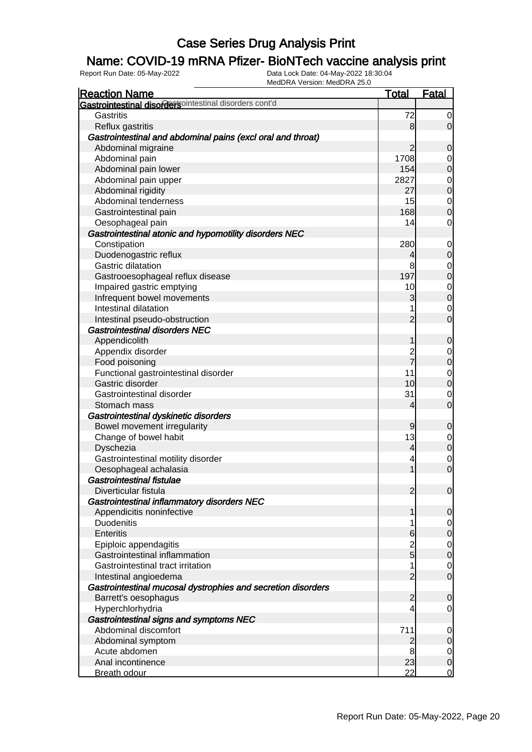### Name: COVID-19 mRNA Pfizer- BioNTech vaccine analysis print

| <b>Reaction Name</b>                                         | <b>Total</b>        | <b>Fatal</b>                  |
|--------------------------------------------------------------|---------------------|-------------------------------|
| Gastrointestinal disordersointestinal disorders cont'd       |                     |                               |
| Gastritis                                                    | 72                  | 0                             |
| Reflux gastritis                                             | 8                   | $\overline{0}$                |
| Gastrointestinal and abdominal pains (excl oral and throat)  |                     |                               |
| Abdominal migraine                                           | $\overline{2}$      | 0                             |
| Abdominal pain                                               | 1708                | 0                             |
| Abdominal pain lower                                         | 154                 | $\mathbf 0$                   |
| Abdominal pain upper                                         | 2827                | 0                             |
| Abdominal rigidity                                           | 27                  | $\boldsymbol{0}$              |
| Abdominal tenderness                                         | 15                  | $\mathbf 0$                   |
| Gastrointestinal pain                                        | 168                 | $\mathbf 0$                   |
| Oesophageal pain                                             | 14                  | 0                             |
| Gastrointestinal atonic and hypomotility disorders NEC       |                     |                               |
| Constipation                                                 | 280                 | 0                             |
| Duodenogastric reflux                                        | 4                   | $\mathbf 0$                   |
| Gastric dilatation                                           | 8                   | 0                             |
| Gastrooesophageal reflux disease                             | 197                 | $\boldsymbol{0}$              |
| Impaired gastric emptying                                    | 10                  | $\overline{0}$                |
| Infrequent bowel movements                                   | 3                   | $\boldsymbol{0}$              |
| Intestinal dilatation                                        |                     | 0                             |
| Intestinal pseudo-obstruction                                | $\overline{2}$      | $\mathbf 0$                   |
| <b>Gastrointestinal disorders NEC</b>                        |                     |                               |
| Appendicolith                                                | 1                   | $\mathbf 0$                   |
| Appendix disorder                                            | $\overline{c}$      | 0                             |
| Food poisoning                                               | $\overline{7}$      | $\mathbf 0$                   |
| Functional gastrointestinal disorder                         | 11                  | $\mathbf 0$                   |
| Gastric disorder                                             | 10                  | $\boldsymbol{0}$              |
| Gastrointestinal disorder                                    | 31                  | 0                             |
| Stomach mass                                                 | 4                   | $\mathbf 0$                   |
| Gastrointestinal dyskinetic disorders                        |                     |                               |
| Bowel movement irregularity                                  | $\overline{9}$      | $\mathbf 0$                   |
| Change of bowel habit                                        | 13                  | $\mathbf 0$                   |
| Dyschezia                                                    | 4                   | $\mathbf 0$                   |
| Gastrointestinal motility disorder                           | 4                   | $\mathbf 0$                   |
| Oesophageal achalasia                                        | 1                   | $\mathbf 0$                   |
| <b>Gastrointestinal fistulae</b>                             |                     |                               |
| Diverticular fistula                                         | $\overline{2}$      | $\overline{0}$                |
| Gastrointestinal inflammatory disorders NEC                  |                     |                               |
| Appendicitis noninfective                                    | 1                   | $\mathbf 0$                   |
| Duodenitis                                                   |                     | 0                             |
| <b>Enteritis</b>                                             | $6 \,$              | $\mathbf 0$                   |
| Epiploic appendagitis                                        |                     | $\overline{0}$                |
| Gastrointestinal inflammation                                | $\frac{2}{5}$       | $\mathbf 0$                   |
| Gastrointestinal tract irritation                            | 1                   | $\mathbf 0$                   |
| Intestinal angioedema                                        | $\overline{2}$      | $\mathbf 0$                   |
| Gastrointestinal mucosal dystrophies and secretion disorders |                     |                               |
| Barrett's oesophagus                                         | $\overline{2}$      | $\mathbf 0$                   |
| Hyperchlorhydria                                             | 4                   | $\mathbf 0$                   |
| Gastrointestinal signs and symptoms NEC                      |                     |                               |
| Abdominal discomfort                                         | 711                 | 0                             |
| Abdominal symptom                                            |                     |                               |
| Acute abdomen                                                | $\overline{c}$<br>8 | $\mathbf 0$                   |
| Anal incontinence                                            | 23                  | $\overline{0}$<br>$\mathbf 0$ |
| <b>Breath odour</b>                                          | 22                  | $\mathbf 0$                   |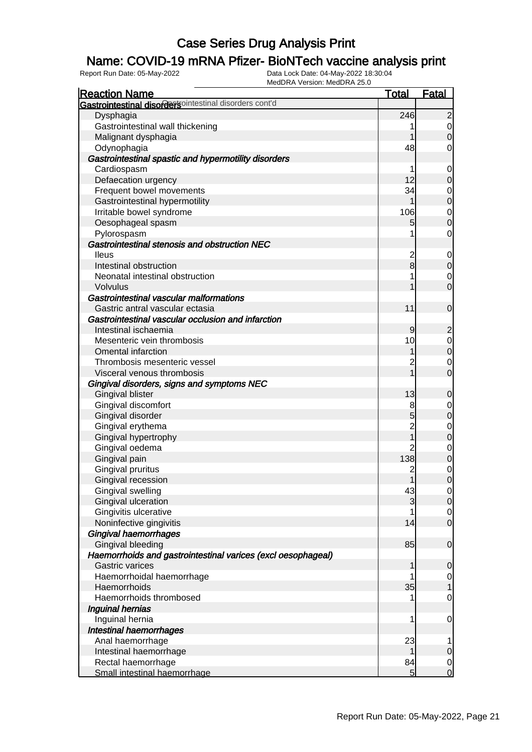### Name: COVID-19 mRNA Pfizer- BioNTech vaccine analysis print

| <b>Reaction Name</b>                                         | <b>Total</b>   | <b>Fatal</b>               |
|--------------------------------------------------------------|----------------|----------------------------|
| Gastrointestinal disordersointestinal disorders cont'd       |                |                            |
| Dysphagia                                                    | 246            | $\overline{2}$             |
| Gastrointestinal wall thickening                             |                | $\mathbf 0$                |
| Malignant dysphagia                                          |                | $\overline{0}$             |
| Odynophagia                                                  | 48             | 0                          |
| Gastrointestinal spastic and hypermotility disorders         |                |                            |
| Cardiospasm                                                  |                | $\mathbf 0$                |
| Defaecation urgency                                          | 12             | 0                          |
| Frequent bowel movements                                     | 34             | $\mathbf 0$                |
| Gastrointestinal hypermotility                               |                | $\pmb{0}$                  |
| Irritable bowel syndrome                                     | 106            | $\mathbf 0$                |
| Oesophageal spasm                                            | 5              | $\mathbf 0$                |
| Pylorospasm                                                  |                | $\mathbf 0$                |
| Gastrointestinal stenosis and obstruction NEC                |                |                            |
| <b>Ileus</b>                                                 |                | $\mathbf 0$                |
| Intestinal obstruction                                       | $\frac{2}{8}$  | $\mathbf 0$                |
| Neonatal intestinal obstruction                              |                |                            |
| <b>Volvulus</b>                                              |                | $\mathbf 0$<br>$\mathbf 0$ |
| Gastrointestinal vascular malformations                      |                |                            |
|                                                              | 11             |                            |
| Gastric antral vascular ectasia                              |                | $\mathbf 0$                |
| Gastrointestinal vascular occlusion and infarction           |                |                            |
| Intestinal ischaemia                                         | $\overline{9}$ | $\overline{2}$             |
| Mesenteric vein thrombosis                                   | 10             | $\mathbf 0$                |
| <b>Omental infarction</b>                                    |                | $\boldsymbol{0}$           |
| Thrombosis mesenteric vessel                                 | 2              | $\mathbf 0$                |
| Visceral venous thrombosis                                   |                | $\overline{0}$             |
| Gingival disorders, signs and symptoms NEC                   |                |                            |
| Gingival blister                                             | 13             | $\mathbf 0$                |
| Gingival discomfort                                          | 8              | $\mathbf 0$                |
| Gingival disorder                                            | 5              | $\boldsymbol{0}$           |
| Gingival erythema                                            | $\overline{c}$ | $\mathbf 0$                |
| Gingival hypertrophy                                         |                | $\mathbf 0$                |
| Gingival oedema                                              | $\overline{2}$ | $\mathbf 0$                |
| Gingival pain                                                | 138            | $\boldsymbol{0}$           |
| Gingival pruritus                                            | $\overline{c}$ | $\mathbf 0$                |
| Gingival recession                                           | $\mathbf{1}$   | $\overline{0}$             |
| Gingival swelling                                            | 43             | $\overline{0}$             |
| Gingival ulceration                                          | 3              | $\overline{0}$             |
| Gingivitis ulcerative                                        |                | $\overline{0}$             |
| Noninfective gingivitis                                      | 14             | $\mathbf 0$                |
| Gingival haemorrhages                                        |                |                            |
| Gingival bleeding                                            | 85             | $\mathbf 0$                |
| Haemorrhoids and gastrointestinal varices (excl oesophageal) |                |                            |
| <b>Gastric varices</b>                                       | 1              | 0                          |
| Haemorrhoidal haemorrhage                                    |                | $\overline{0}$             |
| Haemorrhoids                                                 | 35             | 1                          |
| Haemorrhoids thrombosed                                      |                | $\mathbf 0$                |
| Inguinal hernias                                             |                |                            |
| Inguinal hernia                                              | 1              | $\mathbf 0$                |
| Intestinal haemorrhages                                      |                |                            |
| Anal haemorrhage                                             | 23             | 1                          |
| Intestinal haemorrhage                                       | 1              | $\mathbf 0$                |
| Rectal haemorrhage                                           | 84             | $\overline{0}$             |
| Small intestinal haemorrhage                                 | 5 <sup>1</sup> | $\mathbf 0$                |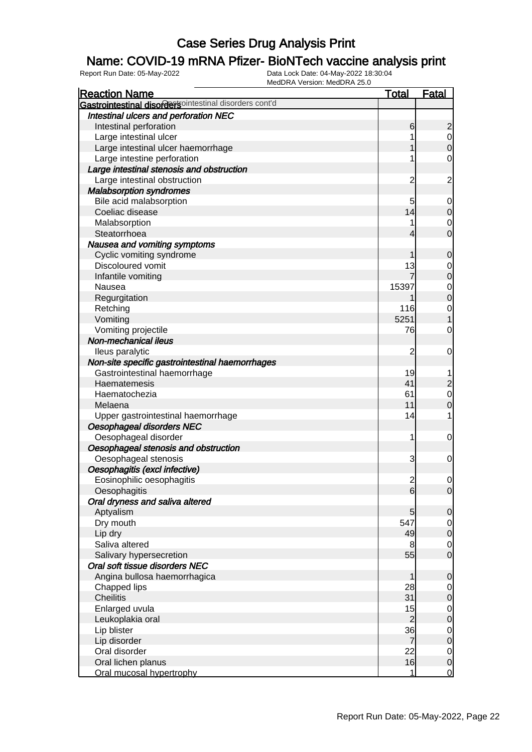### Name: COVID-19 mRNA Pfizer- BioNTech vaccine analysis print

| <b>Reaction Name</b>                                   | <b>Total</b>   | <b>Fatal</b>     |
|--------------------------------------------------------|----------------|------------------|
| Gastrointestinal disordersointestinal disorders cont'd |                |                  |
| Intestinal ulcers and perforation NEC                  |                |                  |
| Intestinal perforation                                 | 6              | $\overline{c}$   |
| Large intestinal ulcer                                 |                | $\mathbf 0$      |
| Large intestinal ulcer haemorrhage                     |                | $\mathbf 0$      |
| Large intestine perforation                            |                | $\mathbf 0$      |
| Large intestinal stenosis and obstruction              |                |                  |
| Large intestinal obstruction                           | $\overline{c}$ | $\overline{c}$   |
| <b>Malabsorption syndromes</b>                         |                |                  |
| Bile acid malabsorption                                | 5              | 0                |
| Coeliac disease                                        | 14             | $\mathbf 0$      |
| Malabsorption                                          |                | 0                |
| Steatorrhoea                                           | 4              | $\mathbf 0$      |
| Nausea and vomiting symptoms                           |                |                  |
| Cyclic vomiting syndrome                               |                | $\mathbf 0$      |
| Discoloured vomit                                      | 13             | $\mathbf 0$      |
| Infantile vomiting                                     |                | $\boldsymbol{0}$ |
| Nausea                                                 | 15397          | $\mathbf 0$      |
| Regurgitation                                          |                | $\mathbf 0$      |
| Retching                                               | 116            | $\mathbf 0$      |
| Vomiting                                               | 5251           |                  |
| Vomiting projectile                                    | 76             | $\mathbf 0$      |
| Non-mechanical ileus                                   |                |                  |
| lleus paralytic                                        | $\overline{c}$ | $\mathbf 0$      |
| Non-site specific gastrointestinal haemorrhages        |                |                  |
| Gastrointestinal haemorrhage                           | 19             |                  |
| Haematemesis                                           | 41             | $\overline{c}$   |
| Haematochezia                                          | 61             | $\mathbf 0$      |
| Melaena                                                | 11             | $\mathbf 0$      |
| Upper gastrointestinal haemorrhage                     | 14             | 1                |
| Oesophageal disorders NEC                              |                |                  |
| Oesophageal disorder                                   | 1              | $\mathbf 0$      |
| Oesophageal stenosis and obstruction                   |                |                  |
| Oesophageal stenosis                                   | 3              | $\mathbf 0$      |
| Oesophagitis (excl infective)                          |                |                  |
| Eosinophilic oesophagitis                              | $\overline{2}$ | 0                |
| Oesophagitis                                           | 6              | $\overline{0}$   |
| Oral dryness and saliva altered                        |                |                  |
| Aptyalism                                              | 5              | $\mathbf 0$      |
| Dry mouth                                              | 547            | $\overline{0}$   |
| Lip dry                                                | 49             | $\mathbf 0$      |
| Saliva altered                                         | 8              | $\overline{0}$   |
| Salivary hypersecretion                                | 55             | $\mathbf 0$      |
| Oral soft tissue disorders NEC                         |                |                  |
| Angina bullosa haemorrhagica                           | 1              | $\mathbf 0$      |
| Chapped lips                                           | 28             | 0                |
| <b>Cheilitis</b>                                       | 31             | $\mathbf 0$      |
| Enlarged uvula                                         | 15             | $\mathbf 0$      |
| Leukoplakia oral                                       | $\overline{c}$ | $\pmb{0}$        |
| Lip blister                                            | 36             | $\mathbf 0$      |
| Lip disorder                                           | $\overline{7}$ | $\pmb{0}$        |
| Oral disorder                                          | 22             | $\overline{0}$   |
| Oral lichen planus                                     | 16             | $\mathbf 0$      |
| Oral mucosal hypertrophy                               | 1              | $\overline{0}$   |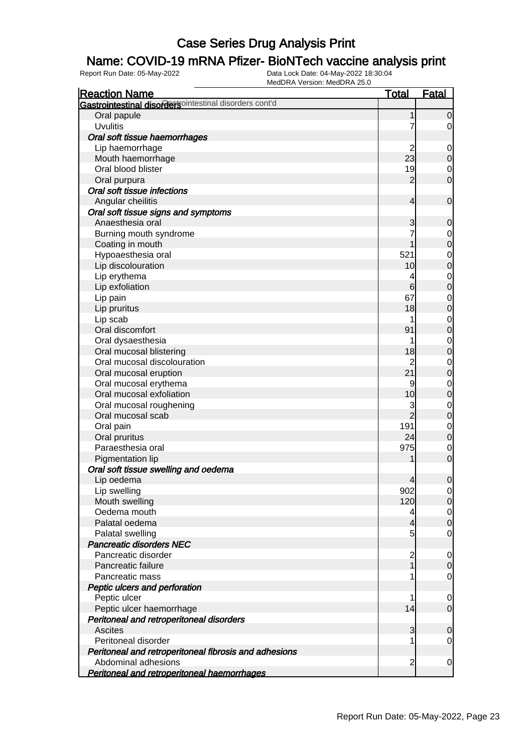### Name: COVID-19 mRNA Pfizer- BioNTech vaccine analysis print

| <b>Reaction Name</b>                                    | <u>Total</u>   | <b>Fatal</b>        |
|---------------------------------------------------------|----------------|---------------------|
| Gastrointestinal disordersointestinal disorders cont'd  |                |                     |
| Oral papule                                             | 1              | 0                   |
| <b>Uvulitis</b>                                         | 7              | 0                   |
| Oral soft tissue haemorrhages                           |                |                     |
| Lip haemorrhage                                         | 2              | $\mathbf 0$         |
| Mouth haemorrhage                                       | 23             | 0                   |
| Oral blood blister                                      | 19             | $\mathbf 0$         |
| Oral purpura                                            | 2              | $\overline{0}$      |
| Oral soft tissue infections                             |                |                     |
| Angular cheilitis                                       | 4              | $\mathbf 0$         |
|                                                         |                |                     |
| Oral soft tissue signs and symptoms<br>Anaesthesia oral |                |                     |
|                                                         | 3              | 0                   |
| Burning mouth syndrome                                  |                | $\mathbf 0$         |
| Coating in mouth                                        |                | $\boldsymbol{0}$    |
| Hypoaesthesia oral                                      | 521            | $\mathbf 0$         |
| Lip discolouration                                      | 10             | $\mathbf 0$         |
| Lip erythema                                            | 4              | $\mathbf 0$         |
| Lip exfoliation                                         | 6              | $\mathbf 0$         |
| Lip pain                                                | 67             | $\mathbf 0$         |
| Lip pruritus                                            | 18             | $\mathbf 0$         |
| Lip scab                                                |                | $\mathbf 0$         |
| Oral discomfort                                         | 91             | $\mathbf 0$         |
| Oral dysaesthesia                                       | 1              | $\mathbf 0$         |
| Oral mucosal blistering                                 | 18             | $\mathbf 0$         |
| Oral mucosal discolouration                             | $\overline{c}$ | $\mathbf 0$         |
| Oral mucosal eruption                                   | 21             | $\mathbf 0$         |
| Oral mucosal erythema                                   | 9              | $\mathbf 0$         |
| Oral mucosal exfoliation                                | 10             | $\mathbf 0$         |
| Oral mucosal roughening                                 | 3              | $\mathbf 0$         |
| Oral mucosal scab                                       | $\overline{2}$ | $\mathbf 0$         |
| Oral pain                                               | 191            | $\mathbf 0$         |
| Oral pruritus                                           | 24             | $\mathbf 0$         |
| Paraesthesia oral                                       | 975            | $\mathbf 0$         |
| Pigmentation lip                                        |                | $\mathbf{0}$        |
| Oral soft tissue swelling and oedema                    |                |                     |
| Lip oedema                                              | $\overline{4}$ | $\mathbf 0$         |
| Lip swelling                                            | 902            | $\overline{0}$      |
| Mouth swelling                                          | 120            | $\mathsf{O}\xspace$ |
| Oedema mouth                                            | 4              | $\mathbf 0$         |
| Palatal oedema                                          | 4              | $\boldsymbol{0}$    |
| Palatal swelling                                        | 5              | 0                   |
| <b>Pancreatic disorders NEC</b>                         |                |                     |
| Pancreatic disorder                                     | $\overline{c}$ | $\mathbf 0$         |
| Pancreatic failure                                      | 1              | $\mathbf 0$         |
| Pancreatic mass                                         | 1              | $\mathbf 0$         |
| Peptic ulcers and perforation                           |                |                     |
| Peptic ulcer                                            | 1              | 0                   |
| Peptic ulcer haemorrhage                                | 14             | $\mathbf 0$         |
| Peritoneal and retroperitoneal disorders                |                |                     |
| <b>Ascites</b>                                          | 3              | 0                   |
| Peritoneal disorder                                     |                | 0                   |
| Peritoneal and retroperitoneal fibrosis and adhesions   |                |                     |
| Abdominal adhesions                                     | $\overline{c}$ | $\mathbf 0$         |
| Peritoneal and retroperitoneal haemorrhages             |                |                     |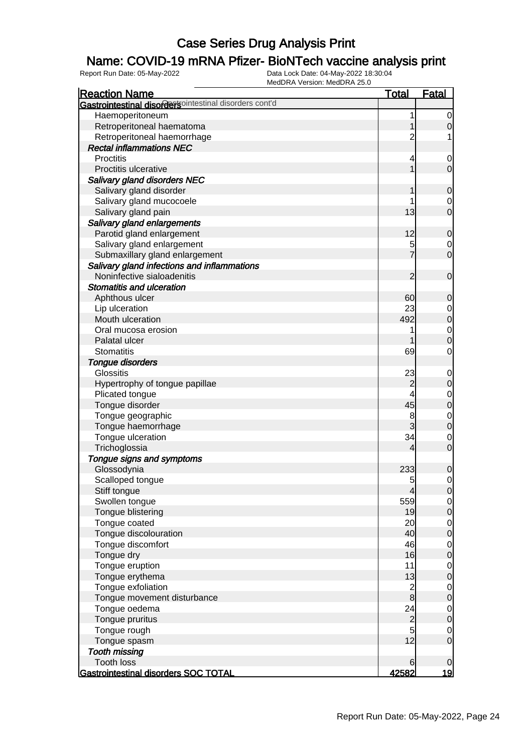### Name: COVID-19 mRNA Pfizer- BioNTech vaccine analysis print

| Gastrointestinal disordersointestinal disorders cont'd<br>Haemoperitoneum<br>1<br>0<br>Retroperitoneal haematoma<br>0<br>Retroperitoneal haemorrhage<br>2<br>1<br><b>Rectal inflammations NEC</b><br><b>Proctitis</b><br>4<br>0<br>Proctitis ulcerative<br>$\overline{0}$<br><b>Salivary gland disorders NEC</b><br>Salivary gland disorder<br>0<br>Salivary gland mucocoele<br>0<br>13<br>$\overline{0}$<br>Salivary gland pain<br>Salivary gland enlargements<br>12<br>Parotid gland enlargement<br>$\mathbf 0$<br>Salivary gland enlargement<br>5<br>0<br>$\overline{0}$<br>Submaxillary gland enlargement<br>Salivary gland infections and inflammations<br>Noninfective sialoadenitis<br>$\overline{2}$<br>$\mathbf 0$<br><b>Stomatitis and ulceration</b><br>60<br>Aphthous ulcer<br>0<br>23<br>Lip ulceration<br>$\mathbf 0$<br>Mouth ulceration<br>492<br>$\mathbf 0$<br>Oral mucosa erosion<br>$\mathbf 0$<br>Palatal ulcer<br>$\overline{0}$<br>69<br>$\mathbf 0$<br><b>Stomatitis</b><br><b>Tongue disorders</b><br><b>Glossitis</b><br>23<br>$\mathbf 0$<br>Hypertrophy of tongue papillae<br>$\overline{c}$<br>$\mathbf 0$<br>4<br>Plicated tongue<br>$\mathbf 0$<br>45<br>Tongue disorder<br>$\boldsymbol{0}$<br>8<br>Tongue geographic<br>$\mathbf{0}$<br>3<br>$\mathbf{0}$<br>Tongue haemorrhage<br>34<br>Tongue ulceration<br>$\mathbf 0$<br>$\mathbf 0$<br>Trichoglossia<br>4<br>Tongue signs and symptoms<br>Glossodynia<br>233<br>0<br>Scalloped tongue<br>5<br>0<br>Stiff tongue<br>$\overline{4}$<br>$\overline{0}$ |
|-------------------------------------------------------------------------------------------------------------------------------------------------------------------------------------------------------------------------------------------------------------------------------------------------------------------------------------------------------------------------------------------------------------------------------------------------------------------------------------------------------------------------------------------------------------------------------------------------------------------------------------------------------------------------------------------------------------------------------------------------------------------------------------------------------------------------------------------------------------------------------------------------------------------------------------------------------------------------------------------------------------------------------------------------------------------------------------------------------------------------------------------------------------------------------------------------------------------------------------------------------------------------------------------------------------------------------------------------------------------------------------------------------------------------------------------------------------------------------------------------------------------------------------------|
|                                                                                                                                                                                                                                                                                                                                                                                                                                                                                                                                                                                                                                                                                                                                                                                                                                                                                                                                                                                                                                                                                                                                                                                                                                                                                                                                                                                                                                                                                                                                           |
|                                                                                                                                                                                                                                                                                                                                                                                                                                                                                                                                                                                                                                                                                                                                                                                                                                                                                                                                                                                                                                                                                                                                                                                                                                                                                                                                                                                                                                                                                                                                           |
|                                                                                                                                                                                                                                                                                                                                                                                                                                                                                                                                                                                                                                                                                                                                                                                                                                                                                                                                                                                                                                                                                                                                                                                                                                                                                                                                                                                                                                                                                                                                           |
|                                                                                                                                                                                                                                                                                                                                                                                                                                                                                                                                                                                                                                                                                                                                                                                                                                                                                                                                                                                                                                                                                                                                                                                                                                                                                                                                                                                                                                                                                                                                           |
|                                                                                                                                                                                                                                                                                                                                                                                                                                                                                                                                                                                                                                                                                                                                                                                                                                                                                                                                                                                                                                                                                                                                                                                                                                                                                                                                                                                                                                                                                                                                           |
|                                                                                                                                                                                                                                                                                                                                                                                                                                                                                                                                                                                                                                                                                                                                                                                                                                                                                                                                                                                                                                                                                                                                                                                                                                                                                                                                                                                                                                                                                                                                           |
|                                                                                                                                                                                                                                                                                                                                                                                                                                                                                                                                                                                                                                                                                                                                                                                                                                                                                                                                                                                                                                                                                                                                                                                                                                                                                                                                                                                                                                                                                                                                           |
|                                                                                                                                                                                                                                                                                                                                                                                                                                                                                                                                                                                                                                                                                                                                                                                                                                                                                                                                                                                                                                                                                                                                                                                                                                                                                                                                                                                                                                                                                                                                           |
|                                                                                                                                                                                                                                                                                                                                                                                                                                                                                                                                                                                                                                                                                                                                                                                                                                                                                                                                                                                                                                                                                                                                                                                                                                                                                                                                                                                                                                                                                                                                           |
|                                                                                                                                                                                                                                                                                                                                                                                                                                                                                                                                                                                                                                                                                                                                                                                                                                                                                                                                                                                                                                                                                                                                                                                                                                                                                                                                                                                                                                                                                                                                           |
|                                                                                                                                                                                                                                                                                                                                                                                                                                                                                                                                                                                                                                                                                                                                                                                                                                                                                                                                                                                                                                                                                                                                                                                                                                                                                                                                                                                                                                                                                                                                           |
|                                                                                                                                                                                                                                                                                                                                                                                                                                                                                                                                                                                                                                                                                                                                                                                                                                                                                                                                                                                                                                                                                                                                                                                                                                                                                                                                                                                                                                                                                                                                           |
|                                                                                                                                                                                                                                                                                                                                                                                                                                                                                                                                                                                                                                                                                                                                                                                                                                                                                                                                                                                                                                                                                                                                                                                                                                                                                                                                                                                                                                                                                                                                           |
|                                                                                                                                                                                                                                                                                                                                                                                                                                                                                                                                                                                                                                                                                                                                                                                                                                                                                                                                                                                                                                                                                                                                                                                                                                                                                                                                                                                                                                                                                                                                           |
|                                                                                                                                                                                                                                                                                                                                                                                                                                                                                                                                                                                                                                                                                                                                                                                                                                                                                                                                                                                                                                                                                                                                                                                                                                                                                                                                                                                                                                                                                                                                           |
|                                                                                                                                                                                                                                                                                                                                                                                                                                                                                                                                                                                                                                                                                                                                                                                                                                                                                                                                                                                                                                                                                                                                                                                                                                                                                                                                                                                                                                                                                                                                           |
|                                                                                                                                                                                                                                                                                                                                                                                                                                                                                                                                                                                                                                                                                                                                                                                                                                                                                                                                                                                                                                                                                                                                                                                                                                                                                                                                                                                                                                                                                                                                           |
|                                                                                                                                                                                                                                                                                                                                                                                                                                                                                                                                                                                                                                                                                                                                                                                                                                                                                                                                                                                                                                                                                                                                                                                                                                                                                                                                                                                                                                                                                                                                           |
|                                                                                                                                                                                                                                                                                                                                                                                                                                                                                                                                                                                                                                                                                                                                                                                                                                                                                                                                                                                                                                                                                                                                                                                                                                                                                                                                                                                                                                                                                                                                           |
|                                                                                                                                                                                                                                                                                                                                                                                                                                                                                                                                                                                                                                                                                                                                                                                                                                                                                                                                                                                                                                                                                                                                                                                                                                                                                                                                                                                                                                                                                                                                           |
|                                                                                                                                                                                                                                                                                                                                                                                                                                                                                                                                                                                                                                                                                                                                                                                                                                                                                                                                                                                                                                                                                                                                                                                                                                                                                                                                                                                                                                                                                                                                           |
|                                                                                                                                                                                                                                                                                                                                                                                                                                                                                                                                                                                                                                                                                                                                                                                                                                                                                                                                                                                                                                                                                                                                                                                                                                                                                                                                                                                                                                                                                                                                           |
|                                                                                                                                                                                                                                                                                                                                                                                                                                                                                                                                                                                                                                                                                                                                                                                                                                                                                                                                                                                                                                                                                                                                                                                                                                                                                                                                                                                                                                                                                                                                           |
|                                                                                                                                                                                                                                                                                                                                                                                                                                                                                                                                                                                                                                                                                                                                                                                                                                                                                                                                                                                                                                                                                                                                                                                                                                                                                                                                                                                                                                                                                                                                           |
|                                                                                                                                                                                                                                                                                                                                                                                                                                                                                                                                                                                                                                                                                                                                                                                                                                                                                                                                                                                                                                                                                                                                                                                                                                                                                                                                                                                                                                                                                                                                           |
|                                                                                                                                                                                                                                                                                                                                                                                                                                                                                                                                                                                                                                                                                                                                                                                                                                                                                                                                                                                                                                                                                                                                                                                                                                                                                                                                                                                                                                                                                                                                           |
|                                                                                                                                                                                                                                                                                                                                                                                                                                                                                                                                                                                                                                                                                                                                                                                                                                                                                                                                                                                                                                                                                                                                                                                                                                                                                                                                                                                                                                                                                                                                           |
|                                                                                                                                                                                                                                                                                                                                                                                                                                                                                                                                                                                                                                                                                                                                                                                                                                                                                                                                                                                                                                                                                                                                                                                                                                                                                                                                                                                                                                                                                                                                           |
|                                                                                                                                                                                                                                                                                                                                                                                                                                                                                                                                                                                                                                                                                                                                                                                                                                                                                                                                                                                                                                                                                                                                                                                                                                                                                                                                                                                                                                                                                                                                           |
|                                                                                                                                                                                                                                                                                                                                                                                                                                                                                                                                                                                                                                                                                                                                                                                                                                                                                                                                                                                                                                                                                                                                                                                                                                                                                                                                                                                                                                                                                                                                           |
|                                                                                                                                                                                                                                                                                                                                                                                                                                                                                                                                                                                                                                                                                                                                                                                                                                                                                                                                                                                                                                                                                                                                                                                                                                                                                                                                                                                                                                                                                                                                           |
|                                                                                                                                                                                                                                                                                                                                                                                                                                                                                                                                                                                                                                                                                                                                                                                                                                                                                                                                                                                                                                                                                                                                                                                                                                                                                                                                                                                                                                                                                                                                           |
|                                                                                                                                                                                                                                                                                                                                                                                                                                                                                                                                                                                                                                                                                                                                                                                                                                                                                                                                                                                                                                                                                                                                                                                                                                                                                                                                                                                                                                                                                                                                           |
|                                                                                                                                                                                                                                                                                                                                                                                                                                                                                                                                                                                                                                                                                                                                                                                                                                                                                                                                                                                                                                                                                                                                                                                                                                                                                                                                                                                                                                                                                                                                           |
|                                                                                                                                                                                                                                                                                                                                                                                                                                                                                                                                                                                                                                                                                                                                                                                                                                                                                                                                                                                                                                                                                                                                                                                                                                                                                                                                                                                                                                                                                                                                           |
|                                                                                                                                                                                                                                                                                                                                                                                                                                                                                                                                                                                                                                                                                                                                                                                                                                                                                                                                                                                                                                                                                                                                                                                                                                                                                                                                                                                                                                                                                                                                           |
|                                                                                                                                                                                                                                                                                                                                                                                                                                                                                                                                                                                                                                                                                                                                                                                                                                                                                                                                                                                                                                                                                                                                                                                                                                                                                                                                                                                                                                                                                                                                           |
|                                                                                                                                                                                                                                                                                                                                                                                                                                                                                                                                                                                                                                                                                                                                                                                                                                                                                                                                                                                                                                                                                                                                                                                                                                                                                                                                                                                                                                                                                                                                           |
| 559<br>Swollen tongue<br>$\overline{0}$                                                                                                                                                                                                                                                                                                                                                                                                                                                                                                                                                                                                                                                                                                                                                                                                                                                                                                                                                                                                                                                                                                                                                                                                                                                                                                                                                                                                                                                                                                   |
| Tongue blistering<br>19<br>$\mathbf 0$                                                                                                                                                                                                                                                                                                                                                                                                                                                                                                                                                                                                                                                                                                                                                                                                                                                                                                                                                                                                                                                                                                                                                                                                                                                                                                                                                                                                                                                                                                    |
| Tongue coated<br>20<br>$\overline{0}$                                                                                                                                                                                                                                                                                                                                                                                                                                                                                                                                                                                                                                                                                                                                                                                                                                                                                                                                                                                                                                                                                                                                                                                                                                                                                                                                                                                                                                                                                                     |
| 40<br>Tongue discolouration<br>$\boldsymbol{0}$                                                                                                                                                                                                                                                                                                                                                                                                                                                                                                                                                                                                                                                                                                                                                                                                                                                                                                                                                                                                                                                                                                                                                                                                                                                                                                                                                                                                                                                                                           |
| 46<br>Tongue discomfort<br>$\mathbf 0$                                                                                                                                                                                                                                                                                                                                                                                                                                                                                                                                                                                                                                                                                                                                                                                                                                                                                                                                                                                                                                                                                                                                                                                                                                                                                                                                                                                                                                                                                                    |
| Tongue dry<br>16<br>$\boldsymbol{0}$                                                                                                                                                                                                                                                                                                                                                                                                                                                                                                                                                                                                                                                                                                                                                                                                                                                                                                                                                                                                                                                                                                                                                                                                                                                                                                                                                                                                                                                                                                      |
| Tongue eruption<br>11<br>$\mathbf 0$                                                                                                                                                                                                                                                                                                                                                                                                                                                                                                                                                                                                                                                                                                                                                                                                                                                                                                                                                                                                                                                                                                                                                                                                                                                                                                                                                                                                                                                                                                      |
| Tongue erythema<br>13<br>$\boldsymbol{0}$                                                                                                                                                                                                                                                                                                                                                                                                                                                                                                                                                                                                                                                                                                                                                                                                                                                                                                                                                                                                                                                                                                                                                                                                                                                                                                                                                                                                                                                                                                 |
| Tongue exfoliation<br>$\mathbf 0$                                                                                                                                                                                                                                                                                                                                                                                                                                                                                                                                                                                                                                                                                                                                                                                                                                                                                                                                                                                                                                                                                                                                                                                                                                                                                                                                                                                                                                                                                                         |
| $\frac{2}{8}$<br>Tongue movement disturbance<br>$\mathbf 0$                                                                                                                                                                                                                                                                                                                                                                                                                                                                                                                                                                                                                                                                                                                                                                                                                                                                                                                                                                                                                                                                                                                                                                                                                                                                                                                                                                                                                                                                               |
| Tongue oedema<br>24<br>$\overline{0}$                                                                                                                                                                                                                                                                                                                                                                                                                                                                                                                                                                                                                                                                                                                                                                                                                                                                                                                                                                                                                                                                                                                                                                                                                                                                                                                                                                                                                                                                                                     |
| $\overline{c}$<br>Tongue pruritus<br>$\mathbf 0$                                                                                                                                                                                                                                                                                                                                                                                                                                                                                                                                                                                                                                                                                                                                                                                                                                                                                                                                                                                                                                                                                                                                                                                                                                                                                                                                                                                                                                                                                          |
| 5<br>Tongue rough<br>$\overline{0}$                                                                                                                                                                                                                                                                                                                                                                                                                                                                                                                                                                                                                                                                                                                                                                                                                                                                                                                                                                                                                                                                                                                                                                                                                                                                                                                                                                                                                                                                                                       |
| 12<br>Tongue spasm<br>$\mathbf 0$                                                                                                                                                                                                                                                                                                                                                                                                                                                                                                                                                                                                                                                                                                                                                                                                                                                                                                                                                                                                                                                                                                                                                                                                                                                                                                                                                                                                                                                                                                         |
|                                                                                                                                                                                                                                                                                                                                                                                                                                                                                                                                                                                                                                                                                                                                                                                                                                                                                                                                                                                                                                                                                                                                                                                                                                                                                                                                                                                                                                                                                                                                           |
| <b>Tooth missing</b><br><b>Tooth loss</b><br>6                                                                                                                                                                                                                                                                                                                                                                                                                                                                                                                                                                                                                                                                                                                                                                                                                                                                                                                                                                                                                                                                                                                                                                                                                                                                                                                                                                                                                                                                                            |
| $\mathbf 0$<br>42582<br><u> 19</u><br>Gastrointestinal disorders SOC TOTAL                                                                                                                                                                                                                                                                                                                                                                                                                                                                                                                                                                                                                                                                                                                                                                                                                                                                                                                                                                                                                                                                                                                                                                                                                                                                                                                                                                                                                                                                |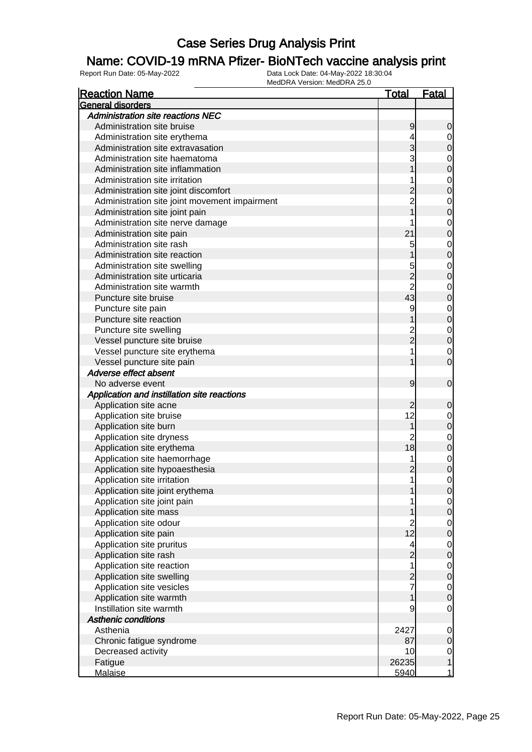### Name: COVID-19 mRNA Pfizer- BioNTech vaccine analysis print

| <b>Reaction Name</b>                          | <u>Total</u>    | <u>Fatal</u>   |
|-----------------------------------------------|-----------------|----------------|
| General disorders                             |                 |                |
| <b>Administration site reactions NEC</b>      |                 |                |
| Administration site bruise                    | 9               | 0              |
| Administration site erythema                  | 4               | 0              |
| Administration site extravasation             |                 | 0              |
| Administration site haematoma                 |                 | $\mathbf 0$    |
| Administration site inflammation              |                 | 0              |
| Administration site irritation                |                 | $\mathbf 0$    |
| Administration site joint discomfort          |                 | 0              |
| Administration site joint movement impairment |                 | $\mathbf 0$    |
| Administration site joint pain                |                 | 0              |
| Administration site nerve damage              |                 | $\mathbf 0$    |
| Administration site pain                      | 21              | 0              |
| Administration site rash                      | 5               | $\mathbf 0$    |
| Administration site reaction                  |                 | 0              |
| Administration site swelling                  | 5               | $\mathbf 0$    |
| Administration site urticaria                 | $\overline{c}$  | 0              |
| Administration site warmth                    | $\overline{2}$  | $\mathbf 0$    |
| Puncture site bruise                          | 43              | 0              |
| Puncture site pain                            | 9               | $\mathbf 0$    |
| Puncture site reaction                        |                 | 0              |
| Puncture site swelling                        |                 | $\mathbf 0$    |
| Vessel puncture site bruise                   | $\overline{2}$  | $\overline{0}$ |
| Vessel puncture site erythema                 |                 | $\mathbf 0$    |
| Vessel puncture site pain                     |                 | 0              |
| Adverse effect absent                         |                 |                |
| No adverse event                              | 9               | $\mathbf 0$    |
| Application and instillation site reactions   |                 |                |
| Application site acne                         |                 | 0              |
| Application site bruise                       | 12              | $\mathbf 0$    |
| Application site burn                         |                 | 0              |
| Application site dryness                      | 2               | $\mathbf 0$    |
| Application site erythema                     | 18              | 0              |
| Application site haemorrhage                  | 1               | $\mathbf 0$    |
| Application site hypoaesthesia                |                 | 0              |
| Application site irritation                   | 1               | 0              |
| Application site joint erythema               |                 | $\Omega$       |
| Application site joint pain                   |                 | $\overline{0}$ |
| Application site mass                         |                 | $\mathbf 0$    |
| Application site odour                        | $\overline{c}$  | $\mathbf 0$    |
| Application site pain                         | 12 <sup>2</sup> | $\mathbf 0$    |
| Application site pruritus                     | 4               | $\mathbf 0$    |
| Application site rash                         | $\overline{2}$  | $\mathbf 0$    |
| Application site reaction                     | 1               | $\mathbf 0$    |
| Application site swelling                     | 2               | $\mathbf 0$    |
| Application site vesicles                     | 7               | $\mathbf 0$    |
| Application site warmth                       |                 | $\overline{0}$ |
| Instillation site warmth                      | 9               | $\mathbf 0$    |
| <b>Asthenic conditions</b>                    |                 |                |
| Asthenia                                      | 2427            | $\mathbf 0$    |
| Chronic fatigue syndrome                      | 87              | $\mathbf 0$    |
| Decreased activity                            | 10              | $\overline{0}$ |
| Fatigue                                       | 26235           | $\mathbf 1$    |
| <b>Malaise</b>                                | 5940            | $\mathbf{1}$   |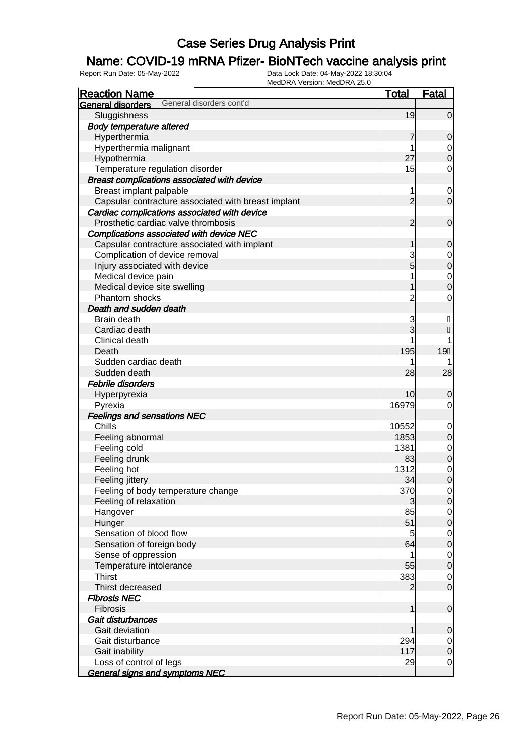### Name: COVID-19 mRNA Pfizer- BioNTech vaccine analysis print

| <b>Reaction Name</b>                                | <b>Total</b>   | <b>Fatal</b>     |
|-----------------------------------------------------|----------------|------------------|
| General disorders cont'd<br>General disorders       |                |                  |
| Sluggishness                                        | 19             | $\Omega$         |
| <b>Body temperature altered</b>                     |                |                  |
| Hyperthermia                                        | 7              | 0                |
| Hyperthermia malignant                              | 1              | $\mathbf 0$      |
| Hypothermia                                         | 27             | 0                |
| Temperature regulation disorder                     | 15             | 0                |
| Breast complications associated with device         |                |                  |
| Breast implant palpable                             | 1              | $\mathbf 0$      |
| Capsular contracture associated with breast implant | $\overline{2}$ | $\mathbf 0$      |
| Cardiac complications associated with device        |                |                  |
| Prosthetic cardiac valve thrombosis                 | 2              | $\mathbf 0$      |
| Complications associated with device NEC            |                |                  |
| Capsular contracture associated with implant        |                | 0                |
| Complication of device removal                      | 3              | $\mathbf 0$      |
| Injury associated with device                       | 5              | 0                |
| Medical device pain                                 |                | $\mathbf 0$      |
| Medical device site swelling                        |                | 0                |
| Phantom shocks                                      | $\overline{2}$ | 0                |
| Death and sudden death                              |                |                  |
| Brain death                                         | 3              | H                |
| Cardiac death                                       | 3              |                  |
| Clinical death                                      |                |                  |
| Death                                               | 195            | 19               |
| Sudden cardiac death                                |                |                  |
| Sudden death                                        | 28             | 28               |
| Febrile disorders                                   |                |                  |
| Hyperpyrexia                                        | 10             | 0                |
| Pyrexia                                             | 16979          | 0                |
| <b>Feelings and sensations NEC</b>                  |                |                  |
| Chills                                              | 10552          | $\mathbf 0$      |
| Feeling abnormal                                    | 1853           | 0                |
| Feeling cold                                        | 1381           | $\mathbf 0$      |
| Feeling drunk                                       | 83             | $\boldsymbol{0}$ |
| Feeling hot                                         | 1312           | $\mathbf 0$      |
| Feeling jittery                                     | 34             | $\mathbf{0}$     |
| Feeling of body temperature change                  | 370            | $\overline{0}$   |
| Feeling of relaxation                               | 3              | $\mathbf 0$      |
| Hangover                                            | 85             | $\overline{0}$   |
| Hunger                                              | 51             | $\mathbf 0$      |
| Sensation of blood flow                             | 5              | $\mathbf 0$      |
| Sensation of foreign body                           | 64             | $\mathbf 0$      |
| Sense of oppression                                 |                | $\mathbf 0$      |
| Temperature intolerance                             | 55             | $\mathbf 0$      |
| <b>Thirst</b>                                       | 383            | $\mathbf 0$      |
| Thirst decreased                                    |                | $\mathbf 0$      |
| <b>Fibrosis NEC</b>                                 |                |                  |
| <b>Fibrosis</b>                                     | 1              | $\mathbf 0$      |
| Gait disturbances                                   |                |                  |
| Gait deviation                                      |                | 0                |
| Gait disturbance                                    | 294            | $\mathbf 0$      |
| Gait inability                                      | 117            | $\mathbf 0$      |
| Loss of control of legs                             | 29             | $\mathbf 0$      |
| <b>General signs and symptoms NEC</b>               |                |                  |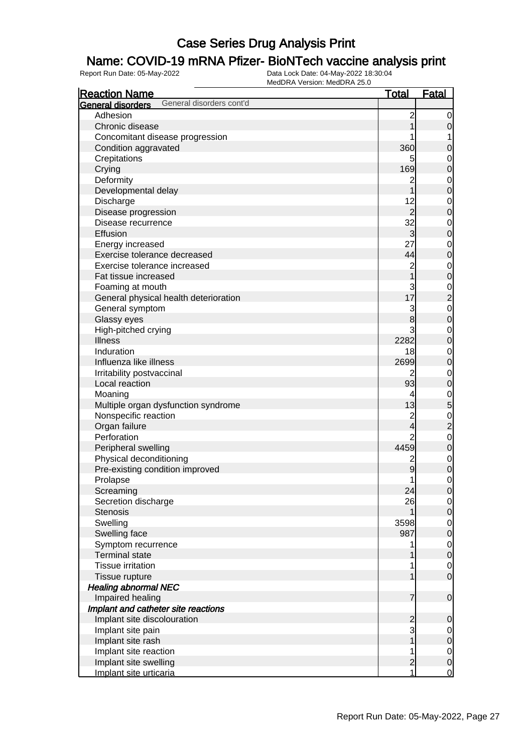### Name: COVID-19 mRNA Pfizer- BioNTech vaccine analysis print

| <b>Reaction Name</b>                          | <b>Total</b>            | <b>Fatal</b>     |
|-----------------------------------------------|-------------------------|------------------|
| General disorders cont'd<br>General disorders |                         |                  |
| Adhesion                                      | $\overline{c}$          | 0                |
| Chronic disease                               |                         | $\mathbf 0$      |
| Concomitant disease progression               |                         | 1                |
| Condition aggravated                          | 360                     | $\mathbf 0$      |
| Crepitations                                  |                         | $\mathbf 0$      |
| Crying                                        | 169                     | $\mathbf 0$      |
| Deformity                                     | $\mathbf 2$             | $\mathbf 0$      |
| Developmental delay                           |                         | $\mathbf 0$      |
| Discharge                                     | 12                      | $\mathbf 0$      |
| Disease progression                           | $\overline{2}$          | $\mathbf 0$      |
| Disease recurrence                            | 32                      | $\mathbf 0$      |
| Effusion                                      | $\overline{3}$          | $\mathbf 0$      |
| Energy increased                              | 27                      | $\mathbf 0$      |
| Exercise tolerance decreased                  | 44                      | $\mathbf 0$      |
| Exercise tolerance increased                  | $\overline{c}$          | $\mathbf 0$      |
| Fat tissue increased                          |                         | $\mathbf 0$      |
| Foaming at mouth                              | 3                       | $\mathbf 0$      |
| General physical health deterioration         | 17                      | $\overline{c}$   |
| General symptom                               | 3                       | $\mathbf 0$      |
| Glassy eyes                                   | 8                       | $\mathbf 0$      |
| High-pitched crying                           | 3                       | $\mathbf 0$      |
| <b>Illness</b>                                | 2282                    | $\mathbf 0$      |
| Induration                                    | 18                      | $\mathbf 0$      |
| Influenza like illness                        | 2699                    | $\mathbf 0$      |
| Irritability postvaccinal                     | 2                       | $\mathbf 0$      |
| Local reaction                                | 93                      | $\mathbf 0$      |
| Moaning                                       | 4                       | $\mathbf 0$      |
| Multiple organ dysfunction syndrome           | 13                      | 5                |
| Nonspecific reaction                          | $\overline{c}$          | $\mathbf 0$      |
| Organ failure                                 | 4                       | $\overline{c}$   |
| Perforation                                   | 2                       | $\mathbf 0$      |
| Peripheral swelling                           | 4459                    | $\mathbf 0$      |
| Physical deconditioning                       | $\overline{\mathbf{c}}$ | $\mathbf 0$      |
| Pre-existing condition improved               | 9                       | $\mathbf 0$      |
| Prolapse                                      | 1                       | $\mathbf{0}$     |
| Screaming                                     | 24                      | $\mathbf 0$      |
| Secretion discharge                           | 26                      | $\mathbf 0$      |
| <b>Stenosis</b>                               | 1                       | $\mathbf 0$      |
| Swelling                                      | 3598                    | $\mathbf 0$      |
| Swelling face                                 | 987                     | $\mathbf 0$      |
| Symptom recurrence                            |                         | $\mathbf 0$      |
| <b>Terminal state</b>                         |                         | $\mathbf 0$      |
| <b>Tissue irritation</b>                      |                         | $\overline{0}$   |
| Tissue rupture                                |                         | $\mathbf 0$      |
| <b>Healing abnormal NEC</b>                   |                         |                  |
| Impaired healing                              | 7                       | $\mathbf 0$      |
| Implant and catheter site reactions           |                         |                  |
| Implant site discolouration                   | $\overline{c}$          | $\mathbf 0$      |
| Implant site pain                             | 3                       | 0                |
| Implant site rash                             |                         | $\mathbf 0$      |
| Implant site reaction                         |                         | $\overline{0}$   |
| Implant site swelling                         | $\overline{2}$          | $\boldsymbol{0}$ |
| Implant site urticaria                        | 1                       | $\overline{0}$   |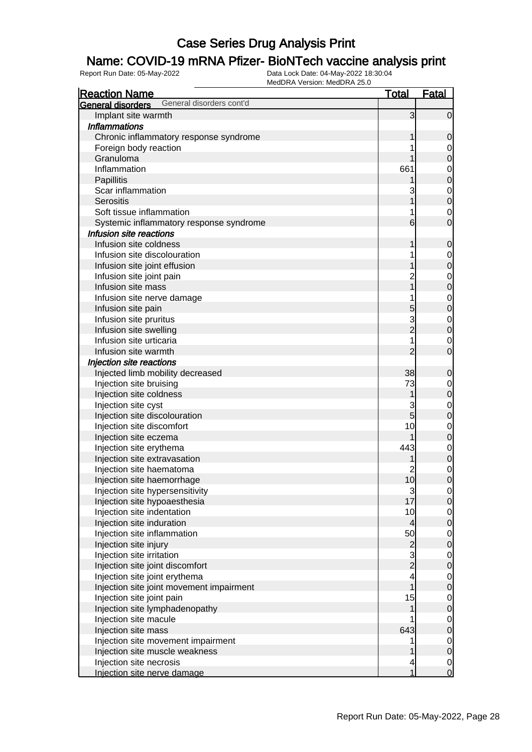### Name: COVID-19 mRNA Pfizer- BioNTech vaccine analysis print

| <b>Reaction Name</b>                          | <u>Total</u>                           | <b>Fatal</b>                         |
|-----------------------------------------------|----------------------------------------|--------------------------------------|
| General disorders cont'd<br>General disorders |                                        |                                      |
| Implant site warmth                           | 3                                      | $\overline{0}$                       |
| <b>Inflammations</b>                          |                                        |                                      |
| Chronic inflammatory response syndrome        |                                        | $\mathbf 0$                          |
| Foreign body reaction                         |                                        | $\boldsymbol{0}$                     |
| Granuloma                                     |                                        | $\mathbf 0$                          |
| Inflammation                                  | 661                                    |                                      |
| Papillitis                                    |                                        | $\begin{matrix} 0 \\ 0 \end{matrix}$ |
| Scar inflammation                             |                                        |                                      |
| <b>Serositis</b>                              |                                        | $\begin{matrix}0\\0\end{matrix}$     |
| Soft tissue inflammation                      |                                        | $\mathbf{0}$                         |
| Systemic inflammatory response syndrome       | 6                                      | $\overline{0}$                       |
| Infusion site reactions                       |                                        |                                      |
| Infusion site coldness                        |                                        | $\mathbf 0$                          |
| Infusion site discolouration                  |                                        | $\overline{0}$                       |
| Infusion site joint effusion                  |                                        | $\overline{0}$                       |
| Infusion site joint pain                      |                                        |                                      |
| Infusion site mass                            |                                        | $\begin{matrix} 0 \\ 0 \end{matrix}$ |
| Infusion site nerve damage                    |                                        |                                      |
| Infusion site pain                            | 5                                      | $\begin{matrix}0\\0\end{matrix}$     |
| Infusion site pruritus                        | 3                                      |                                      |
| Infusion site swelling                        | $\overline{2}$                         | $\begin{matrix}0\\0\end{matrix}$     |
| Infusion site urticaria                       |                                        | $\mathbf{0}$                         |
| Infusion site warmth                          | $\overline{2}$                         | $\overline{0}$                       |
| Injection site reactions                      |                                        |                                      |
| Injected limb mobility decreased              | 38                                     | $\mathbf 0$                          |
| Injection site bruising                       | 73                                     | $\overline{0}$                       |
| Injection site coldness                       | 1                                      | $\mathbf 0$                          |
| Injection site cyst                           | 3                                      |                                      |
| Injection site discolouration                 | $\overline{5}$                         | $\begin{matrix} 0 \\ 0 \end{matrix}$ |
| Injection site discomfort                     | 10                                     |                                      |
| Injection site eczema                         |                                        | $\begin{matrix} 0 \\ 0 \end{matrix}$ |
| Injection site erythema                       | 443                                    |                                      |
| Injection site extravasation                  |                                        | $\begin{matrix}0\\0\end{matrix}$     |
| Injection site haematoma                      | 2                                      |                                      |
| Injection site haemorrhage                    | 10                                     | $\begin{matrix} 0 \\ 0 \end{matrix}$ |
| Injection site hypersensitivity               |                                        | $\overline{0}$                       |
| Injection site hypoaesthesia                  | $\begin{array}{c} 3 \\ 17 \end{array}$ | $\overline{O}$                       |
| Injection site indentation                    | 10                                     | $\overline{0}$                       |
| Injection site induration                     | $\overline{4}$                         | $\mathbf 0$                          |
| Injection site inflammation                   | 50                                     | $\overline{0}$                       |
| Injection site injury                         |                                        | $\mathbf 0$                          |
| Injection site irritation                     | $\begin{array}{c} 2 \\ 2 \end{array}$  | $\overline{0}$                       |
| Injection site joint discomfort               |                                        | $\mathbf 0$                          |
| Injection site joint erythema                 | 4                                      | $\overline{0}$                       |
| Injection site joint movement impairment      |                                        | $\pmb{0}$                            |
| Injection site joint pain                     | 15                                     | $\overline{0}$                       |
| Injection site lymphadenopathy                | 1                                      | $\pmb{0}$                            |
| Injection site macule                         |                                        | $\overline{0}$                       |
| Injection site mass                           | 643                                    | $\pmb{0}$                            |
| Injection site movement impairment            |                                        | $\overline{0}$                       |
| Injection site muscle weakness                |                                        | $\mathbf 0$                          |
| Injection site necrosis                       | 4                                      | $\overline{0}$                       |
| Injection site nerve damage                   | 1                                      | $\overline{0}$                       |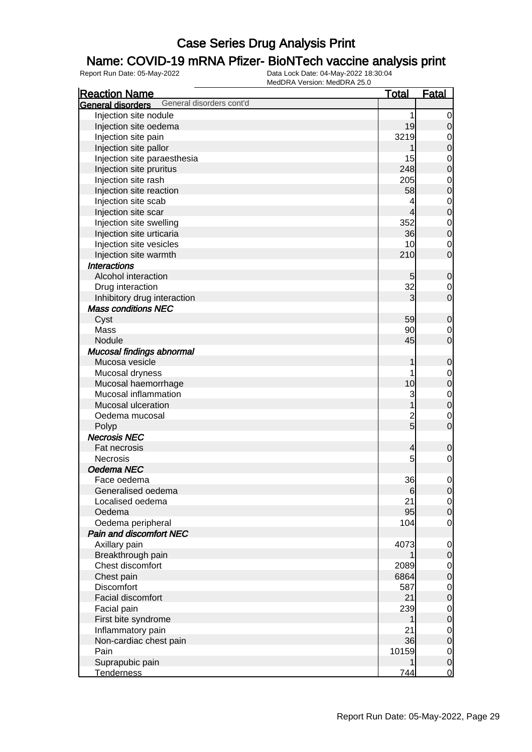### Name: COVID-19 mRNA Pfizer- BioNTech vaccine analysis print

| <b>Reaction Name</b>                          | <u>Total</u>  | <b>Fatal</b>     |
|-----------------------------------------------|---------------|------------------|
| General disorders cont'd<br>General disorders |               |                  |
| Injection site nodule                         | 1             | $\mathbf 0$      |
| Injection site oedema                         | 19            | $\mathbf 0$      |
| Injection site pain                           | 3219          | $\mathbf 0$      |
| Injection site pallor                         |               | $\mathbf 0$      |
| Injection site paraesthesia                   | 15            | $\mathbf 0$      |
| Injection site pruritus                       | 248           | $\overline{0}$   |
| Injection site rash                           | 205           | $\mathbf 0$      |
| Injection site reaction                       | 58            | $\mathbf 0$      |
| Injection site scab                           | 4             | $\mathbf 0$      |
| Injection site scar                           | 4             | $\overline{0}$   |
| Injection site swelling                       | 352           | $\mathbf 0$      |
| Injection site urticaria                      | 36            | $\mathbf 0$      |
| Injection site vesicles                       | 10            | $\mathbf 0$      |
| Injection site warmth                         | 210           | $\overline{0}$   |
| <b>Interactions</b>                           |               |                  |
| Alcohol interaction                           | 5             | $\mathbf 0$      |
| Drug interaction                              | 32            | $\mathbf 0$      |
| Inhibitory drug interaction                   | 3             | $\overline{0}$   |
| <b>Mass conditions NEC</b>                    |               |                  |
| Cyst                                          | 59            | $\mathbf 0$      |
| Mass                                          | 90            | $\mathbf 0$      |
| Nodule                                        | 45            | $\overline{0}$   |
| Mucosal findings abnormal                     |               |                  |
| Mucosa vesicle                                | 1             | $\mathbf 0$      |
| Mucosal dryness                               | 1             | $\mathbf 0$      |
| Mucosal haemorrhage                           | 10            | $\mathbf 0$      |
| Mucosal inflammation                          | 3             | $\mathbf{0}$     |
| Mucosal ulceration                            |               | $\overline{0}$   |
| Oedema mucosal                                |               | $\mathbf 0$      |
| Polyp                                         | $\frac{2}{5}$ | $\overline{0}$   |
| <b>Necrosis NEC</b>                           |               |                  |
| Fat necrosis                                  | 4             | $\mathbf 0$      |
| <b>Necrosis</b>                               | 5             | $\mathbf 0$      |
| Oedema NEC                                    |               |                  |
| Face oedema                                   | 36            | 0                |
| Generalised oedema                            | 6             | $\overline{0}$   |
| Localised oedema                              | 21            | $\overline{0}$   |
| Oedema                                        | 95            | $\mathbf 0$      |
| Oedema peripheral                             | 104           | $\mathbf 0$      |
| Pain and discomfort NEC                       |               |                  |
| Axillary pain                                 | 4073          | $\mathbf 0$      |
| Breakthrough pain                             |               | $\boldsymbol{0}$ |
| Chest discomfort                              | 2089          | $\mathbf 0$      |
| Chest pain                                    | 6864          | $\mathbf 0$      |
| Discomfort                                    | 587           | $\mathbf 0$      |
| <b>Facial discomfort</b>                      | 21            | $\mathbf 0$      |
| Facial pain                                   | 239           | $\mathbf 0$      |
| First bite syndrome                           |               | $\mathbf 0$      |
| Inflammatory pain                             | 21            | $\mathbf 0$      |
| Non-cardiac chest pain                        | 36            | $\boldsymbol{0}$ |
| Pain                                          | 10159         | $\mathbf 0$      |
| Suprapubic pain                               |               | $\mathbf 0$      |
| <b>Tenderness</b>                             | 744           | <u>o</u>         |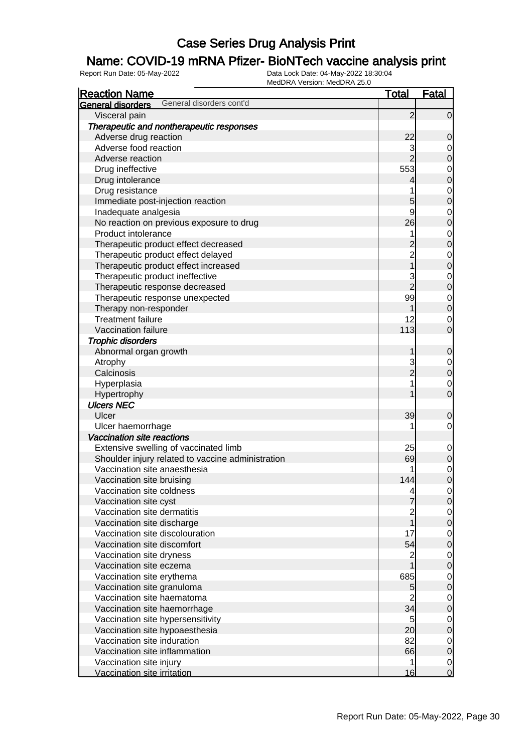### Name: COVID-19 mRNA Pfizer- BioNTech vaccine analysis print

| <b>Reaction Name</b>                                 | <b>Total</b>    | <b>Fatal</b>                     |
|------------------------------------------------------|-----------------|----------------------------------|
| General disorders cont'd<br><b>General disorders</b> |                 |                                  |
| Visceral pain                                        | $\overline{2}$  | $\overline{0}$                   |
| Therapeutic and nontherapeutic responses             |                 |                                  |
| Adverse drug reaction                                | 22              | 0                                |
| Adverse food reaction                                | 3               | $\mathbf 0$                      |
| Adverse reaction                                     | $\overline{2}$  | $\overline{0}$                   |
| Drug ineffective                                     | 553             |                                  |
| Drug intolerance                                     | 4               | $\begin{matrix}0\\0\end{matrix}$ |
| Drug resistance                                      | 1               |                                  |
| Immediate post-injection reaction                    | 5               | $\begin{matrix}0\\0\end{matrix}$ |
| Inadequate analgesia                                 | 9               |                                  |
| No reaction on previous exposure to drug             | 26              | $\begin{matrix}0\\0\end{matrix}$ |
| Product intolerance                                  | 1               |                                  |
| Therapeutic product effect decreased                 |                 | $\begin{matrix}0\\0\end{matrix}$ |
| Therapeutic product effect delayed                   | $\overline{2}$  |                                  |
| Therapeutic product effect increased                 | 1               | $\begin{matrix}0\\0\end{matrix}$ |
| Therapeutic product ineffective                      | 3               |                                  |
| Therapeutic response decreased                       | $\overline{2}$  | $\begin{matrix}0\\0\end{matrix}$ |
| Therapeutic response unexpected                      | 99              |                                  |
| Therapy non-responder                                |                 | $\begin{matrix}0\\0\end{matrix}$ |
| <b>Treatment failure</b>                             | 12              | $\mathbf 0$                      |
| Vaccination failure                                  | 113             | $\overline{0}$                   |
| <b>Trophic disorders</b>                             |                 |                                  |
| Abnormal organ growth                                |                 | 0                                |
| Atrophy                                              | 3               |                                  |
| Calcinosis                                           | $\overline{2}$  | $0\atop 0$                       |
| Hyperplasia                                          | 1               | $\mathbf{0}$                     |
| Hypertrophy                                          |                 | $\overline{0}$                   |
| <b>Ulcers NEC</b>                                    |                 |                                  |
| Ulcer                                                | 39              | 0                                |
| Ulcer haemorrhage                                    | 1               | $\mathbf 0$                      |
| Vaccination site reactions                           |                 |                                  |
| Extensive swelling of vaccinated limb                | 25              | $\mathbf{0}$                     |
| Shoulder injury related to vaccine administration    | 69              | $\pmb{0}$                        |
| Vaccination site anaesthesia                         |                 | $\mathbf{0}$                     |
| Vaccination site bruising                            | 144             | $\overline{0}$                   |
| Vaccination site coldness                            | 4               | $\overline{0}$                   |
| Vaccination site cyst                                | 7               | $\overline{0}$                   |
| Vaccination site dermatitis                          | 2               | $\overline{0}$                   |
| Vaccination site discharge                           |                 | $\overline{0}$                   |
| Vaccination site discolouration                      | 17              | $\overline{0}$                   |
| Vaccination site discomfort                          | 54              | $\overline{0}$                   |
| Vaccination site dryness                             | $\overline{c}$  | $\overline{0}$                   |
| Vaccination site eczema                              |                 | $\overline{0}$                   |
| Vaccination site erythema                            | 685             | $\overline{0}$                   |
| Vaccination site granuloma                           | 5               | $\overline{0}$                   |
| Vaccination site haematoma                           |                 | $\mathbf 0$                      |
| Vaccination site haemorrhage                         | 34              | $\mathbf 0$                      |
| Vaccination site hypersensitivity                    | 5               | $\mathbf 0$                      |
| Vaccination site hypoaesthesia                       | 20 <sup>1</sup> | $\overline{0}$                   |
| Vaccination site induration                          | 82              | $\mathbf 0$                      |
| Vaccination site inflammation                        | 66              | $\overline{0}$                   |
| Vaccination site injury                              | 1               | $\mathbf 0$                      |
| Vaccination site irritation                          | 16              | $\mathbf 0$                      |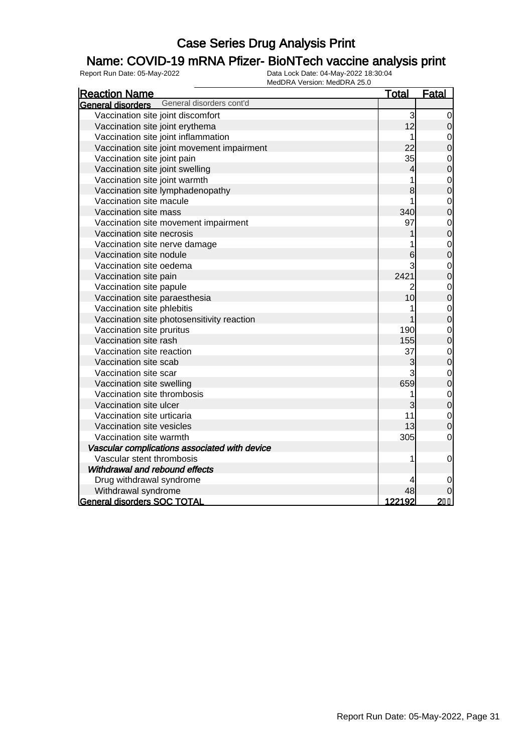### Name: COVID-19 mRNA Pfizer- BioNTech vaccine analysis print

| <b>Reaction Name</b>                                 | <b>Total</b> | <b>Fatal</b>                     |
|------------------------------------------------------|--------------|----------------------------------|
| General disorders cont'd<br><b>General disorders</b> |              |                                  |
| Vaccination site joint discomfort                    | 3            | 0                                |
| Vaccination site joint erythema                      | 12           | $\mathbf 0$                      |
| Vaccination site joint inflammation                  | 1            | $\mathbf 0$                      |
| Vaccination site joint movement impairment           | 22           | $\overline{0}$                   |
| Vaccination site joint pain                          | 35           | $\mathbf{0}$                     |
| Vaccination site joint swelling                      | 4            | $\overline{0}$                   |
| Vaccination site joint warmth                        |              | $\mathbf{0}$                     |
| Vaccination site lymphadenopathy                     | 8            | $\overline{0}$                   |
| Vaccination site macule                              |              | $\mathbf 0$                      |
| Vaccination site mass                                | 340          | $\overline{0}$                   |
| Vaccination site movement impairment                 | 97           | $\mathbf 0$                      |
| Vaccination site necrosis                            |              | $\overline{0}$                   |
| Vaccination site nerve damage                        |              | $\begin{matrix}0\\0\end{matrix}$ |
| Vaccination site nodule                              | 6            |                                  |
| Vaccination site oedema                              |              | $\mathbf{0}$                     |
| Vaccination site pain                                | 2421         | $\overline{0}$                   |
| Vaccination site papule                              | 2            | $\mathbf{0}$                     |
| Vaccination site paraesthesia                        | 10           | $\overline{0}$                   |
| Vaccination site phlebitis                           |              | $\mathbf 0$                      |
| Vaccination site photosensitivity reaction           |              | $\overline{0}$                   |
| Vaccination site pruritus                            | 190          | $\mathbf 0$                      |
| Vaccination site rash                                | 155          | $\overline{0}$                   |
| Vaccination site reaction                            | 37           | $\mathbf{0}$                     |
| Vaccination site scab                                | 3            | $\overline{0}$                   |
| Vaccination site scar                                |              | $\mathbf{0}$                     |
| Vaccination site swelling                            | 659          | $\overline{0}$                   |
| Vaccination site thrombosis                          | 1            | $\mathbf{0}$                     |
| Vaccination site ulcer                               | 3            | $\overline{0}$                   |
| Vaccination site urticaria                           | 11           | $\mathbf{0}$                     |
| Vaccination site vesicles                            | 13           | $\overline{0}$                   |
| Vaccination site warmth                              | 305          | $\mathbf 0$                      |
| Vascular complications associated with device        |              |                                  |
| Vascular stent thrombosis                            |              | $\mathbf 0$                      |
| Withdrawal and rebound effects                       |              |                                  |
| Drug withdrawal syndrome                             |              | 0                                |
| Withdrawal syndrome                                  | 48           |                                  |
| <b>General disorders SOC TOTAL</b>                   | 122192       | $2I$ H                           |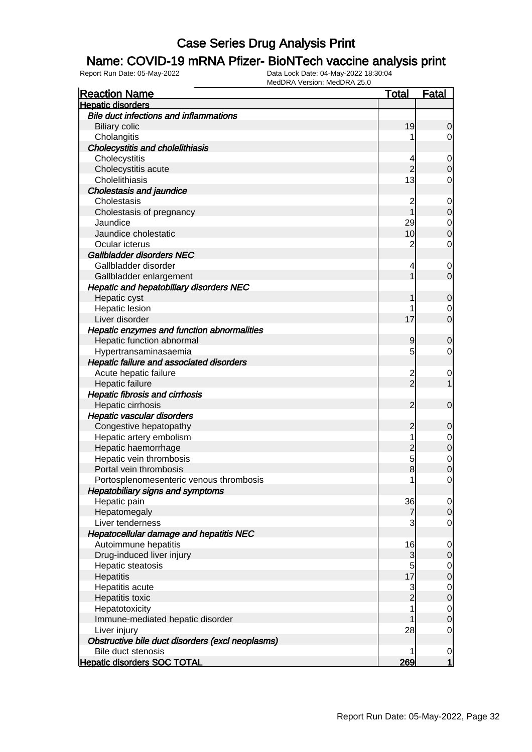### Name: COVID-19 mRNA Pfizer- BioNTech vaccine analysis print

| <b>Reaction Name</b>                             | <u>Total</u>            | <b>Fatal</b>     |
|--------------------------------------------------|-------------------------|------------------|
| <b>Hepatic disorders</b>                         |                         |                  |
| <b>Bile duct infections and inflammations</b>    |                         |                  |
| <b>Biliary colic</b>                             | 19                      | 0                |
| Cholangitis                                      |                         | 0                |
| <b>Cholecystitis and cholelithiasis</b>          |                         |                  |
| Cholecystitis                                    | 4                       | $\mathbf 0$      |
| Cholecystitis acute                              | $\overline{2}$          | 0                |
| Cholelithiasis                                   | 13                      | 0                |
| <b>Cholestasis and jaundice</b>                  |                         |                  |
| Cholestasis                                      | 2                       | $\mathbf 0$      |
| Cholestasis of pregnancy                         |                         | $\mathbf 0$      |
| Jaundice                                         | 29                      | $\mathbf 0$      |
| Jaundice cholestatic                             | 10                      | 0                |
| Ocular icterus                                   | $\overline{c}$          | $\mathbf 0$      |
| Gallbladder disorders NEC                        |                         |                  |
| Gallbladder disorder                             | 4                       | $\mathbf 0$      |
| Gallbladder enlargement                          |                         | 0                |
| Hepatic and hepatobiliary disorders NEC          |                         |                  |
| Hepatic cyst                                     |                         | $\overline{0}$   |
| <b>Hepatic lesion</b>                            |                         | $\mathbf 0$      |
| Liver disorder                                   | 17                      | $\overline{0}$   |
| Hepatic enzymes and function abnormalities       |                         |                  |
| Hepatic function abnormal                        | 9                       | 0                |
| Hypertransaminasaemia                            | 5                       | 0                |
| <b>Hepatic failure and associated disorders</b>  |                         |                  |
| Acute hepatic failure                            | $\overline{\mathbf{c}}$ | $\boldsymbol{0}$ |
| Hepatic failure                                  | $\overline{2}$          | 1                |
| <b>Hepatic fibrosis and cirrhosis</b>            |                         |                  |
| Hepatic cirrhosis                                | 2                       | $\mathbf 0$      |
| <b>Hepatic vascular disorders</b>                |                         |                  |
| Congestive hepatopathy                           | 2                       | 0                |
| Hepatic artery embolism                          | 1                       | $\mathbf 0$      |
| Hepatic haemorrhage                              |                         | $\mathbf 0$      |
| Hepatic vein thrombosis                          | 5                       | $\mathbf 0$      |
| Portal vein thrombosis                           | 8                       | $\mathbf 0$      |
| Portosplenomesenteric venous thrombosis          | 1                       | 0                |
| <b>Hepatobiliary signs and symptoms</b>          |                         |                  |
| Hepatic pain                                     | 36                      | $\overline{0}$   |
| Hepatomegaly                                     | 7                       | $\overline{0}$   |
| Liver tenderness                                 | 3                       | $\mathbf 0$      |
| Hepatocellular damage and hepatitis NEC          |                         |                  |
| Autoimmune hepatitis                             | 16                      | $\mathbf 0$      |
| Drug-induced liver injury                        | 3                       | $\mathbf 0$      |
| Hepatic steatosis                                | 5                       | $\mathbf 0$      |
| Hepatitis                                        | 17                      | $\mathbf 0$      |
| Hepatitis acute                                  | 3                       | $\mathbf 0$      |
| Hepatitis toxic                                  | $\overline{2}$          | $\mathbf 0$      |
| Hepatotoxicity                                   |                         | $\mathbf 0$      |
| Immune-mediated hepatic disorder                 |                         | $\mathbf 0$      |
| Liver injury                                     | 28                      | $\mathbf 0$      |
| Obstructive bile duct disorders (excl neoplasms) |                         |                  |
| Bile duct stenosis                               | 1                       | $\mathbf 0$      |
| <b>Hepatic disorders SOC TOTAL</b>               | 269                     | $\overline{1}$   |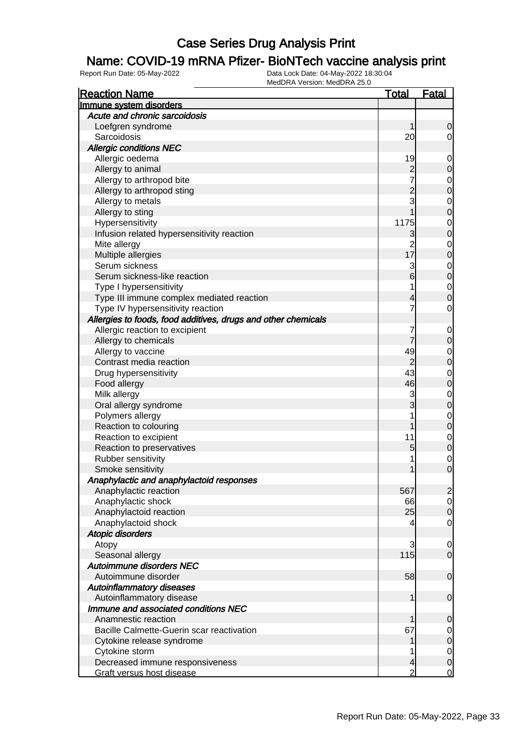#### Name: COVID-19 mRNA Pfizer- BioNTech vaccine analysis print

| <b>Reaction Name</b>                                                 | <b>Total</b>   | <b>Fatal</b>   |
|----------------------------------------------------------------------|----------------|----------------|
| Immune system disorders                                              |                |                |
| Acute and chronic sarcoidosis                                        |                |                |
| Loefgren syndrome                                                    | 1              | 0              |
| Sarcoidosis                                                          | 20             | $\overline{0}$ |
| <b>Allergic conditions NEC</b>                                       |                |                |
| Allergic oedema                                                      | 19             | $\mathbf 0$    |
| Allergy to animal                                                    | $\overline{c}$ | $\mathbf 0$    |
| Allergy to arthropod bite                                            |                | $\mathbf 0$    |
| Allergy to arthropod sting                                           | $\overline{c}$ | $\mathbf 0$    |
| Allergy to metals                                                    | 3              | $\mathbf 0$    |
| Allergy to sting                                                     |                | $\mathbf 0$    |
| Hypersensitivity                                                     | 1175           | $\mathbf 0$    |
| Infusion related hypersensitivity reaction                           | 3              | $\mathbf 0$    |
| Mite allergy                                                         | $\overline{2}$ | $\mathbf 0$    |
| Multiple allergies                                                   | 17             | $\mathbf 0$    |
| Serum sickness                                                       | 3              | $\mathbf 0$    |
| Serum sickness-like reaction                                         | 6              | $\pmb{0}$      |
|                                                                      |                | $\mathbf 0$    |
| Type I hypersensitivity<br>Type III immune complex mediated reaction |                | $\mathbf 0$    |
|                                                                      | 4              | $\mathbf 0$    |
| Type IV hypersensitivity reaction                                    |                |                |
| Allergies to foods, food additives, drugs and other chemicals        |                |                |
| Allergic reaction to excipient                                       |                | $\mathbf 0$    |
| Allergy to chemicals                                                 | 7              | $\mathbf 0$    |
| Allergy to vaccine                                                   | 49             | 0              |
| Contrast media reaction                                              | $\overline{2}$ | $\mathbf 0$    |
| Drug hypersensitivity                                                | 43             | $\mathbf 0$    |
| Food allergy                                                         | 46             | $\mathbf 0$    |
| Milk allergy                                                         | 3              | $\mathbf 0$    |
| Oral allergy syndrome                                                | 3              | $\mathbf 0$    |
| Polymers allergy                                                     |                | $\mathbf 0$    |
| Reaction to colouring                                                | 1              | $\mathbf 0$    |
| Reaction to excipient                                                | 11             | $\mathbf 0$    |
| Reaction to preservatives                                            | 5              | $\mathbf 0$    |
| Rubber sensitivity                                                   | 1              | $\mathbf 0$    |
| Smoke sensitivity                                                    | 1              | $\mathbf 0$    |
| Anaphylactic and anaphylactoid responses                             |                |                |
| Anaphylactic reaction                                                | 567            | $\overline{2}$ |
| Anaphylactic shock                                                   | 66             | $\overline{0}$ |
| Anaphylactoid reaction                                               | 25             | $\mathbf 0$    |
| Anaphylactoid shock                                                  | 4              | $\mathbf 0$    |
| <b>Atopic disorders</b>                                              |                |                |
| Atopy                                                                | 3              | $\mathbf 0$    |
| Seasonal allergy                                                     | 115            | $\overline{0}$ |
| Autoimmune disorders NEC                                             |                |                |
| Autoimmune disorder                                                  | 58             | $\mathbf 0$    |
| <b>Autoinflammatory diseases</b>                                     |                |                |
| Autoinflammatory disease                                             | 1              | $\mathbf 0$    |
| Immune and associated conditions NEC                                 |                |                |
| Anamnestic reaction                                                  |                | $\mathbf 0$    |
| Bacille Calmette-Guerin scar reactivation                            | 67             | $\overline{0}$ |
| Cytokine release syndrome                                            | 1              | $\mathbf 0$    |
| Cytokine storm                                                       |                | $\overline{0}$ |
| Decreased immune responsiveness                                      | 4              | $\mathbf 0$    |
| Graft versus host disease                                            | $\overline{2}$ | $\overline{0}$ |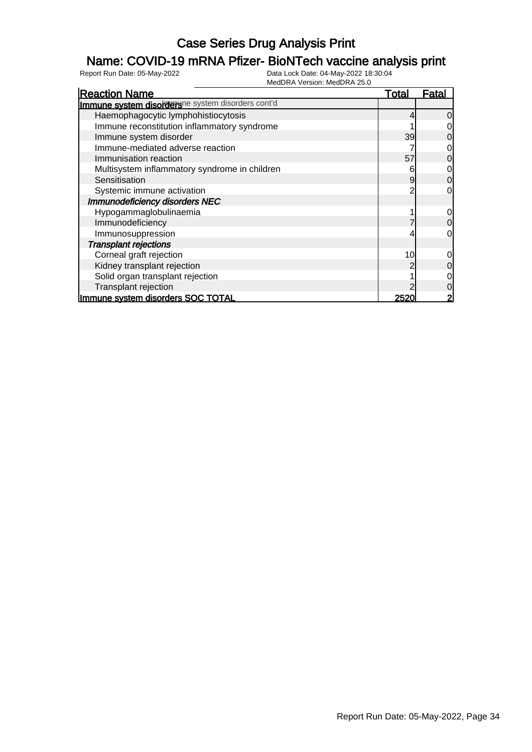### Name: COVID-19 mRNA Pfizer- BioNTech vaccine analysis print

| <b>Reaction Name</b>                              | <u>Total</u> | Fatal          |
|---------------------------------------------------|--------------|----------------|
| Immune system disorderune system disorders cont'd |              |                |
| Haemophagocytic lymphohistiocytosis               |              | $\overline{0}$ |
| Immune reconstitution inflammatory syndrome       |              | $\overline{0}$ |
| Immune system disorder                            | 39           | $\overline{0}$ |
| Immune-mediated adverse reaction                  |              | $\overline{0}$ |
| Immunisation reaction                             | 57           | $\overline{0}$ |
| Multisystem inflammatory syndrome in children     |              | $\overline{0}$ |
| Sensitisation                                     | 9            | $\overline{0}$ |
| Systemic immune activation                        |              | $\overline{0}$ |
| Immunodeficiency disorders NEC                    |              |                |
| Hypogammaglobulinaemia                            |              | $\overline{O}$ |
| Immunodeficiency                                  |              | $\overline{0}$ |
| Immunosuppression                                 |              | $\overline{0}$ |
| <b>Transplant rejections</b>                      |              |                |
| Corneal graft rejection                           | 10           | $\overline{0}$ |
| Kidney transplant rejection                       |              | $\overline{0}$ |
| Solid organ transplant rejection                  |              | $\overline{O}$ |
| Transplant rejection                              |              | $\overline{0}$ |
| Immune system disorders SOC TOTAL                 | 2520         | $\overline{2}$ |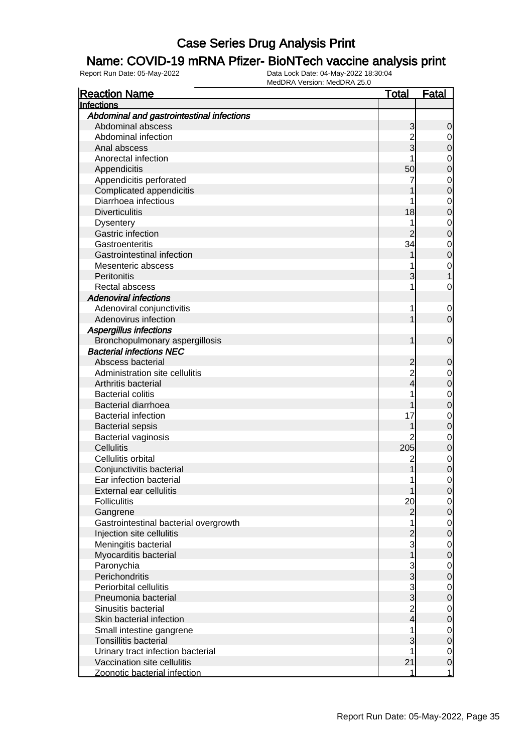#### Name: COVID-19 mRNA Pfizer- BioNTech vaccine analysis print

| <b>Reaction Name</b>                      | <u>Total</u>   | <b>Fatal</b>               |
|-------------------------------------------|----------------|----------------------------|
| <b>Infections</b>                         |                |                            |
| Abdominal and gastrointestinal infections |                |                            |
| Abdominal abscess                         | 3              | 0                          |
| Abdominal infection                       |                | $\mathbf 0$                |
| Anal abscess                              | 3              | 0                          |
| Anorectal infection                       |                | $\mathbf 0$                |
| Appendicitis                              | 50             | $\mathbf 0$                |
| Appendicitis perforated                   | 7              | $\mathbf 0$                |
| Complicated appendicitis                  |                | $\mathbf 0$                |
| Diarrhoea infectious                      |                | $\mathbf 0$                |
| <b>Diverticulitis</b>                     | 18             | $\mathbf 0$                |
| <b>Dysentery</b>                          |                | $\mathbf 0$                |
| Gastric infection                         |                | $\mathbf 0$                |
| Gastroenteritis                           | 34             | $\mathbf 0$                |
| Gastrointestinal infection                |                | $\mathbf 0$                |
| Mesenteric abscess                        |                | $\mathbf 0$                |
| Peritonitis                               | 3              |                            |
| Rectal abscess                            |                | 0                          |
| <b>Adenoviral infections</b>              |                |                            |
| Adenoviral conjunctivitis                 | 1              | $\mathbf 0$                |
| Adenovirus infection                      |                | $\mathbf 0$                |
| Aspergillus infections                    |                |                            |
| Bronchopulmonary aspergillosis            |                | $\mathbf 0$                |
| <b>Bacterial infections NEC</b>           |                |                            |
| Abscess bacterial                         |                |                            |
| Administration site cellulitis            |                | 0                          |
| Arthritis bacterial                       | 4              | $\mathbf 0$<br>$\mathbf 0$ |
| <b>Bacterial colitis</b>                  |                |                            |
| <b>Bacterial diarrhoea</b>                |                | $\mathbf 0$<br>$\mathbf 0$ |
| <b>Bacterial infection</b>                | 17             |                            |
|                                           |                | $\mathbf 0$                |
| <b>Bacterial sepsis</b>                   |                | $\mathbf 0$                |
| Bacterial vaginosis                       | 205            | $\mathbf 0$                |
| Cellulitis<br>Cellulitis orbital          |                | $\mathbf 0$                |
|                                           | $\mathbf 2$    | $\mathbf 0$                |
| Conjunctivitis bacterial                  |                | $\mathbf 0$                |
| Ear infection bacterial                   | 1              | 0                          |
| External ear cellulitis                   | 1              | 0                          |
| <b>Folliculitis</b>                       | 20             | $\overline{0}$             |
| Gangrene                                  | $\overline{c}$ | $\mathsf{O}\xspace$        |
| Gastrointestinal bacterial overgrowth     |                | $\mathbf 0$                |
| Injection site cellulitis                 |                | $\mathbf 0$                |
| Meningitis bacterial                      | 3              | $\mathbf 0$                |
| Myocarditis bacterial                     |                | $\mathbf 0$                |
| Paronychia                                | $\frac{3}{3}$  | $\mathbf 0$                |
| Perichondritis                            |                | $\mathbf 0$                |
| Periorbital cellulitis                    | $\frac{3}{3}$  | $\mathbf 0$                |
| Pneumonia bacterial                       |                | $\mathbf 0$                |
| Sinusitis bacterial                       | $\frac{2}{4}$  | $\mathbf 0$                |
| Skin bacterial infection                  |                | $\mathbf 0$                |
| Small intestine gangrene                  | 1              | $\mathbf 0$                |
| <b>Tonsillitis bacterial</b>              | 3              | $\mathbf 0$                |
| Urinary tract infection bacterial         |                | $\mathbf 0$                |
| Vaccination site cellulitis               | 21             | $\pmb{0}$                  |
| Zoonotic bacterial infection              | 1              | $\mathbf{1}$               |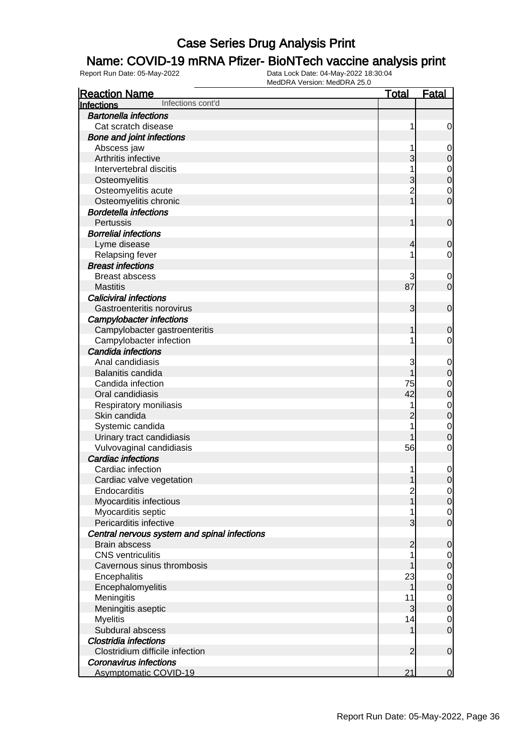### Name: COVID-19 mRNA Pfizer- BioNTech vaccine analysis print

| <b>Reaction Name</b>                         | <b>Total</b>            | <b>Fatal</b>     |
|----------------------------------------------|-------------------------|------------------|
| Infections cont'd<br>Infections              |                         |                  |
| <b>Bartonella infections</b>                 |                         |                  |
| Cat scratch disease                          | 1                       | 0                |
| <b>Bone and joint infections</b>             |                         |                  |
| Abscess jaw                                  |                         | 0                |
| Arthritis infective                          | 3                       | $\mathbf 0$      |
| Intervertebral discitis                      |                         | $\mathbf 0$      |
| Osteomyelitis                                | 3                       | $\mathbf 0$      |
| Osteomyelitis acute                          | $\overline{2}$          | $\mathbf 0$      |
| Osteomyelitis chronic                        |                         | $\overline{0}$   |
| <b>Bordetella infections</b>                 |                         |                  |
| Pertussis                                    | 1                       | $\mathbf 0$      |
| <b>Borrelial infections</b>                  |                         |                  |
| Lyme disease                                 | 4                       | $\mathbf 0$      |
| Relapsing fever                              |                         | 0                |
| <b>Breast infections</b>                     |                         |                  |
| <b>Breast abscess</b>                        | 3                       | 0                |
| <b>Mastitis</b>                              | 87                      | $\mathbf 0$      |
| <b>Caliciviral infections</b>                |                         |                  |
| Gastroenteritis norovirus                    | 3                       | $\mathbf 0$      |
| <b>Campylobacter infections</b>              |                         |                  |
| Campylobacter gastroenteritis                | 1                       | $\mathbf 0$      |
| Campylobacter infection                      |                         | 0                |
| Candida infections                           |                         |                  |
| Anal candidiasis                             | 3                       | $\mathbf 0$      |
| Balanitis candida                            |                         | $\mathbf 0$      |
| Candida infection                            | 75                      | $\mathbf 0$      |
| Oral candidiasis                             | 42                      | $\mathbf 0$      |
| Respiratory moniliasis                       |                         | $\mathbf 0$      |
| Skin candida                                 | 2                       | $\mathbf 0$      |
| Systemic candida                             |                         | $\mathbf 0$      |
| Urinary tract candidiasis                    |                         | $\mathbf 0$      |
| Vulvovaginal candidiasis                     | 56                      | 0                |
| <b>Cardiac infections</b>                    |                         |                  |
| Cardiac infection                            |                         | $\mathbf 0$      |
| Cardiac valve vegetation                     | 1                       | $\boldsymbol{0}$ |
| Endocarditis                                 | $\overline{\mathbf{c}}$ | $\overline{0}$   |
| Myocarditis infectious                       |                         | $\overline{0}$   |
| Myocarditis septic                           |                         | $\overline{0}$   |
| Pericarditis infective                       | 3                       | $\mathbf 0$      |
| Central nervous system and spinal infections |                         |                  |
| <b>Brain abscess</b>                         | $\overline{2}$          | $\mathbf 0$      |
| <b>CNS</b> ventriculitis                     |                         | 0                |
| Cavernous sinus thrombosis                   |                         | $\mathbf 0$      |
| Encephalitis                                 | 23                      | $\overline{0}$   |
| Encephalomyelitis                            | 1                       | $\boldsymbol{0}$ |
| Meningitis                                   | 11                      | $\overline{0}$   |
| Meningitis aseptic                           | 3                       | $\boldsymbol{0}$ |
| <b>Myelitis</b>                              | 14                      | $\overline{0}$   |
| Subdural abscess                             | 1                       | $\mathbf 0$      |
| Clostridia infections                        |                         |                  |
| Clostridium difficile infection              | $\overline{2}$          | $\mathbf 0$      |
| <b>Coronavirus infections</b>                |                         |                  |
| <b>Asymptomatic COVID-19</b>                 | 21                      | $\mathbf 0$      |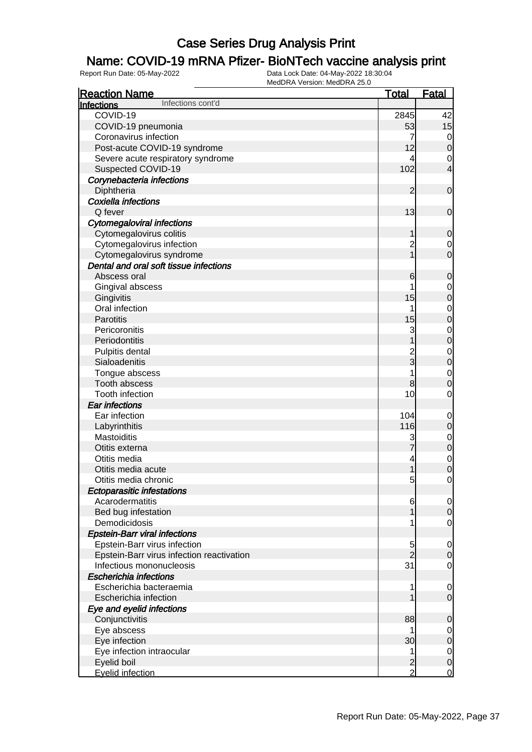### Name: COVID-19 mRNA Pfizer- BioNTech vaccine analysis print

| <b>Reaction Name</b>                      | <b>Total</b>   | <b>Fatal</b>     |
|-------------------------------------------|----------------|------------------|
| Infections cont'd<br>Infections           |                |                  |
| COVID-19                                  | 2845           | 42               |
| COVID-19 pneumonia                        | 53             | 15               |
| Coronavirus infection                     | 7              | 0                |
| Post-acute COVID-19 syndrome              | 12             | $\boldsymbol{0}$ |
| Severe acute respiratory syndrome         | 4              | 0                |
| Suspected COVID-19                        | 102            | 4                |
| Corynebacteria infections                 |                |                  |
| Diphtheria                                | $\overline{2}$ | $\mathbf 0$      |
| Coxiella infections                       |                |                  |
| Q fever                                   | 13             | $\mathbf 0$      |
| <b>Cytomegaloviral infections</b>         |                |                  |
| Cytomegalovirus colitis                   | 1              | $\mathbf 0$      |
| Cytomegalovirus infection                 | $\overline{c}$ | 0                |
| Cytomegalovirus syndrome                  | 1              | $\overline{0}$   |
| Dental and oral soft tissue infections    |                |                  |
| Abscess oral                              | 6              | $\mathbf 0$      |
| Gingival abscess                          |                | 0                |
| Gingivitis                                | 15             | $\boldsymbol{0}$ |
| Oral infection                            |                | 0                |
| Parotitis                                 | 15             | $\boldsymbol{0}$ |
| Pericoronitis                             | 3              | $\mathbf 0$      |
| Periodontitis                             |                | $\boldsymbol{0}$ |
| Pulpitis dental                           |                | $\mathbf 0$      |
| Sialoadenitis                             | $\frac{2}{3}$  | $\boldsymbol{0}$ |
| Tongue abscess                            |                | $\mathbf 0$      |
| Tooth abscess                             | 8              | $\mathbf 0$      |
| Tooth infection                           | 10             | 0                |
| <b>Ear infections</b>                     |                |                  |
| Ear infection                             | 104            | 0                |
| Labyrinthitis                             | 116            | $\boldsymbol{0}$ |
| Mastoiditis                               |                | 0                |
| Otitis externa                            | 7              | $\boldsymbol{0}$ |
| Otitis media                              | 4              | $\mathbf 0$      |
| Otitis media acute                        |                | $\mathbf 0$      |
| Otitis media chronic                      | 5              | $\mathbf 0$      |
| <b>Ectoparasitic infestations</b>         |                |                  |
| Acarodermatitis                           | 6              | $\overline{0}$   |
| Bed bug infestation                       |                | $\mathbf 0$      |
| Demodicidosis                             |                | 0                |
| <b>Epstein-Barr viral infections</b>      |                |                  |
| Epstein-Barr virus infection              | 5              | 0                |
| Epstein-Barr virus infection reactivation | $\overline{2}$ | $\mathbf 0$      |
| Infectious mononucleosis                  | 31             | $\overline{0}$   |
| <b>Escherichia infections</b>             |                |                  |
| Escherichia bacteraemia                   | 1              | 0                |
| Escherichia infection                     |                | $\overline{0}$   |
| Eye and eyelid infections                 |                |                  |
| Conjunctivitis                            | 88             | $\mathbf 0$      |
| Eye abscess                               | 1              | 0                |
| Eye infection                             | 30             | $\mathbf 0$      |
| Eye infection intraocular                 | 1              | $\overline{0}$   |
| Eyelid boil                               | $\overline{a}$ | $\mathbf 0$      |
| <b>Eyelid infection</b>                   | $\overline{2}$ | $\mathbf 0$      |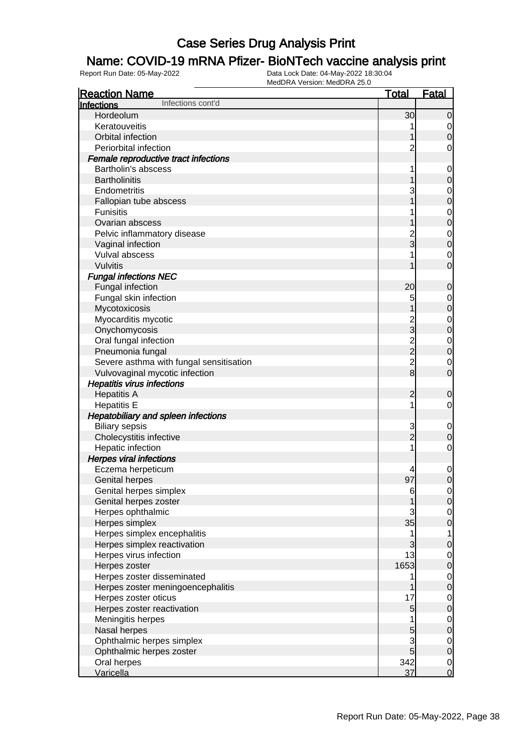### Name: COVID-19 mRNA Pfizer- BioNTech vaccine analysis print

| <b>Reaction Name</b>                       | <u>Total</u>   | <b>Fatal</b>                         |
|--------------------------------------------|----------------|--------------------------------------|
| Infections cont'd<br>Infections            |                |                                      |
| Hordeolum                                  | 30             | $\overline{0}$                       |
| Keratouveitis                              |                | $\overline{0}$                       |
| Orbital infection                          |                | $\overline{0}$                       |
| Periorbital infection                      | $\overline{2}$ | $\mathbf 0$                          |
| Female reproductive tract infections       |                |                                      |
| Bartholin's abscess                        | 1              | $\mathbf{0}$                         |
| <b>Bartholinitis</b>                       |                | $\overline{0}$                       |
| Endometritis                               | 3              |                                      |
| Fallopian tube abscess                     |                | $\begin{matrix}0\\0\end{matrix}$     |
| <b>Funisitis</b>                           |                |                                      |
| Ovarian abscess                            |                | $\begin{matrix}0\\0\end{matrix}$     |
| Pelvic inflammatory disease                | $\overline{c}$ |                                      |
| Vaginal infection                          | 3              | $\begin{matrix}0\\0\end{matrix}$     |
| Vulval abscess                             |                |                                      |
| <b>Vulvitis</b>                            |                | $\begin{matrix} 0 \\ 0 \end{matrix}$ |
| <b>Fungal infections NEC</b>               |                |                                      |
| Fungal infection                           | 20             | $\mathbf 0$                          |
| Fungal skin infection                      | 5              |                                      |
| Mycotoxicosis                              |                | $\begin{matrix}0\\0\end{matrix}$     |
| Myocarditis mycotic                        | $\overline{c}$ |                                      |
| Onychomycosis                              | $\frac{1}{3}$  | $\begin{matrix}0\\0\end{matrix}$     |
| Oral fungal infection                      |                |                                      |
| Pneumonia fungal                           | $\frac{2}{2}$  | $\begin{matrix}0\\0\end{matrix}$     |
|                                            | $\overline{2}$ |                                      |
| Severe asthma with fungal sensitisation    | $\overline{8}$ | $\begin{matrix} 0 \\ 0 \end{matrix}$ |
| Vulvovaginal mycotic infection             |                |                                      |
| <b>Hepatitis virus infections</b>          |                |                                      |
| <b>Hepatitis A</b>                         | 2              | 0                                    |
| <b>Hepatitis E</b>                         | 1              | $\mathbf 0$                          |
| <b>Hepatobiliary and spleen infections</b> |                |                                      |
| <b>Biliary sepsis</b>                      | 3              | $\mathbf{0}$                         |
| Cholecystitis infective                    | $\overline{2}$ | $\mathbf 0$                          |
| Hepatic infection                          | 1              | $\mathbf 0$                          |
| <b>Herpes viral infections</b>             |                |                                      |
| Eczema herpeticum                          |                | $\mathbf{0}$                         |
| <b>Genital herpes</b>                      | 97             | $\overline{0}$                       |
| Genital herpes simplex                     | 6              | $\overline{0}$                       |
| Genital herpes zoster                      |                | 0                                    |
| Herpes ophthalmic                          | 3              | $\overline{0}$                       |
| Herpes simplex                             | 35             | $\mathbf 0$                          |
| Herpes simplex encephalitis                | 1              | $\mathbf{1}$                         |
| Herpes simplex reactivation                | 3              | $\mathbf 0$                          |
| Herpes virus infection                     | 13             | $\overline{0}$                       |
| Herpes zoster                              | 1653           | $\pmb{0}$                            |
| Herpes zoster disseminated                 | 1              | $\overline{0}$                       |
| Herpes zoster meningoencephalitis          |                | $\pmb{0}$                            |
| Herpes zoster oticus                       | 17             | $\overline{0}$                       |
| Herpes zoster reactivation                 | 5              | $\boldsymbol{0}$                     |
| Meningitis herpes                          |                | $\overline{0}$                       |
| Nasal herpes                               | 5              | $\mathbf 0$                          |
| Ophthalmic herpes simplex                  | 3              | $\overline{0}$                       |
| Ophthalmic herpes zoster                   | 5              | $\mathbf 0$                          |
| Oral herpes                                | 342            | $\overline{0}$                       |
| Varicella                                  | 37             | $\overline{0}$                       |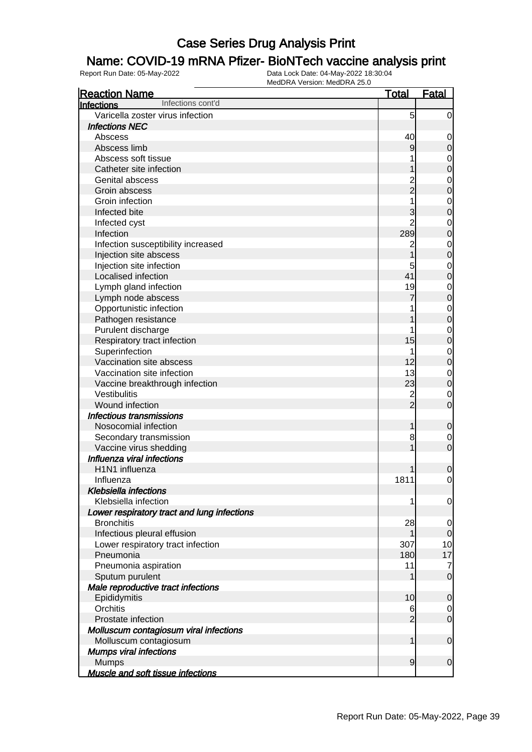### Name: COVID-19 mRNA Pfizer- BioNTech vaccine analysis print

| <b>Reaction Name</b>                        | <b>Total</b>   | <b>Fatal</b>   |
|---------------------------------------------|----------------|----------------|
| Infections cont'd<br>Infections             |                |                |
| Varicella zoster virus infection            | 5              | $\overline{0}$ |
| <b>Infections NEC</b>                       |                |                |
| Abscess                                     | 40             | 0              |
| Abscess limb                                | 9              | $\mathbf 0$    |
| Abscess soft tissue                         |                | $\mathbf 0$    |
| Catheter site infection                     |                | $\mathbf 0$    |
| <b>Genital abscess</b>                      |                | $\mathbf 0$    |
| Groin abscess                               | 2<br>2         | $\mathbf 0$    |
| Groin infection                             |                | $\mathbf 0$    |
| Infected bite                               | 3              | $\mathbf 0$    |
| Infected cyst                               | $\overline{2}$ | $\mathbf 0$    |
| Infection                                   | 289            | $\mathbf 0$    |
| Infection susceptibility increased          | 2              | $\mathbf 0$    |
| Injection site abscess                      |                | $\mathbf 0$    |
| Injection site infection                    | 5              | $\mathbf 0$    |
| Localised infection                         | 41             | $\mathbf 0$    |
| Lymph gland infection                       | 19             | $\mathbf 0$    |
| Lymph node abscess                          |                | $\mathbf 0$    |
| Opportunistic infection                     |                | $\mathbf 0$    |
| Pathogen resistance                         |                | $\mathbf 0$    |
| Purulent discharge                          |                | $\mathbf 0$    |
| Respiratory tract infection                 | 15             | $\mathbf 0$    |
| Superinfection                              |                | $\mathbf 0$    |
| Vaccination site abscess                    | 12             | $\mathbf 0$    |
| Vaccination site infection                  | 13             | $\mathbf 0$    |
| Vaccine breakthrough infection              | 23             | $\mathbf 0$    |
| Vestibulitis                                |                | $\mathbf 0$    |
| Wound infection                             | $\frac{2}{2}$  | $\overline{0}$ |
| <b>Infectious transmissions</b>             |                |                |
| Nosocomial infection                        | 1              | $\mathbf 0$    |
| Secondary transmission                      | 8              | 0              |
| Vaccine virus shedding                      |                | $\overline{0}$ |
| Influenza viral infections                  |                |                |
| H1N1 influenza                              |                | 0              |
| Influenza                                   | 1811           | 0              |
| <b>Klebsiella infections</b>                |                |                |
| Klebsiella infection                        | 1              | 0              |
| Lower respiratory tract and lung infections |                |                |
| <b>Bronchitis</b>                           | 28             | 0              |
| Infectious pleural effusion                 |                | $\overline{0}$ |
| Lower respiratory tract infection           | 307            | 10             |
| Pneumonia                                   | 180            | 17             |
| Pneumonia aspiration                        | 11             | 7              |
| Sputum purulent                             |                | $\mathbf 0$    |
| Male reproductive tract infections          |                |                |
| Epididymitis                                | 10             | $\mathbf 0$    |
| Orchitis                                    | 6              | 0              |
| Prostate infection                          | $\overline{2}$ | $\mathbf 0$    |
| Molluscum contagiosum viral infections      |                |                |
| Molluscum contagiosum                       | 1              | $\mathbf 0$    |
| <b>Mumps viral infections</b>               |                |                |
| <b>Mumps</b>                                | $\overline{9}$ | $\mathbf 0$    |
| <b>Muscle and soft tissue infections</b>    |                |                |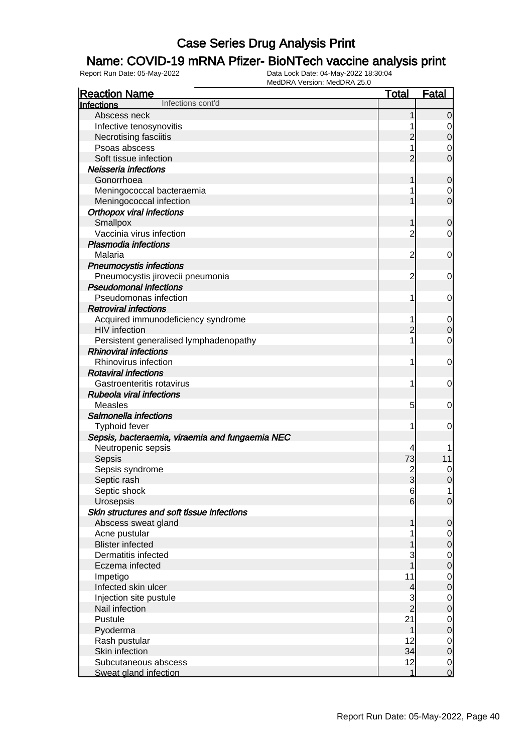### Name: COVID-19 mRNA Pfizer- BioNTech vaccine analysis print

| <b>Reaction Name</b>                            | <b>Total</b>   | <b>Fatal</b>     |
|-------------------------------------------------|----------------|------------------|
| Infections cont'd<br>Infections                 |                |                  |
| Abscess neck                                    |                | $\overline{0}$   |
| Infective tenosynovitis                         |                | 0                |
| Necrotising fasciitis                           | $\overline{c}$ | $\boldsymbol{0}$ |
| Psoas abscess                                   |                | $\mathbf 0$      |
| Soft tissue infection                           | 2              | $\overline{0}$   |
| Neisseria infections                            |                |                  |
| Gonorrhoea                                      | 1              | 0                |
| Meningococcal bacteraemia                       |                | 0                |
| Meningococcal infection                         |                | $\mathbf 0$      |
| <b>Orthopox viral infections</b>                |                |                  |
| Smallpox                                        | 1              | $\mathbf 0$      |
| Vaccinia virus infection                        | $\overline{c}$ | 0                |
| <b>Plasmodia infections</b>                     |                |                  |
| Malaria                                         | $\overline{c}$ | $\mathbf 0$      |
| <b>Pneumocystis infections</b>                  |                |                  |
| Pneumocystis jirovecii pneumonia                | $\overline{c}$ | 0                |
| <b>Pseudomonal infections</b>                   |                |                  |
| Pseudomonas infection                           | 1              | 0                |
| <b>Retroviral infections</b>                    |                |                  |
| Acquired immunodeficiency syndrome              |                | $\mathbf 0$      |
| <b>HIV</b> infection                            | $\overline{c}$ | $\mathbf 0$      |
| Persistent generalised lymphadenopathy          | 1              | $\mathbf 0$      |
| <b>Rhinoviral infections</b>                    |                |                  |
| Rhinovirus infection                            | 1              | $\mathbf 0$      |
| <b>Rotaviral infections</b>                     |                |                  |
| Gastroenteritis rotavirus                       | 1              | 0                |
| <b>Rubeola viral infections</b>                 |                |                  |
| <b>Measles</b>                                  | 5              | 0                |
| Salmonella infections                           |                |                  |
| Typhoid fever                                   | 1              | 0                |
| Sepsis, bacteraemia, viraemia and fungaemia NEC |                |                  |
| Neutropenic sepsis                              |                |                  |
| Sepsis                                          | 73             | 11               |
| Sepsis syndrome                                 |                | 0                |
| Septic rash                                     | $\frac{2}{3}$  | $\boldsymbol{0}$ |
| Septic shock                                    | 6              | 1                |
| Urosepsis                                       | 6              | $\overline{0}$   |
| Skin structures and soft tissue infections      |                |                  |
| Abscess sweat gland                             | 1              | $\mathbf 0$      |
| Acne pustular                                   |                | $\overline{0}$   |
| <b>Blister infected</b>                         |                | $\mathbf 0$      |
| Dermatitis infected                             | 3              | $\overline{0}$   |
| Eczema infected                                 |                | $\boldsymbol{0}$ |
| Impetigo                                        | 11             | $\overline{0}$   |
| Infected skin ulcer                             | 4              | $\mathbf 0$      |
| Injection site pustule                          |                | $\overline{0}$   |
| Nail infection                                  | $\frac{3}{2}$  | $\boldsymbol{0}$ |
| Pustule                                         | 21             | $\mathbf 0$      |
| Pyoderma                                        | 1              | $\mathbf 0$      |
| Rash pustular                                   | 12             | $\overline{0}$   |
| Skin infection                                  | 34             | $\mathbf 0$      |
| Subcutaneous abscess                            | 12             | $\overline{0}$   |
| Sweat gland infection                           | 1              | $\overline{0}$   |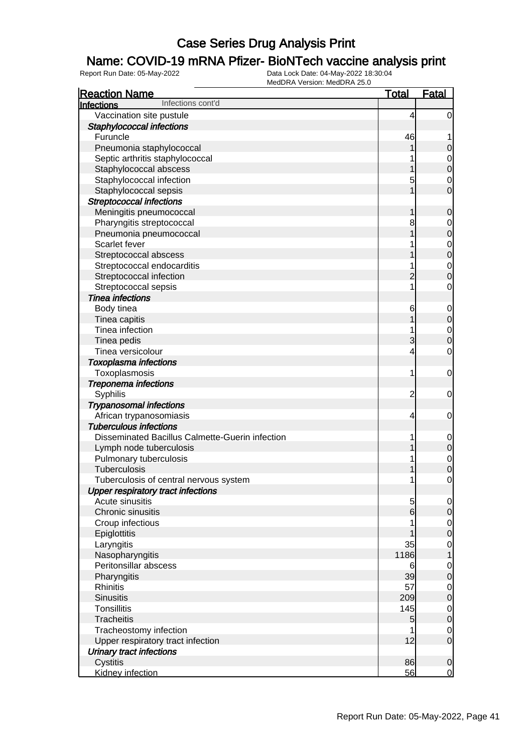### Name: COVID-19 mRNA Pfizer- BioNTech vaccine analysis print

| <b>Reaction Name</b>                                         | <b>Total</b>   | <b>Fatal</b>     |
|--------------------------------------------------------------|----------------|------------------|
| Infections cont'd<br>Infections                              |                |                  |
| Vaccination site pustule                                     | 4              | $\overline{0}$   |
| Staphylococcal infections                                    |                |                  |
| Furuncle                                                     | 46             | 1                |
| Pneumonia staphylococcal                                     |                | 0                |
| Septic arthritis staphylococcal                              |                | 0                |
| Staphylococcal abscess                                       |                | $\mathbf 0$      |
| Staphylococcal infection                                     | 5              | 0                |
| Staphylococcal sepsis                                        |                | 0                |
| <b>Streptococcal infections</b>                              |                |                  |
| Meningitis pneumococcal                                      | 1              | 0                |
| Pharyngitis streptococcal                                    | 8              | 0                |
| Pneumonia pneumococcal                                       |                | $\mathbf 0$      |
| Scarlet fever                                                |                | $\mathbf 0$      |
| Streptococcal abscess                                        |                | $\mathbf 0$      |
| Streptococcal endocarditis                                   |                | $\mathbf 0$      |
| Streptococcal infection                                      | 2              | 0                |
| Streptococcal sepsis                                         |                | 0                |
| <b>Tinea infections</b>                                      |                |                  |
| Body tinea                                                   | 6              | $\mathbf 0$      |
| Tinea capitis                                                |                | $\mathbf 0$      |
| Tinea infection                                              |                | $\mathbf 0$      |
| Tinea pedis                                                  | 3              | $\mathbf 0$      |
| Tinea versicolour                                            | 4              | $\mathbf 0$      |
| <b>Toxoplasma infections</b>                                 |                |                  |
| Toxoplasmosis                                                | 1              | $\mathbf 0$      |
|                                                              |                |                  |
| Treponema infections<br>Syphilis                             | $\overline{c}$ | $\mathbf 0$      |
|                                                              |                |                  |
| <b>Trypanosomal infections</b>                               |                |                  |
| African trypanosomiasis<br><b>Tuberculous infections</b>     | 4              | $\mathbf 0$      |
| Disseminated Bacillus Calmette-Guerin infection              |                |                  |
|                                                              |                | $\mathbf 0$      |
| Lymph node tuberculosis                                      |                | $\mathbf 0$      |
| Pulmonary tuberculosis<br><b>Tuberculosis</b>                |                | $\mathbf 0$      |
|                                                              |                | $\mathbf 0$      |
| Tuberculosis of central nervous system                       | 1              | 0                |
| <b>Upper respiratory tract infections</b><br>Acute sinusitis |                |                  |
|                                                              | 5              | $\overline{0}$   |
| Chronic sinusitis                                            | 6              | $\mathbf 0$      |
| Croup infectious                                             |                | $\overline{0}$   |
| Epiglottitis                                                 |                | $\mathbf 0$      |
| Laryngitis                                                   | 35             | $\mathbf 0$      |
| Nasopharyngitis                                              | 1186           | 1                |
| Peritonsillar abscess                                        | 6              | $\mathbf 0$      |
| Pharyngitis                                                  | 39             | $\boldsymbol{0}$ |
| <b>Rhinitis</b>                                              | 57             | $\mathbf 0$      |
| <b>Sinusitis</b>                                             | 209            | $\mathbf 0$      |
| <b>Tonsillitis</b>                                           | 145            | $\mathbf 0$      |
| <b>Tracheitis</b>                                            | 5              | $\boldsymbol{0}$ |
| Tracheostomy infection                                       |                | $\mathbf 0$      |
| Upper respiratory tract infection                            | 12             | $\mathbf 0$      |
| <b>Urinary tract infections</b>                              |                |                  |
| Cystitis                                                     | 86             | $\mathbf 0$      |
| Kidney infection                                             | 56             | $\mathbf 0$      |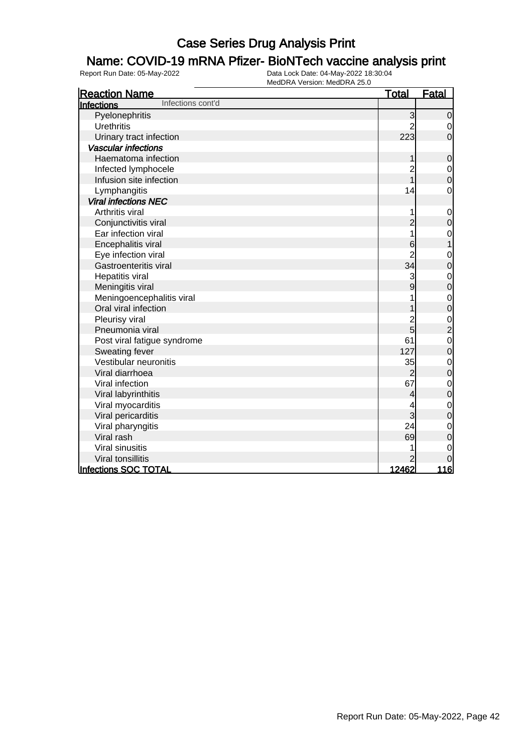### Name: COVID-19 mRNA Pfizer- BioNTech vaccine analysis print

| <b>Reaction Name</b>            | <u>Total</u>   | Fatal                                           |
|---------------------------------|----------------|-------------------------------------------------|
| Infections cont'd<br>Infections |                |                                                 |
| Pyelonephritis                  | 3              | $\mathbf 0$                                     |
| <b>Urethritis</b>               |                | $\mathbf 0$                                     |
| Urinary tract infection         | 223            | $\overline{0}$                                  |
| <b>Vascular infections</b>      |                |                                                 |
| Haematoma infection             | 1              | $\mathbf 0$                                     |
| Infected lymphocele             | 2<br>1         | $\begin{matrix}0\\0\end{matrix}$                |
| Infusion site infection         |                |                                                 |
| Lymphangitis                    | 14             | $\mathbf 0$                                     |
| <b>Viral infections NEC</b>     |                |                                                 |
| Arthritis viral                 | 1              | $\mathbf 0$                                     |
| Conjunctivitis viral            | $\overline{c}$ | $\mathbf 0$                                     |
| Ear infection viral             | 1              | $\mathbf 0$                                     |
| Encephalitis viral              | 6              | $\mathbf 1$                                     |
| Eye infection viral             | $\overline{c}$ | $\mathbf 0$                                     |
| Gastroenteritis viral           | 34             | $\overline{0}$                                  |
| Hepatitis viral                 | 3              | $\mathbf 0$                                     |
| Meningitis viral                | 9              | $\mathbf 0$                                     |
| Meningoencephalitis viral       |                | $\mathbf{0}$                                    |
| Oral viral infection            |                | $\overline{0}$                                  |
| Pleurisy viral                  |                |                                                 |
| Pneumonia viral                 | 2<br>5         | $\begin{array}{c} 0 \\ 2 \\ 0 \\ 0 \end{array}$ |
| Post viral fatigue syndrome     | 61             |                                                 |
| Sweating fever                  | 127            |                                                 |
| Vestibular neuronitis           | 35             |                                                 |
| Viral diarrhoea                 | $\overline{c}$ | $\begin{matrix}0\\0\end{matrix}$                |
| Viral infection                 | 67             | $\mathbf 0$                                     |
| Viral labyrinthitis             | 4              | $\overline{0}$                                  |
| Viral myocarditis               | 4              | $\mathbf 0$                                     |
| Viral pericarditis              | 3              | $\overline{0}$                                  |
| Viral pharyngitis               | 24             | $\mathbf 0$                                     |
| Viral rash                      | 69             | $\mathbf 0$                                     |
| Viral sinusitis                 |                | $\mathbf 0$                                     |
| Viral tonsillitis               | $\overline{2}$ | $\overline{0}$                                  |
| <b>Infections SOC TOTAL</b>     | 12462          | <u> 116</u>                                     |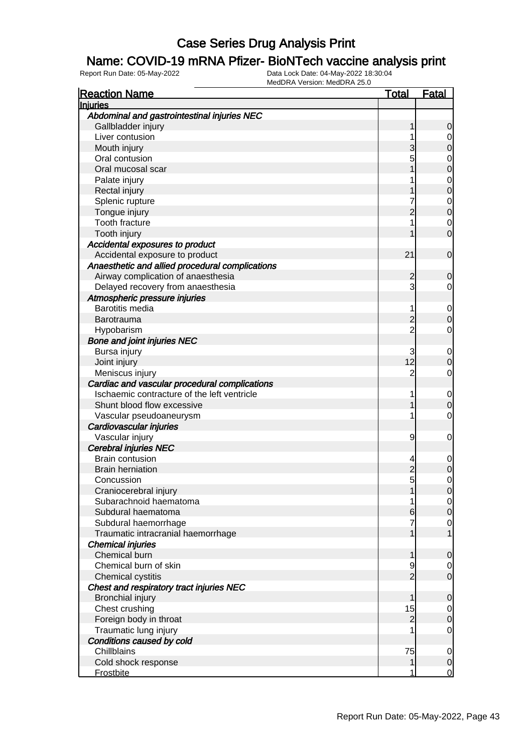#### Name: COVID-19 mRNA Pfizer- BioNTech vaccine analysis print

| <b>Reaction Name</b>                            | <u>Total</u>   | <b>Fatal</b>     |
|-------------------------------------------------|----------------|------------------|
| <b>Injuries</b>                                 |                |                  |
| Abdominal and gastrointestinal injuries NEC     |                |                  |
| Gallbladder injury                              | 1              | 0                |
| Liver contusion                                 |                | 0                |
| Mouth injury                                    | 3              | 0                |
| Oral contusion                                  | 5              | 0                |
| Oral mucosal scar                               |                | 0                |
| Palate injury                                   |                | $\mathbf 0$      |
| Rectal injury                                   |                | 0                |
| Splenic rupture                                 |                | $\mathbf 0$      |
| Tongue injury                                   | 2              | $\mathbf 0$      |
| Tooth fracture                                  |                | $\mathbf 0$      |
| Tooth injury                                    |                | 0                |
| Accidental exposures to product                 |                |                  |
| Accidental exposure to product                  | 21             | $\mathbf 0$      |
| Anaesthetic and allied procedural complications |                |                  |
| Airway complication of anaesthesia              | 2              | 0                |
| Delayed recovery from anaesthesia               | 3              | 0                |
| Atmospheric pressure injuries                   |                |                  |
| <b>Barotitis media</b>                          | 1              | $\mathbf 0$      |
| Barotrauma                                      | 2              | 0                |
| Hypobarism                                      | $\overline{2}$ | $\mathbf 0$      |
| <b>Bone and joint injuries NEC</b>              |                |                  |
| Bursa injury                                    | 3              | $\mathbf 0$      |
| Joint injury                                    | 12             | 0                |
| Meniscus injury                                 | $\overline{2}$ | $\mathbf 0$      |
| Cardiac and vascular procedural complications   |                |                  |
| Ischaemic contracture of the left ventricle     | 1              | $\mathbf 0$      |
| Shunt blood flow excessive                      |                | 0                |
| Vascular pseudoaneurysm                         | 1              | $\mathbf 0$      |
| Cardiovascular injuries                         |                |                  |
| Vascular injury                                 | 9              | 0                |
| <b>Cerebral injuries NEC</b>                    |                |                  |
| <b>Brain contusion</b>                          | 4              | 0                |
| <b>Brain herniation</b>                         | $\overline{c}$ | 0                |
| Concussion                                      | 5              | 0                |
| Craniocerebral injury                           | 1              | $\overline{0}$   |
| Subarachnoid haematoma                          |                | $\overline{0}$   |
| Subdural haematoma                              | 6              | $\boldsymbol{0}$ |
| Subdural haemorrhage                            |                | $\mathbf 0$      |
| Traumatic intracranial haemorrhage              |                | 1                |
| <b>Chemical injuries</b>                        |                |                  |
| Chemical burn                                   | 1              | 0                |
| Chemical burn of skin                           | 9              | $\overline{0}$   |
| Chemical cystitis                               | $\overline{2}$ | $\mathbf 0$      |
| Chest and respiratory tract injuries NEC        |                |                  |
| <b>Bronchial injury</b>                         | 1              | 0                |
| Chest crushing                                  | 15             | $\overline{0}$   |
| Foreign body in throat                          | $\overline{2}$ | $\mathbf 0$      |
| Traumatic lung injury                           |                | $\mathbf 0$      |
| Conditions caused by cold                       |                |                  |
| Chillblains                                     | 75             | $\overline{0}$   |
| Cold shock response                             | 1              | $\mathbf 0$      |
| <b>Frostbite</b>                                | 1              | $\overline{0}$   |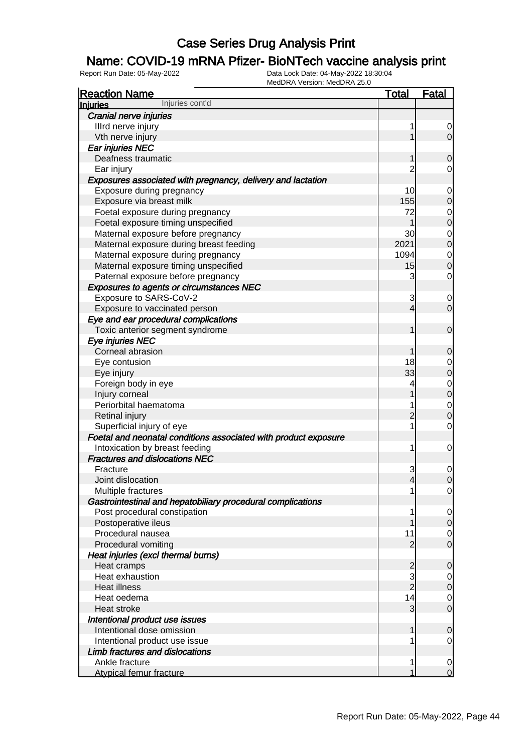### Name: COVID-19 mRNA Pfizer- BioNTech vaccine analysis print

| <b>Reaction Name</b>                                            | <u>Total</u>   | <b>Fatal</b>     |
|-----------------------------------------------------------------|----------------|------------------|
| Injuries cont'd<br><b>Injuries</b>                              |                |                  |
| Cranial nerve injuries                                          |                |                  |
| Illrd nerve injury                                              | 1              | $\overline{0}$   |
| Vth nerve injury                                                |                | $\overline{0}$   |
| Ear injuries NEC                                                |                |                  |
| Deafness traumatic                                              |                | 0                |
| Ear injury                                                      | 2              | 0                |
| Exposures associated with pregnancy, delivery and lactation     |                |                  |
| Exposure during pregnancy                                       | 10             | 0                |
| Exposure via breast milk                                        | 155            | 0                |
| Foetal exposure during pregnancy                                | 72             | 0                |
| Foetal exposure timing unspecified                              |                | 0                |
| Maternal exposure before pregnancy                              | 30             | 0                |
| Maternal exposure during breast feeding                         | 2021           | 0                |
| Maternal exposure during pregnancy                              | 1094           | 0                |
| Maternal exposure timing unspecified                            | 15             | 0                |
| Paternal exposure before pregnancy                              | 3              | 0                |
| <b>Exposures to agents or circumstances NEC</b>                 |                |                  |
| Exposure to SARS-CoV-2                                          | 3              | 0                |
| Exposure to vaccinated person                                   | 4              | $\mathbf 0$      |
| Eye and ear procedural complications                            |                |                  |
| Toxic anterior segment syndrome                                 | 1              | 0                |
| Eye injuries NEC                                                |                |                  |
| Corneal abrasion                                                |                |                  |
|                                                                 | 18             | 0                |
| Eye contusion                                                   |                | 0                |
| Eye injury                                                      | 33             | 0                |
| Foreign body in eye                                             | 4              | $\mathbf 0$      |
| Injury corneal                                                  |                | $\mathbf 0$      |
| Periorbital haematoma                                           | 1              | 0                |
| Retinal injury                                                  | 2              | 0                |
| Superficial injury of eye                                       | 1              | 0                |
| Foetal and neonatal conditions associated with product exposure |                |                  |
| Intoxication by breast feeding                                  | 1              | 0                |
| <b>Fractures and dislocations NEC</b>                           |                |                  |
| Fracture                                                        | 3              | $\mathbf 0$      |
| Joint dislocation                                               | 4              | 0                |
| Multiple fractures                                              | 1              | 0                |
| Gastrointestinal and hepatobiliary procedural complications     |                |                  |
| Post procedural constipation                                    | 1              | $\overline{0}$   |
| Postoperative ileus                                             |                | $\mathbf 0$      |
| Procedural nausea                                               | 11             | $\overline{0}$   |
| Procedural vomiting                                             | $\overline{2}$ | $\mathbf 0$      |
| Heat injuries (excl thermal burns)                              |                |                  |
| Heat cramps                                                     | $\overline{c}$ | 0                |
| Heat exhaustion                                                 | 3              | $\overline{0}$   |
| <b>Heat illness</b>                                             | $\frac{1}{2}$  | $\mathbf 0$      |
| Heat oedema                                                     | 14             | $\overline{0}$   |
| Heat stroke                                                     | 3              | $\boldsymbol{0}$ |
| Intentional product use issues                                  |                |                  |
| Intentional dose omission                                       | 1              | 0                |
| Intentional product use issue                                   | 1              | 0                |
| Limb fractures and dislocations                                 |                |                  |
| Ankle fracture                                                  | 1              | $\mathbf 0$      |
| <b>Atypical femur fracture</b>                                  | 1              | $\mathbf 0$      |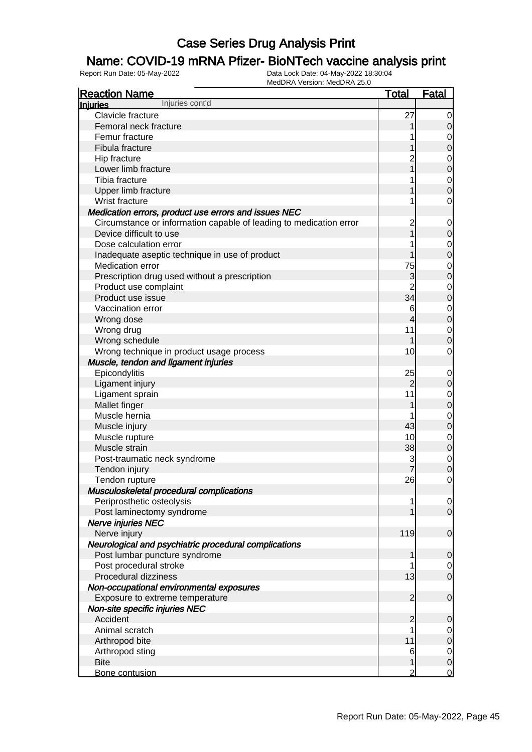### Name: COVID-19 mRNA Pfizer- BioNTech vaccine analysis print

| <b>Reaction Name</b>                                               | <b>Total</b>   | <b>Fatal</b>     |
|--------------------------------------------------------------------|----------------|------------------|
| Injuries cont'd<br><b>Injuries</b>                                 |                |                  |
| Clavicle fracture                                                  | 27             | $\overline{0}$   |
| Femoral neck fracture                                              |                | 0                |
| Femur fracture                                                     |                | $\mathbf 0$      |
| Fibula fracture                                                    |                | $\mathbf 0$      |
| Hip fracture                                                       |                | $\mathbf 0$      |
| Lower limb fracture                                                |                | $\overline{0}$   |
| Tibia fracture                                                     |                | $\mathbf 0$      |
| Upper limb fracture                                                |                | $\overline{0}$   |
| Wrist fracture                                                     |                | $\mathbf 0$      |
| Medication errors, product use errors and issues NEC               |                |                  |
| Circumstance or information capable of leading to medication error | 2              | $\mathbf 0$      |
| Device difficult to use                                            |                | $\mathbf 0$      |
| Dose calculation error                                             |                | $\mathbf 0$      |
| Inadequate aseptic technique in use of product                     |                | $\overline{0}$   |
| Medication error                                                   | 75             | $\mathbf 0$      |
| Prescription drug used without a prescription                      | 3              | $\overline{0}$   |
| Product use complaint                                              |                | $\mathbf 0$      |
| Product use issue                                                  | 34             | $\overline{0}$   |
| Vaccination error                                                  | 6              | $\mathbf 0$      |
| Wrong dose                                                         | 4              | $\overline{0}$   |
| Wrong drug                                                         | 11             | $\mathbf 0$      |
| Wrong schedule                                                     |                | 0                |
| Wrong technique in product usage process                           | 10             | 0                |
| Muscle, tendon and ligament injuries                               |                |                  |
| Epicondylitis                                                      | 25             | $\mathbf 0$      |
| Ligament injury                                                    | 2              | $\mathbf 0$      |
| Ligament sprain                                                    | 11             | $\mathbf{0}$     |
| Mallet finger                                                      |                | $\overline{0}$   |
| Muscle hernia                                                      |                | $\mathbf 0$      |
| Muscle injury                                                      | 43             | $\overline{0}$   |
| Muscle rupture                                                     | 10             | $\mathbf 0$      |
| Muscle strain                                                      | 38             | $\overline{0}$   |
| Post-traumatic neck syndrome                                       | 3              | $\mathbf{0}$     |
| Tendon injury                                                      | 7              | $\overline{0}$   |
| Tendon rupture                                                     | 26             | $\mathbf{0}$     |
| Musculoskeletal procedural complications                           |                |                  |
| Periprosthetic osteolysis                                          | 1              | $\overline{0}$   |
| Post laminectomy syndrome                                          |                | $\overline{0}$   |
| Nerve injuries NEC                                                 |                |                  |
| Nerve injury                                                       | 119            | $\mathbf 0$      |
| Neurological and psychiatric procedural complications              |                |                  |
| Post lumbar puncture syndrome                                      |                | 0                |
| Post procedural stroke                                             |                | $\overline{0}$   |
| Procedural dizziness                                               | 13             | $\mathbf 0$      |
| Non-occupational environmental exposures                           |                |                  |
| Exposure to extreme temperature                                    | 2              | $\mathbf 0$      |
| Non-site specific injuries NEC                                     |                |                  |
| Accident                                                           | 2              | $\mathbf 0$      |
| Animal scratch                                                     | 1              | $\overline{0}$   |
| Arthropod bite                                                     | 11             | $\boldsymbol{0}$ |
| Arthropod sting                                                    | 6              | $\mathbf 0$      |
| <b>Bite</b>                                                        |                | $\pmb{0}$        |
| Bone contusion                                                     | $\overline{2}$ | $\mathbf 0$      |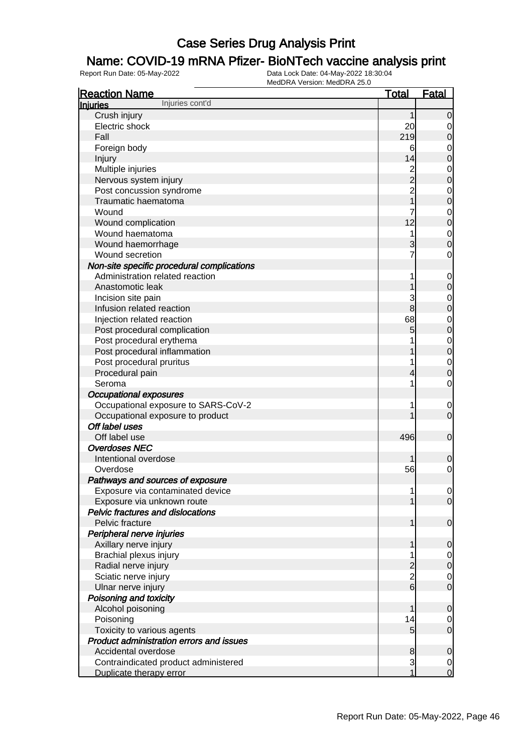### Name: COVID-19 mRNA Pfizer- BioNTech vaccine analysis print

| <b>Reaction Name</b>                            | <b>Total</b>    | <b>Fatal</b>   |
|-------------------------------------------------|-----------------|----------------|
| Injuries cont'd<br><b>Injuries</b>              |                 |                |
| Crush injury                                    | 1               | $\overline{0}$ |
| Electric shock                                  | 20              | 0              |
| Fall                                            | 219             | $\mathbf 0$    |
| Foreign body                                    | 6               | 0              |
| Injury                                          | 14              | 0              |
| Multiple injuries                               | $\overline{c}$  | $\mathbf 0$    |
| Nervous system injury                           | $\frac{1}{2}$   | $\mathbf 0$    |
| Post concussion syndrome                        | $\overline{2}$  | $\mathbf 0$    |
| Traumatic haematoma                             |                 | $\mathbf 0$    |
| Wound                                           |                 | $\mathbf 0$    |
| Wound complication                              | 12              | $\mathbf 0$    |
| Wound haematoma                                 | 1               | $\mathbf 0$    |
| Wound haemorrhage                               | 3               | 0              |
| Wound secretion                                 |                 | $\mathbf 0$    |
| Non-site specific procedural complications      |                 |                |
| Administration related reaction                 | 1               | $\mathbf 0$    |
| Anastomotic leak                                |                 | $\mathbf 0$    |
| Incision site pain                              | 3               | $\mathbf 0$    |
| Infusion related reaction                       | 8               | $\mathbf 0$    |
| Injection related reaction                      | 68              | $\mathbf 0$    |
| Post procedural complication                    | 5               | $\mathbf 0$    |
| Post procedural erythema                        |                 | $\mathbf{0}$   |
| Post procedural inflammation                    |                 | $\mathbf 0$    |
| Post procedural pruritus                        |                 | $\mathbf 0$    |
| Procedural pain                                 |                 | 0              |
| Seroma                                          | 1               | $\mathbf 0$    |
| <b>Occupational exposures</b>                   |                 |                |
| Occupational exposure to SARS-CoV-2             | 1               | $\mathbf 0$    |
| Occupational exposure to product                |                 | $\mathbf 0$    |
| Off label uses                                  |                 |                |
| Off label use                                   | 496             | $\mathbf 0$    |
| <b>Overdoses NEC</b>                            |                 |                |
| Intentional overdose                            |                 | 0              |
| Overdose                                        | 56              | 0              |
| Pathways and sources of exposure                |                 |                |
| Exposure via contaminated device                | 1               | $\overline{0}$ |
| Exposure via unknown route                      |                 | $\overline{0}$ |
| <b>Pelvic fractures and dislocations</b>        |                 |                |
| Pelvic fracture                                 | 1               | $\mathbf 0$    |
| Peripheral nerve injuries                       |                 |                |
| Axillary nerve injury                           | 1               | 0              |
| <b>Brachial plexus injury</b>                   |                 | 0              |
| Radial nerve injury                             |                 | $\mathbf 0$    |
| Sciatic nerve injury                            | $\frac{2}{2}$   | 0              |
| Ulnar nerve injury                              | $\overline{6}$  | $\mathbf 0$    |
| Poisoning and toxicity                          |                 |                |
| Alcohol poisoning                               | 1               | 0              |
| Poisoning                                       | 14              | 0              |
| Toxicity to various agents                      | $5\overline{)}$ | $\mathbf 0$    |
| <b>Product administration errors and issues</b> |                 |                |
| Accidental overdose                             | 8               | 0              |
| Contraindicated product administered            | $\mathbf{3}$    | 0              |
| Duplicate therapy error                         | 1               | $\overline{0}$ |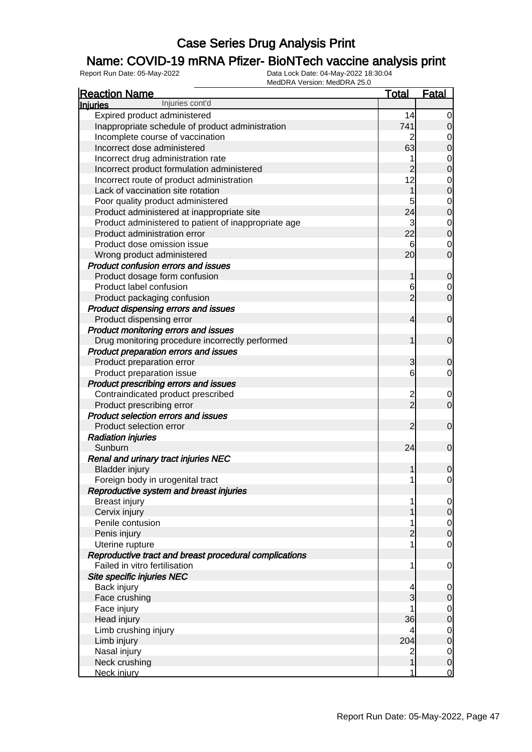### Name: COVID-19 mRNA Pfizer- BioNTech vaccine analysis print

| <b>Reaction Name</b>                                   | <b>Total</b>   | <b>Fatal</b>                         |
|--------------------------------------------------------|----------------|--------------------------------------|
| Injuries cont'd<br><b>Injuries</b>                     |                |                                      |
| Expired product administered                           | 14             | $\overline{0}$                       |
| Inappropriate schedule of product administration       | 741            | $\overline{0}$                       |
| Incomplete course of vaccination                       | 2              | 0                                    |
| Incorrect dose administered                            | 63             | $\mathbf 0$                          |
| Incorrect drug administration rate                     |                | $\mathbf 0$                          |
| Incorrect product formulation administered             | $\overline{2}$ | $\overline{0}$                       |
| Incorrect route of product administration              | 12             | $\mathbf 0$                          |
| Lack of vaccination site rotation                      | 1              | $\overline{0}$                       |
| Poor quality product administered                      |                | $\overline{0}$                       |
| Product administered at inappropriate site             | 24             | $\overline{0}$                       |
| Product administered to patient of inappropriate age   | 3              | $\overline{0}$                       |
| Product administration error                           | 22             | $\mathbf 0$                          |
| Product dose omission issue                            | 6              | $\mathbf 0$                          |
| Wrong product administered                             | 20             | $\mathbf 0$                          |
| <b>Product confusion errors and issues</b>             |                |                                      |
| Product dosage form confusion                          | 1              | $\mathbf 0$                          |
| Product label confusion                                | 6              | 0                                    |
| Product packaging confusion                            | $\overline{2}$ | $\overline{O}$                       |
| Product dispensing errors and issues                   |                |                                      |
| Product dispensing error                               | 4              | $\mathbf 0$                          |
| Product monitoring errors and issues                   |                |                                      |
| Drug monitoring procedure incorrectly performed        |                | $\mathbf 0$                          |
| Product preparation errors and issues                  |                |                                      |
| Product preparation error                              | 3              | $\mathbf 0$                          |
| Product preparation issue                              | 6              | $\overline{0}$                       |
| Product prescribing errors and issues                  |                |                                      |
| Contraindicated product prescribed                     |                | 0                                    |
| Product prescribing error                              | $\frac{2}{2}$  | $\overline{0}$                       |
| Product selection errors and issues                    |                |                                      |
| Product selection error                                | $\overline{2}$ | $\mathbf 0$                          |
| <b>Radiation injuries</b>                              |                |                                      |
| Sunburn                                                | 24             | $\mathbf 0$                          |
| Renal and urinary tract injuries NEC                   |                |                                      |
| <b>Bladder injury</b>                                  |                | $\mathbf 0$                          |
| Foreign body in urogenital tract                       | 1              | $\mathbf 0$                          |
| Reproductive system and breast injuries                |                |                                      |
| <b>Breast injury</b>                                   | 1              | $\overline{0}$                       |
| Cervix injury                                          |                | $\mathbf 0$                          |
| Penile contusion                                       |                |                                      |
| Penis injury                                           | $\overline{2}$ | $\begin{matrix} 0 \\ 0 \end{matrix}$ |
| Uterine rupture                                        |                | $\overline{0}$                       |
| Reproductive tract and breast procedural complications |                |                                      |
| Failed in vitro fertilisation                          | 1              | $\mathbf 0$                          |
| Site specific injuries NEC                             |                |                                      |
| Back injury                                            | 4              | $\overline{0}$                       |
| Face crushing                                          | 3              | $\pmb{0}$                            |
| Face injury                                            |                | $\overline{0}$                       |
| Head injury                                            | 36             | $\overline{0}$                       |
| Limb crushing injury                                   | 4              | $\overline{0}$                       |
| Limb injury                                            | 204            | $\overline{0}$                       |
| Nasal injury                                           | $\overline{c}$ | $\overline{0}$                       |
| Neck crushing                                          | 1              | $\overline{0}$                       |
| Neck injury                                            | 1              | $\overline{0}$                       |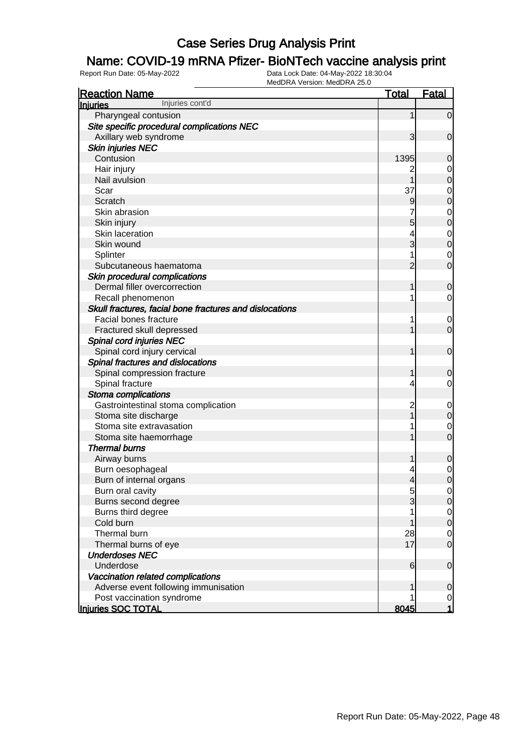### Name: COVID-19 mRNA Pfizer- BioNTech vaccine analysis print

| <b>Reaction Name</b>                                    | <b>Total</b>             | <b>Fatal</b>     |
|---------------------------------------------------------|--------------------------|------------------|
| Injuries cont'd<br><b>Injuries</b>                      |                          |                  |
| Pharyngeal contusion                                    | 1                        | $\overline{0}$   |
| Site specific procedural complications NEC              |                          |                  |
| Axillary web syndrome                                   | 3                        | $\mathbf 0$      |
| <b>Skin injuries NEC</b>                                |                          |                  |
| Contusion                                               | 1395                     | 0                |
| Hair injury                                             | 2                        | 0                |
| Nail avulsion                                           | 1                        | $\mathbf 0$      |
| Scar                                                    | 37                       | $\mathbf 0$      |
| Scratch                                                 | 9                        | $\boldsymbol{0}$ |
| Skin abrasion                                           | 7                        | $\mathbf 0$      |
| Skin injury                                             | 5                        | $\boldsymbol{0}$ |
| Skin laceration                                         | 4                        | $\mathbf 0$      |
| Skin wound                                              | 3                        | $\boldsymbol{0}$ |
| Splinter                                                |                          | 0                |
| Subcutaneous haematoma                                  | $\overline{2}$           | $\mathbf 0$      |
| Skin procedural complications                           |                          |                  |
| Dermal filler overcorrection                            | 1                        | $\mathbf 0$      |
| Recall phenomenon                                       |                          | 0                |
| Skull fractures, facial bone fractures and dislocations |                          |                  |
| Facial bones fracture                                   |                          | 0                |
| Fractured skull depressed                               |                          | $\mathbf 0$      |
| Spinal cord injuries NEC                                |                          |                  |
| Spinal cord injury cervical                             |                          | $\mathbf 0$      |
| Spinal fractures and dislocations                       |                          |                  |
| Spinal compression fracture                             | 1                        | 0                |
| Spinal fracture                                         | 4                        | 0                |
| Stoma complications                                     |                          |                  |
| Gastrointestinal stoma complication                     | $\overline{c}$           | $\mathbf 0$      |
| Stoma site discharge                                    |                          | $\mathbf 0$      |
| Stoma site extravasation                                |                          | 0                |
| Stoma site haemorrhage                                  |                          | $\overline{0}$   |
| <b>Thermal burns</b>                                    |                          |                  |
| Airway burns                                            | 1                        | $\mathbf 0$      |
| Burn oesophageal                                        |                          | $\mathbf 0$      |
| Burn of internal organs                                 | $\overline{\mathcal{L}}$ | $\mathbf 0$      |
| Burn oral cavity                                        | 5                        | $\overline{0}$   |
| Burns second degree                                     | 3                        | $\mathbf 0$      |
| Burns third degree                                      |                          | $\overline{0}$   |
| Cold burn                                               |                          | $\mathbf 0$      |
| Thermal burn                                            | 28                       | $\overline{0}$   |
| Thermal burns of eye                                    | 17                       | $\mathbf 0$      |
| <b>Underdoses NEC</b>                                   |                          |                  |
| Underdose                                               | 6                        | $\mathbf 0$      |
| Vaccination related complications                       |                          |                  |
| Adverse event following immunisation                    |                          | $\mathbf 0$      |
| Post vaccination syndrome                               |                          | $\overline{0}$   |
| Injuries SOC TOTAL                                      | 8045                     | 1                |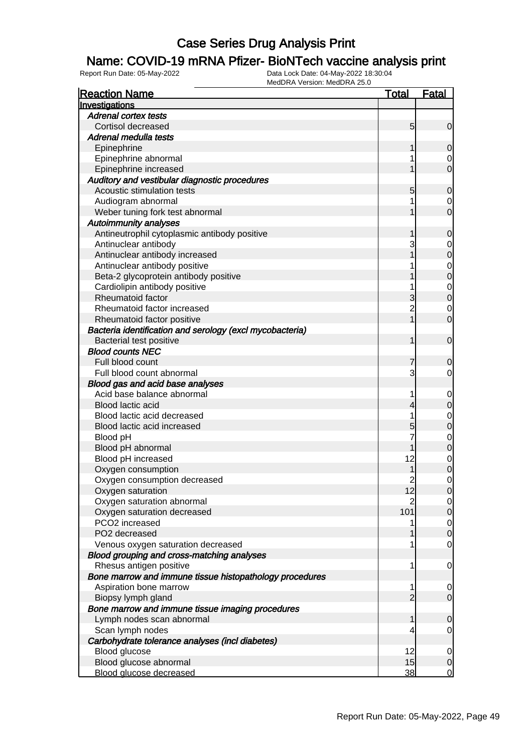### Name: COVID-19 mRNA Pfizer- BioNTech vaccine analysis print

| <b>Reaction Name</b>                                     | <b>Total</b>    | <b>Fatal</b>                     |
|----------------------------------------------------------|-----------------|----------------------------------|
| Investigations                                           |                 |                                  |
| <b>Adrenal cortex tests</b>                              |                 |                                  |
| Cortisol decreased                                       | $5\overline{)}$ | $\overline{0}$                   |
| Adrenal medulla tests                                    |                 |                                  |
| Epinephrine                                              |                 | 0                                |
| Epinephrine abnormal                                     |                 | 0                                |
| Epinephrine increased                                    |                 | $\overline{0}$                   |
| Auditory and vestibular diagnostic procedures            |                 |                                  |
| Acoustic stimulation tests                               | 5               | $\mathbf 0$                      |
| Audiogram abnormal                                       |                 | $\mathbf 0$                      |
| Weber tuning fork test abnormal                          |                 | $\overline{0}$                   |
| <b>Autoimmunity analyses</b>                             |                 |                                  |
| Antineutrophil cytoplasmic antibody positive             |                 | $\mathbf 0$                      |
| Antinuclear antibody                                     | 3               | $\mathbf{0}$                     |
| Antinuclear antibody increased                           |                 | $\overline{0}$                   |
| Antinuclear antibody positive                            |                 | $\begin{matrix}0\\0\end{matrix}$ |
| Beta-2 glycoprotein antibody positive                    |                 |                                  |
| Cardiolipin antibody positive                            |                 | $\begin{matrix}0\\0\end{matrix}$ |
| Rheumatoid factor                                        | 3               |                                  |
| Rheumatoid factor increased                              | $\overline{2}$  | $\mathbf 0$                      |
| Rheumatoid factor positive                               |                 | $\overline{0}$                   |
| Bacteria identification and serology (excl mycobacteria) |                 |                                  |
| Bacterial test positive                                  | 1               | $\mathbf 0$                      |
| <b>Blood counts NEC</b>                                  |                 |                                  |
| Full blood count                                         | 7               | 0                                |
| Full blood count abnormal                                | 3               | $\mathbf 0$                      |
| Blood gas and acid base analyses                         |                 |                                  |
| Acid base balance abnormal                               | 1               | $\mathbf{0}$                     |
| Blood lactic acid                                        | 4               | $\mathbf 0$                      |
| Blood lactic acid decreased                              |                 | $\mathbf{0}$                     |
| Blood lactic acid increased                              | 5               | $\overline{0}$                   |
| Blood pH                                                 |                 |                                  |
| Blood pH abnormal                                        |                 | $\begin{matrix}0\\0\end{matrix}$ |
| Blood pH increased                                       | 12              | $\mathbf{0}$                     |
| Oxygen consumption                                       | 1               | $\overline{0}$                   |
| Oxygen consumption decreased                             | $\overline{c}$  | $\mathbf 0$                      |
| Oxygen saturation                                        | 12              | 0                                |
| Oxygen saturation abnormal                               | $\overline{2}$  | $\overline{0}$                   |
| Oxygen saturation decreased                              | 101             | $\overline{0}$                   |
| PCO2 increased                                           |                 | $\overline{0}$                   |
| PO2 decreased                                            |                 | $\mathbf 0$                      |
| Venous oxygen saturation decreased                       |                 | $\mathbf 0$                      |
| Blood grouping and cross-matching analyses               |                 |                                  |
| Rhesus antigen positive                                  | 1               | $\overline{0}$                   |
| Bone marrow and immune tissue histopathology procedures  |                 |                                  |
| Aspiration bone marrow                                   | 1               | $\overline{0}$                   |
| Biopsy lymph gland                                       | $\overline{2}$  | $\overline{0}$                   |
| Bone marrow and immune tissue imaging procedures         |                 |                                  |
| Lymph nodes scan abnormal                                | 1               | $\mathbf 0$                      |
| Scan lymph nodes                                         | 4               | $\overline{0}$                   |
| Carbohydrate tolerance analyses (incl diabetes)          |                 |                                  |
| Blood glucose                                            | 12              | $\overline{0}$                   |
| Blood glucose abnormal                                   | 15              | $\mathbf 0$                      |
| Blood glucose decreased                                  | 38              | $\overline{0}$                   |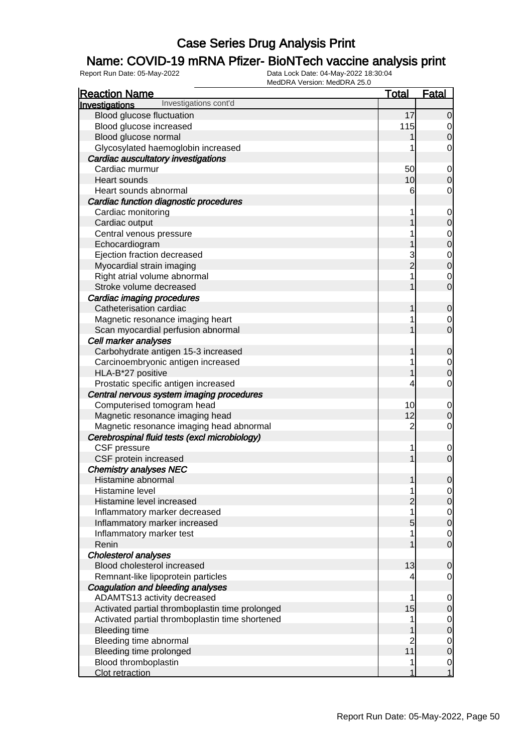### Name: COVID-19 mRNA Pfizer- BioNTech vaccine analysis print

| <b>Reaction Name</b>                                    | <b>Total</b>        | <b>Fatal</b>               |
|---------------------------------------------------------|---------------------|----------------------------|
| Investigations cont'd<br>Investigations                 |                     |                            |
| Blood glucose fluctuation                               | 17                  | $\overline{0}$             |
| Blood glucose increased                                 | 115                 | 0                          |
| Blood glucose normal                                    |                     | 0                          |
| Glycosylated haemoglobin increased                      |                     | 0                          |
| Cardiac auscultatory investigations                     |                     |                            |
| Cardiac murmur                                          | 50                  |                            |
| Heart sounds                                            | 10                  | $\mathbf 0$<br>$\mathbf 0$ |
| Heart sounds abnormal                                   | 6                   | 0                          |
| Cardiac function diagnostic procedures                  |                     |                            |
| Cardiac monitoring                                      |                     | 0                          |
| Cardiac output                                          |                     | $\mathbf 0$                |
| Central venous pressure                                 |                     |                            |
| Echocardiogram                                          |                     | 0<br>$\mathbf 0$           |
| Ejection fraction decreased                             |                     |                            |
| Myocardial strain imaging                               | 3<br>$\overline{2}$ | $\mathbf 0$<br>$\mathbf 0$ |
|                                                         |                     |                            |
| Right atrial volume abnormal<br>Stroke volume decreased |                     | 0<br>$\overline{0}$        |
|                                                         |                     |                            |
| Cardiac imaging procedures                              |                     |                            |
| Catheterisation cardiac                                 |                     | 0                          |
| Magnetic resonance imaging heart                        |                     | 0                          |
| Scan myocardial perfusion abnormal                      |                     | $\overline{0}$             |
| Cell marker analyses                                    |                     |                            |
| Carbohydrate antigen 15-3 increased                     |                     | 0                          |
| Carcinoembryonic antigen increased                      |                     | 0                          |
| HLA-B*27 positive                                       |                     | 0                          |
| Prostatic specific antigen increased                    |                     | 0                          |
| Central nervous system imaging procedures               |                     |                            |
| Computerised tomogram head                              | 10                  | $\mathbf 0$                |
| Magnetic resonance imaging head                         | 12                  | $\mathbf 0$                |
| Magnetic resonance imaging head abnormal                | $\overline{2}$      | 0                          |
| Cerebrospinal fluid tests (excl microbiology)           |                     |                            |
| CSF pressure                                            | 1                   | $\mathbf 0$                |
| CSF protein increased                                   |                     | $\overline{0}$             |
| <b>Chemistry analyses NEC</b>                           |                     |                            |
| Histamine abnormal                                      | 1                   | $\mathbf 0$                |
| Histamine level                                         |                     | $\overline{0}$             |
| Histamine level increased                               |                     | $\overline{0}$             |
| Inflammatory marker decreased                           |                     | $\overline{0}$             |
| Inflammatory marker increased                           | 5                   | $\mathbf 0$                |
| Inflammatory marker test                                |                     | $\overline{0}$             |
| Renin                                                   |                     | $\overline{0}$             |
| <b>Cholesterol analyses</b>                             |                     |                            |
| Blood cholesterol increased                             | 13                  | 0                          |
| Remnant-like lipoprotein particles                      |                     | 0                          |
| Coagulation and bleeding analyses                       |                     |                            |
| ADAMTS13 activity decreased                             |                     | $\mathbf 0$                |
| Activated partial thromboplastin time prolonged         | 15                  | $\mathbf 0$                |
| Activated partial thromboplastin time shortened         |                     | $\mathbf 0$                |
| <b>Bleeding time</b>                                    |                     | $\boldsymbol{0}$           |
| Bleeding time abnormal                                  |                     | $\overline{0}$             |
| Bleeding time prolonged                                 | 11                  | $\mathbf 0$                |
| Blood thromboplastin                                    | 1                   | $\overline{0}$             |
| Clot retraction                                         | 1                   | $\overline{1}$             |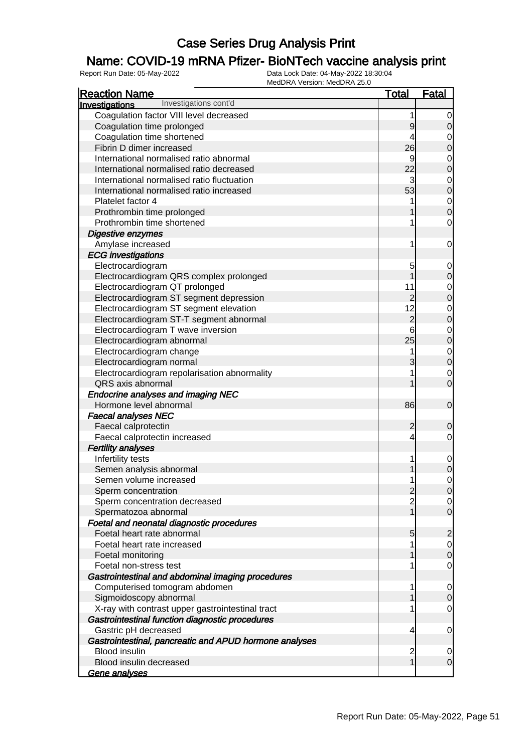### Name: COVID-19 mRNA Pfizer- BioNTech vaccine analysis print

| <b>Reaction Name</b>                                   | <b>Total</b>    | Fatal                         |
|--------------------------------------------------------|-----------------|-------------------------------|
| Investigations cont'd<br>Investigations                |                 |                               |
| Coagulation factor VIII level decreased                | 1               | 0                             |
| Coagulation time prolonged                             | 9               | $\boldsymbol{0}$              |
| Coagulation time shortened                             | 4               | $\mathbf 0$                   |
| Fibrin D dimer increased                               | 26              | $\mathbf 0$                   |
| International normalised ratio abnormal                | 9               | $\mathbf 0$                   |
| International normalised ratio decreased               | 22              | $\mathbf 0$                   |
| International normalised ratio fluctuation             | 3               | $\mathbf 0$                   |
| International normalised ratio increased               | 53              | $\mathbf 0$                   |
| Platelet factor 4                                      |                 | $\mathbf{0}$                  |
| Prothrombin time prolonged                             |                 | $\overline{0}$                |
| Prothrombin time shortened                             |                 | $\mathbf 0$                   |
| Digestive enzymes                                      |                 |                               |
| Amylase increased                                      | 1               | 0                             |
| <b>ECG</b> investigations                              |                 |                               |
| Electrocardiogram                                      | 5               | 0                             |
| Electrocardiogram QRS complex prolonged                |                 | $\boldsymbol{0}$              |
| Electrocardiogram QT prolonged                         | 11              |                               |
| Electrocardiogram ST segment depression                | $\overline{2}$  | $\mathbf 0$<br>$\overline{0}$ |
|                                                        | 12              |                               |
| Electrocardiogram ST segment elevation                 | $\overline{c}$  | $\mathbf 0$                   |
| Electrocardiogram ST-T segment abnormal                |                 | $\overline{0}$                |
| Electrocardiogram T wave inversion                     | 6               | $\mathbf 0$                   |
| Electrocardiogram abnormal                             | 25              | $\overline{0}$                |
| Electrocardiogram change                               | 1               | $\mathbf{0}$                  |
| Electrocardiogram normal                               | 3               | $\overline{0}$                |
| Electrocardiogram repolarisation abnormality           |                 | $\mathbf 0$                   |
| QRS axis abnormal                                      |                 | $\overline{0}$                |
| <b>Endocrine analyses and imaging NEC</b>              |                 |                               |
| Hormone level abnormal                                 | 86              | $\mathbf 0$                   |
| <b>Faecal analyses NEC</b>                             |                 |                               |
| Faecal calprotectin                                    | $\overline{c}$  | $\mathbf 0$                   |
| Faecal calprotectin increased                          | 4               | $\mathbf 0$                   |
| <b>Fertility analyses</b>                              |                 |                               |
| Infertility tests                                      | 1               | $\mathbf 0$                   |
| Semen analysis abnormal                                |                 | $\overline{0}$                |
| Semen volume increased                                 | 1               | $\mathbf 0$                   |
| Sperm concentration                                    | $\overline{c}$  | $\overline{0}$                |
| Sperm concentration decreased                          | $\overline{c}$  | $\overline{0}$                |
| Spermatozoa abnormal                                   |                 | $\mathbf 0$                   |
| Foetal and neonatal diagnostic procedures              |                 |                               |
| Foetal heart rate abnormal                             | $5\overline{)}$ | $\overline{c}$                |
| Foetal heart rate increased                            |                 | $\overline{0}$                |
| Foetal monitoring                                      |                 | $\mathbf 0$                   |
| Foetal non-stress test                                 |                 | $\mathbf 0$                   |
| Gastrointestinal and abdominal imaging procedures      |                 |                               |
| Computerised tomogram abdomen                          | 1               | $\overline{0}$                |
| Sigmoidoscopy abnormal                                 |                 | $\overline{0}$                |
| X-ray with contrast upper gastrointestinal tract       |                 | $\overline{0}$                |
| Gastrointestinal function diagnostic procedures        |                 |                               |
| Gastric pH decreased                                   | 4               | 0                             |
| Gastrointestinal, pancreatic and APUD hormone analyses |                 |                               |
| <b>Blood insulin</b>                                   | 2               | 0                             |
| Blood insulin decreased                                | 1               | $\overline{0}$                |
| <u>Gene analyses</u>                                   |                 |                               |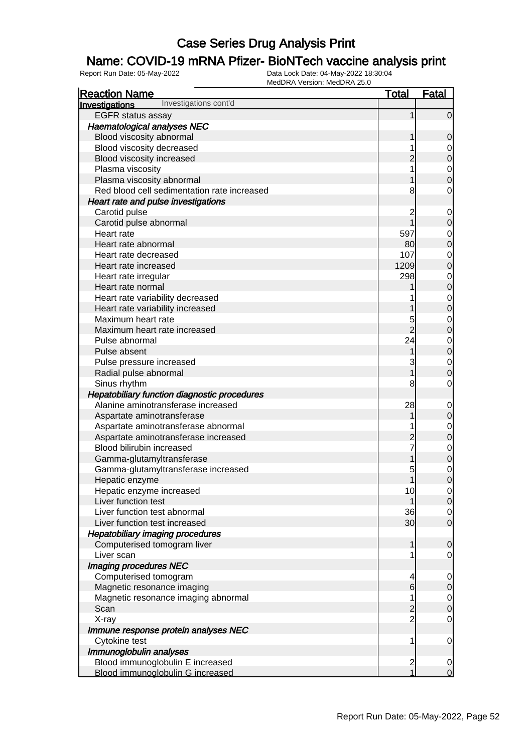### Name: COVID-19 mRNA Pfizer- BioNTech vaccine analysis print

| <b>Reaction Name</b>                         | <u>Total</u>            | <b>Fatal</b>                         |
|----------------------------------------------|-------------------------|--------------------------------------|
| Investigations cont'd<br>Investigations      |                         |                                      |
| <b>EGFR</b> status assay                     | 1                       | $\overline{0}$                       |
| <b>Haematological analyses NEC</b>           |                         |                                      |
| Blood viscosity abnormal                     |                         | $\mathbf 0$                          |
| Blood viscosity decreased                    |                         |                                      |
| Blood viscosity increased                    |                         | $\begin{matrix} 0 \\ 0 \end{matrix}$ |
| Plasma viscosity                             |                         |                                      |
| Plasma viscosity abnormal                    |                         | $\begin{matrix} 0 \\ 0 \end{matrix}$ |
| Red blood cell sedimentation rate increased  | 8                       | $\mathbf 0$                          |
| Heart rate and pulse investigations          |                         |                                      |
| Carotid pulse                                | 2                       | $\mathbf{0}$                         |
| Carotid pulse abnormal                       |                         | $\overline{0}$                       |
| Heart rate                                   | 597                     |                                      |
| Heart rate abnormal                          | 80                      | $0\atop 0$                           |
| Heart rate decreased                         | 107                     |                                      |
| Heart rate increased                         | 1209                    | $\begin{matrix}0\\0\end{matrix}$     |
| Heart rate irregular                         | 298                     |                                      |
| Heart rate normal                            |                         | $\begin{matrix}0\\0\end{matrix}$     |
| Heart rate variability decreased             |                         |                                      |
| Heart rate variability increased             |                         | $\begin{matrix}0\\0\end{matrix}$     |
| Maximum heart rate                           | 5                       |                                      |
| Maximum heart rate increased                 | $\overline{2}$          | $0\atop 0$                           |
| Pulse abnormal                               | 24                      |                                      |
| Pulse absent                                 | 1                       | $\begin{matrix}0\\0\end{matrix}$     |
| Pulse pressure increased                     | 3                       |                                      |
| Radial pulse abnormal                        | 1                       | $\begin{matrix} 0 \\ 0 \end{matrix}$ |
| Sinus rhythm                                 | 8                       | $\mathbf 0$                          |
| Hepatobiliary function diagnostic procedures |                         |                                      |
| Alanine aminotransferase increased           | 28                      | $\mathbf{0}$                         |
| Aspartate aminotransferase                   |                         | $\mathbf 0$                          |
| Aspartate aminotransferase abnormal          |                         |                                      |
| Aspartate aminotransferase increased         | 2                       | $\begin{matrix}0\\0\end{matrix}$     |
| Blood bilirubin increased                    |                         |                                      |
| Gamma-glutamyltransferase                    | 1                       | $\begin{matrix}0\\0\end{matrix}$     |
| Gamma-glutamyltransferase increased          | 5                       |                                      |
| Hepatic enzyme                               | 1                       | $\begin{matrix} 0 \\ 0 \end{matrix}$ |
| Hepatic enzyme increased                     | 10                      | 0                                    |
| Liver function test                          | 1                       | 0                                    |
| Liver function test abnormal                 | 36                      | $\overline{0}$                       |
| Liver function test increased                | 30 <sub>l</sub>         | $\overline{O}$                       |
| <b>Hepatobiliary imaging procedures</b>      |                         |                                      |
| Computerised tomogram liver                  | 1                       | $\mathbf 0$                          |
| Liver scan                                   | 1                       | $\overline{0}$                       |
| Imaging procedures NEC                       |                         |                                      |
| Computerised tomogram                        | 4                       | $\overline{0}$                       |
| Magnetic resonance imaging                   | $6\overline{6}$         | $\overline{0}$                       |
| Magnetic resonance imaging abnormal          | 1                       | $\overline{0}$                       |
| Scan                                         | $\overline{c}$          | $\mathbf 0$                          |
| X-ray                                        | $\overline{2}$          | $\overline{0}$                       |
| Immune response protein analyses NEC         |                         |                                      |
| Cytokine test                                | 1                       | $\overline{0}$                       |
| Immunoglobulin analyses                      |                         |                                      |
| Blood immunoglobulin E increased             | $\overline{\mathbf{c}}$ | $\overline{0}$                       |
| Blood immunoglobulin G increased             | $\overline{1}$          | $\overline{0}$                       |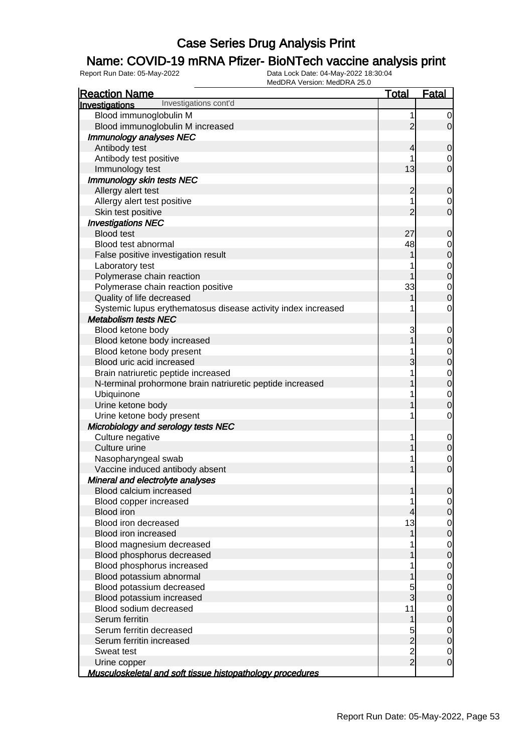### Name: COVID-19 mRNA Pfizer- BioNTech vaccine analysis print

| <b>Reaction Name</b>                                          | <b>Total</b>   | <b>Fatal</b>     |
|---------------------------------------------------------------|----------------|------------------|
| Investigations cont'd<br><b>Investigations</b>                |                |                  |
| Blood immunoglobulin M                                        | 1              | 0                |
| Blood immunoglobulin M increased                              | $\overline{2}$ | $\overline{0}$   |
| Immunology analyses NEC                                       |                |                  |
| Antibody test                                                 | 4              | 0                |
| Antibody test positive                                        |                | 0                |
| Immunology test                                               | 13             | $\overline{0}$   |
| <b>Immunology skin tests NEC</b>                              |                |                  |
| Allergy alert test                                            | $\overline{c}$ | $\mathbf 0$      |
| Allergy alert test positive                                   |                | 0                |
| Skin test positive                                            | $\overline{2}$ | $\mathbf 0$      |
| <b>Investigations NEC</b>                                     |                |                  |
| <b>Blood test</b>                                             | 27             | $\mathbf 0$      |
| Blood test abnormal                                           | 48             | 0                |
| False positive investigation result                           |                | $\mathbf 0$      |
| Laboratory test                                               |                | 0                |
| Polymerase chain reaction                                     |                | $\boldsymbol{0}$ |
| Polymerase chain reaction positive                            | 33             | $\mathbf 0$      |
| Quality of life decreased                                     |                | $\boldsymbol{0}$ |
| Systemic lupus erythematosus disease activity index increased |                | $\mathbf 0$      |
| <b>Metabolism tests NEC</b>                                   |                |                  |
| Blood ketone body                                             | 3              | 0                |
| Blood ketone body increased                                   |                | $\mathbf 0$      |
| Blood ketone body present                                     |                | 0                |
| Blood uric acid increased                                     | 3              | $\mathbf 0$      |
| Brain natriuretic peptide increased                           |                | $\mathbf 0$      |
| N-terminal prohormone brain natriuretic peptide increased     |                | $\boldsymbol{0}$ |
| Ubiquinone                                                    |                | $\mathbf 0$      |
| Urine ketone body                                             |                | $\mathbf 0$      |
| Urine ketone body present                                     | 1              | $\mathbf 0$      |
| Microbiology and serology tests NEC                           |                |                  |
| Culture negative                                              | 1              | $\mathbf 0$      |
| Culture urine                                                 |                | $\mathbf 0$      |
| Nasopharyngeal swab                                           |                | $\mathbf 0$      |
| Vaccine induced antibody absent                               |                | $\mathbf 0$      |
| Mineral and electrolyte analyses                              |                |                  |
| Blood calcium increased                                       |                | $\overline{0}$   |
| Blood copper increased                                        |                | 0                |
| <b>Blood</b> iron                                             | 4              | $\boldsymbol{0}$ |
| Blood iron decreased                                          | 13             | 0                |
| Blood iron increased                                          |                | $\mathbf 0$      |
| Blood magnesium decreased                                     |                | $\mathbf 0$      |
| Blood phosphorus decreased                                    |                | $\boldsymbol{0}$ |
| Blood phosphorus increased                                    |                | 0                |
| Blood potassium abnormal                                      |                | $\boldsymbol{0}$ |
| Blood potassium decreased                                     | 5              | 0                |
| Blood potassium increased                                     | 3              | $\boldsymbol{0}$ |
| Blood sodium decreased                                        | 11             | $\mathbf 0$      |
| Serum ferritin                                                |                | $\boldsymbol{0}$ |
| Serum ferritin decreased                                      | 5              | $\mathbf 0$      |
| Serum ferritin increased                                      | $\overline{c}$ | $\boldsymbol{0}$ |
| Sweat test                                                    | $\frac{2}{2}$  | 0                |
| Urine copper                                                  |                | $\mathbf 0$      |
| Musculoskeletal and soft tissue histopathology procedures     |                |                  |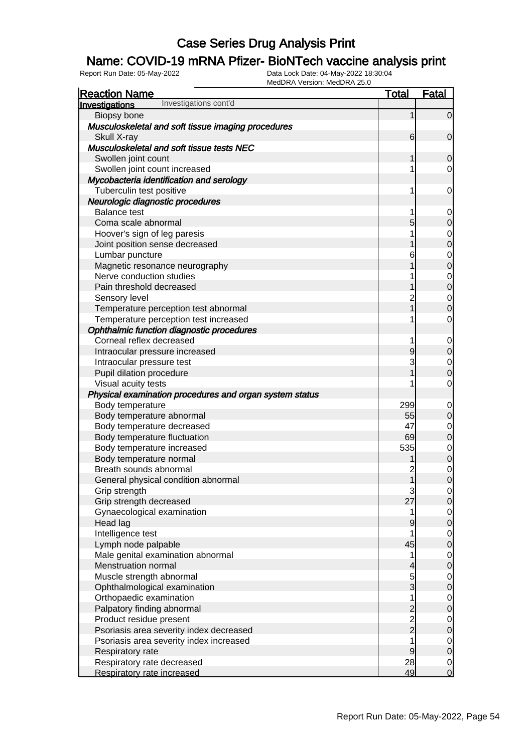### Name: COVID-19 mRNA Pfizer- BioNTech vaccine analysis print

| <b>Reaction Name</b>                                    | <u>Total</u>            | <u>Fatal</u>                         |
|---------------------------------------------------------|-------------------------|--------------------------------------|
| Investigations cont'd<br>Investigations                 |                         |                                      |
| Biopsy bone                                             | 1                       | $\overline{0}$                       |
| Musculoskeletal and soft tissue imaging procedures      |                         |                                      |
| Skull X-ray                                             | 6                       | $\overline{0}$                       |
| Musculoskeletal and soft tissue tests NEC               |                         |                                      |
| Swollen joint count                                     | 1                       | $\overline{0}$                       |
| Swollen joint count increased                           | 1                       | 0                                    |
| Mycobacteria identification and serology                |                         |                                      |
| Tuberculin test positive                                | 1                       | $\mathbf 0$                          |
| Neurologic diagnostic procedures                        |                         |                                      |
| <b>Balance test</b>                                     | 1                       | $\overline{0}$                       |
| Coma scale abnormal                                     | 5                       | $\mathbf 0$                          |
| Hoover's sign of leg paresis                            | 1                       |                                      |
| Joint position sense decreased                          |                         | $\begin{matrix}0\\0\end{matrix}$     |
| Lumbar puncture                                         | 6                       |                                      |
| Magnetic resonance neurography                          |                         | $\begin{matrix}0\\0\end{matrix}$     |
| Nerve conduction studies                                |                         |                                      |
| Pain threshold decreased                                |                         | $\begin{matrix}0\\0\end{matrix}$     |
| Sensory level                                           | $\overline{c}$          |                                      |
| Temperature perception test abnormal                    |                         | $\begin{matrix}0\\0\end{matrix}$     |
| Temperature perception test increased                   | 1                       | $\mathbf 0$                          |
| Ophthalmic function diagnostic procedures               |                         |                                      |
| Corneal reflex decreased                                | 1                       | $\mathbf 0$                          |
| Intraocular pressure increased                          | 9                       | $\boldsymbol{0}$                     |
| Intraocular pressure test                               | 3                       | $\mathbf{0}$                         |
| Pupil dilation procedure                                |                         | $\overline{0}$                       |
| Visual acuity tests                                     | 1                       | $\mathbf 0$                          |
| Physical examination procedures and organ system status |                         |                                      |
| Body temperature                                        | 299                     | $\mathbf 0$                          |
| Body temperature abnormal                               | 55                      | $\boldsymbol{0}$                     |
| Body temperature decreased                              | 47                      |                                      |
| Body temperature fluctuation                            | 69                      | $\begin{matrix}0\\0\end{matrix}$     |
| Body temperature increased                              | 535                     |                                      |
| Body temperature normal                                 |                         | $\begin{matrix} 0 \\ 0 \end{matrix}$ |
| Breath sounds abnormal                                  | $\overline{c}$          |                                      |
| General physical condition abnormal                     | $\overline{1}$          | $\begin{matrix} 0 \\ 0 \end{matrix}$ |
| Grip strength                                           | 3                       | $\overline{0}$                       |
| Grip strength decreased                                 | 27                      | $\overline{0}$                       |
| Gynaecological examination                              | 1                       | $\overline{0}$                       |
| Head lag                                                | 9                       | $\pmb{0}$                            |
| Intelligence test                                       | 1                       | $\overline{0}$                       |
| Lymph node palpable                                     | 45                      | $\mathbf 0$                          |
| Male genital examination abnormal                       | 1                       | $\mathbf 0$                          |
| <b>Menstruation normal</b>                              | 4                       | $\mathsf{O}\xspace$                  |
| Muscle strength abnormal                                | 5                       | $\overline{0}$                       |
| Ophthalmological examination                            | 3                       | $\boldsymbol{0}$                     |
| Orthopaedic examination                                 | 1                       | $\overline{0}$                       |
| Palpatory finding abnormal                              | $\overline{\mathbf{c}}$ | $\boldsymbol{0}$                     |
| Product residue present                                 | $\frac{2}{2}$           | $\overline{0}$                       |
| Psoriasis area severity index decreased                 |                         | $\mathbf 0$                          |
| Psoriasis area severity index increased                 | 1                       | $\overline{0}$                       |
| Respiratory rate                                        | 9                       | $\mathbf 0$                          |
| Respiratory rate decreased                              | 28                      | $\overline{0}$                       |
| Respiratory rate increased                              | 49                      | $\overline{O}$                       |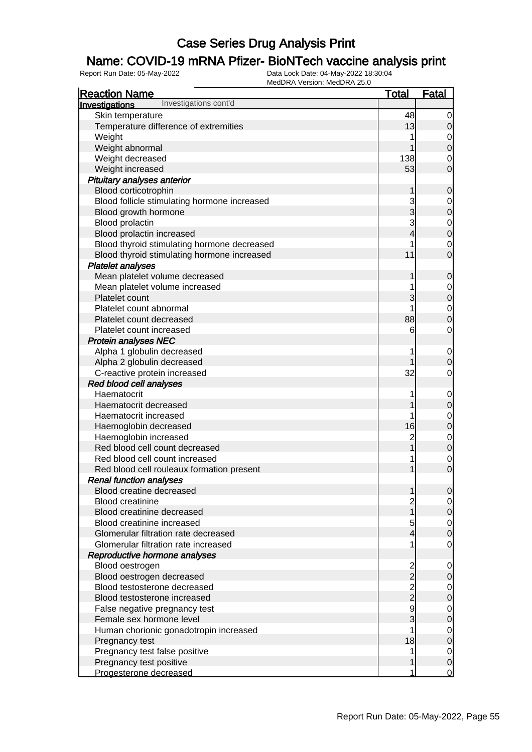### Name: COVID-19 mRNA Pfizer- BioNTech vaccine analysis print

| Investigations cont'd<br>Investigations<br>Skin temperature<br>48<br>$\overline{0}$<br>Temperature difference of extremities<br>13<br>$\overline{0}$<br>Weight<br>$\overline{0}$<br>$\overline{0}$<br>Weight abnormal<br>Weight decreased<br>138<br>$\mathbf 0$<br>$\overline{0}$<br>53<br>Weight increased<br>Pituitary analyses anterior<br>Blood corticotrophin<br>$\mathbf 0$<br>1<br>Blood follicle stimulating hormone increased<br>3<br>$\boldsymbol{0}$<br>3<br>$\overline{0}$<br>Blood growth hormone<br>3<br>Blood prolactin<br>$\begin{matrix} 0 \\ 0 \end{matrix}$<br>Blood prolactin increased<br>4<br>Blood thyroid stimulating hormone decreased<br>$\mathbf 0$<br>$\overline{0}$<br>11<br>Blood thyroid stimulating hormone increased<br><b>Platelet analyses</b><br>Mean platelet volume decreased<br>$\mathbf 0$<br>1<br>Mean platelet volume increased<br>$\mathbf{0}$<br>$\overline{0}$<br>3<br>Platelet count<br>Platelet count abnormal<br>$\mathbf{0}$<br>$\overline{0}$<br>88<br>Platelet count decreased<br>$\mathbf 0$<br>6<br>Platelet count increased<br><b>Protein analyses NEC</b><br>Alpha 1 globulin decreased<br>$\mathbf 0$<br>Alpha 2 globulin decreased<br>$\mathbf 0$<br>C-reactive protein increased<br>32<br>$\mathbf 0$<br>Red blood cell analyses<br>Haematocrit<br>$\mathbf{0}$<br>$\mathbf 0$<br>Haematocrit decreased<br>$\mathbf{0}$<br>Haematocrit increased<br>$\overline{0}$<br>16<br>Haemoglobin decreased<br>Haemoglobin increased<br>$\overline{c}$<br>$\begin{matrix}0\\0\end{matrix}$<br>Red blood cell count decreased<br>Red blood cell count increased<br>$\begin{matrix}0\\0\end{matrix}$<br>1<br>Red blood cell rouleaux formation present<br><b>Renal function analyses</b><br>Blood creatine decreased<br>1<br>$\overline{0}$<br><b>Blood creatinine</b><br>$\overline{c}$<br>이<br>1<br>$\mathsf{O}$<br>Blood creatinine decreased |
|------------------------------------------------------------------------------------------------------------------------------------------------------------------------------------------------------------------------------------------------------------------------------------------------------------------------------------------------------------------------------------------------------------------------------------------------------------------------------------------------------------------------------------------------------------------------------------------------------------------------------------------------------------------------------------------------------------------------------------------------------------------------------------------------------------------------------------------------------------------------------------------------------------------------------------------------------------------------------------------------------------------------------------------------------------------------------------------------------------------------------------------------------------------------------------------------------------------------------------------------------------------------------------------------------------------------------------------------------------------------------------------------------------------------------------------------------------------------------------------------------------------------------------------------------------------------------------------------------------------------------------------------------------------------------------------------------------------------------------------------------------------------------------------------------------------------------------------------------------------------------------------------|
|                                                                                                                                                                                                                                                                                                                                                                                                                                                                                                                                                                                                                                                                                                                                                                                                                                                                                                                                                                                                                                                                                                                                                                                                                                                                                                                                                                                                                                                                                                                                                                                                                                                                                                                                                                                                                                                                                                |
|                                                                                                                                                                                                                                                                                                                                                                                                                                                                                                                                                                                                                                                                                                                                                                                                                                                                                                                                                                                                                                                                                                                                                                                                                                                                                                                                                                                                                                                                                                                                                                                                                                                                                                                                                                                                                                                                                                |
|                                                                                                                                                                                                                                                                                                                                                                                                                                                                                                                                                                                                                                                                                                                                                                                                                                                                                                                                                                                                                                                                                                                                                                                                                                                                                                                                                                                                                                                                                                                                                                                                                                                                                                                                                                                                                                                                                                |
|                                                                                                                                                                                                                                                                                                                                                                                                                                                                                                                                                                                                                                                                                                                                                                                                                                                                                                                                                                                                                                                                                                                                                                                                                                                                                                                                                                                                                                                                                                                                                                                                                                                                                                                                                                                                                                                                                                |
|                                                                                                                                                                                                                                                                                                                                                                                                                                                                                                                                                                                                                                                                                                                                                                                                                                                                                                                                                                                                                                                                                                                                                                                                                                                                                                                                                                                                                                                                                                                                                                                                                                                                                                                                                                                                                                                                                                |
|                                                                                                                                                                                                                                                                                                                                                                                                                                                                                                                                                                                                                                                                                                                                                                                                                                                                                                                                                                                                                                                                                                                                                                                                                                                                                                                                                                                                                                                                                                                                                                                                                                                                                                                                                                                                                                                                                                |
|                                                                                                                                                                                                                                                                                                                                                                                                                                                                                                                                                                                                                                                                                                                                                                                                                                                                                                                                                                                                                                                                                                                                                                                                                                                                                                                                                                                                                                                                                                                                                                                                                                                                                                                                                                                                                                                                                                |
|                                                                                                                                                                                                                                                                                                                                                                                                                                                                                                                                                                                                                                                                                                                                                                                                                                                                                                                                                                                                                                                                                                                                                                                                                                                                                                                                                                                                                                                                                                                                                                                                                                                                                                                                                                                                                                                                                                |
|                                                                                                                                                                                                                                                                                                                                                                                                                                                                                                                                                                                                                                                                                                                                                                                                                                                                                                                                                                                                                                                                                                                                                                                                                                                                                                                                                                                                                                                                                                                                                                                                                                                                                                                                                                                                                                                                                                |
|                                                                                                                                                                                                                                                                                                                                                                                                                                                                                                                                                                                                                                                                                                                                                                                                                                                                                                                                                                                                                                                                                                                                                                                                                                                                                                                                                                                                                                                                                                                                                                                                                                                                                                                                                                                                                                                                                                |
|                                                                                                                                                                                                                                                                                                                                                                                                                                                                                                                                                                                                                                                                                                                                                                                                                                                                                                                                                                                                                                                                                                                                                                                                                                                                                                                                                                                                                                                                                                                                                                                                                                                                                                                                                                                                                                                                                                |
|                                                                                                                                                                                                                                                                                                                                                                                                                                                                                                                                                                                                                                                                                                                                                                                                                                                                                                                                                                                                                                                                                                                                                                                                                                                                                                                                                                                                                                                                                                                                                                                                                                                                                                                                                                                                                                                                                                |
|                                                                                                                                                                                                                                                                                                                                                                                                                                                                                                                                                                                                                                                                                                                                                                                                                                                                                                                                                                                                                                                                                                                                                                                                                                                                                                                                                                                                                                                                                                                                                                                                                                                                                                                                                                                                                                                                                                |
|                                                                                                                                                                                                                                                                                                                                                                                                                                                                                                                                                                                                                                                                                                                                                                                                                                                                                                                                                                                                                                                                                                                                                                                                                                                                                                                                                                                                                                                                                                                                                                                                                                                                                                                                                                                                                                                                                                |
|                                                                                                                                                                                                                                                                                                                                                                                                                                                                                                                                                                                                                                                                                                                                                                                                                                                                                                                                                                                                                                                                                                                                                                                                                                                                                                                                                                                                                                                                                                                                                                                                                                                                                                                                                                                                                                                                                                |
|                                                                                                                                                                                                                                                                                                                                                                                                                                                                                                                                                                                                                                                                                                                                                                                                                                                                                                                                                                                                                                                                                                                                                                                                                                                                                                                                                                                                                                                                                                                                                                                                                                                                                                                                                                                                                                                                                                |
|                                                                                                                                                                                                                                                                                                                                                                                                                                                                                                                                                                                                                                                                                                                                                                                                                                                                                                                                                                                                                                                                                                                                                                                                                                                                                                                                                                                                                                                                                                                                                                                                                                                                                                                                                                                                                                                                                                |
|                                                                                                                                                                                                                                                                                                                                                                                                                                                                                                                                                                                                                                                                                                                                                                                                                                                                                                                                                                                                                                                                                                                                                                                                                                                                                                                                                                                                                                                                                                                                                                                                                                                                                                                                                                                                                                                                                                |
|                                                                                                                                                                                                                                                                                                                                                                                                                                                                                                                                                                                                                                                                                                                                                                                                                                                                                                                                                                                                                                                                                                                                                                                                                                                                                                                                                                                                                                                                                                                                                                                                                                                                                                                                                                                                                                                                                                |
|                                                                                                                                                                                                                                                                                                                                                                                                                                                                                                                                                                                                                                                                                                                                                                                                                                                                                                                                                                                                                                                                                                                                                                                                                                                                                                                                                                                                                                                                                                                                                                                                                                                                                                                                                                                                                                                                                                |
|                                                                                                                                                                                                                                                                                                                                                                                                                                                                                                                                                                                                                                                                                                                                                                                                                                                                                                                                                                                                                                                                                                                                                                                                                                                                                                                                                                                                                                                                                                                                                                                                                                                                                                                                                                                                                                                                                                |
|                                                                                                                                                                                                                                                                                                                                                                                                                                                                                                                                                                                                                                                                                                                                                                                                                                                                                                                                                                                                                                                                                                                                                                                                                                                                                                                                                                                                                                                                                                                                                                                                                                                                                                                                                                                                                                                                                                |
|                                                                                                                                                                                                                                                                                                                                                                                                                                                                                                                                                                                                                                                                                                                                                                                                                                                                                                                                                                                                                                                                                                                                                                                                                                                                                                                                                                                                                                                                                                                                                                                                                                                                                                                                                                                                                                                                                                |
|                                                                                                                                                                                                                                                                                                                                                                                                                                                                                                                                                                                                                                                                                                                                                                                                                                                                                                                                                                                                                                                                                                                                                                                                                                                                                                                                                                                                                                                                                                                                                                                                                                                                                                                                                                                                                                                                                                |
|                                                                                                                                                                                                                                                                                                                                                                                                                                                                                                                                                                                                                                                                                                                                                                                                                                                                                                                                                                                                                                                                                                                                                                                                                                                                                                                                                                                                                                                                                                                                                                                                                                                                                                                                                                                                                                                                                                |
|                                                                                                                                                                                                                                                                                                                                                                                                                                                                                                                                                                                                                                                                                                                                                                                                                                                                                                                                                                                                                                                                                                                                                                                                                                                                                                                                                                                                                                                                                                                                                                                                                                                                                                                                                                                                                                                                                                |
|                                                                                                                                                                                                                                                                                                                                                                                                                                                                                                                                                                                                                                                                                                                                                                                                                                                                                                                                                                                                                                                                                                                                                                                                                                                                                                                                                                                                                                                                                                                                                                                                                                                                                                                                                                                                                                                                                                |
|                                                                                                                                                                                                                                                                                                                                                                                                                                                                                                                                                                                                                                                                                                                                                                                                                                                                                                                                                                                                                                                                                                                                                                                                                                                                                                                                                                                                                                                                                                                                                                                                                                                                                                                                                                                                                                                                                                |
|                                                                                                                                                                                                                                                                                                                                                                                                                                                                                                                                                                                                                                                                                                                                                                                                                                                                                                                                                                                                                                                                                                                                                                                                                                                                                                                                                                                                                                                                                                                                                                                                                                                                                                                                                                                                                                                                                                |
|                                                                                                                                                                                                                                                                                                                                                                                                                                                                                                                                                                                                                                                                                                                                                                                                                                                                                                                                                                                                                                                                                                                                                                                                                                                                                                                                                                                                                                                                                                                                                                                                                                                                                                                                                                                                                                                                                                |
|                                                                                                                                                                                                                                                                                                                                                                                                                                                                                                                                                                                                                                                                                                                                                                                                                                                                                                                                                                                                                                                                                                                                                                                                                                                                                                                                                                                                                                                                                                                                                                                                                                                                                                                                                                                                                                                                                                |
|                                                                                                                                                                                                                                                                                                                                                                                                                                                                                                                                                                                                                                                                                                                                                                                                                                                                                                                                                                                                                                                                                                                                                                                                                                                                                                                                                                                                                                                                                                                                                                                                                                                                                                                                                                                                                                                                                                |
|                                                                                                                                                                                                                                                                                                                                                                                                                                                                                                                                                                                                                                                                                                                                                                                                                                                                                                                                                                                                                                                                                                                                                                                                                                                                                                                                                                                                                                                                                                                                                                                                                                                                                                                                                                                                                                                                                                |
|                                                                                                                                                                                                                                                                                                                                                                                                                                                                                                                                                                                                                                                                                                                                                                                                                                                                                                                                                                                                                                                                                                                                                                                                                                                                                                                                                                                                                                                                                                                                                                                                                                                                                                                                                                                                                                                                                                |
|                                                                                                                                                                                                                                                                                                                                                                                                                                                                                                                                                                                                                                                                                                                                                                                                                                                                                                                                                                                                                                                                                                                                                                                                                                                                                                                                                                                                                                                                                                                                                                                                                                                                                                                                                                                                                                                                                                |
|                                                                                                                                                                                                                                                                                                                                                                                                                                                                                                                                                                                                                                                                                                                                                                                                                                                                                                                                                                                                                                                                                                                                                                                                                                                                                                                                                                                                                                                                                                                                                                                                                                                                                                                                                                                                                                                                                                |
|                                                                                                                                                                                                                                                                                                                                                                                                                                                                                                                                                                                                                                                                                                                                                                                                                                                                                                                                                                                                                                                                                                                                                                                                                                                                                                                                                                                                                                                                                                                                                                                                                                                                                                                                                                                                                                                                                                |
|                                                                                                                                                                                                                                                                                                                                                                                                                                                                                                                                                                                                                                                                                                                                                                                                                                                                                                                                                                                                                                                                                                                                                                                                                                                                                                                                                                                                                                                                                                                                                                                                                                                                                                                                                                                                                                                                                                |
|                                                                                                                                                                                                                                                                                                                                                                                                                                                                                                                                                                                                                                                                                                                                                                                                                                                                                                                                                                                                                                                                                                                                                                                                                                                                                                                                                                                                                                                                                                                                                                                                                                                                                                                                                                                                                                                                                                |
| Blood creatinine increased<br>5<br>$\overline{0}$                                                                                                                                                                                                                                                                                                                                                                                                                                                                                                                                                                                                                                                                                                                                                                                                                                                                                                                                                                                                                                                                                                                                                                                                                                                                                                                                                                                                                                                                                                                                                                                                                                                                                                                                                                                                                                              |
| $\overline{0}$<br>Glomerular filtration rate decreased<br>$\overline{4}$                                                                                                                                                                                                                                                                                                                                                                                                                                                                                                                                                                                                                                                                                                                                                                                                                                                                                                                                                                                                                                                                                                                                                                                                                                                                                                                                                                                                                                                                                                                                                                                                                                                                                                                                                                                                                       |
| Glomerular filtration rate increased<br>$\mathbf 0$                                                                                                                                                                                                                                                                                                                                                                                                                                                                                                                                                                                                                                                                                                                                                                                                                                                                                                                                                                                                                                                                                                                                                                                                                                                                                                                                                                                                                                                                                                                                                                                                                                                                                                                                                                                                                                            |
| Reproductive hormone analyses                                                                                                                                                                                                                                                                                                                                                                                                                                                                                                                                                                                                                                                                                                                                                                                                                                                                                                                                                                                                                                                                                                                                                                                                                                                                                                                                                                                                                                                                                                                                                                                                                                                                                                                                                                                                                                                                  |
| Blood oestrogen<br>$\mathbf 0$                                                                                                                                                                                                                                                                                                                                                                                                                                                                                                                                                                                                                                                                                                                                                                                                                                                                                                                                                                                                                                                                                                                                                                                                                                                                                                                                                                                                                                                                                                                                                                                                                                                                                                                                                                                                                                                                 |
| $\frac{2}{2}$<br>Blood oestrogen decreased<br>$\pmb{0}$                                                                                                                                                                                                                                                                                                                                                                                                                                                                                                                                                                                                                                                                                                                                                                                                                                                                                                                                                                                                                                                                                                                                                                                                                                                                                                                                                                                                                                                                                                                                                                                                                                                                                                                                                                                                                                        |
| Blood testosterone decreased                                                                                                                                                                                                                                                                                                                                                                                                                                                                                                                                                                                                                                                                                                                                                                                                                                                                                                                                                                                                                                                                                                                                                                                                                                                                                                                                                                                                                                                                                                                                                                                                                                                                                                                                                                                                                                                                   |
| $\frac{2}{2}$<br>$\boldsymbol{0}$<br>$\boldsymbol{0}$<br>Blood testosterone increased                                                                                                                                                                                                                                                                                                                                                                                                                                                                                                                                                                                                                                                                                                                                                                                                                                                                                                                                                                                                                                                                                                                                                                                                                                                                                                                                                                                                                                                                                                                                                                                                                                                                                                                                                                                                          |
| 9                                                                                                                                                                                                                                                                                                                                                                                                                                                                                                                                                                                                                                                                                                                                                                                                                                                                                                                                                                                                                                                                                                                                                                                                                                                                                                                                                                                                                                                                                                                                                                                                                                                                                                                                                                                                                                                                                              |
| False negative pregnancy test<br>$\boldsymbol{0}$<br>3<br>$\mathbf 0$<br>Female sex hormone level                                                                                                                                                                                                                                                                                                                                                                                                                                                                                                                                                                                                                                                                                                                                                                                                                                                                                                                                                                                                                                                                                                                                                                                                                                                                                                                                                                                                                                                                                                                                                                                                                                                                                                                                                                                              |
|                                                                                                                                                                                                                                                                                                                                                                                                                                                                                                                                                                                                                                                                                                                                                                                                                                                                                                                                                                                                                                                                                                                                                                                                                                                                                                                                                                                                                                                                                                                                                                                                                                                                                                                                                                                                                                                                                                |
| Human chorionic gonadotropin increased<br>$\boldsymbol{0}$<br>18                                                                                                                                                                                                                                                                                                                                                                                                                                                                                                                                                                                                                                                                                                                                                                                                                                                                                                                                                                                                                                                                                                                                                                                                                                                                                                                                                                                                                                                                                                                                                                                                                                                                                                                                                                                                                               |
| $\mathbf 0$<br>Pregnancy test<br>1                                                                                                                                                                                                                                                                                                                                                                                                                                                                                                                                                                                                                                                                                                                                                                                                                                                                                                                                                                                                                                                                                                                                                                                                                                                                                                                                                                                                                                                                                                                                                                                                                                                                                                                                                                                                                                                             |
| Pregnancy test false positive<br>$\boldsymbol{0}$<br>$\mathbf 0$                                                                                                                                                                                                                                                                                                                                                                                                                                                                                                                                                                                                                                                                                                                                                                                                                                                                                                                                                                                                                                                                                                                                                                                                                                                                                                                                                                                                                                                                                                                                                                                                                                                                                                                                                                                                                               |
| Pregnancy test positive<br>Progesterone decreased<br>$\overline{0}$                                                                                                                                                                                                                                                                                                                                                                                                                                                                                                                                                                                                                                                                                                                                                                                                                                                                                                                                                                                                                                                                                                                                                                                                                                                                                                                                                                                                                                                                                                                                                                                                                                                                                                                                                                                                                            |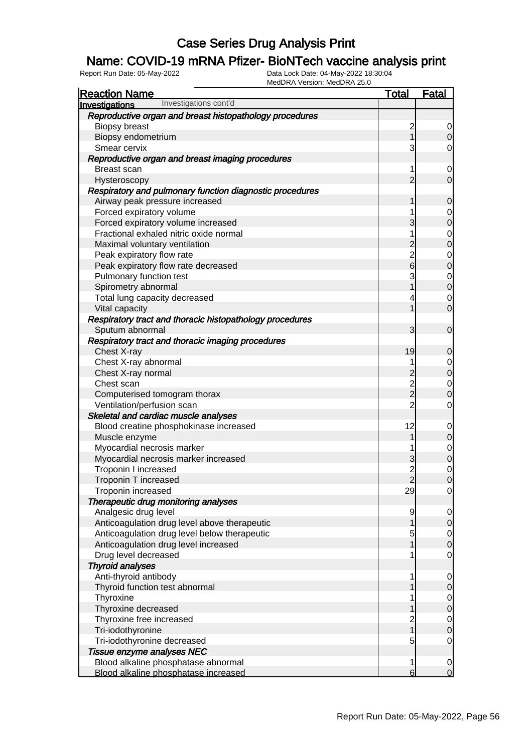### Name: COVID-19 mRNA Pfizer- BioNTech vaccine analysis print

| <b>Reaction Name</b>                                     | <u>Total</u>            | <u>Fatal</u>                         |
|----------------------------------------------------------|-------------------------|--------------------------------------|
| Investigations cont'd<br><b>Investigations</b>           |                         |                                      |
| Reproductive organ and breast histopathology procedures  |                         |                                      |
| <b>Biopsy breast</b>                                     | $\overline{\mathbf{c}}$ | $\begin{matrix} 0 \\ 0 \end{matrix}$ |
| Biopsy endometrium                                       | 1                       |                                      |
| Smear cervix                                             | 3                       | $\overline{0}$                       |
| Reproductive organ and breast imaging procedures         |                         |                                      |
| Breast scan                                              | 1                       | $\overline{0}$                       |
| Hysteroscopy                                             | $\overline{2}$          | $\overline{0}$                       |
| Respiratory and pulmonary function diagnostic procedures |                         |                                      |
| Airway peak pressure increased                           | 1                       | $\mathbf 0$                          |
| Forced expiratory volume                                 | 1                       | $\begin{matrix}0\\0\end{matrix}$     |
| Forced expiratory volume increased                       | 3                       |                                      |
| Fractional exhaled nitric oxide normal                   | 1                       | $\begin{matrix}0\\0\end{matrix}$     |
| Maximal voluntary ventilation                            | $\overline{c}$          |                                      |
| Peak expiratory flow rate                                | $\frac{2}{6}$           | $\begin{matrix}0\\0\end{matrix}$     |
| Peak expiratory flow rate decreased                      |                         |                                      |
| Pulmonary function test                                  | 3                       | $\begin{matrix}0\\0\end{matrix}$     |
| Spirometry abnormal                                      | 1                       |                                      |
| Total lung capacity decreased                            | 4                       | $\begin{matrix}0\\0\end{matrix}$     |
| Vital capacity                                           | 1                       |                                      |
| Respiratory tract and thoracic histopathology procedures |                         |                                      |
| Sputum abnormal                                          | 3                       | $\mathbf 0$                          |
| Respiratory tract and thoracic imaging procedures        |                         |                                      |
| Chest X-ray                                              | 19                      | $\mathbf 0$                          |
| Chest X-ray abnormal                                     | 1                       | $\begin{matrix}0\\0\end{matrix}$     |
| Chest X-ray normal                                       |                         |                                      |
| Chest scan                                               | $\frac{2}{2}$           | $\begin{matrix} 0 \\ 0 \end{matrix}$ |
| Computerised tomogram thorax                             |                         |                                      |
| Ventilation/perfusion scan                               | $\overline{2}$          | $\overline{0}$                       |
| Skeletal and cardiac muscle analyses                     |                         |                                      |
| Blood creatine phosphokinase increased                   | 12                      | $0\atop 0$                           |
| Muscle enzyme                                            | 1                       |                                      |
| Myocardial necrosis marker                               | 1                       | $\begin{matrix}0\\0\end{matrix}$     |
| Myocardial necrosis marker increased                     | 3                       |                                      |
| Troponin I increased                                     | $\frac{2}{2}$           | $\begin{matrix} 0 \\ 0 \end{matrix}$ |
| Troponin T increased                                     |                         |                                      |
| Troponin increased                                       | 29                      | $\overline{0}$                       |
| Therapeutic drug monitoring analyses                     |                         |                                      |
| Analgesic drug level                                     | 9                       | $\begin{matrix} 0 \\ 0 \end{matrix}$ |
| Anticoagulation drug level above therapeutic             | 1                       |                                      |
| Anticoagulation drug level below therapeutic             | 5                       | $\begin{matrix} 0 \\ 0 \end{matrix}$ |
| Anticoagulation drug level increased                     |                         |                                      |
| Drug level decreased                                     | 1                       | $\mathbf 0$                          |
| <b>Thyroid analyses</b>                                  |                         |                                      |
| Anti-thyroid antibody                                    | 1                       | $\overline{0}$                       |
| Thyroid function test abnormal                           |                         | $\overline{0}$                       |
| Thyroxine                                                | 1                       | $\begin{matrix} 0 \\ 0 \end{matrix}$ |
| Thyroxine decreased                                      |                         |                                      |
| Thyroxine free increased                                 | $\frac{2}{1}$           | $\begin{matrix} 0 \\ 0 \end{matrix}$ |
| Tri-iodothyronine                                        |                         |                                      |
| Tri-iodothyronine decreased                              | 5                       | $\mathbf 0$                          |
| Tissue enzyme analyses NEC                               |                         |                                      |
| Blood alkaline phosphatase abnormal                      | 1                       | $\begin{matrix} 0 \\ 0 \end{matrix}$ |
| Blood alkaline phosphatase increased                     | 6                       |                                      |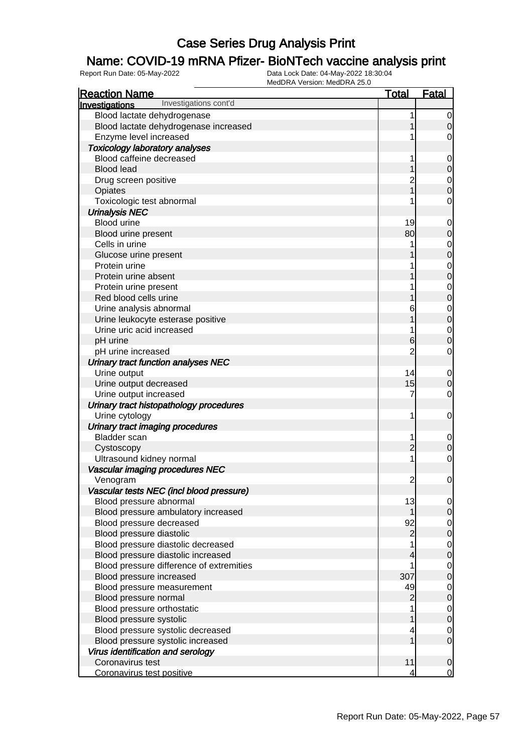### Name: COVID-19 mRNA Pfizer- BioNTech vaccine analysis print

| <b>Reaction Name</b>                     | <u>Total</u>   | Fatal            |
|------------------------------------------|----------------|------------------|
| Investigations cont'd<br>Investigations  |                |                  |
| Blood lactate dehydrogenase              | 1              | $\mathbf 0$      |
| Blood lactate dehydrogenase increased    |                | $\Omega$         |
| Enzyme level increased                   |                | 0                |
| <b>Toxicology laboratory analyses</b>    |                |                  |
| Blood caffeine decreased                 |                | $\mathbf 0$      |
| <b>Blood lead</b>                        |                | $\mathbf 0$      |
| Drug screen positive                     | $\mathbf 2$    | $\mathbf 0$      |
| Opiates                                  |                | $\boldsymbol{0}$ |
| Toxicologic test abnormal                |                | $\mathbf 0$      |
| <b>Urinalysis NEC</b>                    |                |                  |
| <b>Blood urine</b>                       | 19             | $\mathbf 0$      |
| Blood urine present                      | 80             | $\mathbf 0$      |
| Cells in urine                           |                | $\mathbf 0$      |
| Glucose urine present                    |                | $\mathbf 0$      |
| Protein urine                            |                | $\mathbf 0$      |
| Protein urine absent                     |                | $\mathbf 0$      |
| Protein urine present                    |                | $\mathbf 0$      |
| Red blood cells urine                    |                | $\mathbf 0$      |
| Urine analysis abnormal                  | 6              | $\mathbf 0$      |
| Urine leukocyte esterase positive        |                | $\pmb{0}$        |
| Urine uric acid increased                |                | $\mathbf 0$      |
| pH urine                                 | 6              | $\mathbf 0$      |
| pH urine increased                       | $\overline{2}$ | $\mathbf 0$      |
| Urinary tract function analyses NEC      |                |                  |
| Urine output                             | 14             | $\mathbf 0$      |
| Urine output decreased                   | 15             | $\mathbf 0$      |
| Urine output increased                   | 7              | $\mathbf 0$      |
| Urinary tract histopathology procedures  |                |                  |
| Urine cytology                           | 1              | $\mathbf 0$      |
| Urinary tract imaging procedures         |                |                  |
| <b>Bladder</b> scan                      |                | 0                |
| Cystoscopy                               | $\overline{2}$ | $\mathbf 0$      |
| Ultrasound kidney normal                 |                | $\mathbf 0$      |
| Vascular imaging procedures NEC          |                |                  |
| Venogram                                 | $\overline{c}$ | $\mathbf 0$      |
| Vascular tests NEC (incl blood pressure) |                |                  |
| Blood pressure abnormal                  | 13             | $\overline{0}$   |
| Blood pressure ambulatory increased      | 1              | $\mathbf 0$      |
| Blood pressure decreased                 | 92             | $\overline{0}$   |
| Blood pressure diastolic                 | $\overline{c}$ | $\pmb{0}$        |
| Blood pressure diastolic decreased       |                | $\mathbf 0$      |
| Blood pressure diastolic increased       | 4              | $\boldsymbol{0}$ |
| Blood pressure difference of extremities |                | $\mathbf 0$      |
| Blood pressure increased                 | 307            | $\mathbf 0$      |
| Blood pressure measurement               | 49             | $\mathbf 0$      |
| Blood pressure normal                    | $\overline{c}$ | $\pmb{0}$        |
| Blood pressure orthostatic               |                | $\mathbf 0$      |
| Blood pressure systolic                  |                | $\boldsymbol{0}$ |
| Blood pressure systolic decreased        |                | 0                |
| Blood pressure systolic increased        |                | $\mathbf 0$      |
| Virus identification and serology        |                |                  |
| Coronavirus test                         | 11             | $\mathbf 0$      |
| Coronavirus test positive                | 4              | 0                |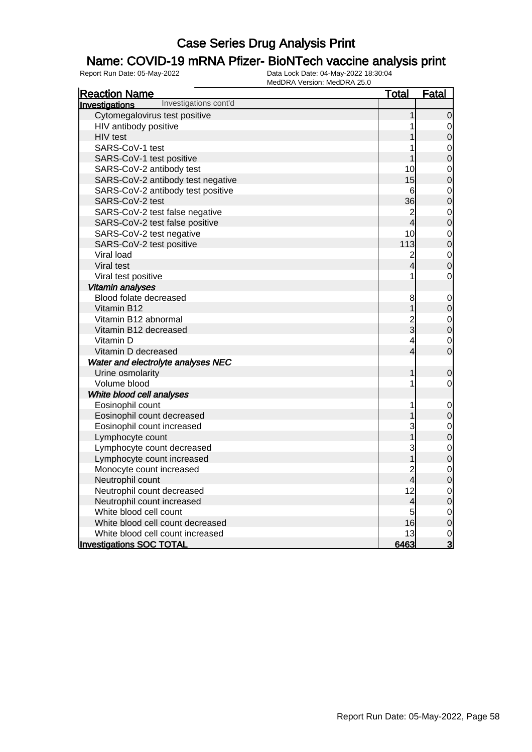### Name: COVID-19 mRNA Pfizer- BioNTech vaccine analysis print

| <b>Reaction Name</b>                    | <u>Total</u>            | <b>Fatal</b>                     |
|-----------------------------------------|-------------------------|----------------------------------|
| Investigations cont'd<br>Investigations |                         |                                  |
| Cytomegalovirus test positive           | 1                       | $\mathbf 0$                      |
| HIV antibody positive                   | 1                       | $\mathbf{0}$                     |
| HIV test                                |                         | $\overline{0}$                   |
| SARS-CoV-1 test                         |                         | $\mathbf{0}$                     |
| SARS-CoV-1 test positive                | 1                       | $\overline{0}$                   |
| SARS-CoV-2 antibody test                | 10                      | $\mathbf{0}$                     |
| SARS-CoV-2 antibody test negative       | 15                      | $\overline{0}$                   |
| SARS-CoV-2 antibody test positive       | 6                       | $\begin{matrix}0\\0\end{matrix}$ |
| SARS-CoV-2 test                         | 36                      |                                  |
| SARS-CoV-2 test false negative          | $\frac{2}{4}$           | $\begin{matrix}0\\0\end{matrix}$ |
| SARS-CoV-2 test false positive          |                         |                                  |
| SARS-CoV-2 test negative                | 10                      | $\mathbf{0}$                     |
| SARS-CoV-2 test positive                | 113                     | $\overline{0}$                   |
| Viral load                              | $\frac{2}{4}$           | $\mathbf 0$                      |
| Viral test                              |                         | $\overline{0}$                   |
| Viral test positive                     | 1                       | $\mathbf 0$                      |
| Vitamin analyses                        |                         |                                  |
| Blood folate decreased                  | 8                       | $\mathbf 0$                      |
| Vitamin B12                             | $\overline{1}$          | $\overline{0}$                   |
| Vitamin B12 abnormal                    |                         | $\mathbf{0}$                     |
| Vitamin B12 decreased                   | $\frac{2}{3}$           | $\overline{0}$                   |
| Vitamin D                               | $\overline{\mathbf{4}}$ | $\mathbf{0}$                     |
| Vitamin D decreased                     | $\overline{4}$          | $\overline{0}$                   |
| Water and electrolyte analyses NEC      |                         |                                  |
| Urine osmolarity                        | 1                       | $\mathbf 0$                      |
| Volume blood                            | 1                       | $\mathbf 0$                      |
| White blood cell analyses               |                         |                                  |
| Eosinophil count                        | 1                       | $\mathbf 0$                      |
| Eosinophil count decreased              |                         | $\mathbf 0$                      |
| Eosinophil count increased              | 3                       | $\mathbf 0$                      |
| Lymphocyte count                        |                         | $\overline{0}$                   |
| Lymphocyte count decreased              | 3                       | $\begin{matrix}0\\0\end{matrix}$ |
| Lymphocyte count increased              | $\overline{\mathbf{1}}$ |                                  |
| Monocyte count increased                | $\overline{\mathbf{c}}$ | $\mathbf 0$                      |
| Neutrophil count                        | $\overline{4}$          | $\overline{0}$                   |
| Neutrophil count decreased              | 12                      |                                  |
| Neutrophil count increased              | 4                       | $\begin{matrix}0\\0\end{matrix}$ |
| White blood cell count                  | 5                       | $\mathbf{O}$                     |
| White blood cell count decreased        | 16                      | $\overline{0}$                   |
| White blood cell count increased        | 13                      | $\frac{0}{3}$                    |
| <b>Investigations SOC TOTAL</b>         | 6463                    |                                  |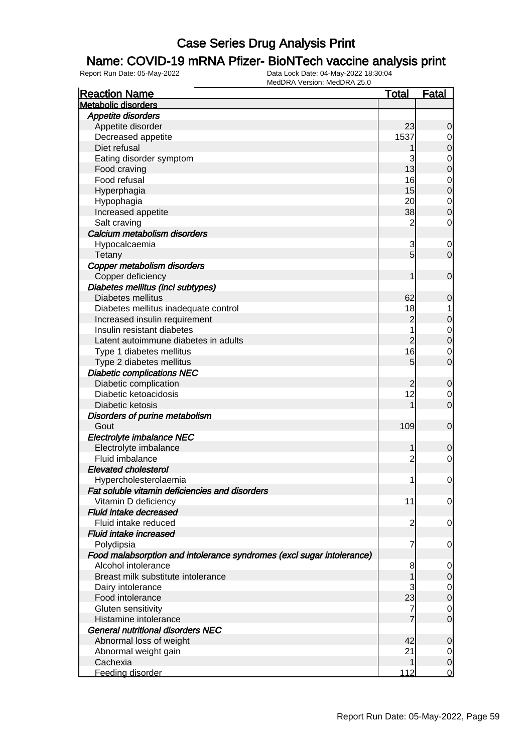### Name: COVID-19 mRNA Pfizer- BioNTech vaccine analysis print

| <b>Reaction Name</b>                                                  | <b>Total</b>    | <b>Fatal</b>     |
|-----------------------------------------------------------------------|-----------------|------------------|
| <b>Metabolic disorders</b>                                            |                 |                  |
| Appetite disorders                                                    |                 |                  |
| Appetite disorder                                                     | 23              | $\mathbf 0$      |
| Decreased appetite                                                    | 1537            | 0                |
| Diet refusal                                                          |                 | $\boldsymbol{0}$ |
| Eating disorder symptom                                               | 3               | $\mathbf 0$      |
| Food craving                                                          | 13              | $\mathbf 0$      |
| Food refusal                                                          | 16              | $\mathbf 0$      |
| Hyperphagia                                                           | 15              | $\mathbf 0$      |
| Hypophagia                                                            | 20              | $\mathbf 0$      |
| Increased appetite                                                    | 38              | $\boldsymbol{0}$ |
| Salt craving                                                          | $\overline{2}$  | $\mathbf 0$      |
| Calcium metabolism disorders                                          |                 |                  |
| Hypocalcaemia                                                         | 3               | $\mathbf 0$      |
| Tetany                                                                | $5\overline{)}$ | $\mathbf 0$      |
| Copper metabolism disorders                                           |                 |                  |
| Copper deficiency                                                     | 1               | $\mathbf 0$      |
| Diabetes mellitus (incl subtypes)                                     |                 |                  |
| Diabetes mellitus                                                     | 62              | $\mathbf 0$      |
| Diabetes mellitus inadequate control                                  | 18              |                  |
| Increased insulin requirement                                         | $\overline{c}$  | $\mathbf 0$      |
| Insulin resistant diabetes                                            | 1               | $\mathbf 0$      |
| Latent autoimmune diabetes in adults                                  | $\overline{c}$  | $\mathbf 0$      |
| Type 1 diabetes mellitus                                              | 16              | $\mathbf 0$      |
| Type 2 diabetes mellitus                                              | 5               | $\mathbf 0$      |
| <b>Diabetic complications NEC</b>                                     |                 |                  |
| Diabetic complication                                                 | $\overline{c}$  | $\mathbf 0$      |
| Diabetic ketoacidosis                                                 | 12              | 0                |
| Diabetic ketosis                                                      | 1               | $\mathbf 0$      |
| Disorders of purine metabolism                                        |                 |                  |
| Gout                                                                  | 109             | $\mathbf 0$      |
| Electrolyte imbalance NEC                                             |                 |                  |
| Electrolyte imbalance                                                 | 1               | $\boldsymbol{0}$ |
| Fluid imbalance                                                       | $\overline{2}$  | $\mathbf 0$      |
| <b>Elevated cholesterol</b>                                           |                 |                  |
| Hypercholesterolaemia                                                 | 1               | $\mathbf 0$      |
| Fat soluble vitamin deficiencies and disorders                        |                 |                  |
| Vitamin D deficiency                                                  | 11              | 0                |
| Fluid intake decreased                                                |                 |                  |
| Fluid intake reduced                                                  | $\overline{2}$  | $\mathbf 0$      |
| <b>Fluid intake increased</b>                                         |                 |                  |
| Polydipsia                                                            | 7               | 0                |
| Food malabsorption and intolerance syndromes (excl sugar intolerance) |                 |                  |
| Alcohol intolerance                                                   | 8               | 0                |
| Breast milk substitute intolerance                                    | 1               | $\mathbf 0$      |
| Dairy intolerance                                                     | 3               | $\overline{0}$   |
| Food intolerance                                                      | 23              | $\mathbf 0$      |
| Gluten sensitivity                                                    | 7               | $\mathbf 0$      |
| Histamine intolerance                                                 |                 | $\mathbf 0$      |
| <b>General nutritional disorders NEC</b>                              |                 |                  |
| Abnormal loss of weight                                               | 42              | $\mathbf 0$      |
| Abnormal weight gain                                                  | 21              | 0                |
| Cachexia                                                              | 1               | $\mathbf 0$      |
| Feeding disorder                                                      | 112             | $\overline{0}$   |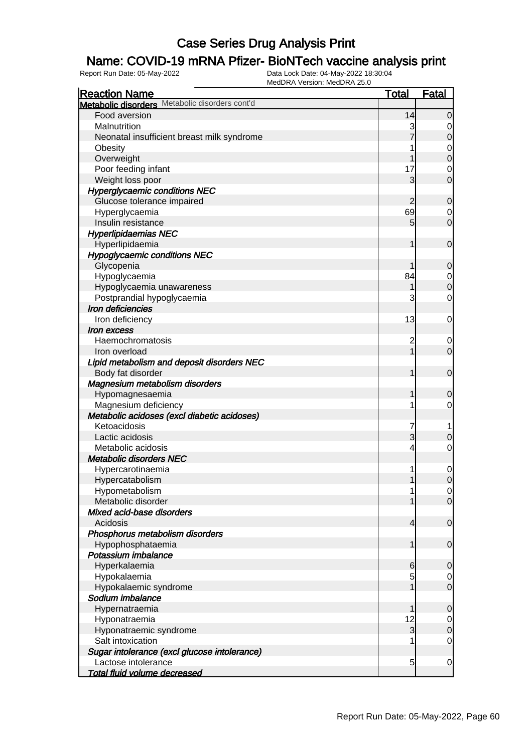### Name: COVID-19 mRNA Pfizer- BioNTech vaccine analysis print

| <b>Reaction Name</b>                           | <b>Total</b>   | <b>Fatal</b>     |
|------------------------------------------------|----------------|------------------|
| Metabolic disorders Metabolic disorders cont'd |                |                  |
| Food aversion                                  | 14             | $\mathbf 0$      |
| Malnutrition                                   | 3              | 0                |
| Neonatal insufficient breast milk syndrome     |                | $\boldsymbol{0}$ |
| Obesity                                        |                | $\mathbf 0$      |
| Overweight                                     |                | $\boldsymbol{0}$ |
| Poor feeding infant                            | 17             | 0                |
| Weight loss poor                               | 3              | $\overline{0}$   |
| <b>Hyperglycaemic conditions NEC</b>           |                |                  |
| Glucose tolerance impaired                     | 2              | $\mathbf 0$      |
| Hyperglycaemia                                 | 69             | $\mathbf 0$      |
| Insulin resistance                             | 5              | $\mathbf 0$      |
| <b>Hyperlipidaemias NEC</b>                    |                |                  |
| Hyperlipidaemia                                | 1              | $\mathbf 0$      |
| <b>Hypoglycaemic conditions NEC</b>            |                |                  |
| Glycopenia                                     |                | $\mathbf 0$      |
| Hypoglycaemia                                  | 84             | $\mathbf 0$      |
| Hypoglycaemia unawareness                      |                | $\mathbf 0$      |
| Postprandial hypoglycaemia                     | 3              | $\mathbf 0$      |
| Iron deficiencies                              |                |                  |
| Iron deficiency                                | 13             | 0                |
| <i><b>Iron excess</b></i>                      |                |                  |
| Haemochromatosis                               | $\overline{c}$ | 0                |
| Iron overload                                  | 1              | $\mathbf 0$      |
| Lipid metabolism and deposit disorders NEC     |                |                  |
| Body fat disorder                              | 1              | $\mathbf 0$      |
| Magnesium metabolism disorders                 |                |                  |
| Hypomagnesaemia                                | 1              | $\mathbf 0$      |
| Magnesium deficiency                           | 1              | 0                |
| Metabolic acidoses (excl diabetic acidoses)    |                |                  |
| Ketoacidosis                                   | 7              | 1                |
| Lactic acidosis                                | 3              | $\mathbf 0$      |
| Metabolic acidosis                             | 4              | 0                |
| <b>Metabolic disorders NEC</b>                 |                |                  |
| Hypercarotinaemia                              |                | 0                |
| Hypercatabolism                                | 1              | $\mathbf 0$      |
| Hypometabolism                                 | 1              | $\overline{0}$   |
| Metabolic disorder                             |                | $\overline{0}$   |
| Mixed acid-base disorders                      |                |                  |
| Acidosis                                       | $\overline{4}$ | $\mathbf 0$      |
| Phosphorus metabolism disorders                |                |                  |
| Hypophosphataemia                              | 1              | $\mathbf 0$      |
| Potassium imbalance                            |                |                  |
| Hyperkalaemia                                  | 6              | $\mathbf 0$      |
| Hypokalaemia                                   | 5              | 0                |
| Hypokalaemic syndrome                          |                | $\mathbf 0$      |
| Sodium imbalance                               |                |                  |
| Hypernatraemia                                 | 1              | $\mathbf 0$      |
| Hyponatraemia                                  | 12             | 0                |
| Hyponatraemic syndrome                         | 3              | $\boldsymbol{0}$ |
| Salt intoxication                              |                | 0                |
| Sugar intolerance (excl glucose intolerance)   |                |                  |
| Lactose intolerance                            | 5              | $\mathbf 0$      |
| <b>Total fluid volume decreased</b>            |                |                  |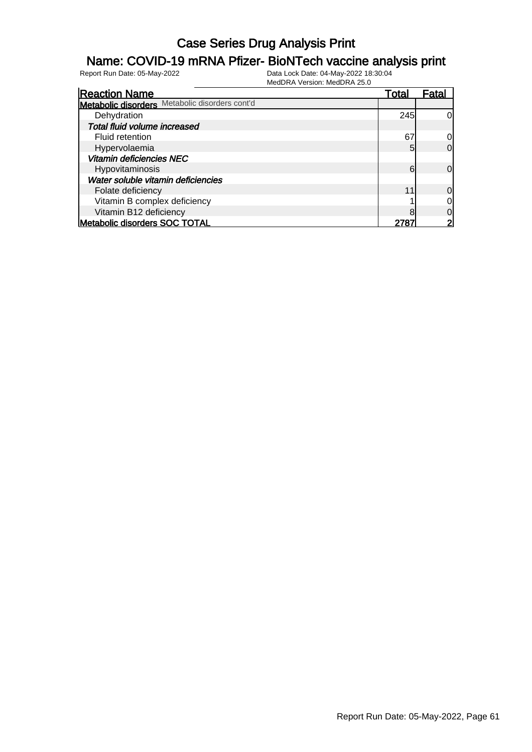### Name: COVID-19 mRNA Pfizer- BioNTech vaccine analysis print

| <b>Reaction Name</b>                           | <u>Total</u> | Fatal          |
|------------------------------------------------|--------------|----------------|
| Metabolic disorders Metabolic disorders cont'd |              |                |
| Dehydration                                    | 245          | 0l             |
| Total fluid volume increased                   |              |                |
| Fluid retention                                | 67           | 0l             |
| Hypervolaemia                                  | 5            | $\Omega$       |
| <b>Vitamin deficiencies NEC</b>                |              |                |
| Hypovitaminosis                                | 6            | $\Omega$       |
| Water soluble vitamin deficiencies             |              |                |
| Folate deficiency                              | 11           | $\overline{0}$ |
| Vitamin B complex deficiency                   |              | $\overline{0}$ |
| Vitamin B12 deficiency                         |              | $\Omega$       |
| Metabolic disorders SOC TOTAL                  | 278          | $\overline{2}$ |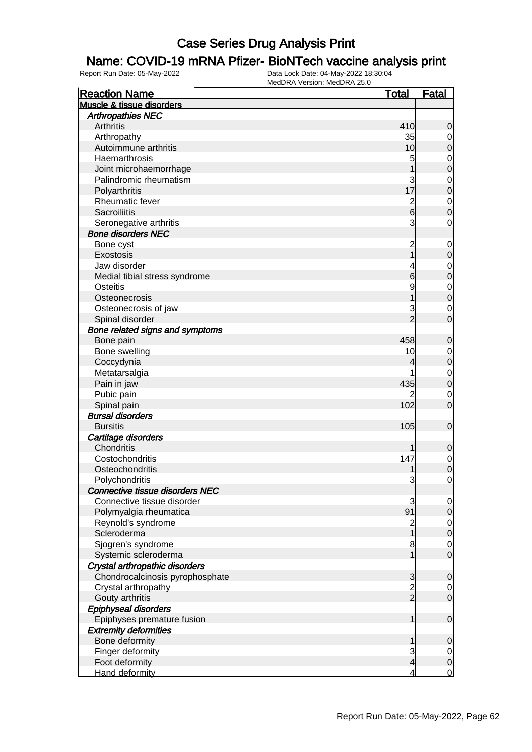#### Name: COVID-19 mRNA Pfizer- BioNTech vaccine analysis print

| <b>Reaction Name</b>                   | <u>Total</u>                     | <b>Fatal</b>                |
|----------------------------------------|----------------------------------|-----------------------------|
| Muscle & tissue disorders              |                                  |                             |
| <b>Arthropathies NEC</b>               |                                  |                             |
| <b>Arthritis</b>                       | 410                              | 0                           |
| Arthropathy                            | 35                               | $\mathbf 0$                 |
| Autoimmune arthritis                   | 10                               | 0                           |
| Haemarthrosis                          | 5                                | $\mathbf 0$                 |
| Joint microhaemorrhage                 |                                  | 0                           |
| Palindromic rheumatism                 | 3                                | $\mathbf 0$                 |
| Polyarthritis                          | 17                               | $\mathbf 0$                 |
| Rheumatic fever                        | $\overline{c}$                   | $\mathbf 0$                 |
| <b>Sacroiliitis</b>                    | 6                                | 0                           |
| Seronegative arthritis                 | 3                                | 0                           |
| <b>Bone disorders NEC</b>              |                                  |                             |
| Bone cyst                              | $\overline{c}$                   | $\mathbf 0$                 |
| Exostosis                              |                                  | 0                           |
| Jaw disorder                           | 4                                | $\mathbf 0$                 |
| Medial tibial stress syndrome          | 6                                | $\mathbf 0$                 |
| Osteitis                               | 9                                | $\mathbf 0$                 |
| Osteonecrosis                          |                                  | $\mathbf 0$                 |
| Osteonecrosis of jaw                   | 3                                | $\mathbf 0$                 |
| Spinal disorder                        | $\overline{2}$                   | 0                           |
| Bone related signs and symptoms        |                                  |                             |
| Bone pain                              | 458                              | 0                           |
| Bone swelling                          | 10                               |                             |
| Coccydynia                             | 4                                | $\mathbf 0$<br>$\mathbf 0$  |
|                                        |                                  |                             |
| Metatarsalgia                          | 435                              | $\mathbf 0$<br>$\mathbf{0}$ |
| Pain in jaw                            |                                  |                             |
| Pubic pain                             | 102                              | $\mathbf 0$                 |
| Spinal pain<br><b>Bursal disorders</b> |                                  | 0                           |
|                                        |                                  |                             |
| <b>Bursitis</b>                        | 105                              | $\mathbf 0$                 |
| Cartilage disorders<br>Chondritis      |                                  |                             |
| Costochondritis                        |                                  | 0                           |
|                                        | 147                              | $\mathbf 0$                 |
| Osteochondritis                        |                                  | $\mathbf 0$                 |
| Polychondritis                         | 3                                | $\mathbf{0}$                |
| <b>Connective tissue disorders NEC</b> |                                  |                             |
| Connective tissue disorder             | 3                                | $\overline{0}$              |
| Polymyalgia rheumatica                 | 91                               | 0                           |
| Reynold's syndrome                     | $\overline{c}$                   | $\mathbf 0$                 |
| Scleroderma                            |                                  | $\mathbf 0$                 |
| Sjogren's syndrome                     | 8                                | $\mathbf 0$                 |
| Systemic scleroderma                   | 1                                | $\mathbf 0$                 |
| Crystal arthropathic disorders         |                                  |                             |
| Chondrocalcinosis pyrophosphate        | 3                                | 0                           |
| Crystal arthropathy                    | $\overline{c}$<br>$\overline{2}$ | $\mathbf 0$                 |
| Gouty arthritis                        |                                  | $\mathbf 0$                 |
| <b>Epiphyseal disorders</b>            |                                  |                             |
| Epiphyses premature fusion             | 1                                | $\mathbf 0$                 |
| <b>Extremity deformities</b>           |                                  |                             |
| Bone deformity                         |                                  | 0                           |
| Finger deformity                       | 3                                | $\overline{0}$              |
| Foot deformity                         | $\overline{\mathcal{L}}$         | $\mathbf 0$                 |
| Hand deformity                         | 4                                | $\mathbf 0$                 |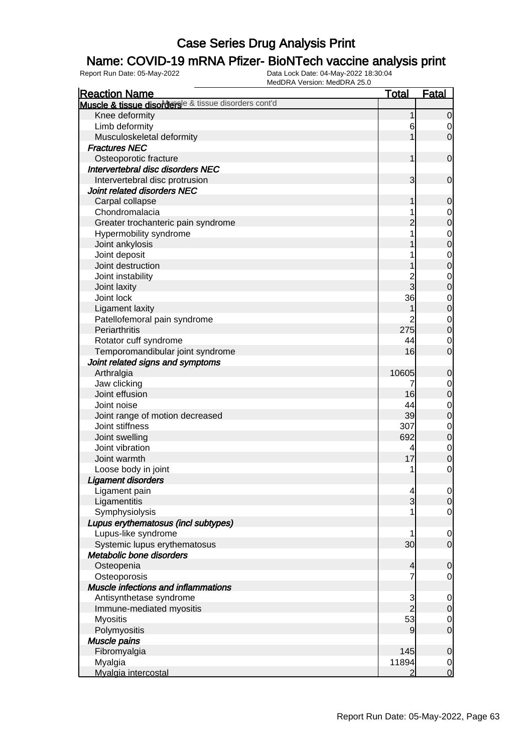### Name: COVID-19 mRNA Pfizer- BioNTech vaccine analysis print

| <b>Reaction Name</b>                                  | <u>Total</u>   | <b>Fatal</b>   |
|-------------------------------------------------------|----------------|----------------|
| Muscle & tissue disordersle & tissue disorders cont'd |                |                |
| Knee deformity                                        |                | 0              |
| Limb deformity                                        | 6              | 0              |
| Musculoskeletal deformity                             |                | $\overline{0}$ |
| <b>Fractures NEC</b>                                  |                |                |
| Osteoporotic fracture                                 | 1              | $\mathbf 0$    |
| Intervertebral disc disorders NEC                     |                |                |
| Intervertebral disc protrusion                        | 3              | 0              |
| Joint related disorders NEC                           |                |                |
| Carpal collapse                                       |                | 0              |
| Chondromalacia                                        |                | $\overline{0}$ |
| Greater trochanteric pain syndrome                    |                | 0              |
| Hypermobility syndrome                                |                | $\mathbf 0$    |
| Joint ankylosis                                       |                | 0              |
| Joint deposit                                         |                | 0              |
| Joint destruction                                     |                | 0              |
| Joint instability                                     |                | 0              |
| Joint laxity                                          | 3              | 0              |
| Joint lock                                            | 36             | 0              |
| <b>Ligament laxity</b>                                |                | 0              |
| Patellofemoral pain syndrome                          |                | $\mathbf 0$    |
| Periarthritis                                         | 275            | 0              |
| Rotator cuff syndrome                                 | 44             | 0              |
| Temporomandibular joint syndrome                      | 16             | 0              |
| Joint related signs and symptoms                      |                |                |
| Arthralgia                                            | 10605          | 0              |
| Jaw clicking                                          | 7              | $\mathbf 0$    |
| Joint effusion                                        | 16             | 0              |
| Joint noise                                           | 44             | 0              |
| Joint range of motion decreased                       | 39             | 0              |
| Joint stiffness                                       | 307            | $\mathbf 0$    |
| Joint swelling                                        | 692            | $\mathbf 0$    |
| Joint vibration                                       | 4              | $\mathbf 0$    |
| Joint warmth                                          | 17             | 0              |
| Loose body in joint                                   | 1              | 0              |
| <b>Ligament disorders</b>                             |                |                |
| Ligament pain                                         | 4              | $\overline{O}$ |
| Ligamentitis                                          | $\overline{3}$ | $\overline{0}$ |
| Symphysiolysis                                        |                | 0              |
| Lupus erythematosus (incl subtypes)                   |                |                |
| Lupus-like syndrome                                   | 1              | $\mathbf 0$    |
| Systemic lupus erythematosus                          | 30             | $\mathbf 0$    |
| Metabolic bone disorders                              |                |                |
| Osteopenia                                            | 4              | 0              |
| Osteoporosis                                          | 7              | $\mathbf 0$    |
| <b>Muscle infections and inflammations</b>            |                |                |
| Antisynthetase syndrome                               | 3              | $\mathbf 0$    |
| Immune-mediated myositis                              | $\overline{2}$ | $\mathbf 0$    |
| <b>Myositis</b>                                       | 53             | $\mathbf 0$    |
| Polymyositis                                          | 9              | $\mathbf 0$    |
| Muscle pains                                          |                |                |
| Fibromyalgia                                          | 145            | $\mathbf 0$    |
| Myalgia                                               | 11894          | $\overline{0}$ |
| Myalgia intercostal                                   | 2              | $\overline{0}$ |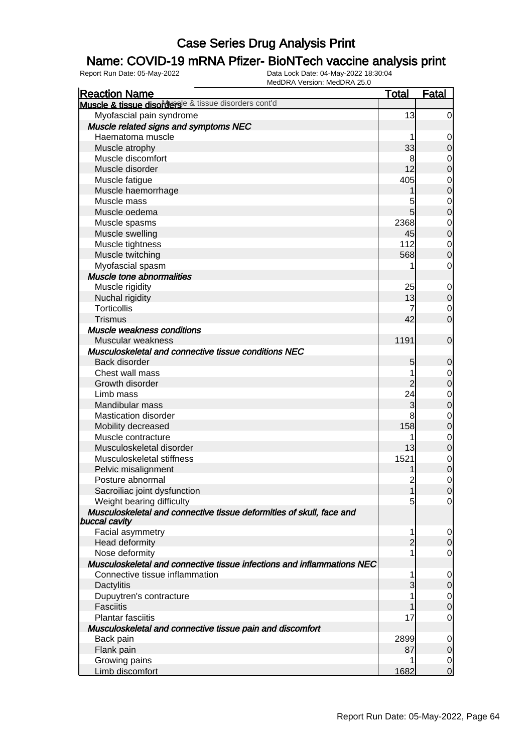### Name: COVID-19 mRNA Pfizer- BioNTech vaccine analysis print

| <b>Reaction Name</b>                                                                  | <b>Total</b>   | <b>Fatal</b>     |
|---------------------------------------------------------------------------------------|----------------|------------------|
| Muscle & tissue disordersle & tissue disorders cont'd                                 |                |                  |
| Myofascial pain syndrome                                                              | 13             | $\overline{0}$   |
| Muscle related signs and symptoms NEC                                                 |                |                  |
| Haematoma muscle                                                                      |                | 0                |
| Muscle atrophy                                                                        | 33             | $\mathbf 0$      |
| Muscle discomfort                                                                     | 8              | 0                |
| Muscle disorder                                                                       | 12             | $\mathbf 0$      |
| Muscle fatigue                                                                        | 405            | $\mathbf 0$      |
| Muscle haemorrhage                                                                    |                | $\mathbf 0$      |
| Muscle mass                                                                           | 5              | $\mathbf 0$      |
| Muscle oedema                                                                         | $\overline{5}$ | $\boldsymbol{0}$ |
| Muscle spasms                                                                         | 2368           | 0                |
| Muscle swelling                                                                       | 45             | $\mathbf 0$      |
| Muscle tightness                                                                      | 112            | $\mathbf 0$      |
| Muscle twitching                                                                      | 568            | $\mathbf 0$      |
| Myofascial spasm                                                                      |                | 0                |
| Muscle tone abnormalities                                                             |                |                  |
| Muscle rigidity                                                                       | 25             | 0                |
| Nuchal rigidity                                                                       | 13             | $\mathbf 0$      |
| <b>Torticollis</b>                                                                    | 7              | 0                |
| <b>Trismus</b>                                                                        | 42             | $\overline{0}$   |
| Muscle weakness conditions                                                            |                |                  |
| Muscular weakness                                                                     | 1191           | $\mathbf 0$      |
| Musculoskeletal and connective tissue conditions NEC                                  |                |                  |
| Back disorder                                                                         | 5              | $\mathbf 0$      |
| Chest wall mass                                                                       |                | 0                |
| Growth disorder                                                                       | $\overline{2}$ | $\mathbf 0$      |
| Limb mass                                                                             | 24             | $\mathbf 0$      |
| Mandibular mass                                                                       | 3              | $\boldsymbol{0}$ |
| <b>Mastication disorder</b>                                                           | 8              | $\mathbf 0$      |
| Mobility decreased                                                                    | 158            | $\boldsymbol{0}$ |
| Muscle contracture                                                                    |                | $\mathbf 0$      |
| Musculoskeletal disorder                                                              | 13             | $\boldsymbol{0}$ |
| Musculoskeletal stiffness                                                             | 1521           | $\mathbf 0$      |
| Pelvic misalignment                                                                   |                | $\mathbf 0$      |
| Posture abnormal                                                                      | $\overline{c}$ | $\mathbf 0$      |
| Sacroiliac joint dysfunction                                                          | 1              | 0                |
| Weight bearing difficulty                                                             | 5              | $\overline{0}$   |
| Musculoskeletal and connective tissue deformities of skull, face and<br>buccal cavity |                |                  |
| Facial asymmetry                                                                      | 1              | 0                |
| Head deformity                                                                        | $\overline{2}$ | 0                |
| Nose deformity                                                                        |                | 0                |
| Musculoskeletal and connective tissue infections and inflammations NEC                |                |                  |
| Connective tissue inflammation                                                        | 1              | 0                |
| Dactylitis                                                                            | 3              | 0                |
| Dupuytren's contracture                                                               |                | 0                |
| <b>Fasciitis</b>                                                                      |                | 0                |
| <b>Plantar fasciitis</b>                                                              | 17             | 0                |
| Musculoskeletal and connective tissue pain and discomfort                             |                |                  |
| Back pain                                                                             | 2899           | 0                |
| Flank pain                                                                            | 87             | 0                |
| Growing pains                                                                         | 1              | $\overline{0}$   |
| Limb discomfort                                                                       | 1682           | $\overline{0}$   |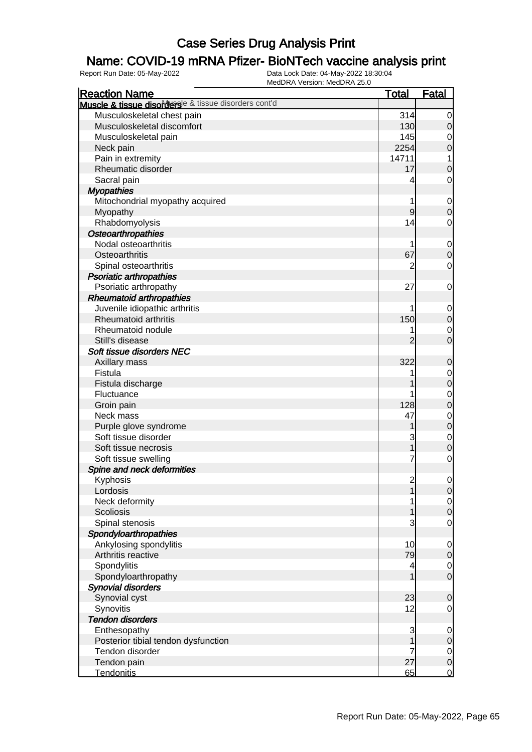### Name: COVID-19 mRNA Pfizer- BioNTech vaccine analysis print

| <b>Reaction Name</b>                                                  | <u>Total</u>   | <b>Fatal</b>     |
|-----------------------------------------------------------------------|----------------|------------------|
| Muscle & tissue disorders <sup>le &amp; tissue disorders cont'd</sup> |                |                  |
| Musculoskeletal chest pain                                            | 314            | $\overline{0}$   |
| Musculoskeletal discomfort                                            | 130            | $\mathbf 0$      |
| Musculoskeletal pain                                                  | 145            | $\mathbf 0$      |
| Neck pain                                                             | 2254           | $\mathbf 0$      |
| Pain in extremity                                                     | 14711          | 1                |
| Rheumatic disorder                                                    | 17             | $\mathbf 0$      |
| Sacral pain                                                           | 4              | $\mathbf 0$      |
| <b>Myopathies</b>                                                     |                |                  |
| Mitochondrial myopathy acquired                                       | 1              | $\mathbf 0$      |
| Myopathy                                                              | 9              | $\mathbf 0$      |
| Rhabdomyolysis                                                        | 14             | $\mathbf 0$      |
| Osteoarthropathies                                                    |                |                  |
| Nodal osteoarthritis                                                  |                | $\mathbf 0$      |
| Osteoarthritis                                                        | 67             | $\mathbf 0$      |
| Spinal osteoarthritis                                                 | 2              | $\mathbf 0$      |
| <b>Psoriatic arthropathies</b>                                        |                |                  |
| Psoriatic arthropathy                                                 | 27             | $\mathbf 0$      |
| <b>Rheumatoid arthropathies</b>                                       |                |                  |
| Juvenile idiopathic arthritis                                         |                | $\mathbf 0$      |
| <b>Rheumatoid arthritis</b>                                           | 150            | $\boldsymbol{0}$ |
| Rheumatoid nodule                                                     |                | $\mathbf 0$      |
| Still's disease                                                       | 2              | $\overline{0}$   |
| Soft tissue disorders NEC                                             |                |                  |
| Axillary mass                                                         | 322            | $\mathbf 0$      |
| Fistula                                                               | 1              | $\mathbf 0$      |
| Fistula discharge                                                     |                | $\overline{0}$   |
| Fluctuance                                                            |                | $\mathbf 0$      |
| Groin pain                                                            | 128            | $\overline{0}$   |
| Neck mass                                                             | 47             | $\mathbf 0$      |
| Purple glove syndrome                                                 |                | $\overline{0}$   |
| Soft tissue disorder                                                  | 3              | $\mathbf 0$      |
| Soft tissue necrosis                                                  | 1              | $\overline{0}$   |
| Soft tissue swelling                                                  | 7              | $\mathbf 0$      |
| Spine and neck deformities                                            |                |                  |
| Kyphosis                                                              | $\overline{c}$ | 0                |
| Lordosis                                                              | 1              | $\overline{0}$   |
| Neck deformity                                                        |                | $\overline{0}$   |
| Scoliosis                                                             |                | $\boldsymbol{0}$ |
| Spinal stenosis                                                       | 3              | $\mathbf 0$      |
| Spondyloarthropathies                                                 |                |                  |
| Ankylosing spondylitis                                                | 10             | $\mathbf 0$      |
| Arthritis reactive                                                    | 79             | $\overline{0}$   |
| Spondylitis                                                           | 4              | $\overline{0}$   |
| Spondyloarthropathy                                                   |                | $\overline{O}$   |
| <b>Synovial disorders</b>                                             |                |                  |
| Synovial cyst                                                         | 23             | $\mathbf 0$      |
| Synovitis                                                             | 12             | $\mathbf 0$      |
| <b>Tendon disorders</b>                                               |                |                  |
| Enthesopathy                                                          | 3              | $\mathbf 0$      |
| Posterior tibial tendon dysfunction                                   |                | $\overline{0}$   |
| Tendon disorder                                                       | 7              | $\overline{0}$   |
| Tendon pain                                                           | 27             | $\boldsymbol{0}$ |
| Tendonitis                                                            | 65             | $\overline{0}$   |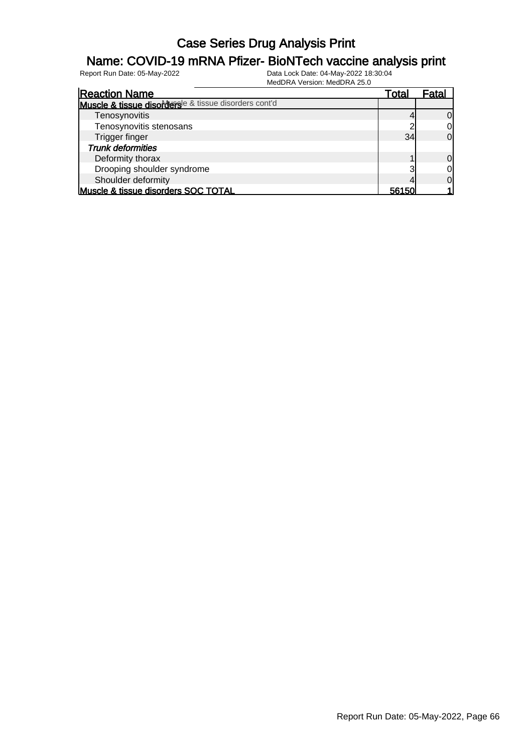### Name: COVID-19 mRNA Pfizer- BioNTech vaccine analysis print

| <b>Reaction Name</b>                                  | Total | Fatal          |
|-------------------------------------------------------|-------|----------------|
| Muscle & tissue disordersle & tissue disorders cont'd |       |                |
| Tenosynovitis                                         |       | <sup>O</sup>   |
| Tenosynovitis stenosans                               |       | 0              |
| Trigger finger                                        | 34    | $\Omega$       |
| <b>Trunk deformities</b>                              |       |                |
| Deformity thorax                                      |       | $\overline{0}$ |
| Drooping shoulder syndrome                            |       | 0              |
| Shoulder deformity                                    |       | $\Omega$       |
| Muscle & tissue disorders SOC TOTAL                   | 56150 |                |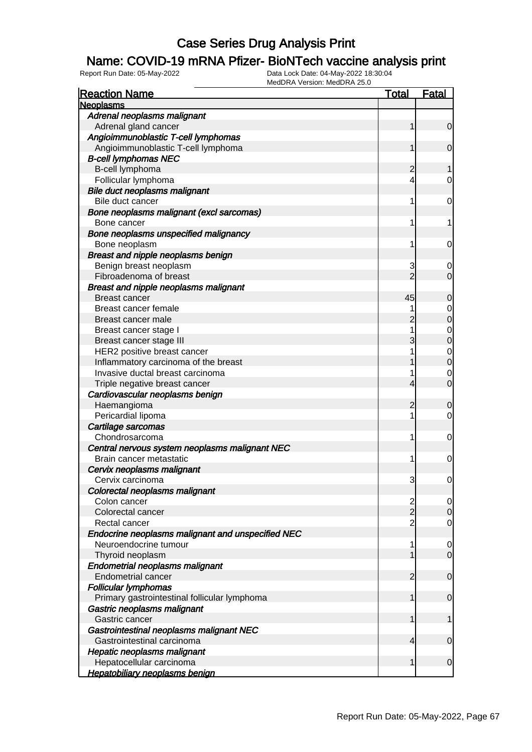### Name: COVID-19 mRNA Pfizer- BioNTech vaccine analysis print

| <b>Reaction Name</b>                                                     | <u>Total</u>   | <b>Fatal</b>                   |
|--------------------------------------------------------------------------|----------------|--------------------------------|
| <b>Neoplasms</b>                                                         |                |                                |
| Adrenal neoplasms malignant                                              |                |                                |
| Adrenal gland cancer                                                     | 1              | $\overline{0}$                 |
| Angioimmunoblastic T-cell lymphomas                                      |                |                                |
| Angioimmunoblastic T-cell lymphoma                                       |                | $\mathbf 0$                    |
| <b>B-cell lymphomas NEC</b>                                              |                |                                |
| B-cell lymphoma                                                          | 2              |                                |
| Follicular lymphoma                                                      | 4              | 0                              |
| Bile duct neoplasms malignant                                            |                |                                |
| Bile duct cancer                                                         | 1              | 0                              |
| Bone neoplasms malignant (excl sarcomas)                                 |                |                                |
| Bone cancer                                                              | 1              | 1                              |
| Bone neoplasms unspecified malignancy                                    |                |                                |
| Bone neoplasm                                                            | 1              | 0                              |
| Breast and nipple neoplasms benign                                       |                |                                |
| Benign breast neoplasm                                                   | 3              | 0                              |
| Fibroadenoma of breast                                                   | $\overline{2}$ | 0                              |
| <b>Breast and nipple neoplasms malignant</b>                             |                |                                |
| <b>Breast cancer</b>                                                     | 45             | 0                              |
| Breast cancer female                                                     |                | $\mathbf 0$                    |
| Breast cancer male                                                       |                | 0                              |
| Breast cancer stage I                                                    | 1              |                                |
| Breast cancer stage III                                                  | 3              | $\mathbf 0$<br>0               |
| HER2 positive breast cancer                                              |                |                                |
|                                                                          |                | $\mathbf{0}$<br>$\overline{0}$ |
| Inflammatory carcinoma of the breast<br>Invasive ductal breast carcinoma |                |                                |
|                                                                          |                | $\mathbf 0$<br>$\overline{0}$  |
| Triple negative breast cancer                                            | 4              |                                |
| Cardiovascular neoplasms benign                                          |                |                                |
| Haemangioma                                                              | 2              | 0                              |
| Pericardial lipoma                                                       | 1              | 0                              |
| Cartilage sarcomas                                                       |                |                                |
| Chondrosarcoma                                                           | 1              | 0                              |
| Central nervous system neoplasms malignant NEC                           |                |                                |
| Brain cancer metastatic                                                  | 1              | 0                              |
| Cervix neoplasms malignant                                               |                |                                |
| Cervix carcinoma                                                         | 3              | 0                              |
| Colorectal neoplasms malignant                                           |                |                                |
| Colon cancer                                                             | $\frac{2}{2}$  | $\overline{0}$                 |
| Colorectal cancer                                                        |                | $\mathbf 0$                    |
| Rectal cancer                                                            | $\overline{2}$ | $\mathbf 0$                    |
| Endocrine neoplasms malignant and unspecified NEC                        |                |                                |
| Neuroendocrine tumour                                                    | 1              | $\mathbf 0$                    |
| Thyroid neoplasm                                                         |                | $\mathbf 0$                    |
| <b>Endometrial neoplasms malignant</b>                                   |                |                                |
| <b>Endometrial cancer</b>                                                | 2              | $\mathbf 0$                    |
| <b>Follicular lymphomas</b>                                              |                |                                |
| Primary gastrointestinal follicular lymphoma                             | 1              | $\mathbf 0$                    |
| Gastric neoplasms malignant                                              |                |                                |
| Gastric cancer                                                           | 1              | $\mathbf{1}$                   |
| Gastrointestinal neoplasms malignant NEC                                 |                |                                |
| Gastrointestinal carcinoma                                               | 4              | $\mathbf 0$                    |
| <b>Hepatic neoplasms malignant</b>                                       |                |                                |
| Hepatocellular carcinoma                                                 | 1              | $\mathbf 0$                    |
| <b>Hepatobiliary neoplasms benign</b>                                    |                |                                |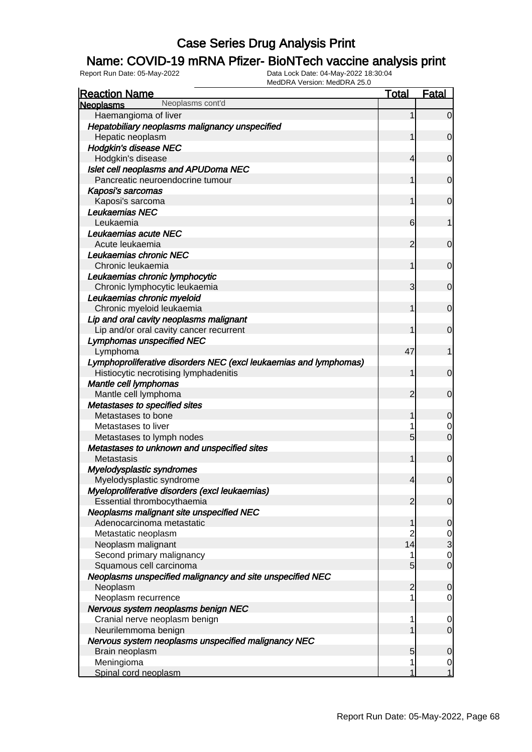### Name: COVID-19 mRNA Pfizer- BioNTech vaccine analysis print

| <b>Reaction Name</b>                                              | <u>Total</u>   | <b>Fatal</b>                     |
|-------------------------------------------------------------------|----------------|----------------------------------|
| Neoplasms cont'd<br><b>Neoplasms</b>                              |                |                                  |
| Haemangioma of liver                                              | 1              | $\overline{0}$                   |
| Hepatobiliary neoplasms malignancy unspecified                    |                |                                  |
| Hepatic neoplasm                                                  | 1              | $\mathbf 0$                      |
| <b>Hodgkin's disease NEC</b>                                      |                |                                  |
| Hodgkin's disease                                                 | 4              | $\mathbf 0$                      |
| Islet cell neoplasms and APUDoma NEC                              |                |                                  |
| Pancreatic neuroendocrine tumour                                  | 1              | $\mathbf 0$                      |
| Kaposi's sarcomas                                                 |                |                                  |
| Kaposi's sarcoma                                                  | 1              | $\mathbf 0$                      |
| Leukaemias NEC                                                    |                |                                  |
| Leukaemia                                                         | 6              | 1                                |
| Leukaemias acute NEC                                              |                |                                  |
| Acute leukaemia                                                   | $\overline{2}$ | $\mathbf 0$                      |
| Leukaemias chronic NEC                                            |                |                                  |
| Chronic leukaemia                                                 | 1              | $\mathbf 0$                      |
| Leukaemias chronic lymphocytic                                    |                |                                  |
| Chronic lymphocytic leukaemia                                     | 3              | $\mathbf 0$                      |
| Leukaemias chronic myeloid                                        |                |                                  |
| Chronic myeloid leukaemia                                         | 1              | $\mathbf 0$                      |
| Lip and oral cavity neoplasms malignant                           |                |                                  |
| Lip and/or oral cavity cancer recurrent                           | 1              | $\mathbf 0$                      |
| <b>Lymphomas unspecified NEC</b>                                  |                |                                  |
| Lymphoma                                                          | 47             | 1                                |
| Lymphoproliferative disorders NEC (excl leukaemias and lymphomas) |                |                                  |
| Histiocytic necrotising lymphadenitis                             | 1              | $\mathbf 0$                      |
| Mantle cell lymphomas                                             |                |                                  |
| Mantle cell lymphoma                                              | $\overline{2}$ | $\mathbf 0$                      |
| Metastases to specified sites                                     |                |                                  |
| Metastases to bone                                                | 1              | $\mathbf 0$                      |
| Metastases to liver                                               |                | 0                                |
| Metastases to lymph nodes                                         | 5              | $\overline{0}$                   |
| Metastases to unknown and unspecified sites                       |                |                                  |
| Metastasis                                                        | 1              | $\mathbf 0$                      |
| Myelodysplastic syndromes                                         |                |                                  |
| Myelodysplastic syndrome                                          | $\overline{4}$ | $\boldsymbol{0}$                 |
| Myeloproliferative disorders (excl leukaemias)                    |                |                                  |
| Essential thrombocythaemia                                        | $\overline{2}$ | $\overline{0}$                   |
| Neoplasms malignant site unspecified NEC                          |                |                                  |
| Adenocarcinoma metastatic                                         | 1              | $\mathbf 0$                      |
| Metastatic neoplasm                                               | $\overline{2}$ | $\frac{0}{3}$                    |
| Neoplasm malignant                                                | 14             |                                  |
| Second primary malignancy                                         | 1              | $\mathbf 0$                      |
| Squamous cell carcinoma                                           | 5              | $\overline{O}$                   |
| Neoplasms unspecified malignancy and site unspecified NEC         |                |                                  |
| Neoplasm                                                          | $\overline{2}$ | $\mathbf 0$                      |
| Neoplasm recurrence                                               |                | $\mathbf 0$                      |
| Nervous system neoplasms benign NEC                               |                |                                  |
| Cranial nerve neoplasm benign                                     | 1              | $\mathbf 0$                      |
| Neurilemmoma benign                                               |                | $\mathbf 0$                      |
| Nervous system neoplasms unspecified malignancy NEC               |                |                                  |
| Brain neoplasm                                                    | 5<br>1         | $\mathbf 0$                      |
| Meningioma                                                        |                | $\overline{0}$<br>$\overline{1}$ |
| Spinal cord neoplasm                                              |                |                                  |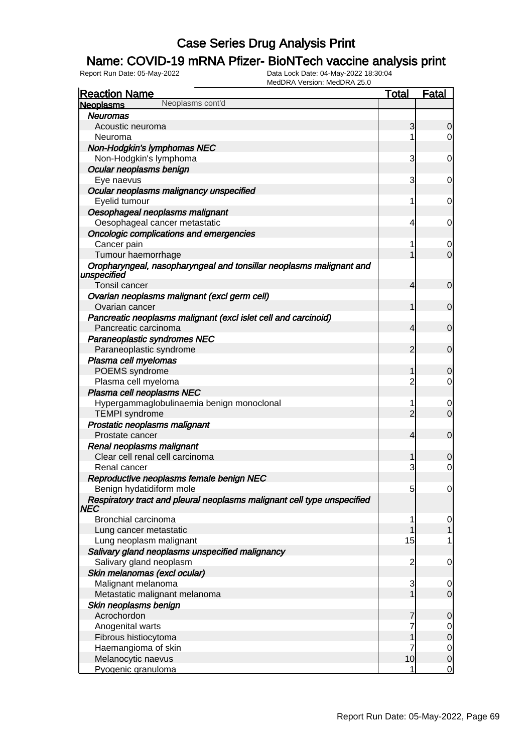### Name: COVID-19 mRNA Pfizer- BioNTech vaccine analysis print

| <b>Reaction Name</b>                                                               | Total          | <b>Fatal</b>   |
|------------------------------------------------------------------------------------|----------------|----------------|
| Neoplasms cont'd<br><b>Neoplasms</b>                                               |                |                |
| <b>Neuromas</b>                                                                    |                |                |
| Acoustic neuroma                                                                   | 3              | 0              |
| Neuroma                                                                            | 1              | 0              |
| Non-Hodgkin's lymphomas NEC                                                        |                |                |
| Non-Hodgkin's lymphoma                                                             | 3              | 0              |
| Ocular neoplasms benign                                                            |                |                |
| Eye naevus                                                                         | 3              | 0              |
| Ocular neoplasms malignancy unspecified                                            |                |                |
| Eyelid tumour                                                                      | 1              | 0              |
| Oesophageal neoplasms malignant                                                    |                |                |
| Oesophageal cancer metastatic                                                      | 4              | 0              |
| Oncologic complications and emergencies                                            |                |                |
| Cancer pain                                                                        | 1              | 0              |
| Tumour haemorrhage                                                                 | 1              | $\overline{0}$ |
| Oropharyngeal, nasopharyngeal and tonsillar neoplasms malignant and<br>unspecified |                |                |
| Tonsil cancer                                                                      | $\overline{4}$ | 0              |
| Ovarian neoplasms malignant (excl germ cell)                                       |                |                |
| Ovarian cancer                                                                     | 1              | 0              |
| Pancreatic neoplasms malignant (excl islet cell and carcinoid)                     |                |                |
| Pancreatic carcinoma                                                               | $\overline{4}$ | 0              |
| Paraneoplastic syndromes NEC                                                       |                |                |
| Paraneoplastic syndrome                                                            | $\overline{2}$ | $\mathbf 0$    |
| Plasma cell myelomas                                                               |                |                |
| POEMS syndrome                                                                     | 1              | 0              |
| Plasma cell myeloma                                                                | $\overline{c}$ | 0              |
| Plasma cell neoplasms NEC                                                          |                |                |
| Hypergammaglobulinaemia benign monoclonal                                          | 1              | 0              |
| <b>TEMPI</b> syndrome                                                              | $\overline{2}$ | 0              |
| Prostatic neoplasms malignant                                                      |                |                |
| Prostate cancer                                                                    | $\overline{4}$ | 0              |
| Renal neoplasms malignant                                                          |                |                |
| Clear cell renal cell carcinoma                                                    |                | 0              |
| Renal cancer                                                                       | 3              | 0              |
| Reproductive neoplasms female benign NEC                                           |                |                |
| Benign hydatidiform mole                                                           | 5              | $\overline{0}$ |
| Respiratory tract and pleural neoplasms malignant cell type unspecified<br>NEC     |                |                |
| Bronchial carcinoma                                                                | 1              | $\mathbf 0$    |
| Lung cancer metastatic                                                             | 1              |                |
| Lung neoplasm malignant                                                            | 15             |                |
| Salivary gland neoplasms unspecified malignancy                                    |                |                |
| Salivary gland neoplasm                                                            | $\overline{2}$ | $\mathbf 0$    |
| Skin melanomas (excl ocular)                                                       |                |                |
| Malignant melanoma                                                                 | 3              | $\mathbf 0$    |
| Metastatic malignant melanoma                                                      | 1              | $\overline{0}$ |
| Skin neoplasms benign                                                              |                |                |
| Acrochordon                                                                        | 7              | $\overline{0}$ |
| Anogenital warts                                                                   | 7              | $\mathbf 0$    |
| Fibrous histiocytoma                                                               |                | $\mathbf 0$    |
| Haemangioma of skin                                                                | 7              | $\mathbf 0$    |
| Melanocytic naevus                                                                 | 10             | $\overline{0}$ |
| Pyogenic granuloma                                                                 |                | $\overline{0}$ |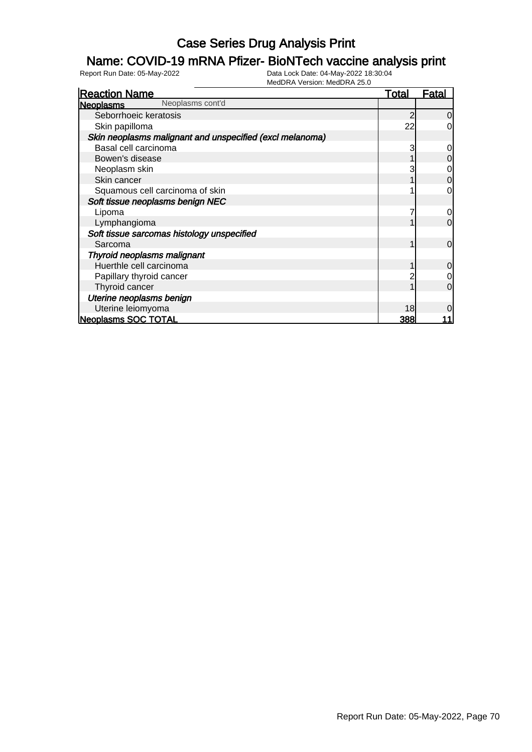### Name: COVID-19 mRNA Pfizer- BioNTech vaccine analysis print

| <b>Reaction Name</b>                                     | <u>Total</u> | <u>Fatal</u>   |
|----------------------------------------------------------|--------------|----------------|
| Neoplasms cont'd<br><b>Neoplasms</b>                     |              |                |
| Seborrhoeic keratosis                                    |              | $\overline{0}$ |
| Skin papilloma                                           | 22           | $\overline{0}$ |
| Skin neoplasms malignant and unspecified (excl melanoma) |              |                |
| Basal cell carcinoma                                     | 3            | $\overline{O}$ |
| Bowen's disease                                          |              | $\overline{0}$ |
| Neoplasm skin                                            |              | $\overline{0}$ |
| Skin cancer                                              |              | $\overline{0}$ |
| Squamous cell carcinoma of skin                          |              | $\overline{0}$ |
| Soft tissue neoplasms benign NEC                         |              |                |
| Lipoma                                                   |              | $\overline{O}$ |
| Lymphangioma                                             |              | $\overline{0}$ |
| Soft tissue sarcomas histology unspecified               |              |                |
| Sarcoma                                                  |              | $\overline{0}$ |
| Thyroid neoplasms malignant                              |              |                |
| Huerthle cell carcinoma                                  |              | $\overline{0}$ |
| Papillary thyroid cancer                                 |              | $\overline{0}$ |
| Thyroid cancer                                           |              | $\overline{0}$ |
| Uterine neoplasms benign                                 |              |                |
| Uterine leiomyoma                                        | 18           | $\overline{0}$ |
| <b>Neoplasms SOC TOTAL</b>                               | 388          |                |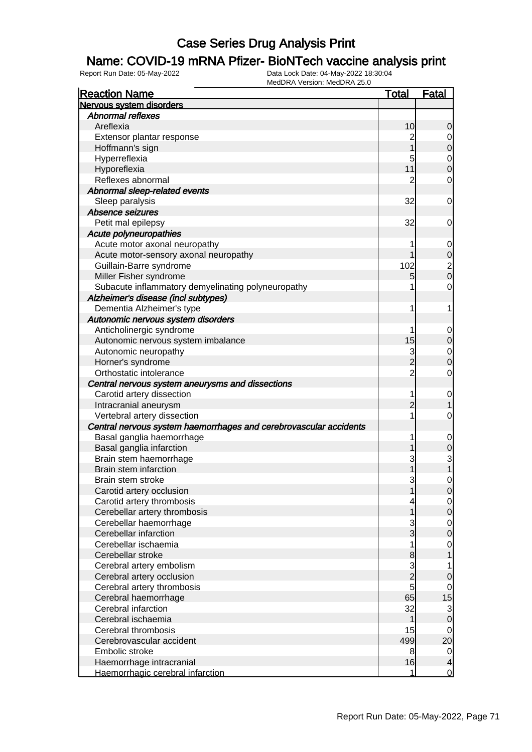### Name: COVID-19 mRNA Pfizer- BioNTech vaccine analysis print

| <b>Reaction Name</b>                                              | <u>Total</u>   | <b>Fatal</b>                          |
|-------------------------------------------------------------------|----------------|---------------------------------------|
| Nervous system disorders                                          |                |                                       |
| <b>Abnormal reflexes</b>                                          |                |                                       |
| Areflexia                                                         | 10             | 0                                     |
| Extensor plantar response                                         | $\overline{c}$ | 0                                     |
| Hoffmann's sign                                                   |                | 0                                     |
| Hyperreflexia                                                     | 5              | 0                                     |
| Hyporeflexia                                                      | 11             | 0                                     |
| Reflexes abnormal                                                 | $\overline{2}$ | 0                                     |
| Abnormal sleep-related events                                     |                |                                       |
| Sleep paralysis                                                   | 32             | 0                                     |
| Absence seizures                                                  |                |                                       |
| Petit mal epilepsy                                                | 32             | 0                                     |
| Acute polyneuropathies                                            |                |                                       |
| Acute motor axonal neuropathy                                     | 1              | $\mathbf 0$                           |
| Acute motor-sensory axonal neuropathy                             |                | $\mathbf 0$                           |
| Guillain-Barre syndrome                                           | 102            |                                       |
| Miller Fisher syndrome                                            | 5              | $\begin{array}{c} 2 \\ 0 \end{array}$ |
| Subacute inflammatory demyelinating polyneuropathy                | 1              | 0                                     |
| Alzheimer's disease (incl subtypes)                               |                |                                       |
| Dementia Alzheimer's type                                         | 1              | 1                                     |
| Autonomic nervous system disorders                                |                |                                       |
| Anticholinergic syndrome                                          | 1              | $\mathbf 0$                           |
| Autonomic nervous system imbalance                                | 15             | 0                                     |
| Autonomic neuropathy                                              | 3              |                                       |
| Horner's syndrome                                                 | $\overline{2}$ | $\mathbf 0$<br>0                      |
| Orthostatic intolerance                                           | $\overline{c}$ |                                       |
|                                                                   |                | 0                                     |
| Central nervous system aneurysms and dissections                  |                |                                       |
| Carotid artery dissection                                         | 1              | $\mathbf 0$                           |
| Intracranial aneurysm                                             | 2<br>1         |                                       |
| Vertebral artery dissection                                       |                | 0                                     |
| Central nervous system haemorrhages and cerebrovascular accidents |                |                                       |
| Basal ganglia haemorrhage                                         | 1              | $\mathbf 0$                           |
| Basal ganglia infarction                                          |                | 0                                     |
| Brain stem haemorrhage                                            | 3              | 3                                     |
| Brain stem infarction                                             |                |                                       |
| Brain stem stroke                                                 | 3              | 0                                     |
| Carotid artery occlusion                                          | 1              | $\overline{0}$                        |
| Carotid artery thrombosis                                         | 4              | $\overline{0}$                        |
| Cerebellar artery thrombosis                                      | 1              | 0                                     |
| Cerebellar haemorrhage                                            | 3              | $\overline{0}$                        |
| Cerebellar infarction                                             | $\overline{3}$ | $\boldsymbol{0}$                      |
| Cerebellar ischaemia                                              | 1              | 0                                     |
| Cerebellar stroke                                                 | 8              | 1                                     |
| Cerebral artery embolism                                          | $\frac{3}{2}$  | 1                                     |
| Cerebral artery occlusion                                         |                | 0                                     |
| Cerebral artery thrombosis                                        | 5              | 0                                     |
| Cerebral haemorrhage                                              | 65             | 15                                    |
| Cerebral infarction                                               | 32             | 3                                     |
| Cerebral ischaemia                                                | 1              | $\mathbf 0$                           |
| Cerebral thrombosis                                               | 15             | 0                                     |
| Cerebrovascular accident                                          | 499            | 20                                    |
| Embolic stroke                                                    | 8              | $\overline{0}$                        |
| Haemorrhage intracranial                                          | 16             | 4                                     |
| Haemorrhagic cerebral infarction                                  | 1              | $\overline{0}$                        |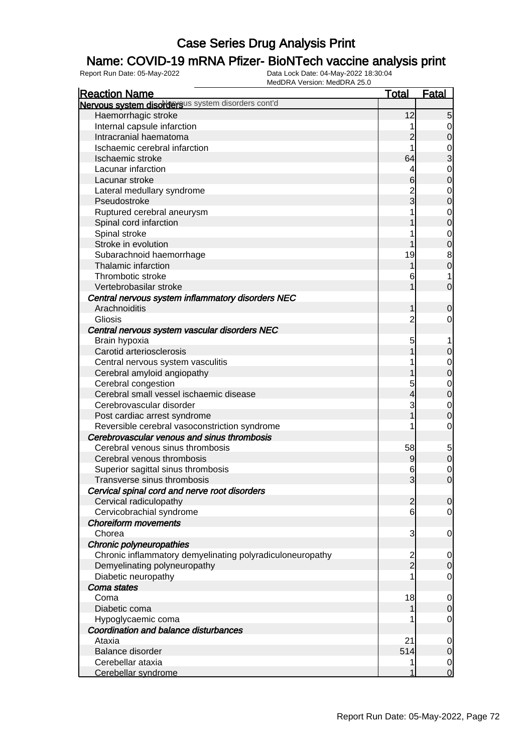### Name: COVID-19 mRNA Pfizer- BioNTech vaccine analysis print

| <b>Reaction Name</b>                                      | <b>Total</b>   | <b>Fatal</b>                  |
|-----------------------------------------------------------|----------------|-------------------------------|
| Nervous system disordersus system disorders cont'd        |                |                               |
| Haemorrhagic stroke                                       | 12             | $5 \mid$                      |
| Internal capsule infarction                               |                | $\overline{0}$                |
| Intracranial haematoma                                    | $\overline{2}$ | $\mathbf 0$                   |
| Ischaemic cerebral infarction                             |                |                               |
| Ischaemic stroke                                          | 64             | $\frac{0}{3}$                 |
| Lacunar infarction                                        | 4              | $\mathbf 0$                   |
| Lacunar stroke                                            | 6              | $\mathbf 0$                   |
| Lateral medullary syndrome                                |                | $\mathbf 0$                   |
| Pseudostroke                                              | 2<br>3         | $\overline{0}$                |
| Ruptured cerebral aneurysm                                |                | $\mathbf 0$                   |
| Spinal cord infarction                                    |                | $\overline{0}$                |
| Spinal stroke                                             |                | $\mathbf 0$                   |
| Stroke in evolution                                       |                | $\mathbf 0$                   |
| Subarachnoid haemorrhage                                  | 19             | $\bf{8}$                      |
| Thalamic infarction                                       |                | $\mathbf 0$                   |
| Thrombotic stroke                                         | 6              | 1                             |
| Vertebrobasilar stroke                                    |                | $\mathbf 0$                   |
| Central nervous system inflammatory disorders NEC         |                |                               |
| Arachnoiditis                                             |                | $\boldsymbol{0}$              |
| Gliosis                                                   | $\overline{c}$ | 0                             |
| Central nervous system vascular disorders NEC             |                |                               |
| Brain hypoxia                                             | 5              |                               |
| Carotid arteriosclerosis                                  |                | $\mathbf 0$                   |
| Central nervous system vasculitis                         |                | $\mathbf{0}$                  |
| Cerebral amyloid angiopathy                               |                | $\overline{0}$                |
| Cerebral congestion                                       | 5              | $\mathbf{0}$                  |
| Cerebral small vessel ischaemic disease                   | 4              | $\overline{0}$                |
| Cerebrovascular disorder                                  |                | $\mathbf 0$                   |
| Post cardiac arrest syndrome                              |                | $\overline{0}$                |
| Reversible cerebral vasoconstriction syndrome             |                | $\mathbf 0$                   |
| Cerebrovascular venous and sinus thrombosis               |                |                               |
| Cerebral venous sinus thrombosis                          | 58             | 5                             |
| Cerebral venous thrombosis                                | 9              | $\mathbf 0$                   |
| Superior sagittal sinus thrombosis                        | 6              | $\mathbf 0$                   |
| Transverse sinus thrombosis                               | 3              | $\overline{O}$                |
| Cervical spinal cord and nerve root disorders             |                |                               |
| Cervical radiculopathy                                    | $\overline{2}$ | 0                             |
| Cervicobrachial syndrome                                  | 6              | $\overline{0}$                |
| <b>Choreiform movements</b>                               |                |                               |
| Chorea                                                    | 3              | $\mathbf 0$                   |
| Chronic polyneuropathies                                  |                |                               |
| Chronic inflammatory demyelinating polyradiculoneuropathy |                |                               |
|                                                           | 2<br>2         | $\overline{0}$<br>$\mathbf 0$ |
| Demyelinating polyneuropathy                              |                |                               |
| Diabetic neuropathy                                       |                | $\mathbf 0$                   |
| Coma states                                               |                |                               |
| Coma                                                      | 18             | $\overline{0}$<br>$\mathbf 0$ |
| Diabetic coma                                             |                |                               |
| Hypoglycaemic coma                                        |                | $\mathbf 0$                   |
| Coordination and balance disturbances                     |                |                               |
| Ataxia                                                    | 21             | $\mathbf 0$                   |
| Balance disorder                                          | 514            | $\mathbf 0$                   |
| Cerebellar ataxia                                         |                | $\overline{0}$                |
| Cerebellar syndrome                                       |                | $\overline{0}$                |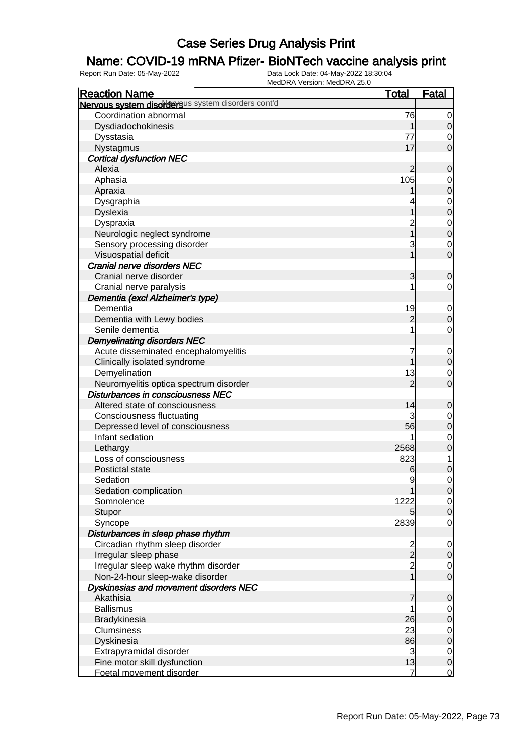### Name: COVID-19 mRNA Pfizer- BioNTech vaccine analysis print

| <b>Reaction Name</b>                                     | <b>Total</b>   | <b>Fatal</b>               |
|----------------------------------------------------------|----------------|----------------------------|
| Nervous system disordersus system disorders cont'd       |                |                            |
| Coordination abnormal                                    | 76             | $\mathbf 0$                |
| Dysdiadochokinesis                                       |                | $\mathbf 0$                |
| Dysstasia                                                | 77             | 0                          |
| Nystagmus                                                | 17             | $\overline{0}$             |
| <b>Cortical dysfunction NEC</b>                          |                |                            |
| Alexia                                                   | $\overline{2}$ | $\mathbf 0$                |
| Aphasia                                                  | 105            | 0                          |
| Apraxia                                                  |                | $\mathbf 0$                |
| Dysgraphia                                               |                | $\mathbf 0$                |
| <b>Dyslexia</b>                                          |                | $\mathbf 0$                |
| Dyspraxia                                                | $\overline{c}$ | $\mathbf 0$                |
| Neurologic neglect syndrome                              |                | $\boldsymbol{0}$           |
| Sensory processing disorder                              | 3              | $\mathbf 0$                |
| Visuospatial deficit                                     |                | $\mathbf 0$                |
| Cranial nerve disorders NEC                              |                |                            |
| Cranial nerve disorder                                   | 3              | 0                          |
| Cranial nerve paralysis                                  |                | 0                          |
| Dementia (excl Alzheimer's type)                         |                |                            |
| Dementia                                                 | 19             | $\mathbf 0$                |
| Dementia with Lewy bodies                                | $\overline{c}$ | $\mathbf 0$                |
| Senile dementia                                          |                | $\mathbf 0$                |
| <b>Demyelinating disorders NEC</b>                       |                |                            |
| Acute disseminated encephalomyelitis                     |                | $\mathbf 0$                |
| Clinically isolated syndrome                             |                | $\mathbf 0$                |
| Demyelination                                            | 13             | $\mathbf 0$                |
| Neuromyelitis optica spectrum disorder                   | $\overline{2}$ | $\overline{0}$             |
| Disturbances in consciousness NEC                        |                |                            |
| Altered state of consciousness                           | 14             | $\mathbf 0$                |
| <b>Consciousness fluctuating</b>                         | 3              | $\mathbf 0$                |
| Depressed level of consciousness                         | 56             | $\mathbf 0$                |
| Infant sedation                                          |                | $\mathbf 0$                |
| Lethargy                                                 | 2568           | $\mathbf 0$                |
| Loss of consciousness                                    | 823            | 1                          |
| Postictal state                                          | 6              | $\mathbf 0$                |
| Sedation                                                 | 9              | $\mathbf 0$                |
| Sedation complication                                    |                | $\overline{0}$             |
| Somnolence                                               | 1222           | $\overline{0}$             |
| Stupor                                                   | 5              | $\mathbf 0$                |
| Syncope                                                  | 2839           | $\mathbf 0$                |
| Disturbances in sleep phase rhythm                       |                |                            |
| Circadian rhythm sleep disorder                          | $\frac{2}{2}$  | $\mathbf 0$                |
| Irregular sleep phase                                    |                | $\mathbf 0$                |
| Irregular sleep wake rhythm disorder                     | $\frac{2}{1}$  | $\overline{0}$             |
| Non-24-hour sleep-wake disorder                          |                | $\mathbf 0$                |
| Dyskinesias and movement disorders NEC                   |                |                            |
| Akathisia                                                | 7              | $\mathbf 0$                |
| <b>Ballismus</b>                                         |                | $\overline{0}$             |
| Bradykinesia                                             | 26             | $\mathbf 0$                |
| Clumsiness                                               | 23             | $\mathbf 0$                |
| Dyskinesia                                               | 86             | $\pmb{0}$                  |
| Extrapyramidal disorder                                  | 3              | $\overline{0}$             |
| Fine motor skill dysfunction<br>Foetal movement disorder | 13<br>7        | $\mathbf 0$<br>$\mathbf 0$ |
|                                                          |                |                            |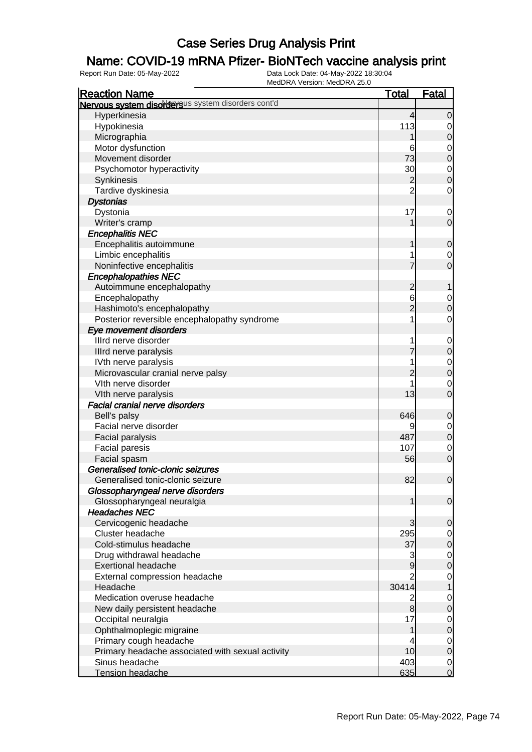### Name: COVID-19 mRNA Pfizer- BioNTech vaccine analysis print

| <b>Reaction Name</b>                               | <b>Total</b>   | <b>Fatal</b>     |
|----------------------------------------------------|----------------|------------------|
| Nervous system disordersus system disorders cont'd |                |                  |
| Hyperkinesia                                       | 4              | $\overline{0}$   |
| Hypokinesia                                        | 113            | 0                |
| Micrographia                                       |                | 0                |
| Motor dysfunction                                  | 6              | $\mathbf 0$      |
| Movement disorder                                  | 73             | $\mathbf 0$      |
| Psychomotor hyperactivity                          | 30             | $\mathbf 0$      |
| Synkinesis                                         | $\overline{c}$ | $\mathbf 0$      |
| Tardive dyskinesia                                 | $\overline{2}$ | $\mathbf 0$      |
| <b>Dystonias</b>                                   |                |                  |
| Dystonia                                           | 17             | $\mathbf 0$      |
| Writer's cramp                                     |                | $\mathbf 0$      |
| <b>Encephalitis NEC</b>                            |                |                  |
| Encephalitis autoimmune                            | 1              | $\mathbf 0$      |
| Limbic encephalitis                                | 1              | 0                |
| Noninfective encephalitis                          |                | $\overline{0}$   |
| <b>Encephalopathies NEC</b>                        |                |                  |
| Autoimmune encephalopathy                          | $\overline{c}$ | 1                |
| Encephalopathy                                     | 6              | $\mathbf 0$      |
| Hashimoto's encephalopathy                         | $\overline{2}$ | $\mathbf 0$      |
| Posterior reversible encephalopathy syndrome       | 1              | $\mathbf 0$      |
| Eye movement disorders                             |                |                  |
| Illrd nerve disorder                               |                | $\mathbf 0$      |
| Illrd nerve paralysis                              |                | $\mathbf 0$      |
| IVth nerve paralysis                               |                | $\mathbf 0$      |
| Microvascular cranial nerve palsy                  | 2              | $\mathbf 0$      |
| VIth nerve disorder                                |                | $\mathbf 0$      |
| VIth nerve paralysis                               | 13             | $\overline{0}$   |
| Facial cranial nerve disorders                     |                |                  |
| Bell's palsy                                       | 646            | $\mathbf 0$      |
| Facial nerve disorder                              | 9              | 0                |
| Facial paralysis                                   | 487            | $\boldsymbol{0}$ |
| <b>Facial paresis</b>                              | 107            | $\mathbf 0$      |
| Facial spasm                                       | 56             | $\mathbf 0$      |
| Generalised tonic-clonic seizures                  |                |                  |
| Generalised tonic-clonic seizure                   | 82             | $\mathbf 0$      |
| Glossopharyngeal nerve disorders                   |                |                  |
| Glossopharyngeal neuralgia                         | 1              | $\overline{0}$   |
| <b>Headaches NEC</b>                               |                |                  |
| Cervicogenic headache                              | 3              | 0                |
| Cluster headache                                   | 295            | 0                |
| Cold-stimulus headache                             | 37             | $\mathbf 0$      |
| Drug withdrawal headache                           | 3              | $\mathbf 0$      |
| <b>Exertional headache</b>                         | $\overline{9}$ | $\pmb{0}$        |
| External compression headache                      | $\overline{2}$ | $\mathbf 0$      |
| Headache                                           | 30414          | 1                |
| Medication overuse headache                        | $\overline{2}$ | 0                |
| New daily persistent headache                      | 8              | $\pmb{0}$        |
| Occipital neuralgia                                | 17             | $\mathbf 0$      |
| Ophthalmoplegic migraine                           | 1              | $\boldsymbol{0}$ |
| Primary cough headache                             | 4              | $\mathbf 0$      |
| Primary headache associated with sexual activity   | 10             | $\mathbf 0$      |
| Sinus headache                                     | 403            | $\overline{0}$   |
| Tension headache                                   | 635            | $\overline{0}$   |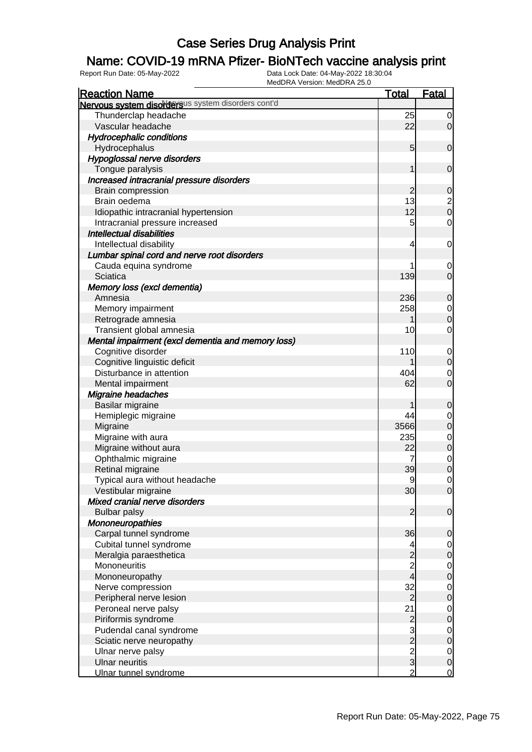### Name: COVID-19 mRNA Pfizer- BioNTech vaccine analysis print

| <b>Reaction Name</b>                               | <b>Total</b>                                   | <b>Fatal</b>                  |
|----------------------------------------------------|------------------------------------------------|-------------------------------|
| Nervous system disordersus system disorders cont'd |                                                |                               |
| Thunderclap headache                               | 25                                             | $\overline{0}$                |
| Vascular headache                                  | 22                                             | $\overline{0}$                |
| <b>Hydrocephalic conditions</b>                    |                                                |                               |
| Hydrocephalus                                      | $5\overline{)}$                                | $\mathbf 0$                   |
| Hypoglossal nerve disorders                        |                                                |                               |
| Tongue paralysis                                   | 1                                              | $\mathbf 0$                   |
| Increased intracranial pressure disorders          |                                                |                               |
| Brain compression                                  | $\overline{c}$                                 | $\mathbf 0$                   |
| Brain oedema                                       | 13                                             |                               |
| Idiopathic intracranial hypertension               | 12                                             | $\frac{2}{0}$                 |
| Intracranial pressure increased                    | 5                                              | $\mathbf 0$                   |
| <b>Intellectual disabilities</b>                   |                                                |                               |
| Intellectual disability                            | 4                                              | $\mathbf 0$                   |
| Lumbar spinal cord and nerve root disorders        |                                                |                               |
| Cauda equina syndrome                              |                                                | 0                             |
| Sciatica                                           | 139                                            | $\mathbf 0$                   |
| Memory loss (excl dementia)                        |                                                |                               |
| Amnesia                                            | 236                                            | $\mathbf 0$                   |
| Memory impairment                                  | 258                                            |                               |
| Retrograde amnesia                                 |                                                | $\overline{0}$<br>$\mathbf 0$ |
|                                                    | 10                                             | $\mathbf 0$                   |
| Transient global amnesia                           |                                                |                               |
| Mental impairment (excl dementia and memory loss)  |                                                |                               |
| Cognitive disorder                                 | 110                                            | $\mathbf 0$                   |
| Cognitive linguistic deficit                       |                                                | $\mathbf 0$                   |
| Disturbance in attention                           | 404                                            | $\mathbf 0$                   |
| Mental impairment                                  | 62                                             | $\mathbf 0$                   |
| Migraine headaches                                 |                                                |                               |
| Basilar migraine                                   |                                                | $\mathbf 0$                   |
| Hemiplegic migraine                                | 44                                             | $\mathbf 0$                   |
| Migraine                                           | 3566                                           | $\boldsymbol{0}$              |
| Migraine with aura                                 | 235                                            | $\mathbf 0$                   |
| Migraine without aura                              | 22                                             | $\mathbf 0$                   |
| Ophthalmic migraine                                | $\overline{7}$                                 | $\mathbf 0$                   |
| Retinal migraine                                   | 39                                             | $\mathbf 0$                   |
| Typical aura without headache                      | 9                                              | $\mathbf 0$                   |
| Vestibular migraine                                | 30                                             | $\overline{0}$                |
| Mixed cranial nerve disorders                      |                                                |                               |
| <b>Bulbar palsy</b>                                | $\overline{2}$                                 | $\mathbf 0$                   |
| <b>Mononeuropathies</b>                            |                                                |                               |
| Carpal tunnel syndrome                             | 36                                             | $\mathbf 0$                   |
| Cubital tunnel syndrome                            | 4                                              | 0                             |
| Meralgia paraesthetica                             | $\begin{array}{c} 2 \\ 2 \\ 4 \end{array}$     | $\mathbf 0$                   |
| Mononeuritis                                       |                                                | $\mathbf 0$                   |
| Mononeuropathy                                     |                                                | $\boldsymbol{0}$              |
| Nerve compression                                  | 32                                             | $\mathbf 0$                   |
| Peripheral nerve lesion                            | $\overline{c}$                                 | $\boldsymbol{0}$              |
| Peroneal nerve palsy                               | 21                                             | $\mathbf 0$                   |
| Piriformis syndrome                                |                                                | $\boldsymbol{0}$              |
| Pudendal canal syndrome                            |                                                | $\mathbf 0$                   |
| Sciatic nerve neuropathy                           |                                                | $\pmb{0}$                     |
| Ulnar nerve palsy                                  |                                                | $\overline{0}$                |
| <b>Ulnar neuritis</b>                              | $\begin{array}{c}\n 2 \\ 2 \\ 3\n \end{array}$ | $\boldsymbol{0}$              |
| Ulnar tunnel syndrome                              | $\overline{2}$                                 | $\overline{0}$                |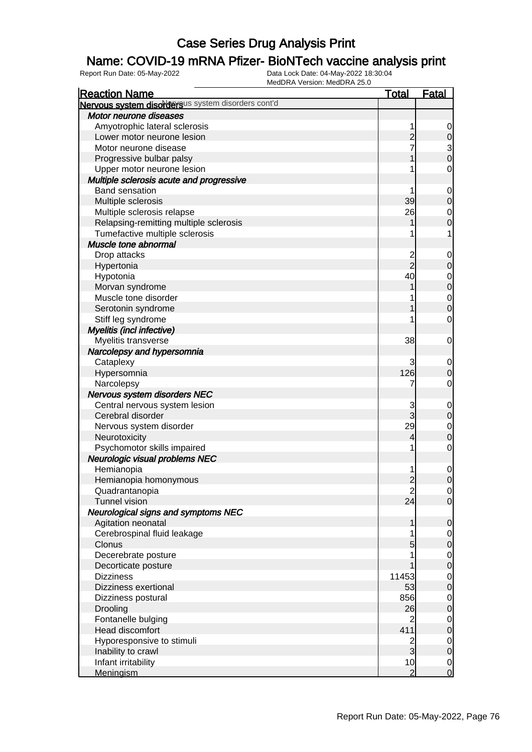### Name: COVID-19 mRNA Pfizer- BioNTech vaccine analysis print

| <b>Reaction Name</b>                               | <b>Total</b>   | <b>Fatal</b>     |
|----------------------------------------------------|----------------|------------------|
| Nervous system disordersus system disorders cont'd |                |                  |
| Motor neurone diseases                             |                |                  |
| Amyotrophic lateral sclerosis                      |                | 0                |
| Lower motor neurone lesion                         | 2              | $\mathbf 0$      |
| Motor neurone disease                              |                |                  |
| Progressive bulbar palsy                           |                | $\frac{3}{0}$    |
| Upper motor neurone lesion                         |                | $\mathbf 0$      |
| Multiple sclerosis acute and progressive           |                |                  |
| <b>Band sensation</b>                              |                | $\mathbf 0$      |
| Multiple sclerosis                                 | 39             | 0                |
| Multiple sclerosis relapse                         | 26             | $\mathbf 0$      |
| Relapsing-remitting multiple sclerosis             |                | 0                |
| Tumefactive multiple sclerosis                     |                | 1                |
| Muscle tone abnormal                               |                |                  |
| Drop attacks                                       | 2              | 0                |
| Hypertonia                                         | $\overline{2}$ | 0                |
| Hypotonia                                          | 40             | $\mathbf 0$      |
| Morvan syndrome                                    |                | $\mathbf 0$      |
| Muscle tone disorder                               |                | $\mathbf 0$      |
| Serotonin syndrome                                 |                | $\mathbf 0$      |
| Stiff leg syndrome                                 |                | $\mathbf 0$      |
| Myelitis (incl infective)                          |                |                  |
|                                                    | 38             | 0                |
| Myelitis transverse                                |                |                  |
| Narcolepsy and hypersomnia                         |                |                  |
| Cataplexy                                          | 3              | 0                |
| Hypersomnia                                        | 126            | 0                |
| Narcolepsy                                         |                | 0                |
| Nervous system disorders NEC                       |                |                  |
| Central nervous system lesion                      | 3              | $\mathbf 0$      |
| Cerebral disorder                                  | 3              | 0                |
| Nervous system disorder                            | 29             | $\mathbf 0$      |
| Neurotoxicity                                      | 4              | $\mathbf 0$      |
| Psychomotor skills impaired                        | 1              | $\mathbf 0$      |
| Neurologic visual problems NEC                     |                |                  |
| Hemianopia                                         | 1              | $\mathbf 0$      |
| Hemianopia homonymous                              | $\overline{c}$ | $\mathbf{0}$     |
| Quadrantanopia                                     | $\mathbf{2}$   | $\overline{0}$   |
| <b>Tunnel vision</b>                               | 24             | $\overline{0}$   |
| <b>Neurological signs and symptoms NEC</b>         |                |                  |
| Agitation neonatal                                 | 1              | $\mathbf 0$      |
| Cerebrospinal fluid leakage                        |                | $\overline{0}$   |
| Clonus                                             | 5              | $\mathbf 0$      |
| Decerebrate posture                                |                | $\mathbf 0$      |
| Decorticate posture                                |                | $\boldsymbol{0}$ |
| <b>Dizziness</b>                                   | 11453          | $\mathbf 0$      |
| Dizziness exertional                               | 53             | $\boldsymbol{0}$ |
| Dizziness postural                                 | 856            | $\mathbf 0$      |
| Drooling                                           | 26             | $\boldsymbol{0}$ |
| Fontanelle bulging                                 | $\overline{2}$ | $\mathbf 0$      |
| <b>Head discomfort</b>                             | 411            | $\boldsymbol{0}$ |
| Hyporesponsive to stimuli                          | $\overline{2}$ | $\mathbf 0$      |
| Inability to crawl                                 | $\overline{3}$ | $\boldsymbol{0}$ |
| Infant irritability                                | 10             | $\overline{0}$   |
| <b>Meningism</b>                                   | $\overline{2}$ | $\mathbf 0$      |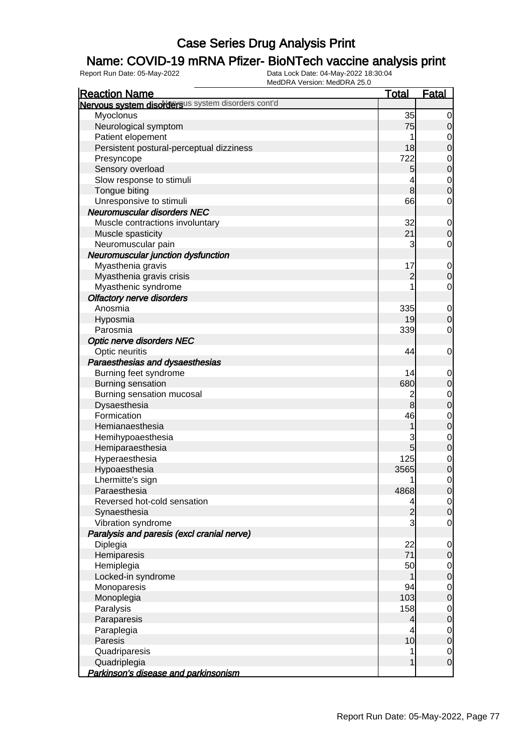### Name: COVID-19 mRNA Pfizer- BioNTech vaccine analysis print

| <b>Reaction Name</b>                               | <b>Total</b>    | <b>Fatal</b>     |
|----------------------------------------------------|-----------------|------------------|
| Nervous system disordersus system disorders cont'd |                 |                  |
| Myoclonus                                          | 35              | $\mathbf 0$      |
| Neurological symptom                               | 75              | $\mathbf 0$      |
| Patient elopement                                  | 1               | $\mathbf 0$      |
| Persistent postural-perceptual dizziness           | 18              | $\mathbf 0$      |
| Presyncope                                         | 722             | $\mathbf{0}$     |
| Sensory overload                                   | 5               | $\mathbf 0$      |
| Slow response to stimuli                           | 4               | $\mathbf{0}$     |
| Tongue biting                                      | $\bf{8}$        | $\mathbf 0$      |
| Unresponsive to stimuli                            | 66              | $\mathbf 0$      |
| Neuromuscular disorders NEC                        |                 |                  |
| Muscle contractions involuntary                    | 32              | $\mathbf 0$      |
| Muscle spasticity                                  | 21              | $\boldsymbol{0}$ |
| Neuromuscular pain                                 | 3               | $\mathbf 0$      |
| Neuromuscular junction dysfunction                 |                 |                  |
| Myasthenia gravis                                  | 17              | $\mathbf 0$      |
| Myasthenia gravis crisis                           | $\overline{c}$  | $\boldsymbol{0}$ |
| Myasthenic syndrome                                |                 | $\mathbf 0$      |
| <b>Olfactory nerve disorders</b>                   |                 |                  |
| Anosmia                                            | 335             | $\mathbf 0$      |
| Hyposmia                                           | 19              | $\mathbf 0$      |
| Parosmia                                           | 339             | $\mathbf 0$      |
| <b>Optic nerve disorders NEC</b>                   |                 |                  |
| Optic neuritis                                     | 44              | $\mathbf 0$      |
| Paraesthesias and dysaesthesias                    |                 |                  |
| Burning feet syndrome                              | 14              | $\mathbf 0$      |
| <b>Burning sensation</b>                           | 680             | $\boldsymbol{0}$ |
| Burning sensation mucosal                          | $\overline{c}$  | $\mathbf{0}$     |
| Dysaesthesia                                       | 8               | $\mathbf 0$      |
| Formication                                        | 46              | $\mathbf{0}$     |
| Hemianaesthesia                                    | 1               | $\overline{0}$   |
| Hemihypoaesthesia                                  | 3               | $\mathbf{0}$     |
| Hemiparaesthesia                                   | $5\overline{)}$ | $\overline{0}$   |
| Hyperaesthesia                                     | 125             | $\mathbf{0}$     |
| Hypoaesthesia                                      | 3565            | $\mathbf 0$      |
| Lhermitte's sign                                   | 1               | $\mathbf 0$      |
| Paraesthesia                                       | 4868            | $\overline{0}$   |
| Reversed hot-cold sensation                        |                 | $\overline{0}$   |
| Synaesthesia                                       | $\overline{c}$  | $\mathbf 0$      |
| Vibration syndrome                                 | 3               | $\mathbf 0$      |
| Paralysis and paresis (excl cranial nerve)         |                 |                  |
| Diplegia                                           | 22              | $\mathbf 0$      |
| Hemiparesis                                        | 71              | $\mathbf 0$      |
| Hemiplegia                                         | 50              | $\overline{0}$   |
| Locked-in syndrome                                 |                 | $\boldsymbol{0}$ |
| Monoparesis                                        | 94              | $\mathbf 0$      |
| Monoplegia                                         | 103             | $\boldsymbol{0}$ |
| Paralysis                                          | 158             | $\mathbf 0$      |
| Paraparesis                                        | $\overline{4}$  | $\boldsymbol{0}$ |
| Paraplegia                                         | 4               | $\mathbf 0$      |
| Paresis                                            | 10              | $\mathbf 0$      |
| Quadriparesis                                      |                 | $\overline{0}$   |
| Quadriplegia                                       | 1               | $\mathbf 0$      |
| Parkinson's disease and parkinsonism               |                 |                  |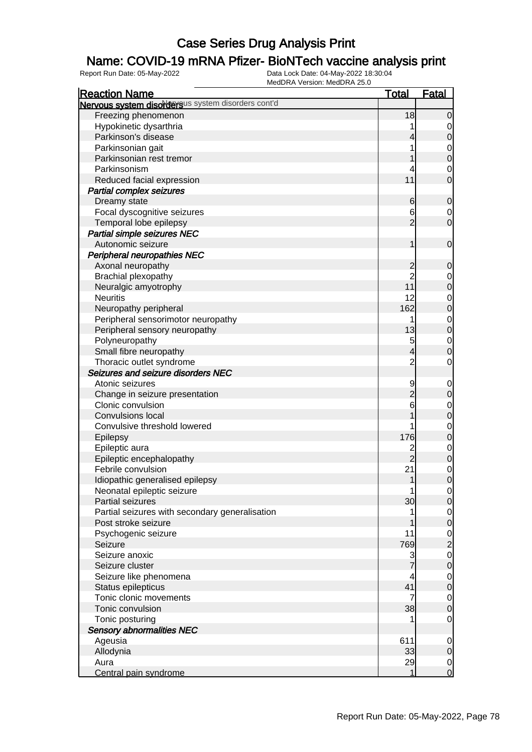### Name: COVID-19 mRNA Pfizer- BioNTech vaccine analysis print

| <b>Reaction Name</b>                                           | <b>Total</b>   | <b>Fatal</b>     |
|----------------------------------------------------------------|----------------|------------------|
| Nervous system disordersus system disorders cont'd             |                |                  |
| Freezing phenomenon                                            | 18             | $\mathbf 0$      |
| Hypokinetic dysarthria                                         |                | $\overline{0}$   |
| Parkinson's disease                                            | 4              | $\mathbf 0$      |
| Parkinsonian gait                                              |                | 0                |
| Parkinsonian rest tremor                                       |                | $\boldsymbol{0}$ |
| Parkinsonism                                                   |                | 0                |
| Reduced facial expression                                      | 11             | $\overline{0}$   |
| <b>Partial complex seizures</b>                                |                |                  |
| Dreamy state                                                   | 6              | $\mathbf 0$      |
| Focal dyscognitive seizures                                    | 6              | 0                |
| Temporal lobe epilepsy                                         | $\overline{2}$ | $\mathbf 0$      |
| Partial simple seizures NEC                                    |                |                  |
| Autonomic seizure                                              | 1              | $\mathbf 0$      |
| <b>Peripheral neuropathies NEC</b>                             |                |                  |
| Axonal neuropathy                                              | $\overline{c}$ | $\mathbf 0$      |
| Brachial plexopathy                                            | $\overline{2}$ | 0                |
| Neuralgic amyotrophy                                           | 11             | $\mathbf 0$      |
| <b>Neuritis</b>                                                | 12             | 0                |
| Neuropathy peripheral                                          | 162            | $\mathbf 0$      |
| Peripheral sensorimotor neuropathy                             | 1              | $\mathbf 0$      |
| Peripheral sensory neuropathy                                  | 13             | $\mathbf 0$      |
| Polyneuropathy                                                 | 5              | $\mathbf 0$      |
| Small fibre neuropathy                                         | 4              |                  |
|                                                                |                | $\mathbf 0$      |
| Thoracic outlet syndrome<br>Seizures and seizure disorders NEC | $\overline{c}$ | $\mathbf 0$      |
|                                                                |                |                  |
| Atonic seizures                                                | 9              | $\mathbf 0$      |
| Change in seizure presentation                                 | $\overline{c}$ | $\mathbf 0$      |
| Clonic convulsion                                              | 6              | 0                |
| <b>Convulsions local</b>                                       |                | $\mathbf 0$      |
| Convulsive threshold lowered                                   |                | 0                |
| Epilepsy                                                       | 176            | $\mathbf 0$      |
| Epileptic aura                                                 | $\overline{c}$ | $\mathbf 0$      |
| Epileptic encephalopathy                                       | $\overline{2}$ | $\mathbf 0$      |
| Febrile convulsion                                             | 21             | $\mathbf 0$      |
| Idiopathic generalised epilepsy                                | 1              | $\mathbf 0$      |
| Neonatal epileptic seizure                                     | 1              | $\overline{0}$   |
| Partial seizures                                               | 30             | $\overline{0}$   |
| Partial seizures with secondary generalisation                 |                | $\overline{0}$   |
| Post stroke seizure                                            |                | $\pmb{0}$        |
| Psychogenic seizure                                            | 11             | $\overline{0}$   |
| Seizure                                                        | 769            | $\overline{c}$   |
| Seizure anoxic                                                 | 3              | $\mathbf 0$      |
| Seizure cluster                                                |                | $\pmb{0}$        |
| Seizure like phenomena                                         | 4              | $\overline{0}$   |
| Status epilepticus                                             | 41             | $\pmb{0}$        |
| Tonic clonic movements                                         | 7              | $\overline{0}$   |
| Tonic convulsion                                               | 38             | $\mathbf 0$      |
| Tonic posturing                                                |                | $\mathbf 0$      |
| <b>Sensory abnormalities NEC</b>                               |                |                  |
| Ageusia                                                        | 611            | $\mathbf 0$      |
| Allodynia                                                      | 33             | $\mathbf 0$      |
| Aura                                                           | 29             | $\overline{0}$   |
| Central pain syndrome                                          | 1              | $\mathbf 0$      |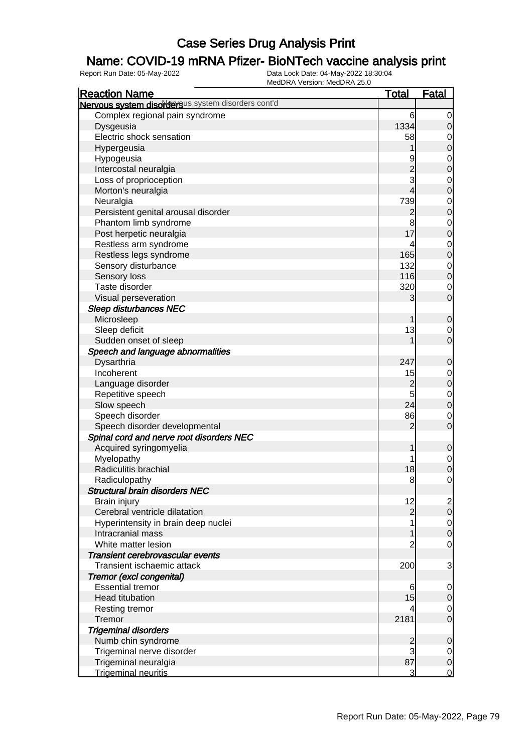### Name: COVID-19 mRNA Pfizer- BioNTech vaccine analysis print

| <b>Reaction Name</b>                               | <u>Total</u>   | Fatal            |
|----------------------------------------------------|----------------|------------------|
| Nervous system disordersus system disorders cont'd |                |                  |
| Complex regional pain syndrome                     | 6              | $\mathbf 0$      |
| Dysgeusia                                          | 1334           | $\mathbf 0$      |
| Electric shock sensation                           | 58             | $\mathbf 0$      |
| Hypergeusia                                        |                | $\mathbf 0$      |
| Hypogeusia                                         | 9              | $\mathbf 0$      |
| Intercostal neuralgia                              |                | $\mathbf 0$      |
| Loss of proprioception                             | $\frac{2}{3}$  | $\mathbf 0$      |
| Morton's neuralgia                                 | $\overline{4}$ | $\mathbf 0$      |
| Neuralgia                                          | 739            | $\mathbf 0$      |
| Persistent genital arousal disorder                | $\overline{c}$ | $\mathbf 0$      |
| Phantom limb syndrome                              | 8              | $\mathbf 0$      |
| Post herpetic neuralgia                            | 17             | $\mathbf 0$      |
| Restless arm syndrome                              | 4              | $\mathbf 0$      |
| Restless legs syndrome                             | 165            | $\mathbf 0$      |
| Sensory disturbance                                | 132            | $\mathbf 0$      |
| Sensory loss                                       | 116            | $\mathbf 0$      |
| Taste disorder                                     | 320            | $\mathbf 0$      |
| Visual perseveration                               | 3              | $\mathbf 0$      |
| <b>Sleep disturbances NEC</b>                      |                |                  |
| Microsleep                                         | 1              | $\mathbf 0$      |
| Sleep deficit                                      | 13             | $\mathbf 0$      |
| Sudden onset of sleep                              |                | $\mathbf 0$      |
| Speech and language abnormalities                  |                |                  |
| Dysarthria                                         | 247            | $\mathbf 0$      |
| Incoherent                                         | 15             | $\mathbf 0$      |
| Language disorder                                  | $\overline{c}$ | $\mathbf 0$      |
| Repetitive speech                                  | 5              | $\mathbf 0$      |
| Slow speech                                        | 24             | $\mathbf 0$      |
| Speech disorder                                    | 86             | $\mathbf 0$      |
| Speech disorder developmental                      | $\overline{c}$ | $\mathbf 0$      |
| Spinal cord and nerve root disorders NEC           |                |                  |
| Acquired syringomyelia                             |                | $\mathbf 0$      |
| Myelopathy                                         |                | $\mathbf 0$      |
| Radiculitis brachial                               | 18             | $\mathbf 0$      |
| Radiculopathy                                      | 8              | 0                |
| <b>Structural brain disorders NEC</b>              |                |                  |
| Brain injury                                       | 12             | $\overline{c}$   |
| Cerebral ventricle dilatation                      | $\overline{2}$ | $\overline{0}$   |
| Hyperintensity in brain deep nuclei                |                | $\overline{0}$   |
| Intracranial mass                                  |                | $\boldsymbol{0}$ |
| White matter lesion                                | $\overline{c}$ | $\mathbf 0$      |
| Transient cerebrovascular events                   |                |                  |
| Transient ischaemic attack                         | 200            | 3                |
| Tremor (excl congenital)                           |                |                  |
| <b>Essential tremor</b>                            | 6              | 0                |
| <b>Head titubation</b>                             | 15             | $\mathbf 0$      |
| Resting tremor                                     | 4              | 0                |
| Tremor                                             | 2181           | $\mathbf 0$      |
| <b>Trigeminal disorders</b>                        |                |                  |
| Numb chin syndrome                                 | $\overline{c}$ | $\mathbf 0$      |
| Trigeminal nerve disorder                          | 3              | 0                |
| Trigeminal neuralgia                               | 87             | $\mathbf 0$      |
| <b>Trigeminal neuritis</b>                         | $\overline{3}$ | $\overline{0}$   |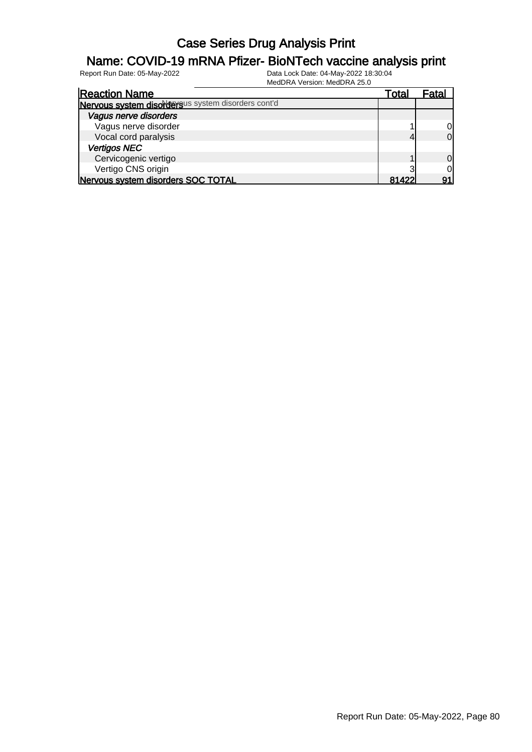#### Name: COVID-19 mRNA Pfizer- BioNTech vaccine analysis print

| <b>Reaction Name</b>                               | Total | ⊦ata |
|----------------------------------------------------|-------|------|
| Nervous system disordersus system disorders cont'd |       |      |
| Vagus nerve disorders                              |       |      |
| Vagus nerve disorder                               |       | 0    |
| Vocal cord paralysis                               |       | 0    |
| <b>Vertigos NEC</b>                                |       |      |
| Cervicogenic vertigo                               |       | 0    |
| Vertigo CNS origin                                 |       |      |
| Nervous system disorders SOC TOTAL                 | 81422 |      |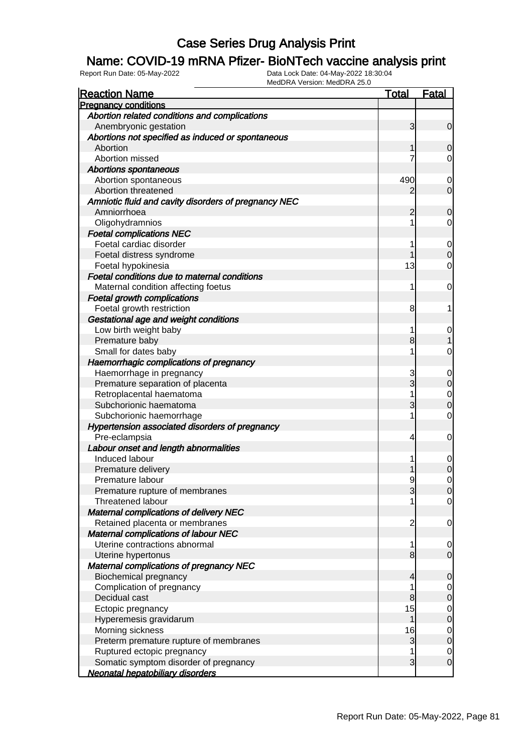### Name: COVID-19 mRNA Pfizer- BioNTech vaccine analysis print

| <b>Reaction Name</b>                                 | <b>Total</b>   | <b>Fatal</b>   |
|------------------------------------------------------|----------------|----------------|
| <b>Pregnancy conditions</b>                          |                |                |
| Abortion related conditions and complications        |                |                |
| Anembryonic gestation                                | 3              | $\overline{0}$ |
| Abortions not specified as induced or spontaneous    |                |                |
| Abortion                                             |                | 0              |
| Abortion missed                                      |                | 0              |
| <b>Abortions spontaneous</b>                         |                |                |
| Abortion spontaneous                                 | 490            | 0              |
| Abortion threatened                                  | 2              | $\overline{0}$ |
| Amniotic fluid and cavity disorders of pregnancy NEC |                |                |
| Amniorrhoea                                          | 2              | 0              |
| Oligohydramnios                                      |                | 0              |
| <b>Foetal complications NEC</b>                      |                |                |
| Foetal cardiac disorder                              |                | 0              |
| Foetal distress syndrome                             |                | $\mathbf 0$    |
| Foetal hypokinesia                                   | 13             | 0              |
| Foetal conditions due to maternal conditions         |                |                |
| Maternal condition affecting foetus                  | 1              | 0              |
| <b>Foetal growth complications</b>                   |                |                |
| Foetal growth restriction                            | 8              | 1              |
| Gestational age and weight conditions                |                |                |
| Low birth weight baby                                |                | 0              |
| Premature baby                                       | 8              |                |
| Small for dates baby                                 |                | 0              |
| Haemorrhagic complications of pregnancy              |                |                |
| Haemorrhage in pregnancy                             | 3              | 0              |
| Premature separation of placenta                     | 3              | $\mathbf 0$    |
| Retroplacental haematoma                             |                | 0              |
| Subchorionic haematoma                               | 3              | $\mathbf 0$    |
| Subchorionic haemorrhage                             |                | 0              |
| Hypertension associated disorders of pregnancy       |                |                |
| Pre-eclampsia                                        | 4              | 0              |
| Labour onset and length abnormalities                |                |                |
| Induced labour                                       |                | 0              |
| Premature delivery                                   |                | $\mathbf 0$    |
| Premature labour                                     | 9              | 0              |
| Premature rupture of membranes                       | 3              | 0              |
| Threatened labour                                    |                | $\overline{0}$ |
| <b>Maternal complications of delivery NEC</b>        |                |                |
| Retained placenta or membranes                       | $\overline{c}$ | $\mathbf 0$    |
| Maternal complications of labour NEC                 |                |                |
| Uterine contractions abnormal                        | 1              | $\overline{0}$ |
| Uterine hypertonus                                   | 8              | $\overline{0}$ |
| Maternal complications of pregnancy NEC              |                |                |
| <b>Biochemical pregnancy</b>                         | 4              | $\mathbf 0$    |
| Complication of pregnancy                            |                | $\overline{0}$ |
| Decidual cast                                        | 8              | $\mathbf 0$    |
| Ectopic pregnancy                                    | 15             | $\overline{0}$ |
| Hyperemesis gravidarum                               | 1              | $\pmb{0}$      |
| Morning sickness                                     | 16             | $\mathbf 0$    |
| Preterm premature rupture of membranes               | 3              | $\mathbf 0$    |
| Ruptured ectopic pregnancy                           |                | $\overline{0}$ |
| Somatic symptom disorder of pregnancy                | 3              | $\mathbf 0$    |
| Neonatal hepatobiliary disorders                     |                |                |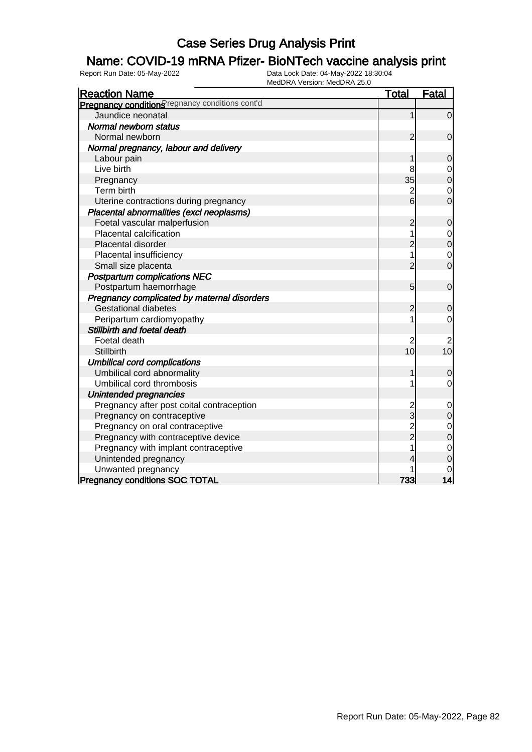### Name: COVID-19 mRNA Pfizer- BioNTech vaccine analysis print

| <b>Reaction Name</b>                            | <b>Total</b>   | <b>Fatal</b>                     |
|-------------------------------------------------|----------------|----------------------------------|
| Pregnancy conditions regnancy conditions cont'd |                |                                  |
| Jaundice neonatal                               | 1              | $\mathbf 0$                      |
| Normal newborn status                           |                |                                  |
| Normal newborn                                  | $\overline{2}$ | $\mathbf 0$                      |
| Normal pregnancy, labour and delivery           |                |                                  |
| Labour pain                                     | 1              | $\mathbf 0$                      |
| Live birth                                      | 8              | $\mathbf 0$                      |
| Pregnancy                                       | 35             | $\overline{0}$                   |
| Term birth                                      | $\overline{c}$ | $\mathbf 0$                      |
| Uterine contractions during pregnancy           | $\overline{6}$ | $\mathbf 0$                      |
| Placental abnormalities (excl neoplasms)        |                |                                  |
| Foetal vascular malperfusion                    | $\overline{c}$ | $\mathbf 0$                      |
| Placental calcification                         |                | $\mathbf 0$                      |
| Placental disorder                              | $\overline{c}$ | $\mathbf 0$                      |
| Placental insufficiency                         | 1              | $\mathbf 0$                      |
| Small size placenta                             | $\overline{2}$ | $\overline{0}$                   |
| <b>Postpartum complications NEC</b>             |                |                                  |
| Postpartum haemorrhage                          | 5              | $\mathbf 0$                      |
| Pregnancy complicated by maternal disorders     |                |                                  |
| <b>Gestational diabetes</b>                     | $\overline{c}$ | $\mathbf 0$                      |
| Peripartum cardiomyopathy                       | 1              | $\mathbf 0$                      |
| Stillbirth and foetal death                     |                |                                  |
| Foetal death                                    | 2              | 2                                |
| Stillbirth                                      | 10             | 10                               |
| <b>Umbilical cord complications</b>             |                |                                  |
| Umbilical cord abnormality                      | 1              | $\mathbf 0$                      |
| Umbilical cord thrombosis                       | 1              | $\mathbf 0$                      |
| Unintended pregnancies                          |                |                                  |
| Pregnancy after post coital contraception       | $\overline{c}$ | $\mathbf 0$                      |
| Pregnancy on contraceptive                      | 3              | $\mathbf 0$                      |
| Pregnancy on oral contraceptive                 | 2<br>2         | $\begin{matrix}0\\0\end{matrix}$ |
| Pregnancy with contraceptive device             |                |                                  |
| Pregnancy with implant contraceptive            | 1              | $\mathbf{0}$                     |
| Unintended pregnancy                            |                | $\overline{0}$                   |
| Unwanted pregnancy                              |                | 0                                |
| <b>Pregnancy conditions SOC TOTAL</b>           | 733            | 14                               |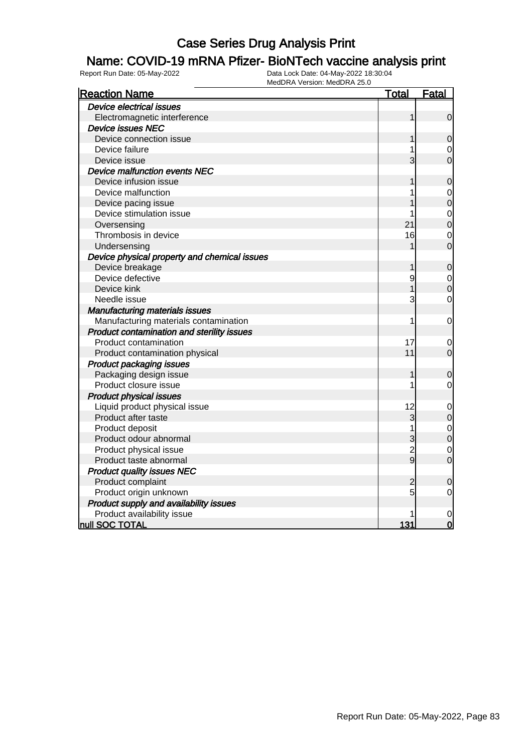### Name: COVID-19 mRNA Pfizer- BioNTech vaccine analysis print

| <b>Reaction Name</b>                         | <b>Total</b>   | <u>Fatal</u>   |
|----------------------------------------------|----------------|----------------|
| <b>Device electrical issues</b>              |                |                |
| Electromagnetic interference                 | 1              | $\mathbf 0$    |
| <b>Device issues NEC</b>                     |                |                |
| Device connection issue                      | 1              | $\mathbf 0$    |
| Device failure                               |                | $\mathbf 0$    |
| Device issue                                 | 3              | $\overline{0}$ |
| Device malfunction events NEC                |                |                |
| Device infusion issue                        | 1              | $\mathbf 0$    |
| Device malfunction                           |                | $\mathbf 0$    |
| Device pacing issue                          |                | $\overline{0}$ |
| Device stimulation issue                     | 1              | $\mathbf 0$    |
| Oversensing                                  | 21             | $\overline{0}$ |
| Thrombosis in device                         | 16             | $\overline{0}$ |
| Undersensing                                 |                | $\overline{0}$ |
| Device physical property and chemical issues |                |                |
| Device breakage                              | 1              | $\mathbf 0$    |
| Device defective                             | 9              | $\mathbf 0$    |
| Device kink                                  |                | $\mathbf 0$    |
| Needle issue                                 | 3              | $\overline{0}$ |
| <b>Manufacturing materials issues</b>        |                |                |
| Manufacturing materials contamination        | 1              | $\mathbf 0$    |
| Product contamination and sterility issues   |                |                |
| Product contamination                        | 17             | 0              |
| Product contamination physical               | 11             | $\overline{0}$ |
| <b>Product packaging issues</b>              |                |                |
| Packaging design issue                       | 1              | $\mathbf 0$    |
| Product closure issue                        | 1              | $\mathbf 0$    |
| <b>Product physical issues</b>               |                |                |
| Liquid product physical issue                | 12             | $\mathbf 0$    |
| Product after taste                          | $\overline{3}$ | $\mathbf 0$    |
| Product deposit                              |                | $\mathbf{0}$   |
| Product odour abnormal                       | 3              | $\overline{0}$ |
| Product physical issue                       | $\frac{2}{9}$  | $\overline{0}$ |
| Product taste abnormal                       |                | $\overline{0}$ |
| <b>Product quality issues NEC</b>            |                |                |
| Product complaint                            | $\overline{c}$ | $\mathbf 0$    |
| Product origin unknown                       | 5              | $\mathbf 0$    |
| Product supply and availability issues       |                |                |
| Product availability issue                   |                | $\mathbf 0$    |
| null SOC TOTAL                               | 131            | $\overline{0}$ |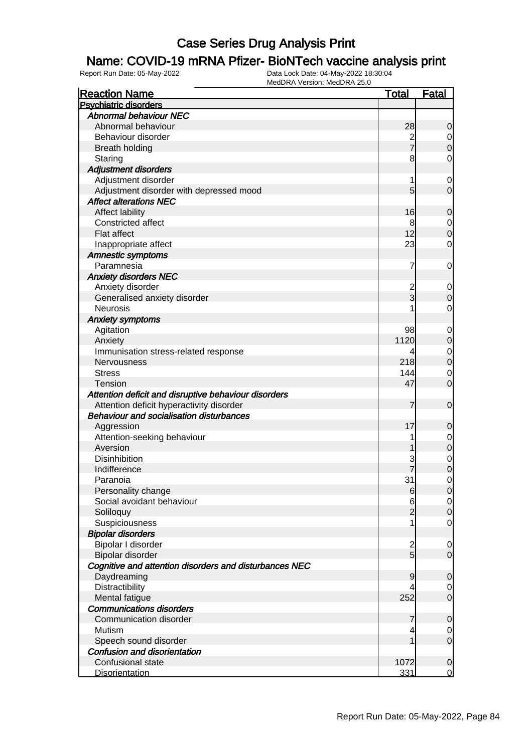### Name: COVID-19 mRNA Pfizer- BioNTech vaccine analysis print

| <b>Reaction Name</b>                                   | <b>Total</b>   | <b>Fatal</b>     |
|--------------------------------------------------------|----------------|------------------|
| <b>Psychiatric disorders</b>                           |                |                  |
| <b>Abnormal behaviour NEC</b>                          |                |                  |
| Abnormal behaviour                                     | 28             | $\mathbf 0$      |
| Behaviour disorder                                     |                | $\overline{0}$   |
| <b>Breath holding</b>                                  | 2<br>7         | $\mathbf 0$      |
| Staring                                                | 8              | 0                |
| <b>Adjustment disorders</b>                            |                |                  |
| Adjustment disorder                                    | 1              | 0                |
| Adjustment disorder with depressed mood                | 5              | $\overline{0}$   |
| <b>Affect alterations NEC</b>                          |                |                  |
| Affect lability                                        | 16             | $\mathbf 0$      |
| Constricted affect                                     | 8              | $\overline{0}$   |
| Flat affect                                            | 12             | $\mathbf 0$      |
| Inappropriate affect                                   | 23             | 0                |
| <b>Amnestic symptoms</b>                               |                |                  |
| Paramnesia                                             | 7              | 0                |
| <b>Anxiety disorders NEC</b>                           |                |                  |
| Anxiety disorder                                       |                | 0                |
| Generalised anxiety disorder                           | 2<br>3         | $\boldsymbol{0}$ |
| <b>Neurosis</b>                                        |                | $\mathbf 0$      |
| <b>Anxiety symptoms</b>                                |                |                  |
|                                                        |                |                  |
| Agitation                                              | 98<br>1120     | 0                |
| Anxiety                                                |                | $\mathbf 0$      |
| Immunisation stress-related response                   | 4              | $\mathbf 0$      |
| Nervousness                                            | 218            | $\boldsymbol{0}$ |
| <b>Stress</b>                                          | 144            | 0                |
| <b>Tension</b>                                         | 47             | $\overline{0}$   |
| Attention deficit and disruptive behaviour disorders   |                |                  |
| Attention deficit hyperactivity disorder               | 7              | $\mathbf 0$      |
| <b>Behaviour and socialisation disturbances</b>        |                |                  |
| Aggression                                             | 17             | $\mathbf 0$      |
| Attention-seeking behaviour                            |                | 0                |
| Aversion                                               |                | $\mathbf 0$      |
| <b>Disinhibition</b>                                   | 3              | $\mathbf 0$      |
| Indifference                                           |                | $\mathbf 0$      |
| Paranoia                                               | 31             | $\mathbf 0$      |
| Personality change                                     | $6 \,$         | $\overline{0}$   |
| Social avoidant behaviour                              | 6              | $\overline{0}$   |
| Soliloquy                                              | $\overline{2}$ | $\mathbf 0$      |
| Suspiciousness                                         |                | $\overline{0}$   |
| <b>Bipolar disorders</b>                               |                |                  |
| Bipolar I disorder                                     |                | 0                |
| Bipolar disorder                                       | $\frac{2}{5}$  | $\overline{0}$   |
| Cognitive and attention disorders and disturbances NEC |                |                  |
| Daydreaming                                            | 9              | $\mathbf 0$      |
| Distractibility                                        |                | 0                |
| Mental fatigue                                         | 252            | $\overline{0}$   |
| <b>Communications disorders</b>                        |                |                  |
| Communication disorder                                 | 7              | $\mathbf 0$      |
| Mutism                                                 | 4              | 0                |
| Speech sound disorder                                  |                | $\overline{0}$   |
| <b>Confusion and disorientation</b>                    |                |                  |
| Confusional state                                      | 1072           | $\mathbf 0$      |
| <b>Disorientation</b>                                  | 331            | $\overline{0}$   |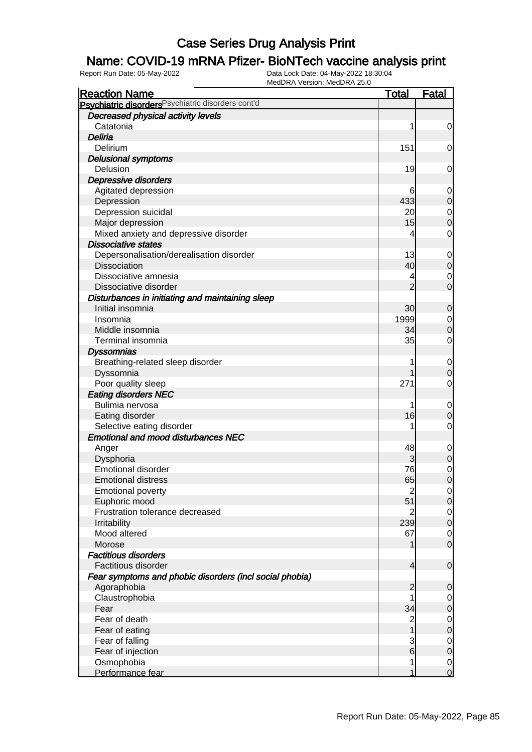### Name: COVID-19 mRNA Pfizer- BioNTech vaccine analysis print

| Psychiatric disorders Psychiatric disorders cont'd<br>Decreased physical activity levels<br>Catatonia<br>1<br>$\mathbf 0$<br>Deliria<br>151<br>Delirium<br>0<br><b>Delusional symptoms</b><br>19<br>Delusion<br>0<br>Depressive disorders<br>Agitated depression<br>6<br>$\mathbf 0$<br>433<br>Depression<br>$\mathbf 0$<br>Depression suicidal<br>20<br>$\mathbf 0$<br>15<br>Major depression<br>$\mathbf 0$<br>Mixed anxiety and depressive disorder<br>$\mathbf 0$<br>4<br><b>Dissociative states</b><br>Depersonalisation/derealisation disorder<br>13<br>$\mathbf 0$<br>40<br><b>Dissociation</b><br>$\mathbf 0$<br>Dissociative amnesia<br>4<br>0<br>$\overline{2}$<br>$\overline{0}$<br>Dissociative disorder<br>Disturbances in initiating and maintaining sleep<br>Initial insomnia<br>30<br>0<br>1999<br>Insomnia<br>$\mathbf 0$<br>Middle insomnia<br>34<br>$\mathbf 0$<br>Terminal insomnia<br>35<br>$\mathbf 0$<br><b>Dyssomnias</b><br>Breathing-related sleep disorder<br>$\mathbf 0$<br>Dyssomnia<br>0<br>Poor quality sleep<br>271<br>$\mathbf 0$<br><b>Eating disorders NEC</b><br>Bulimia nervosa<br>$\mathbf 0$<br>16<br>Eating disorder<br>0<br>Selective eating disorder<br>$\mathbf 0$<br><b>Emotional and mood disturbances NEC</b><br>48<br>Anger<br>$\mathbf 0$<br>Dysphoria<br>3<br>$\mathbf 0$<br>Emotional disorder<br>76<br>$\mathbf 0$<br>$\overline{0}$<br>65<br><b>Emotional distress</b><br><b>Emotional poverty</b><br>$\overline{c}$<br>$\overline{0}$<br>51<br>Euphoric mood<br>$\mathbf 0$<br>Frustration tolerance decreased<br>2<br>$\overline{0}$<br>239<br>$\boldsymbol{0}$<br>Irritability<br>Mood altered<br>67<br>$\overline{0}$<br>$\mathbf 0$<br>Morose<br><b>Factitious disorders</b><br>Factitious disorder<br>4<br>$\mathbf 0$<br>Fear symptoms and phobic disorders (incl social phobia)<br>Agoraphobia<br>$\overline{c}$<br>0<br>Claustrophobia<br>$\overline{0}$<br>34<br>Fear<br>$\mathbf 0$<br>Fear of death<br>$\overline{c}$<br>$\mathbf 0$<br>$\overline{1}$<br>Fear of eating<br>$\boldsymbol{0}$<br>$\frac{3}{6}$<br>Fear of falling<br>$\overline{0}$<br>Fear of injection<br>$\boldsymbol{0}$ | <b>Reaction Name</b> | <u>Total</u> | <b>Fatal</b>   |
|-------------------------------------------------------------------------------------------------------------------------------------------------------------------------------------------------------------------------------------------------------------------------------------------------------------------------------------------------------------------------------------------------------------------------------------------------------------------------------------------------------------------------------------------------------------------------------------------------------------------------------------------------------------------------------------------------------------------------------------------------------------------------------------------------------------------------------------------------------------------------------------------------------------------------------------------------------------------------------------------------------------------------------------------------------------------------------------------------------------------------------------------------------------------------------------------------------------------------------------------------------------------------------------------------------------------------------------------------------------------------------------------------------------------------------------------------------------------------------------------------------------------------------------------------------------------------------------------------------------------------------------------------------------------------------------------------------------------------------------------------------------------------------------------------------------------------------------------------------------------------------------------------------------------------------------------------------------------------------------------------------------------------------------------------------------------------------------------------------------------------------------------------------------|----------------------|--------------|----------------|
|                                                                                                                                                                                                                                                                                                                                                                                                                                                                                                                                                                                                                                                                                                                                                                                                                                                                                                                                                                                                                                                                                                                                                                                                                                                                                                                                                                                                                                                                                                                                                                                                                                                                                                                                                                                                                                                                                                                                                                                                                                                                                                                                                             |                      |              |                |
|                                                                                                                                                                                                                                                                                                                                                                                                                                                                                                                                                                                                                                                                                                                                                                                                                                                                                                                                                                                                                                                                                                                                                                                                                                                                                                                                                                                                                                                                                                                                                                                                                                                                                                                                                                                                                                                                                                                                                                                                                                                                                                                                                             |                      |              |                |
|                                                                                                                                                                                                                                                                                                                                                                                                                                                                                                                                                                                                                                                                                                                                                                                                                                                                                                                                                                                                                                                                                                                                                                                                                                                                                                                                                                                                                                                                                                                                                                                                                                                                                                                                                                                                                                                                                                                                                                                                                                                                                                                                                             |                      |              |                |
|                                                                                                                                                                                                                                                                                                                                                                                                                                                                                                                                                                                                                                                                                                                                                                                                                                                                                                                                                                                                                                                                                                                                                                                                                                                                                                                                                                                                                                                                                                                                                                                                                                                                                                                                                                                                                                                                                                                                                                                                                                                                                                                                                             |                      |              |                |
|                                                                                                                                                                                                                                                                                                                                                                                                                                                                                                                                                                                                                                                                                                                                                                                                                                                                                                                                                                                                                                                                                                                                                                                                                                                                                                                                                                                                                                                                                                                                                                                                                                                                                                                                                                                                                                                                                                                                                                                                                                                                                                                                                             |                      |              |                |
|                                                                                                                                                                                                                                                                                                                                                                                                                                                                                                                                                                                                                                                                                                                                                                                                                                                                                                                                                                                                                                                                                                                                                                                                                                                                                                                                                                                                                                                                                                                                                                                                                                                                                                                                                                                                                                                                                                                                                                                                                                                                                                                                                             |                      |              |                |
|                                                                                                                                                                                                                                                                                                                                                                                                                                                                                                                                                                                                                                                                                                                                                                                                                                                                                                                                                                                                                                                                                                                                                                                                                                                                                                                                                                                                                                                                                                                                                                                                                                                                                                                                                                                                                                                                                                                                                                                                                                                                                                                                                             |                      |              |                |
|                                                                                                                                                                                                                                                                                                                                                                                                                                                                                                                                                                                                                                                                                                                                                                                                                                                                                                                                                                                                                                                                                                                                                                                                                                                                                                                                                                                                                                                                                                                                                                                                                                                                                                                                                                                                                                                                                                                                                                                                                                                                                                                                                             |                      |              |                |
|                                                                                                                                                                                                                                                                                                                                                                                                                                                                                                                                                                                                                                                                                                                                                                                                                                                                                                                                                                                                                                                                                                                                                                                                                                                                                                                                                                                                                                                                                                                                                                                                                                                                                                                                                                                                                                                                                                                                                                                                                                                                                                                                                             |                      |              |                |
|                                                                                                                                                                                                                                                                                                                                                                                                                                                                                                                                                                                                                                                                                                                                                                                                                                                                                                                                                                                                                                                                                                                                                                                                                                                                                                                                                                                                                                                                                                                                                                                                                                                                                                                                                                                                                                                                                                                                                                                                                                                                                                                                                             |                      |              |                |
|                                                                                                                                                                                                                                                                                                                                                                                                                                                                                                                                                                                                                                                                                                                                                                                                                                                                                                                                                                                                                                                                                                                                                                                                                                                                                                                                                                                                                                                                                                                                                                                                                                                                                                                                                                                                                                                                                                                                                                                                                                                                                                                                                             |                      |              |                |
|                                                                                                                                                                                                                                                                                                                                                                                                                                                                                                                                                                                                                                                                                                                                                                                                                                                                                                                                                                                                                                                                                                                                                                                                                                                                                                                                                                                                                                                                                                                                                                                                                                                                                                                                                                                                                                                                                                                                                                                                                                                                                                                                                             |                      |              |                |
|                                                                                                                                                                                                                                                                                                                                                                                                                                                                                                                                                                                                                                                                                                                                                                                                                                                                                                                                                                                                                                                                                                                                                                                                                                                                                                                                                                                                                                                                                                                                                                                                                                                                                                                                                                                                                                                                                                                                                                                                                                                                                                                                                             |                      |              |                |
|                                                                                                                                                                                                                                                                                                                                                                                                                                                                                                                                                                                                                                                                                                                                                                                                                                                                                                                                                                                                                                                                                                                                                                                                                                                                                                                                                                                                                                                                                                                                                                                                                                                                                                                                                                                                                                                                                                                                                                                                                                                                                                                                                             |                      |              |                |
|                                                                                                                                                                                                                                                                                                                                                                                                                                                                                                                                                                                                                                                                                                                                                                                                                                                                                                                                                                                                                                                                                                                                                                                                                                                                                                                                                                                                                                                                                                                                                                                                                                                                                                                                                                                                                                                                                                                                                                                                                                                                                                                                                             |                      |              |                |
|                                                                                                                                                                                                                                                                                                                                                                                                                                                                                                                                                                                                                                                                                                                                                                                                                                                                                                                                                                                                                                                                                                                                                                                                                                                                                                                                                                                                                                                                                                                                                                                                                                                                                                                                                                                                                                                                                                                                                                                                                                                                                                                                                             |                      |              |                |
|                                                                                                                                                                                                                                                                                                                                                                                                                                                                                                                                                                                                                                                                                                                                                                                                                                                                                                                                                                                                                                                                                                                                                                                                                                                                                                                                                                                                                                                                                                                                                                                                                                                                                                                                                                                                                                                                                                                                                                                                                                                                                                                                                             |                      |              |                |
|                                                                                                                                                                                                                                                                                                                                                                                                                                                                                                                                                                                                                                                                                                                                                                                                                                                                                                                                                                                                                                                                                                                                                                                                                                                                                                                                                                                                                                                                                                                                                                                                                                                                                                                                                                                                                                                                                                                                                                                                                                                                                                                                                             |                      |              |                |
|                                                                                                                                                                                                                                                                                                                                                                                                                                                                                                                                                                                                                                                                                                                                                                                                                                                                                                                                                                                                                                                                                                                                                                                                                                                                                                                                                                                                                                                                                                                                                                                                                                                                                                                                                                                                                                                                                                                                                                                                                                                                                                                                                             |                      |              |                |
|                                                                                                                                                                                                                                                                                                                                                                                                                                                                                                                                                                                                                                                                                                                                                                                                                                                                                                                                                                                                                                                                                                                                                                                                                                                                                                                                                                                                                                                                                                                                                                                                                                                                                                                                                                                                                                                                                                                                                                                                                                                                                                                                                             |                      |              |                |
|                                                                                                                                                                                                                                                                                                                                                                                                                                                                                                                                                                                                                                                                                                                                                                                                                                                                                                                                                                                                                                                                                                                                                                                                                                                                                                                                                                                                                                                                                                                                                                                                                                                                                                                                                                                                                                                                                                                                                                                                                                                                                                                                                             |                      |              |                |
|                                                                                                                                                                                                                                                                                                                                                                                                                                                                                                                                                                                                                                                                                                                                                                                                                                                                                                                                                                                                                                                                                                                                                                                                                                                                                                                                                                                                                                                                                                                                                                                                                                                                                                                                                                                                                                                                                                                                                                                                                                                                                                                                                             |                      |              |                |
|                                                                                                                                                                                                                                                                                                                                                                                                                                                                                                                                                                                                                                                                                                                                                                                                                                                                                                                                                                                                                                                                                                                                                                                                                                                                                                                                                                                                                                                                                                                                                                                                                                                                                                                                                                                                                                                                                                                                                                                                                                                                                                                                                             |                      |              |                |
|                                                                                                                                                                                                                                                                                                                                                                                                                                                                                                                                                                                                                                                                                                                                                                                                                                                                                                                                                                                                                                                                                                                                                                                                                                                                                                                                                                                                                                                                                                                                                                                                                                                                                                                                                                                                                                                                                                                                                                                                                                                                                                                                                             |                      |              |                |
|                                                                                                                                                                                                                                                                                                                                                                                                                                                                                                                                                                                                                                                                                                                                                                                                                                                                                                                                                                                                                                                                                                                                                                                                                                                                                                                                                                                                                                                                                                                                                                                                                                                                                                                                                                                                                                                                                                                                                                                                                                                                                                                                                             |                      |              |                |
|                                                                                                                                                                                                                                                                                                                                                                                                                                                                                                                                                                                                                                                                                                                                                                                                                                                                                                                                                                                                                                                                                                                                                                                                                                                                                                                                                                                                                                                                                                                                                                                                                                                                                                                                                                                                                                                                                                                                                                                                                                                                                                                                                             |                      |              |                |
|                                                                                                                                                                                                                                                                                                                                                                                                                                                                                                                                                                                                                                                                                                                                                                                                                                                                                                                                                                                                                                                                                                                                                                                                                                                                                                                                                                                                                                                                                                                                                                                                                                                                                                                                                                                                                                                                                                                                                                                                                                                                                                                                                             |                      |              |                |
|                                                                                                                                                                                                                                                                                                                                                                                                                                                                                                                                                                                                                                                                                                                                                                                                                                                                                                                                                                                                                                                                                                                                                                                                                                                                                                                                                                                                                                                                                                                                                                                                                                                                                                                                                                                                                                                                                                                                                                                                                                                                                                                                                             |                      |              |                |
|                                                                                                                                                                                                                                                                                                                                                                                                                                                                                                                                                                                                                                                                                                                                                                                                                                                                                                                                                                                                                                                                                                                                                                                                                                                                                                                                                                                                                                                                                                                                                                                                                                                                                                                                                                                                                                                                                                                                                                                                                                                                                                                                                             |                      |              |                |
|                                                                                                                                                                                                                                                                                                                                                                                                                                                                                                                                                                                                                                                                                                                                                                                                                                                                                                                                                                                                                                                                                                                                                                                                                                                                                                                                                                                                                                                                                                                                                                                                                                                                                                                                                                                                                                                                                                                                                                                                                                                                                                                                                             |                      |              |                |
|                                                                                                                                                                                                                                                                                                                                                                                                                                                                                                                                                                                                                                                                                                                                                                                                                                                                                                                                                                                                                                                                                                                                                                                                                                                                                                                                                                                                                                                                                                                                                                                                                                                                                                                                                                                                                                                                                                                                                                                                                                                                                                                                                             |                      |              |                |
|                                                                                                                                                                                                                                                                                                                                                                                                                                                                                                                                                                                                                                                                                                                                                                                                                                                                                                                                                                                                                                                                                                                                                                                                                                                                                                                                                                                                                                                                                                                                                                                                                                                                                                                                                                                                                                                                                                                                                                                                                                                                                                                                                             |                      |              |                |
|                                                                                                                                                                                                                                                                                                                                                                                                                                                                                                                                                                                                                                                                                                                                                                                                                                                                                                                                                                                                                                                                                                                                                                                                                                                                                                                                                                                                                                                                                                                                                                                                                                                                                                                                                                                                                                                                                                                                                                                                                                                                                                                                                             |                      |              |                |
|                                                                                                                                                                                                                                                                                                                                                                                                                                                                                                                                                                                                                                                                                                                                                                                                                                                                                                                                                                                                                                                                                                                                                                                                                                                                                                                                                                                                                                                                                                                                                                                                                                                                                                                                                                                                                                                                                                                                                                                                                                                                                                                                                             |                      |              |                |
|                                                                                                                                                                                                                                                                                                                                                                                                                                                                                                                                                                                                                                                                                                                                                                                                                                                                                                                                                                                                                                                                                                                                                                                                                                                                                                                                                                                                                                                                                                                                                                                                                                                                                                                                                                                                                                                                                                                                                                                                                                                                                                                                                             |                      |              |                |
|                                                                                                                                                                                                                                                                                                                                                                                                                                                                                                                                                                                                                                                                                                                                                                                                                                                                                                                                                                                                                                                                                                                                                                                                                                                                                                                                                                                                                                                                                                                                                                                                                                                                                                                                                                                                                                                                                                                                                                                                                                                                                                                                                             |                      |              |                |
|                                                                                                                                                                                                                                                                                                                                                                                                                                                                                                                                                                                                                                                                                                                                                                                                                                                                                                                                                                                                                                                                                                                                                                                                                                                                                                                                                                                                                                                                                                                                                                                                                                                                                                                                                                                                                                                                                                                                                                                                                                                                                                                                                             |                      |              |                |
|                                                                                                                                                                                                                                                                                                                                                                                                                                                                                                                                                                                                                                                                                                                                                                                                                                                                                                                                                                                                                                                                                                                                                                                                                                                                                                                                                                                                                                                                                                                                                                                                                                                                                                                                                                                                                                                                                                                                                                                                                                                                                                                                                             |                      |              |                |
|                                                                                                                                                                                                                                                                                                                                                                                                                                                                                                                                                                                                                                                                                                                                                                                                                                                                                                                                                                                                                                                                                                                                                                                                                                                                                                                                                                                                                                                                                                                                                                                                                                                                                                                                                                                                                                                                                                                                                                                                                                                                                                                                                             |                      |              |                |
|                                                                                                                                                                                                                                                                                                                                                                                                                                                                                                                                                                                                                                                                                                                                                                                                                                                                                                                                                                                                                                                                                                                                                                                                                                                                                                                                                                                                                                                                                                                                                                                                                                                                                                                                                                                                                                                                                                                                                                                                                                                                                                                                                             |                      |              |                |
|                                                                                                                                                                                                                                                                                                                                                                                                                                                                                                                                                                                                                                                                                                                                                                                                                                                                                                                                                                                                                                                                                                                                                                                                                                                                                                                                                                                                                                                                                                                                                                                                                                                                                                                                                                                                                                                                                                                                                                                                                                                                                                                                                             |                      |              |                |
|                                                                                                                                                                                                                                                                                                                                                                                                                                                                                                                                                                                                                                                                                                                                                                                                                                                                                                                                                                                                                                                                                                                                                                                                                                                                                                                                                                                                                                                                                                                                                                                                                                                                                                                                                                                                                                                                                                                                                                                                                                                                                                                                                             |                      |              |                |
|                                                                                                                                                                                                                                                                                                                                                                                                                                                                                                                                                                                                                                                                                                                                                                                                                                                                                                                                                                                                                                                                                                                                                                                                                                                                                                                                                                                                                                                                                                                                                                                                                                                                                                                                                                                                                                                                                                                                                                                                                                                                                                                                                             |                      |              |                |
|                                                                                                                                                                                                                                                                                                                                                                                                                                                                                                                                                                                                                                                                                                                                                                                                                                                                                                                                                                                                                                                                                                                                                                                                                                                                                                                                                                                                                                                                                                                                                                                                                                                                                                                                                                                                                                                                                                                                                                                                                                                                                                                                                             |                      |              |                |
|                                                                                                                                                                                                                                                                                                                                                                                                                                                                                                                                                                                                                                                                                                                                                                                                                                                                                                                                                                                                                                                                                                                                                                                                                                                                                                                                                                                                                                                                                                                                                                                                                                                                                                                                                                                                                                                                                                                                                                                                                                                                                                                                                             |                      |              |                |
|                                                                                                                                                                                                                                                                                                                                                                                                                                                                                                                                                                                                                                                                                                                                                                                                                                                                                                                                                                                                                                                                                                                                                                                                                                                                                                                                                                                                                                                                                                                                                                                                                                                                                                                                                                                                                                                                                                                                                                                                                                                                                                                                                             |                      |              |                |
|                                                                                                                                                                                                                                                                                                                                                                                                                                                                                                                                                                                                                                                                                                                                                                                                                                                                                                                                                                                                                                                                                                                                                                                                                                                                                                                                                                                                                                                                                                                                                                                                                                                                                                                                                                                                                                                                                                                                                                                                                                                                                                                                                             |                      |              |                |
|                                                                                                                                                                                                                                                                                                                                                                                                                                                                                                                                                                                                                                                                                                                                                                                                                                                                                                                                                                                                                                                                                                                                                                                                                                                                                                                                                                                                                                                                                                                                                                                                                                                                                                                                                                                                                                                                                                                                                                                                                                                                                                                                                             |                      |              |                |
|                                                                                                                                                                                                                                                                                                                                                                                                                                                                                                                                                                                                                                                                                                                                                                                                                                                                                                                                                                                                                                                                                                                                                                                                                                                                                                                                                                                                                                                                                                                                                                                                                                                                                                                                                                                                                                                                                                                                                                                                                                                                                                                                                             |                      |              |                |
|                                                                                                                                                                                                                                                                                                                                                                                                                                                                                                                                                                                                                                                                                                                                                                                                                                                                                                                                                                                                                                                                                                                                                                                                                                                                                                                                                                                                                                                                                                                                                                                                                                                                                                                                                                                                                                                                                                                                                                                                                                                                                                                                                             |                      |              |                |
|                                                                                                                                                                                                                                                                                                                                                                                                                                                                                                                                                                                                                                                                                                                                                                                                                                                                                                                                                                                                                                                                                                                                                                                                                                                                                                                                                                                                                                                                                                                                                                                                                                                                                                                                                                                                                                                                                                                                                                                                                                                                                                                                                             |                      |              |                |
|                                                                                                                                                                                                                                                                                                                                                                                                                                                                                                                                                                                                                                                                                                                                                                                                                                                                                                                                                                                                                                                                                                                                                                                                                                                                                                                                                                                                                                                                                                                                                                                                                                                                                                                                                                                                                                                                                                                                                                                                                                                                                                                                                             |                      |              |                |
| $\mathbf 0$<br>Performance fear<br>1                                                                                                                                                                                                                                                                                                                                                                                                                                                                                                                                                                                                                                                                                                                                                                                                                                                                                                                                                                                                                                                                                                                                                                                                                                                                                                                                                                                                                                                                                                                                                                                                                                                                                                                                                                                                                                                                                                                                                                                                                                                                                                                        | Osmophobia           | 1            | $\overline{0}$ |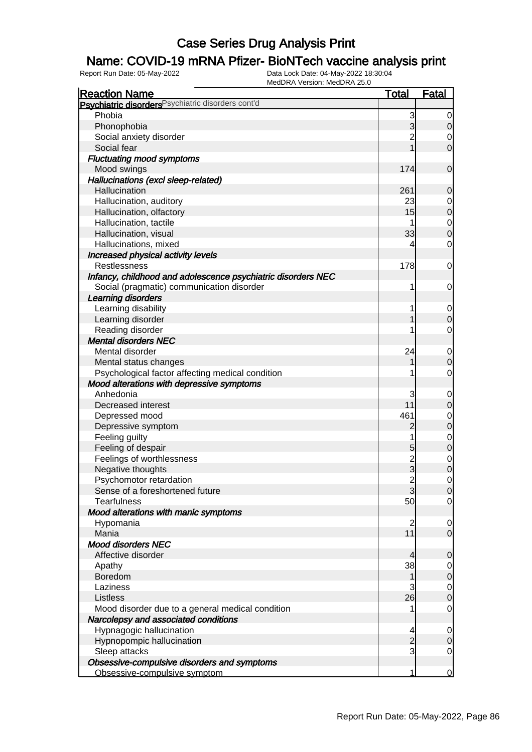### Name: COVID-19 mRNA Pfizer- BioNTech vaccine analysis print

| <b>Reaction Name</b>                                          | <b>Total</b>   | <b>Fatal</b>               |
|---------------------------------------------------------------|----------------|----------------------------|
| Psychiatric disorders <sup>Psychiatric disorders cont'd</sup> |                |                            |
| Phobia                                                        | 3              | 0                          |
| Phonophobia                                                   | 3              | $\mathbf 0$                |
| Social anxiety disorder                                       | $\overline{c}$ | $\mathbf 0$                |
| Social fear                                                   |                | $\mathbf 0$                |
| <b>Fluctuating mood symptoms</b>                              |                |                            |
| Mood swings                                                   | 174            | $\mathbf 0$                |
| Hallucinations (excl sleep-related)                           |                |                            |
| Hallucination                                                 | 261            | 0                          |
| Hallucination, auditory                                       | 23             | $\mathbf 0$                |
| Hallucination, olfactory                                      | 15             | $\pmb{0}$                  |
| Hallucination, tactile                                        |                | $\mathbf 0$                |
| Hallucination, visual                                         | 33             | $\mathbf 0$                |
| Hallucinations, mixed                                         | 4              | $\mathbf 0$                |
| Increased physical activity levels                            |                |                            |
| <b>Restlessness</b>                                           | 178            | 0                          |
| Infancy, childhood and adolescence psychiatric disorders NEC  |                |                            |
| Social (pragmatic) communication disorder                     | 1              | 0                          |
| Learning disorders                                            |                |                            |
| Learning disability                                           |                | $\mathbf 0$                |
| Learning disorder                                             |                | $\boldsymbol{0}$           |
| Reading disorder                                              |                | $\mathbf 0$                |
| <b>Mental disorders NEC</b>                                   |                |                            |
| Mental disorder                                               | 24             |                            |
|                                                               |                | $\mathbf 0$                |
| Mental status changes                                         |                | $\mathbf 0$<br>$\mathbf 0$ |
| Psychological factor affecting medical condition              |                |                            |
| Mood alterations with depressive symptoms<br>Anhedonia        |                |                            |
| Decreased interest                                            | 3<br>11        | $\mathbf 0$                |
|                                                               |                | $\mathbf 0$                |
| Depressed mood                                                | 461            | $\mathbf 0$                |
| Depressive symptom                                            | $\overline{c}$ | $\mathbf 0$                |
| Feeling guilty                                                |                | $\mathbf 0$                |
| Feeling of despair                                            | 5              | $\mathbf 0$                |
| Feelings of worthlessness                                     | 2<br>3         | $\mathbf 0$                |
| Negative thoughts                                             |                | $\mathbf 0$                |
| Psychomotor retardation                                       | $\overline{c}$ | $\mathbf 0$                |
| Sense of a foreshortened future                               | 3              | $\overline{0}$             |
| <b>Tearfulness</b>                                            | 50             | $\overline{0}$             |
| Mood alterations with manic symptoms                          |                |                            |
| Hypomania                                                     | $\overline{2}$ | 0                          |
| Mania                                                         | 11             | $\mathbf 0$                |
| <b>Mood disorders NEC</b>                                     |                |                            |
| Affective disorder                                            | 4              | $\mathbf 0$                |
| Apathy                                                        | 38             | $\mathbf 0$                |
| Boredom                                                       | 1              | $\pmb{0}$                  |
| Laziness                                                      | 3              | $\mathbf 0$                |
| Listless                                                      | 26             | $\boldsymbol{0}$           |
| Mood disorder due to a general medical condition              |                | $\mathbf 0$                |
| Narcolepsy and associated conditions                          |                |                            |
| Hypnagogic hallucination                                      | 4              | $\mathbf 0$                |
| Hypnopompic hallucination                                     | $\overline{c}$ | $\mathbf 0$                |
| Sleep attacks                                                 | 3              | $\mathbf 0$                |
| Obsessive-compulsive disorders and symptoms                   |                |                            |
| Obsessive-compulsive symptom                                  | 1              | $\overline{0}$             |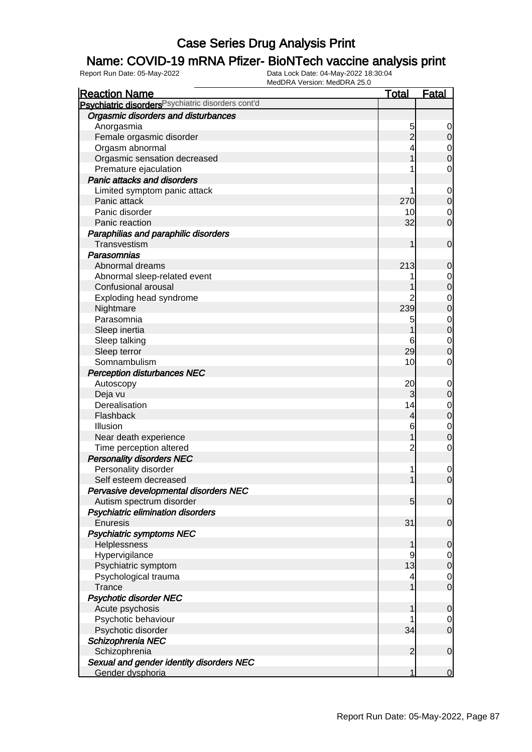### Name: COVID-19 mRNA Pfizer- BioNTech vaccine analysis print

| <b>Reaction Name</b>                                          | <b>Total</b>    | <b>Fatal</b>   |
|---------------------------------------------------------------|-----------------|----------------|
| Psychiatric disorders <sup>Psychiatric disorders cont'd</sup> |                 |                |
| Orgasmic disorders and disturbances                           |                 |                |
| Anorgasmia                                                    | 5               | 0              |
| Female orgasmic disorder                                      | $\overline{c}$  | $\mathbf 0$    |
| Orgasm abnormal                                               |                 | 0              |
| Orgasmic sensation decreased                                  |                 | $\mathbf 0$    |
| Premature ejaculation                                         |                 | $\mathbf 0$    |
| <b>Panic attacks and disorders</b>                            |                 |                |
| Limited symptom panic attack                                  |                 | $\mathbf 0$    |
| Panic attack                                                  | 270             | $\mathbf 0$    |
| Panic disorder                                                | 10              | 0              |
| Panic reaction                                                | 32              | $\mathbf 0$    |
| Paraphilias and paraphilic disorders                          |                 |                |
| Transvestism                                                  | 1               | $\mathbf 0$    |
| <b>Parasomnias</b>                                            |                 |                |
| Abnormal dreams                                               | 213             | 0              |
| Abnormal sleep-related event                                  |                 | 0              |
| Confusional arousal                                           |                 | $\mathbf 0$    |
| Exploding head syndrome                                       | 2               | $\mathbf 0$    |
| Nightmare                                                     | 239             | $\mathbf 0$    |
| Parasomnia                                                    | 5               | $\mathbf 0$    |
| Sleep inertia                                                 |                 | $\pmb{0}$      |
| Sleep talking                                                 | 6               | $\mathbf 0$    |
| Sleep terror                                                  | 29              | $\mathbf 0$    |
| Somnambulism                                                  | 10              | 0              |
| <b>Perception disturbances NEC</b>                            |                 |                |
| Autoscopy                                                     | 20              | $\mathbf 0$    |
| Deja vu                                                       | 3               | $\mathbf 0$    |
| Derealisation                                                 | 14              | 0              |
| Flashback                                                     | 4               | $\mathbf 0$    |
| Illusion                                                      | 6               | $\mathbf 0$    |
| Near death experience                                         |                 | $\mathbf 0$    |
| Time perception altered                                       | $\overline{c}$  | $\mathbf 0$    |
| <b>Personality disorders NEC</b>                              |                 |                |
| Personality disorder                                          |                 | $\mathbf 0$    |
| Self esteem decreased                                         |                 | $\mathbf 0$    |
| Pervasive developmental disorders NEC                         |                 |                |
| Autism spectrum disorder                                      | $5\overline{)}$ | $\overline{0}$ |
| Psychiatric elimination disorders                             |                 |                |
| Enuresis                                                      | 31              | $\mathbf 0$    |
| <b>Psychiatric symptoms NEC</b>                               |                 |                |
| Helplessness                                                  | 1               | $\mathbf 0$    |
| Hypervigilance                                                | 9               | 0              |
| Psychiatric symptom                                           | 13              | $\mathbf 0$    |
| Psychological trauma                                          | 4               | $\mathbf 0$    |
| <b>Trance</b>                                                 | 1               | $\mathbf 0$    |
| <b>Psychotic disorder NEC</b>                                 |                 |                |
| Acute psychosis                                               | 1               | $\mathbf 0$    |
| Psychotic behaviour                                           |                 | 0              |
| Psychotic disorder                                            | 34              | $\mathbf 0$    |
| Schizophrenia NEC                                             |                 |                |
| Schizophrenia                                                 | $\overline{2}$  | $\mathbf 0$    |
| Sexual and gender identity disorders NEC                      |                 |                |
| Gender dysphoria                                              | 1               | $\overline{0}$ |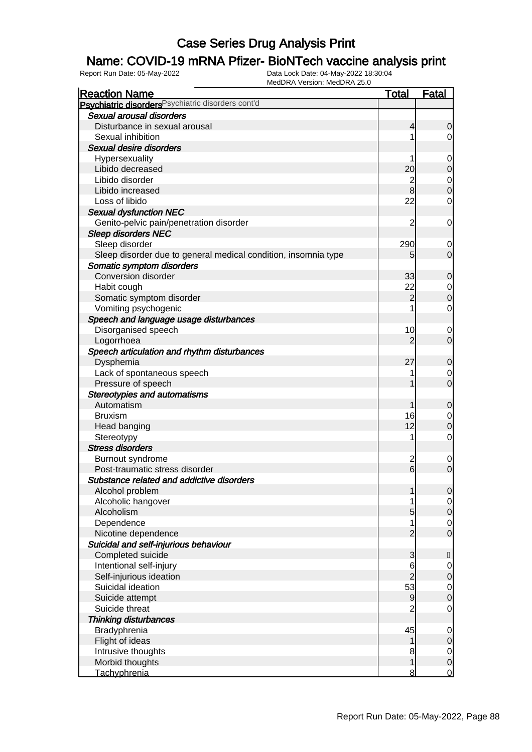### Name: COVID-19 mRNA Pfizer- BioNTech vaccine analysis print

| <b>Reaction Name</b>                                           | <b>Total</b>    | <b>Fatal</b>   |
|----------------------------------------------------------------|-----------------|----------------|
| Psychiatric disorders Psychiatric disorders cont'd             |                 |                |
| Sexual arousal disorders                                       |                 |                |
| Disturbance in sexual arousal                                  | 4               | $\mathbf 0$    |
| Sexual inhibition                                              |                 | $\overline{0}$ |
| Sexual desire disorders                                        |                 |                |
| Hypersexuality                                                 |                 | $\mathbf 0$    |
| Libido decreased                                               | 20              | $\mathbf 0$    |
| Libido disorder                                                | $\overline{c}$  | $\overline{0}$ |
| Libido increased                                               | 8               | $\overline{0}$ |
| Loss of libido                                                 | 22              | $\mathbf 0$    |
| <b>Sexual dysfunction NEC</b>                                  |                 |                |
| Genito-pelvic pain/penetration disorder                        | 2               | 0              |
| <b>Sleep disorders NEC</b>                                     |                 |                |
| Sleep disorder                                                 | 290             | $\mathbf 0$    |
| Sleep disorder due to general medical condition, insomnia type | 5               | $\overline{0}$ |
| Somatic symptom disorders                                      |                 |                |
| Conversion disorder                                            | 33              | $\mathbf 0$    |
| Habit cough                                                    | 22              | $\overline{0}$ |
| Somatic symptom disorder                                       | $\overline{2}$  | $\mathbf 0$    |
| Vomiting psychogenic                                           |                 | $\overline{0}$ |
| Speech and language usage disturbances                         |                 |                |
| Disorganised speech                                            | 10              | 0              |
| Logorrhoea                                                     | $\overline{2}$  | $\overline{0}$ |
| Speech articulation and rhythm disturbances                    |                 |                |
| Dysphemia                                                      | 27              | $\mathbf 0$    |
| Lack of spontaneous speech                                     |                 | 0              |
| Pressure of speech                                             |                 | $\mathbf 0$    |
| <b>Stereotypies and automatisms</b>                            |                 |                |
| Automatism                                                     |                 | $\mathbf 0$    |
| <b>Bruxism</b>                                                 | 16              | $\overline{0}$ |
| Head banging                                                   | 12              | $\mathbf 0$    |
| Stereotypy                                                     |                 | $\mathbf 0$    |
| <b>Stress disorders</b>                                        |                 |                |
| Burnout syndrome                                               | $\overline{c}$  | $\mathbf 0$    |
| Post-traumatic stress disorder                                 | $6\overline{6}$ | $\mathbf 0$    |
| Substance related and addictive disorders                      |                 |                |
| Alcohol problem                                                | 1               | $\overline{0}$ |
| Alcoholic hangover                                             |                 | $\overline{0}$ |
| Alcoholism                                                     | 5               | $\overline{O}$ |
| Dependence                                                     |                 | $\overline{0}$ |
| Nicotine dependence                                            | $\overline{2}$  | $\mathbf 0$    |
| Suicidal and self-injurious behaviour                          |                 |                |
| Completed suicide                                              | 3               | $\mathsf{H}$   |
| Intentional self-injury                                        | 6               | $\overline{0}$ |
| Self-injurious ideation                                        | $\overline{c}$  | $\mathbf 0$    |
| Suicidal ideation                                              | 53              | $\overline{0}$ |
| Suicide attempt                                                | 9               | $\mathbf 0$    |
| Suicide threat                                                 | $\overline{2}$  | $\mathbf 0$    |
| <b>Thinking disturbances</b>                                   |                 |                |
| Bradyphrenia                                                   | 45              | $\mathbf 0$    |
| Flight of ideas                                                | 1               | $\overline{0}$ |
| Intrusive thoughts                                             | 8               | $\overline{0}$ |
| Morbid thoughts                                                | 1               | $\mathbf 0$    |
| Tachyphrenia                                                   | 8               | <u>0</u>       |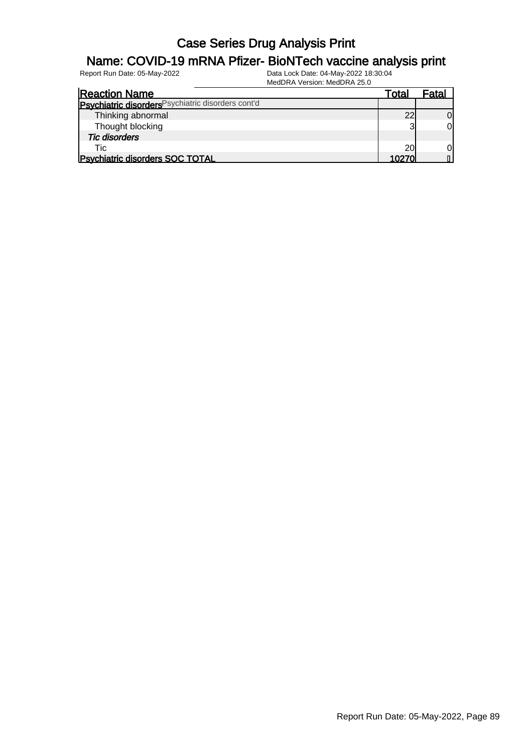### Name: COVID-19 mRNA Pfizer- BioNTech vaccine analysis print

| <b>Reaction Name</b>                               | Total | Fatal |
|----------------------------------------------------|-------|-------|
| Psychiatric disorders Psychiatric disorders cont'd |       |       |
| Thinking abnormal                                  | 22    |       |
| Thought blocking                                   | ລ     |       |
| <b>Tic disorders</b>                               |       |       |
| Tic                                                | 20    |       |
| <b>Psychiatric disorders SOC TOTAL</b>             | 10270 |       |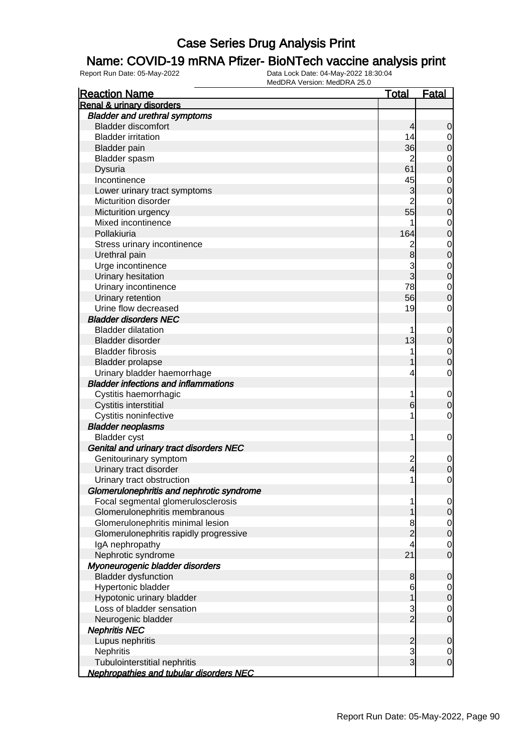### Name: COVID-19 mRNA Pfizer- BioNTech vaccine analysis print

| <b>Reaction Name</b>                           | <u>Total</u>   | <u>Fatal</u>     |
|------------------------------------------------|----------------|------------------|
| <b>Renal &amp; urinary disorders</b>           |                |                  |
| <b>Bladder and urethral symptoms</b>           |                |                  |
| <b>Bladder discomfort</b>                      | 4              | 0                |
| <b>Bladder irritation</b>                      | 14             | 0                |
| <b>Bladder</b> pain                            | 36             | 0                |
| Bladder spasm                                  | $\overline{c}$ | 0                |
| Dysuria                                        | 61             | 0                |
| Incontinence                                   | 45             | $\mathbf 0$      |
| Lower urinary tract symptoms                   | 3              | 0                |
| Micturition disorder                           | $\overline{2}$ | $\mathbf 0$      |
| Micturition urgency                            | 55             | 0                |
| Mixed incontinence                             |                | $\mathbf 0$      |
| Pollakiuria                                    | 164            | 0                |
| Stress urinary incontinence                    | $\overline{c}$ | $\mathbf 0$      |
| Urethral pain                                  | 8              | $\mathbf 0$      |
| Urge incontinence                              | 3              | $\mathbf 0$      |
| Urinary hesitation                             | 3              | $\mathbf 0$      |
| Urinary incontinence                           | 78             | $\mathbf 0$      |
| Urinary retention                              | 56             | 0                |
| Urine flow decreased                           | 19             | 0                |
| <b>Bladder disorders NEC</b>                   |                |                  |
| <b>Bladder dilatation</b>                      | 1              | $\mathbf 0$      |
| <b>Bladder disorder</b>                        | 13             | 0                |
| <b>Bladder fibrosis</b>                        | 1              | $\mathbf 0$      |
| <b>Bladder prolapse</b>                        |                | 0                |
| Urinary bladder haemorrhage                    | 4              | 0                |
| <b>Bladder infections and inflammations</b>    |                |                  |
| Cystitis haemorrhagic                          | 1              | $\mathbf 0$      |
| Cystitis interstitial                          | 6              | 0                |
| Cystitis noninfective                          | 1              | 0                |
| <b>Bladder neoplasms</b>                       |                |                  |
| <b>Bladder</b> cyst                            | 1              | $\mathbf 0$      |
| Genital and urinary tract disorders NEC        |                |                  |
| Genitourinary symptom                          | $\overline{c}$ | 0                |
| Urinary tract disorder                         | 4              | 0                |
| Urinary tract obstruction                      | 1              | 0                |
| Glomerulonephritis and nephrotic syndrome      |                |                  |
| Focal segmental glomerulosclerosis             | 1              | $\overline{0}$   |
| Glomerulonephritis membranous                  |                | $\mathbf 0$      |
| Glomerulonephritis minimal lesion              | 8              | $\overline{0}$   |
| Glomerulonephritis rapidly progressive         | $\overline{c}$ | $\boldsymbol{0}$ |
| IgA nephropathy                                | 4              | $\mathbf 0$      |
| Nephrotic syndrome                             | 21             | $\mathbf 0$      |
| Myoneurogenic bladder disorders                |                |                  |
| <b>Bladder dysfunction</b>                     | 8              | 0                |
| Hypertonic bladder                             | 6              | $\overline{0}$   |
| Hypotonic urinary bladder                      | 1              | 0                |
| Loss of bladder sensation                      | $\frac{3}{2}$  | $\mathbf 0$      |
| Neurogenic bladder                             |                | $\mathbf 0$      |
| <b>Nephritis NEC</b>                           |                |                  |
| Lupus nephritis                                | $\frac{2}{3}$  | 0                |
| <b>Nephritis</b>                               |                | $\overline{0}$   |
| Tubulointerstitial nephritis                   | $\overline{3}$ | $\boldsymbol{0}$ |
| <b>Nephropathies and tubular disorders NEC</b> |                |                  |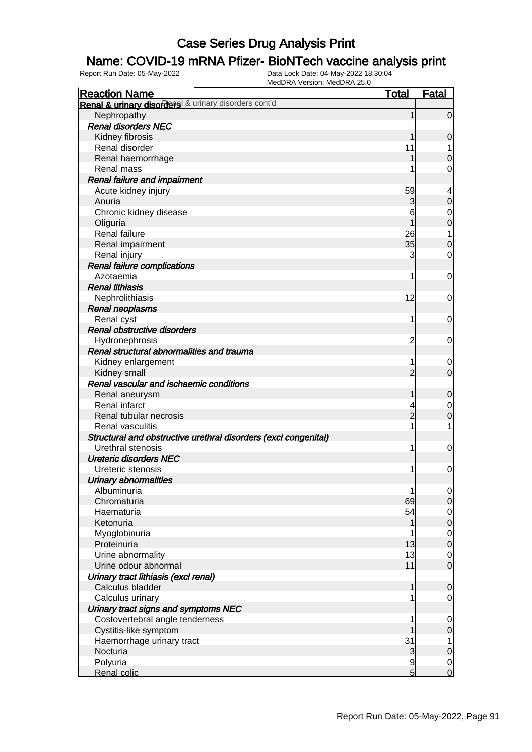### Name: COVID-19 mRNA Pfizer- BioNTech vaccine analysis print

| <b>Reaction Name</b>                                            | <b>Total</b>   | <b>Fatal</b>               |
|-----------------------------------------------------------------|----------------|----------------------------|
| Renal & urinary disorders & urinary disorders cont'd            |                |                            |
| Nephropathy                                                     | 1              | $\overline{0}$             |
| <b>Renal disorders NEC</b>                                      |                |                            |
| Kidney fibrosis                                                 |                | $\mathbf 0$                |
| Renal disorder                                                  | 11             | 1                          |
| Renal haemorrhage                                               |                | $\boldsymbol{0}$           |
| Renal mass                                                      |                | $\mathbf 0$                |
| Renal failure and impairment                                    |                |                            |
| Acute kidney injury                                             | 59             | 4                          |
| Anuria                                                          | 3              | $\mathbf 0$                |
| Chronic kidney disease                                          | 6              | $\mathbf{0}$               |
| Oliguria                                                        |                | $\overline{0}$             |
| Renal failure                                                   | 26             | 1                          |
| Renal impairment                                                | $35$           | $\mathbf 0$                |
| Renal injury                                                    | 3              | $\mathbf 0$                |
| <b>Renal failure complications</b>                              |                |                            |
| Azotaemia                                                       | 1              | 0                          |
| <b>Renal lithiasis</b>                                          |                |                            |
| Nephrolithiasis                                                 | 12             | 0                          |
| <b>Renal neoplasms</b>                                          |                |                            |
| Renal cyst                                                      | 1              | 0                          |
| Renal obstructive disorders                                     |                |                            |
| Hydronephrosis                                                  | $\overline{2}$ | 0                          |
| Renal structural abnormalities and trauma                       |                |                            |
| Kidney enlargement                                              | 1              | $\mathbf 0$                |
| Kidney small                                                    | $\overline{2}$ | $\mathbf 0$                |
| Renal vascular and ischaemic conditions                         |                |                            |
| Renal aneurysm                                                  | 1              | $\mathbf 0$                |
| Renal infarct                                                   |                |                            |
| Renal tubular necrosis                                          | $\overline{c}$ | $\mathbf 0$<br>$\mathbf 0$ |
| Renal vasculitis                                                | 1              | 1                          |
| Structural and obstructive urethral disorders (excl congenital) |                |                            |
| Urethral stenosis                                               | 1              | $\mathbf 0$                |
| <b>Ureteric disorders NEC</b>                                   |                |                            |
| Ureteric stenosis                                               | 1              | 0                          |
|                                                                 |                |                            |
| <b>Urinary abnormalities</b><br>Albuminuria                     |                |                            |
| Chromaturia                                                     | 1<br>69        | $\overline{0}$             |
|                                                                 |                | $\mathbf 0$                |
| Haematuria<br>Ketonuria                                         | 54             | $\overline{0}$             |
|                                                                 |                | $\pmb{0}$                  |
| Myoglobinuria                                                   |                | $\mathbf 0$                |
| Proteinuria                                                     | 13             | $\pmb{0}$                  |
| Urine abnormality<br>Urine odour abnormal                       | 13             | $\mathbf 0$                |
|                                                                 | 11             | $\mathbf 0$                |
| Urinary tract lithiasis (excl renal)                            |                |                            |
| Calculus bladder                                                | 1              | $\mathbf 0$                |
| Calculus urinary                                                |                | $\overline{0}$             |
| Urinary tract signs and symptoms NEC                            |                |                            |
| Costovertebral angle tenderness                                 | 1              | $\mathbf 0$                |
| Cystitis-like symptom                                           |                | $\mathbf 0$                |
| Haemorrhage urinary tract                                       | 31             | 1                          |
| Nocturia                                                        | 3              | $\mathbf 0$                |
| Polyuria                                                        | 9              | $\mathbf 0$                |
| Renal colic                                                     | 5              | $\overline{0}$             |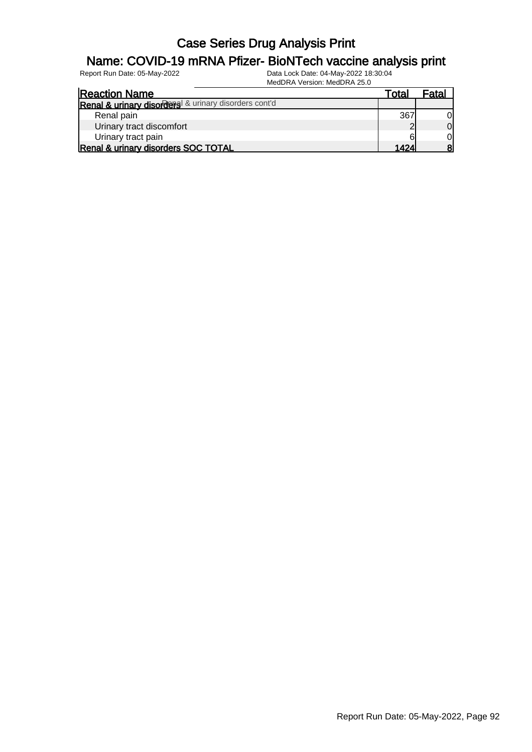#### Name: COVID-19 mRNA Pfizer- BioNTech vaccine analysis print

| <b>Reaction Name</b>                                 | Total | <sup>⊏</sup> ata. |
|------------------------------------------------------|-------|-------------------|
| Renal & urinary disorders & urinary disorders cont'd |       |                   |
| Renal pain                                           | 367   | 01                |
| Urinary tract discomfort                             |       | $\overline{0}$    |
| Urinary tract pain                                   |       | $\overline{0}$    |
| Renal & urinary disorders SOC TOTAL                  | 1424  | 8                 |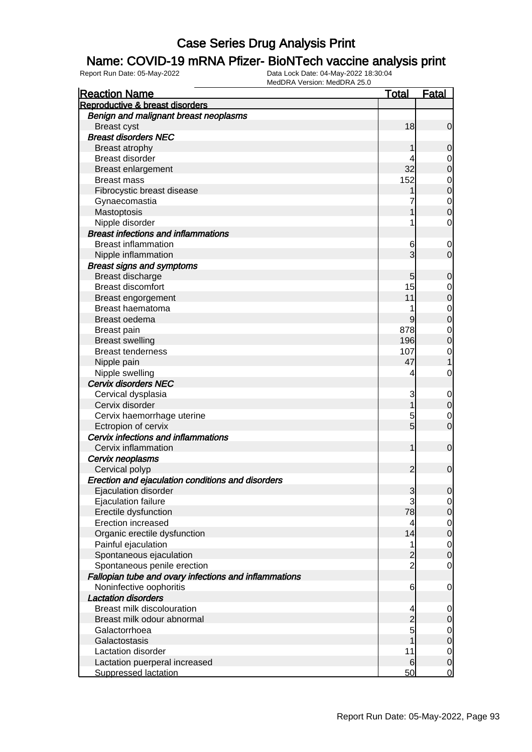#### Name: COVID-19 mRNA Pfizer- BioNTech vaccine analysis print

| <b>Reaction Name</b>                                  | <b>Total</b>   | <b>Fatal</b>     |
|-------------------------------------------------------|----------------|------------------|
| Reproductive & breast disorders                       |                |                  |
| Benign and malignant breast neoplasms                 |                |                  |
| <b>Breast cyst</b>                                    | 18             | $\mathbf 0$      |
| <b>Breast disorders NEC</b>                           |                |                  |
| Breast atrophy                                        | 1              | $\mathbf 0$      |
| <b>Breast disorder</b>                                | 4              | $\mathbf 0$      |
| Breast enlargement                                    | 32             | $\mathbf 0$      |
| <b>Breast mass</b>                                    | 152            | $\mathbf 0$      |
| Fibrocystic breast disease                            |                | $\mathbf 0$      |
| Gynaecomastia                                         |                | $\mathbf 0$      |
| Mastoptosis                                           |                | $\overline{0}$   |
| Nipple disorder                                       |                | $\mathbf 0$      |
| <b>Breast infections and inflammations</b>            |                |                  |
| <b>Breast inflammation</b>                            | 6              | $\mathbf 0$      |
| Nipple inflammation                                   | 3              | $\mathbf 0$      |
| <b>Breast signs and symptoms</b>                      |                |                  |
| Breast discharge                                      | 5              | $\mathbf 0$      |
| <b>Breast discomfort</b>                              | 15             | $\mathbf 0$      |
| Breast engorgement                                    | 11             | $\mathbf 0$      |
| Breast haematoma                                      |                | $\mathbf 0$      |
| Breast oedema                                         | 9              | $\mathbf 0$      |
| <b>Breast pain</b>                                    | 878            | $\mathbf 0$      |
| <b>Breast swelling</b>                                | 196            | $\mathbf 0$      |
| <b>Breast tenderness</b>                              | 107            | $\mathbf 0$      |
| Nipple pain                                           | 47             | 1                |
| Nipple swelling                                       | 4              | 0                |
| Cervix disorders NEC                                  |                |                  |
| Cervical dysplasia                                    | 3              | $\mathbf 0$      |
| Cervix disorder                                       | 1              | $\boldsymbol{0}$ |
| Cervix haemorrhage uterine                            | 5              | $\mathbf 0$      |
| Ectropion of cervix                                   | $\overline{5}$ | $\mathbf 0$      |
| Cervix infections and inflammations                   |                |                  |
| Cervix inflammation                                   | 1              | $\mathbf 0$      |
| Cervix neoplasms                                      |                |                  |
| Cervical polyp                                        | $\overline{2}$ | $\mathbf 0$      |
| Erection and ejaculation conditions and disorders     |                |                  |
| Ejaculation disorder                                  | 3              | $\mathbf 0$      |
| Ejaculation failure                                   | 3              | $\overline{0}$   |
| Erectile dysfunction                                  | 78             | $\mathbf 0$      |
| Erection increased                                    | 4              | $\mathbf 0$      |
| Organic erectile dysfunction                          | 14             | $\mathbf 0$      |
| Painful ejaculation                                   | 1              | $\overline{0}$   |
| Spontaneous ejaculation                               | $\overline{c}$ | $\boldsymbol{0}$ |
| Spontaneous penile erection                           | $\overline{c}$ | $\mathbf 0$      |
| Fallopian tube and ovary infections and inflammations |                |                  |
| Noninfective oophoritis                               | 6              | $\mathbf 0$      |
| <b>Lactation disorders</b>                            |                |                  |
| Breast milk discolouration                            | 4              | $\mathbf 0$      |
| Breast milk odour abnormal                            | $\overline{c}$ | $\mathbf 0$      |
| Galactorrhoea                                         | 5              | $\overline{0}$   |
| Galactostasis                                         |                | $\pmb{0}$        |
| Lactation disorder                                    | 11             | $\overline{0}$   |
| Lactation puerperal increased                         | 6              | $\boldsymbol{0}$ |
| <b>Suppressed lactation</b>                           | 50             | $\overline{0}$   |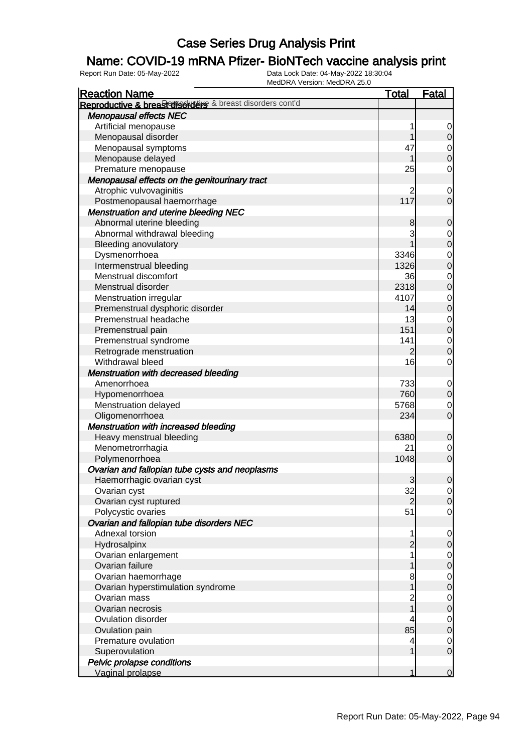### Name: COVID-19 mRNA Pfizer- BioNTech vaccine analysis print

| <b>Reaction Name</b>                                      | <b>Total</b>   | <b>Fatal</b>                         |
|-----------------------------------------------------------|----------------|--------------------------------------|
| Reproductive & breast disorders & breast disorders cont'd |                |                                      |
| <b>Menopausal effects NEC</b>                             |                |                                      |
| Artificial menopause                                      | 1              | $\mathbf 0$                          |
| Menopausal disorder                                       | 1              | $\overline{0}$                       |
| Menopausal symptoms                                       | 47             |                                      |
| Menopause delayed                                         | 1              | $\begin{matrix} 0 \\ 0 \end{matrix}$ |
| Premature menopause                                       | 25             | $\mathbf 0$                          |
| Menopausal effects on the genitourinary tract             |                |                                      |
| Atrophic vulvovaginitis                                   | 2              | $\mathbf 0$                          |
| Postmenopausal haemorrhage                                | 117            | $\overline{0}$                       |
| <b>Menstruation and uterine bleeding NEC</b>              |                |                                      |
| Abnormal uterine bleeding                                 | 8              | $\mathbf 0$                          |
| Abnormal withdrawal bleeding                              | 3              |                                      |
| <b>Bleeding anovulatory</b>                               |                | $\begin{matrix}0\\0\end{matrix}$     |
| Dysmenorrhoea                                             | 3346           |                                      |
| Intermenstrual bleeding                                   | 1326           | $0\atop 0$                           |
| Menstrual discomfort                                      | 36             |                                      |
| Menstrual disorder                                        | 2318           | $0\atop 0$                           |
| Menstruation irregular                                    | 4107           |                                      |
| Premenstrual dysphoric disorder                           | 14             | $0\atop 0$                           |
| Premenstrual headache                                     | 13             |                                      |
| Premenstrual pain                                         | 151            | $0\atop 0$                           |
| Premenstrual syndrome                                     | 141            |                                      |
| Retrograde menstruation                                   | $\overline{2}$ | $\begin{matrix}0\\0\end{matrix}$     |
| Withdrawal bleed                                          | 16             | $\mathbf 0$                          |
| <b>Menstruation with decreased bleeding</b>               |                |                                      |
| Amenorrhoea                                               | 733            |                                      |
|                                                           | 760            | $\mathbf 0$<br>$\overline{0}$        |
| Hypomenorrhoea                                            | 5768           |                                      |
| Menstruation delayed                                      | 234            | $\mathbf 0$<br>$\overline{0}$        |
| Oligomenorrhoea                                           |                |                                      |
| <b>Menstruation with increased bleeding</b>               |                |                                      |
| Heavy menstrual bleeding                                  | 6380           | $\mathbf 0$                          |
| Menometrorrhagia                                          | 21             | $\mathbf 0$<br>$\overline{0}$        |
| Polymenorrhoea                                            | 1048           |                                      |
| Ovarian and fallopian tube cysts and neoplasms            |                |                                      |
| Haemorrhagic ovarian cyst                                 | 3              | $\mathbf 0$                          |
| Ovarian cyst                                              | 32             | $\overline{0}$                       |
| Ovarian cyst ruptured                                     | $\overline{2}$ | $\overline{0}$                       |
| Polycystic ovaries                                        | 51             | $\overline{0}$                       |
| Ovarian and fallopian tube disorders NEC                  |                |                                      |
| Adnexal torsion                                           | 1              | $\mathbf 0$                          |
| Hydrosalpinx                                              | $\overline{2}$ | $\boldsymbol{0}$                     |
| Ovarian enlargement                                       | 1              | $\mathbf 0$                          |
| Ovarian failure                                           | 1              | $\mathbf 0$                          |
| Ovarian haemorrhage                                       | 8              | $\overline{0}$                       |
| Ovarian hyperstimulation syndrome                         | 1              | $\overline{0}$                       |
| Ovarian mass                                              | $\overline{2}$ | $\overline{0}$                       |
| Ovarian necrosis                                          | $\overline{1}$ | $\overline{0}$                       |
| Ovulation disorder                                        | 4              | $\overline{0}$                       |
| Ovulation pain                                            | 85             | $\overline{0}$                       |
| Premature ovulation                                       | 4              | $\mathbf 0$                          |
| Superovulation                                            | 1              | $\mathbf 0$                          |
| Pelvic prolapse conditions                                |                |                                      |
| Vaginal prolapse                                          | 1              | $\mathbf 0$                          |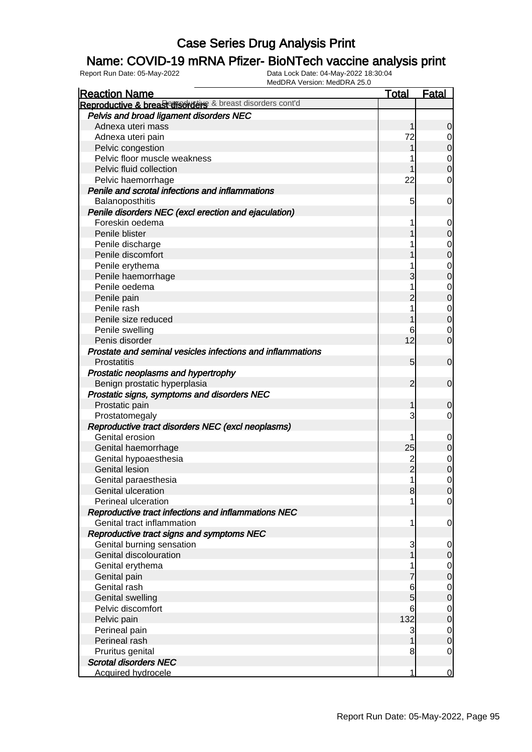### Name: COVID-19 mRNA Pfizer- BioNTech vaccine analysis print

| <b>Reaction Name</b>                                       | <b>Total</b>    | Fatal                            |
|------------------------------------------------------------|-----------------|----------------------------------|
| Reproductive & breast disorders & breast disorders cont'd  |                 |                                  |
| Pelvis and broad ligament disorders NEC                    |                 |                                  |
| Adnexa uteri mass                                          | 1               | $\mathbf 0$                      |
| Adnexa uteri pain                                          | 72              | $\overline{0}$                   |
| Pelvic congestion                                          | 1               | $\pmb{0}$                        |
| Pelvic floor muscle weakness                               |                 | $\mathbf 0$                      |
| Pelvic fluid collection                                    | 1               | $\overline{0}$                   |
| Pelvic haemorrhage                                         | 22              | $\mathbf 0$                      |
| Penile and scrotal infections and inflammations            |                 |                                  |
| Balanoposthitis                                            | 5               | $\mathbf 0$                      |
| Penile disorders NEC (excl erection and ejaculation)       |                 |                                  |
| Foreskin oedema                                            |                 | $\mathbf 0$                      |
| Penile blister                                             |                 | $\pmb{0}$                        |
| Penile discharge                                           |                 | $\boldsymbol{0}$                 |
| Penile discomfort                                          |                 | $\mathbf 0$                      |
| Penile erythema                                            |                 | $\mathbf 0$                      |
| Penile haemorrhage                                         | 3               | $\mathbf 0$                      |
| Penile oedema                                              | 1               | $\mathbf 0$                      |
| Penile pain                                                | $\overline{2}$  | $\mathbf 0$                      |
| Penile rash                                                | 1               | $\overline{0}$                   |
| Penile size reduced                                        |                 | $\overline{0}$                   |
| Penile swelling                                            | 6               | $\mathbf 0$                      |
| Penis disorder                                             | 12              | $\mathbf 0$                      |
| Prostate and seminal vesicles infections and inflammations |                 |                                  |
| <b>Prostatitis</b>                                         | $5\overline{)}$ | $\mathbf 0$                      |
| Prostatic neoplasms and hypertrophy                        |                 |                                  |
| Benign prostatic hyperplasia                               | $\overline{2}$  | $\mathbf 0$                      |
| Prostatic signs, symptoms and disorders NEC                |                 |                                  |
| Prostatic pain                                             | 1               | $\mathbf 0$                      |
| Prostatomegaly                                             | 3               | $\overline{0}$                   |
| Reproductive tract disorders NEC (excl neoplasms)          |                 |                                  |
| Genital erosion                                            |                 | $\mathbf 0$                      |
| Genital haemorrhage                                        | 25              | $\boldsymbol{0}$                 |
| Genital hypoaesthesia                                      | $\overline{c}$  |                                  |
| <b>Genital lesion</b>                                      | $\overline{2}$  | $\overline{0}$<br>$\overline{0}$ |
| Genital paraesthesia                                       | $\mathbf{1}$    | $\mathbf 0$                      |
| Genital ulceration                                         | 8               |                                  |
| Perineal ulceration                                        |                 | 0 <br>$\overline{0}$             |
| Reproductive tract infections and inflammations NEC        |                 |                                  |
| Genital tract inflammation                                 | 1               | $\mathbf 0$                      |
| Reproductive tract signs and symptoms NEC                  |                 |                                  |
| Genital burning sensation                                  |                 |                                  |
| Genital discolouration                                     | 3               | $\mathbf 0$                      |
|                                                            |                 | $\mathbf 0$                      |
| Genital erythema                                           |                 | $\overline{0}$                   |
| Genital pain                                               |                 | $\pmb{0}$                        |
| Genital rash                                               | 6               | $\mathbf 0$                      |
| <b>Genital swelling</b>                                    | 5               | $\mathbf 0$                      |
| Pelvic discomfort                                          | 6               | $\mathbf 0$                      |
| Pelvic pain                                                | 132             | $\mathbf 0$                      |
| Perineal pain                                              | 3               | $\mathbf 0$                      |
| Perineal rash                                              |                 | $\mathbf 0$                      |
| Pruritus genital                                           | 8               | $\mathbf 0$                      |
| <b>Scrotal disorders NEC</b>                               |                 |                                  |
| <b>Acquired hydrocele</b>                                  | 1               | $\mathbf 0$                      |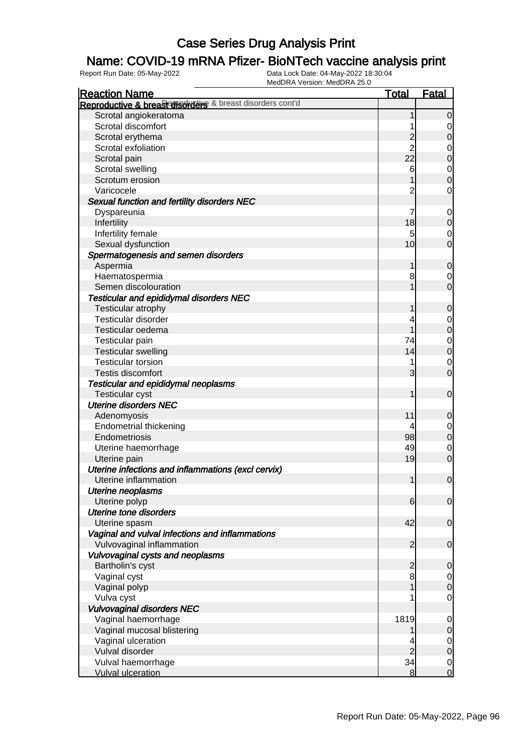### Name: COVID-19 mRNA Pfizer- BioNTech vaccine analysis print

| <b>Reaction Name</b>                                      | Total          | <b>Fatal</b>     |
|-----------------------------------------------------------|----------------|------------------|
| Reproductive & breast disorders & breast disorders cont'd |                |                  |
| Scrotal angiokeratoma                                     |                | $\overline{0}$   |
| Scrotal discomfort                                        |                | 0                |
| Scrotal erythema                                          | 2              | $\mathbf 0$      |
| Scrotal exfoliation                                       | $\overline{2}$ | 0                |
| Scrotal pain                                              | 22             | $\mathbf 0$      |
| Scrotal swelling                                          | 6              | $\mathbf 0$      |
| Scrotum erosion                                           |                | $\mathbf 0$      |
| Varicocele                                                | 2              | $\mathbf 0$      |
| Sexual function and fertility disorders NEC               |                |                  |
| Dyspareunia                                               | 7              | $\mathbf 0$      |
| Infertility                                               | 18             | 0                |
| Infertility female                                        | 5              | 0                |
| Sexual dysfunction                                        | 10             | $\overline{0}$   |
| Spermatogenesis and semen disorders                       |                |                  |
| Aspermia                                                  | 1              | $\mathbf 0$      |
| Haematospermia                                            | 8              | 0                |
| Semen discolouration                                      |                | $\overline{0}$   |
| Testicular and epididymal disorders NEC                   |                |                  |
| Testicular atrophy                                        |                | $\mathbf 0$      |
| Testicular disorder                                       | 4              |                  |
| Testicular oedema                                         |                | 0                |
|                                                           |                | $\boldsymbol{0}$ |
| Testicular pain                                           | 74             | $\mathbf 0$      |
| <b>Testicular swelling</b>                                | 14             | $\mathbf 0$      |
| <b>Testicular torsion</b>                                 |                | 0                |
| Testis discomfort                                         | 3              | $\overline{0}$   |
| Testicular and epididymal neoplasms                       |                |                  |
| <b>Testicular cyst</b>                                    | 1              | $\mathbf 0$      |
| <b>Uterine disorders NEC</b>                              |                |                  |
| Adenomyosis                                               | 11             | 0                |
| <b>Endometrial thickening</b>                             |                | 0                |
| Endometriosis                                             | 98             | $\boldsymbol{0}$ |
| Uterine haemorrhage                                       | 49             | 0                |
| Uterine pain                                              | 19             | $\mathbf 0$      |
| Uterine infections and inflammations (excl cervix)        |                |                  |
| Uterine inflammation                                      | 1              | $\mathbf 0$      |
| <b>Uterine neoplasms</b>                                  |                |                  |
| Uterine polyp                                             | 6              | $\overline{0}$   |
| <b>Uterine tone disorders</b>                             |                |                  |
| Uterine spasm                                             | 42             | $\mathbf 0$      |
| Vaginal and vulval infections and inflammations           |                |                  |
| Vulvovaginal inflammation                                 | $\overline{2}$ | $\mathbf 0$      |
| Vulvovaginal cysts and neoplasms                          |                |                  |
| Bartholin's cyst                                          | $\overline{c}$ | 0                |
| Vaginal cyst                                              | 8              | $\overline{0}$   |
| Vaginal polyp                                             |                | $\mathbf 0$      |
| Vulva cyst                                                |                | $\mathbf 0$      |
| <b>Vulvovaginal disorders NEC</b>                         |                |                  |
| Vaginal haemorrhage                                       | 1819           | 0                |
| Vaginal mucosal blistering                                |                | 0                |
| Vaginal ulceration                                        |                | 0                |
| Vulval disorder                                           | $\overline{c}$ | 0                |
| Vulval haemorrhage                                        | 34             | $\mathbf 0$      |
| <b>Vulval ulceration</b>                                  | 8              | $\overline{0}$   |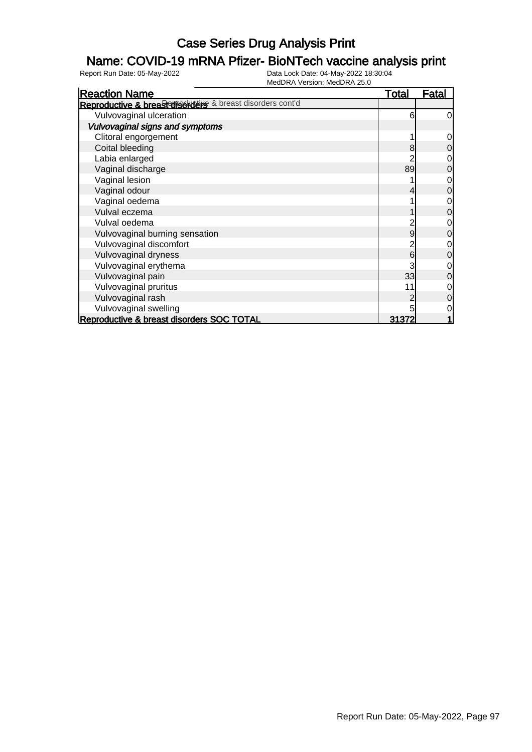### Name: COVID-19 mRNA Pfizer- BioNTech vaccine analysis print

| <b>Reaction Name</b>                                      | <u>Total</u> | <b>Fatal</b>   |
|-----------------------------------------------------------|--------------|----------------|
| Reproductive & breast disorders & breast disorders cont'd |              |                |
| Vulvovaginal ulceration                                   | 6            | $\overline{0}$ |
| Vulvovaginal signs and symptoms                           |              |                |
| Clitoral engorgement                                      |              | $\overline{0}$ |
| Coital bleeding                                           | 8            | $\overline{0}$ |
| Labia enlarged                                            |              | $\overline{0}$ |
| Vaginal discharge                                         | 89           | $\overline{0}$ |
| Vaginal lesion                                            |              | $\overline{0}$ |
| Vaginal odour                                             |              | $\overline{0}$ |
| Vaginal oedema                                            |              | $\overline{0}$ |
| Vulval eczema                                             |              | $\overline{0}$ |
| Vulval oedema                                             |              | $\overline{0}$ |
| Vulvovaginal burning sensation                            | 9            | $\overline{0}$ |
| Vulvovaginal discomfort                                   |              | $\overline{0}$ |
| Vulvovaginal dryness                                      | 6            | $\overline{0}$ |
| Vulvovaginal erythema                                     |              | $\overline{O}$ |
| Vulvovaginal pain                                         | 33           | $\overline{0}$ |
| Vulvovaginal pruritus                                     | 11           | $\overline{0}$ |
| Vulvovaginal rash                                         |              | $\overline{0}$ |
| Vulvovaginal swelling                                     |              | $\overline{0}$ |
| Reproductive & breast disorders SOC TOTAL                 | 31372        | 1              |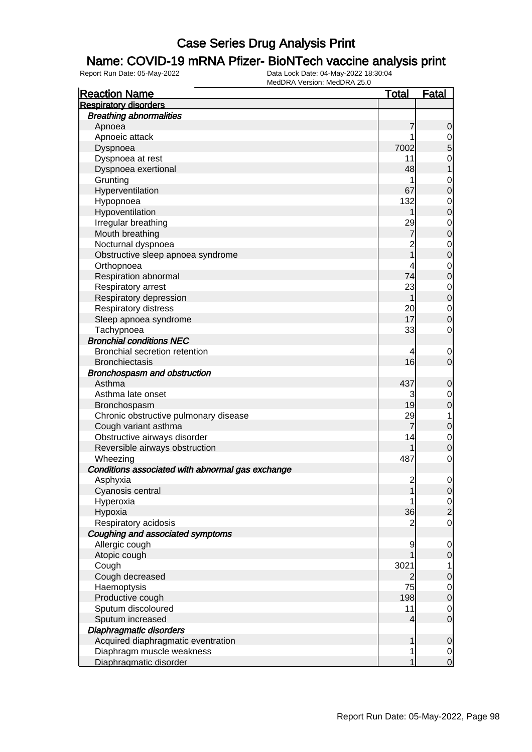#### Name: COVID-19 mRNA Pfizer- BioNTech vaccine analysis print

| <b>Reaction Name</b>                             | <u>Total</u>   | <b>Fatal</b>                     |
|--------------------------------------------------|----------------|----------------------------------|
| <b>Respiratory disorders</b>                     |                |                                  |
| <b>Breathing abnormalities</b>                   |                |                                  |
| Apnoea                                           | 7              | 0                                |
| Apnoeic attack                                   |                | 0                                |
| Dyspnoea                                         | 7002           | 5                                |
| Dyspnoea at rest                                 | 11             | 0                                |
| Dyspnoea exertional                              | 48             |                                  |
| Grunting                                         | 1              | 0                                |
| Hyperventilation                                 | 67             | 0                                |
| Hypopnoea                                        | 132            | 0                                |
| Hypoventilation                                  |                | 0                                |
| Irregular breathing                              | 29             | 0                                |
| Mouth breathing                                  | 7              | 0                                |
| Nocturnal dyspnoea                               | 2              | 0                                |
| Obstructive sleep apnoea syndrome                |                | 0                                |
| Orthopnoea                                       | 4              | 0                                |
| Respiration abnormal                             | 74             | 0                                |
| Respiratory arrest                               | 23             | $\mathbf 0$                      |
| Respiratory depression                           |                | $\mathbf 0$                      |
| Respiratory distress                             | 20             | 0                                |
| Sleep apnoea syndrome                            | 17             | 0                                |
| Tachypnoea                                       | 33             | $\mathbf 0$                      |
| <b>Bronchial conditions NEC</b>                  |                |                                  |
| Bronchial secretion retention                    | 4              | 0                                |
| <b>Bronchiectasis</b>                            | 16             | 0                                |
| Bronchospasm and obstruction                     |                |                                  |
| Asthma                                           | 437            | 0                                |
| Asthma late onset                                | 3              | 0                                |
| Bronchospasm                                     | 19             | 0                                |
| Chronic obstructive pulmonary disease            | 29             | 1                                |
| Cough variant asthma                             | 7              | 0                                |
| Obstructive airways disorder                     | 14             | 0                                |
| Reversible airways obstruction                   |                | 0                                |
| Wheezing                                         | 487            | $\mathbf 0$                      |
| Conditions associated with abnormal gas exchange |                |                                  |
| Asphyxia                                         | $\overline{c}$ | $\mathbf 0$                      |
| Cyanosis central                                 |                | $\Omega$                         |
| Hyperoxia                                        | 36             | $\overline{0}$<br>$\overline{2}$ |
| Hypoxia<br>Respiratory acidosis                  | 2              | 0                                |
| Coughing and associated symptoms                 |                |                                  |
| Allergic cough                                   | 9              |                                  |
| Atopic cough                                     |                | 0<br>0                           |
| Cough                                            | 3021           | 1                                |
| Cough decreased                                  | 2              | 0                                |
| Haemoptysis                                      | 75             | $\mathbf 0$                      |
| Productive cough                                 | 198            | 0                                |
| Sputum discoloured                               | 11             | 0                                |
| Sputum increased                                 | 4              | $\mathbf 0$                      |
| Diaphragmatic disorders                          |                |                                  |
| Acquired diaphragmatic eventration               |                | 0                                |
| Diaphragm muscle weakness                        | 1              | $\mathbf 0$                      |
| Diaphragmatic disorder                           |                | $\mathbf 0$                      |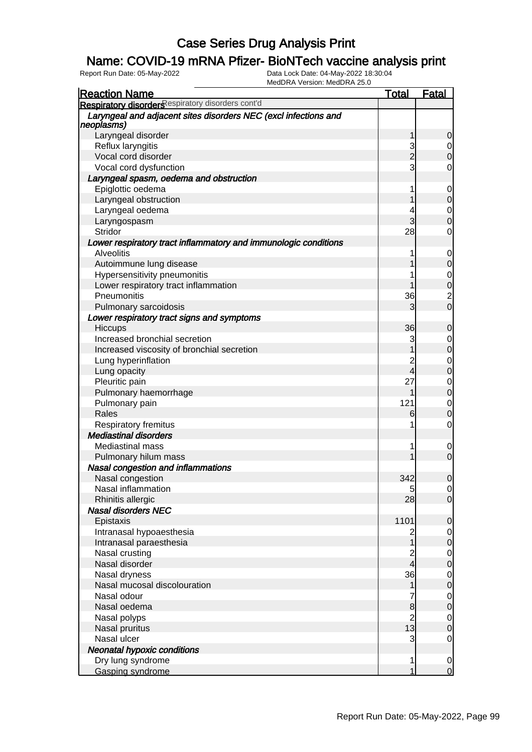### Name: COVID-19 mRNA Pfizer- BioNTech vaccine analysis print

| <b>Reaction Name</b>                                                          | <b>Total</b>   | <b>Fatal</b>                     |
|-------------------------------------------------------------------------------|----------------|----------------------------------|
| Respiratory disorders espiratory disorders cont'd                             |                |                                  |
| Laryngeal and adjacent sites disorders NEC (excl infections and<br>neoplasms) |                |                                  |
| Laryngeal disorder                                                            |                | 0                                |
| Reflux laryngitis                                                             | 3              |                                  |
| Vocal cord disorder                                                           | $\overline{2}$ | $\overline{0}$                   |
| Vocal cord dysfunction                                                        | 3              | 0                                |
| Laryngeal spasm, oedema and obstruction                                       |                |                                  |
| Epiglottic oedema                                                             |                | $\mathbf 0$                      |
| Laryngeal obstruction                                                         |                | $\overline{0}$                   |
| Laryngeal oedema                                                              |                | $\mathbf 0$                      |
| Laryngospasm                                                                  | 3              | O                                |
| Stridor                                                                       | 28             | 0                                |
| Lower respiratory tract inflammatory and immunologic conditions               |                |                                  |
| <b>Alveolitis</b>                                                             |                | $\mathbf 0$                      |
| Autoimmune lung disease                                                       |                | $\mathbf 0$                      |
| Hypersensitivity pneumonitis                                                  |                | $\mathbf 0$                      |
| Lower respiratory tract inflammation                                          |                | $\overline{0}$                   |
| Pneumonitis                                                                   | 36             |                                  |
|                                                                               | 3              | $\frac{2}{0}$                    |
| Pulmonary sarcoidosis                                                         |                |                                  |
| Lower respiratory tract signs and symptoms                                    |                |                                  |
| Hiccups                                                                       | 36             | 0                                |
| Increased bronchial secretion                                                 | 3              | $\mathbf 0$                      |
| Increased viscosity of bronchial secretion                                    |                | $\overline{0}$                   |
| Lung hyperinflation                                                           | 2              | $\mathbf 0$                      |
| Lung opacity                                                                  | 4              | $\overline{0}$                   |
| Pleuritic pain                                                                | 27             | $\mathbf 0$                      |
| Pulmonary haemorrhage                                                         |                | $\overline{0}$                   |
| Pulmonary pain                                                                | 121            | $\mathbf 0$                      |
| Rales                                                                         | 6              | $\overline{0}$                   |
| Respiratory fremitus                                                          | 1              | 0                                |
| <b>Mediastinal disorders</b>                                                  |                |                                  |
| <b>Mediastinal mass</b>                                                       |                | 0                                |
| Pulmonary hilum mass                                                          |                | $\overline{0}$                   |
| Nasal congestion and inflammations                                            |                |                                  |
| Nasal congestion                                                              | 342            | $\pmb{0}$                        |
| Nasal inflammation                                                            | 5              | $\Omega$                         |
| Rhinitis allergic                                                             | 28             | $\overline{0}$                   |
| <b>Nasal disorders NEC</b>                                                    |                |                                  |
| Epistaxis                                                                     | 1101           | 0                                |
| Intranasal hypoaesthesia                                                      |                | $\overline{0}$                   |
| Intranasal paraesthesia                                                       |                | $\overline{0}$                   |
| Nasal crusting                                                                |                |                                  |
| Nasal disorder                                                                | 4              | $0\atop 0$                       |
| Nasal dryness                                                                 | 36             |                                  |
| Nasal mucosal discolouration                                                  |                | $\begin{matrix}0\\0\end{matrix}$ |
| Nasal odour                                                                   |                |                                  |
| Nasal oedema                                                                  | 8              | $\begin{matrix}0\\0\end{matrix}$ |
| Nasal polyps                                                                  | $\overline{2}$ |                                  |
| Nasal pruritus                                                                | 13             | $\begin{matrix}0\\0\end{matrix}$ |
| Nasal ulcer                                                                   | 3              | $\mathbf 0$                      |
| <b>Neonatal hypoxic conditions</b>                                            |                |                                  |
| Dry lung syndrome                                                             | 1              | $\mathbf 0$                      |
| Gasping syndrome                                                              |                | $\overline{0}$                   |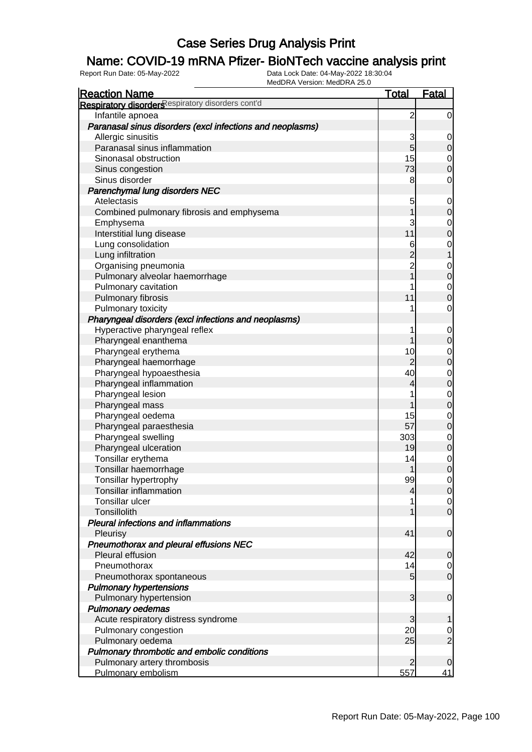### Name: COVID-19 mRNA Pfizer- BioNTech vaccine analysis print

| <b>Reaction Name</b>                                      | <b>Total</b>   | <b>Fatal</b>                     |
|-----------------------------------------------------------|----------------|----------------------------------|
| Respiratory disorders espiratory disorders cont'd         |                |                                  |
| Infantile apnoea                                          | $\overline{c}$ | $\overline{0}$                   |
| Paranasal sinus disorders (excl infections and neoplasms) |                |                                  |
| Allergic sinusitis                                        | 3              | $\mathbf 0$                      |
| Paranasal sinus inflammation                              | $\overline{5}$ | $\mathbf 0$                      |
| Sinonasal obstruction                                     | 15             | $\mathbf{0}$                     |
| Sinus congestion                                          | 73             | $\overline{0}$                   |
| Sinus disorder                                            | 8              | $\mathbf 0$                      |
| Parenchymal lung disorders NEC                            |                |                                  |
| Atelectasis                                               | 5              | $\mathbf 0$                      |
| Combined pulmonary fibrosis and emphysema                 | 1              | $\mathbf 0$                      |
| Emphysema                                                 | 3              | $\mathbf{0}$                     |
| Interstitial lung disease                                 | 11             | $\overline{0}$                   |
| Lung consolidation                                        | 6              | $\begin{matrix}0\\1\end{matrix}$ |
| Lung infiltration                                         |                |                                  |
| Organising pneumonia                                      | $\frac{2}{2}$  |                                  |
| Pulmonary alveolar haemorrhage                            | $\overline{1}$ | $0\atop 0$                       |
| Pulmonary cavitation                                      | 1              | $\mathbf{0}$                     |
| Pulmonary fibrosis                                        | 11             | $\overline{0}$                   |
| Pulmonary toxicity                                        | 1              | $\mathbf 0$                      |
| Pharyngeal disorders (excl infections and neoplasms)      |                |                                  |
| Hyperactive pharyngeal reflex                             | 1              | $\mathbf 0$                      |
| Pharyngeal enanthema                                      | 1              | $\mathbf 0$                      |
| Pharyngeal erythema                                       | 10             |                                  |
| Pharyngeal haemorrhage                                    | $\overline{2}$ | $0\atop 0$                       |
| Pharyngeal hypoaesthesia                                  | 40             | $\begin{matrix}0\\0\end{matrix}$ |
| Pharyngeal inflammation                                   | 4              |                                  |
| Pharyngeal lesion                                         | 1              |                                  |
| Pharyngeal mass                                           | 1              | $\begin{matrix}0\\0\end{matrix}$ |
| Pharyngeal oedema                                         | 15             | $\mathbf{0}$                     |
| Pharyngeal paraesthesia                                   | 57             | $\overline{0}$                   |
| Pharyngeal swelling                                       | 303            |                                  |
| Pharyngeal ulceration                                     | 19             | $\begin{matrix}0\\0\end{matrix}$ |
| Tonsillar erythema                                        | 14             |                                  |
| Tonsillar haemorrhage                                     | 1              | $\begin{matrix}0\\0\end{matrix}$ |
| Tonsillar hypertrophy                                     | 99             | $\overline{0}$                   |
| <b>Tonsillar inflammation</b>                             | $\overline{4}$ | 0                                |
| Tonsillar ulcer                                           | 1              | $\overline{0}$                   |
| Tonsillolith                                              | 1              | $\overline{0}$                   |
| <b>Pleural infections and inflammations</b>               |                |                                  |
| Pleurisy                                                  | 41             | $\boldsymbol{0}$                 |
| Pneumothorax and pleural effusions NEC                    |                |                                  |
| Pleural effusion                                          | 42             | $\mathbf 0$                      |
| Pneumothorax                                              | 14             | $\mathbf 0$                      |
| Pneumothorax spontaneous                                  | $\overline{5}$ | $\overline{0}$                   |
| <b>Pulmonary hypertensions</b>                            |                |                                  |
| Pulmonary hypertension                                    | 3              | $\mathbf 0$                      |
| Pulmonary oedemas                                         |                |                                  |
| Acute respiratory distress syndrome                       | 3              | 1                                |
| Pulmonary congestion                                      | 20             |                                  |
| Pulmonary oedema                                          | 25             | $\frac{0}{2}$                    |
| Pulmonary thrombotic and embolic conditions               |                |                                  |
| Pulmonary artery thrombosis                               | $\mathbf{2}$   | 0                                |
| Pulmonary embolism                                        | 557            | 41                               |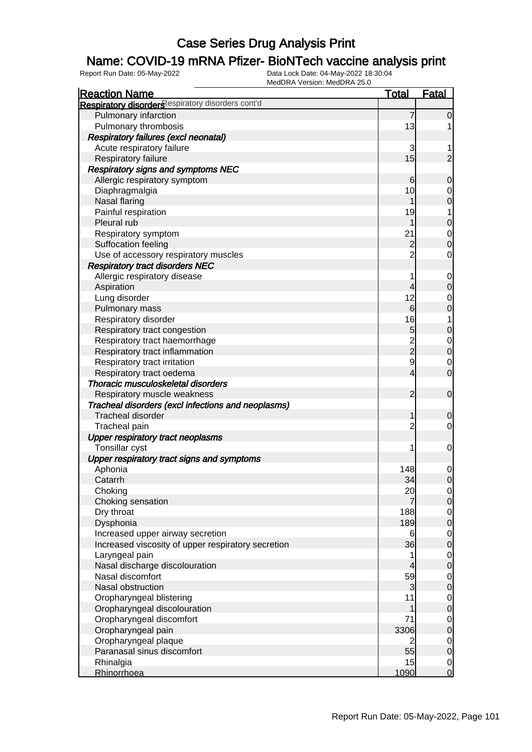### Name: COVID-19 mRNA Pfizer- BioNTech vaccine analysis print

| <b>Reaction Name</b>                               | <b>Total</b>   | <b>Fatal</b>     |
|----------------------------------------------------|----------------|------------------|
| Respiratory disorders espiratory disorders cont'd  |                |                  |
| Pulmonary infarction                               | $\overline{7}$ | $\overline{0}$   |
| Pulmonary thrombosis                               | 13             |                  |
| Respiratory failures (excl neonatal)               |                |                  |
| Acute respiratory failure                          | 3              |                  |
| Respiratory failure                                | 15             | $\overline{2}$   |
| <b>Respiratory signs and symptoms NEC</b>          |                |                  |
| Allergic respiratory symptom                       | 6              | $\mathbf 0$      |
| Diaphragmalgia                                     | 10             | 0                |
| <b>Nasal flaring</b>                               |                | $\boldsymbol{0}$ |
| Painful respiration                                | 19             | 1                |
| Pleural rub                                        | 1              | $\boldsymbol{0}$ |
| Respiratory symptom                                | 21             | 0                |
| Suffocation feeling                                | $\overline{c}$ | $\mathbf 0$      |
| Use of accessory respiratory muscles               | $\overline{2}$ | 0                |
| <b>Respiratory tract disorders NEC</b>             |                |                  |
| Allergic respiratory disease                       | 1              | 0                |
| Aspiration                                         | 4              | $\boldsymbol{0}$ |
| Lung disorder                                      | 12             | 0                |
| Pulmonary mass                                     | 6              | $\boldsymbol{0}$ |
| Respiratory disorder                               | 16             | 1                |
| Respiratory tract congestion                       | 5              | $\mathbf 0$      |
| Respiratory tract haemorrhage                      |                | $\mathbf 0$      |
| Respiratory tract inflammation                     | $\frac{2}{2}$  | $\boldsymbol{0}$ |
| Respiratory tract irritation                       | 9              | 0                |
| Respiratory tract oedema                           | 4              | $\mathbf 0$      |
| Thoracic musculoskeletal disorders                 |                |                  |
| Respiratory muscle weakness                        | $\overline{2}$ | $\mathbf 0$      |
| Tracheal disorders (excl infections and neoplasms) |                |                  |
| <b>Tracheal disorder</b>                           | 1              | $\mathbf 0$      |
| Tracheal pain                                      | $\overline{c}$ | $\overline{0}$   |
| <b>Upper respiratory tract neoplasms</b>           |                |                  |
| Tonsillar cyst                                     | 1              | $\mathbf 0$      |
| Upper respiratory tract signs and symptoms         |                |                  |
| Aphonia                                            | 148            | 0                |
| Catarrh                                            | 34             | $\overline{0}$   |
| Choking                                            | 20             | $\overline{0}$   |
| Choking sensation                                  | 7              | $\overline{0}$   |
| Dry throat                                         | 188            | $\overline{0}$   |
| Dysphonia                                          | 189            | $\mathbf 0$      |
| Increased upper airway secretion                   | 6              | $\overline{0}$   |
| Increased viscosity of upper respiratory secretion | 36             | $\boldsymbol{0}$ |
| Laryngeal pain                                     | 1              | $\overline{0}$   |
| Nasal discharge discolouration                     | 4              | $\boldsymbol{0}$ |
| Nasal discomfort                                   | 59             | $\overline{0}$   |
| Nasal obstruction                                  | 3              | $\boldsymbol{0}$ |
| Oropharyngeal blistering                           | 11             | $\overline{0}$   |
| Oropharyngeal discolouration                       | 1              | $\boldsymbol{0}$ |
| Oropharyngeal discomfort                           | 71             | $\overline{0}$   |
| Oropharyngeal pain                                 | 3306           | $\mathbf 0$      |
| Oropharyngeal plaque                               | 2              | $\overline{0}$   |
| Paranasal sinus discomfort                         | 55             | $\mathbf 0$      |
| Rhinalgia                                          | 15             | $\overline{0}$   |
| Rhinorrhoea                                        | 1090           | $\overline{0}$   |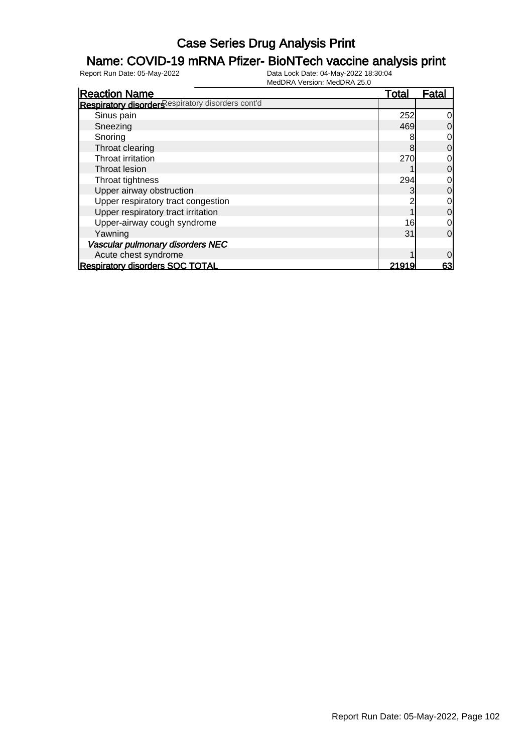### Name: COVID-19 mRNA Pfizer- BioNTech vaccine analysis print

| <b>Reaction Name</b>                              | <u>Total</u> | Fatal          |
|---------------------------------------------------|--------------|----------------|
| Respiratory disorders espiratory disorders cont'd |              |                |
| Sinus pain                                        | 252          | $\overline{0}$ |
| Sneezing                                          | 469          | $\overline{0}$ |
| Snoring                                           |              | $\overline{0}$ |
| Throat clearing                                   | 8            | $\overline{0}$ |
| Throat irritation                                 | 270          | $\overline{0}$ |
| Throat lesion                                     |              | $\overline{0}$ |
| Throat tightness                                  | 294          | $\overline{0}$ |
| Upper airway obstruction                          |              | $\overline{0}$ |
| Upper respiratory tract congestion                |              | $\overline{0}$ |
| Upper respiratory tract irritation                |              | $\overline{0}$ |
| Upper-airway cough syndrome                       | 16           | $\overline{0}$ |
| Yawning                                           | 31           | $\Omega$       |
| Vascular pulmonary disorders NEC                  |              |                |
| Acute chest syndrome                              |              | $\overline{0}$ |
| <b>Respiratory disorders SOC TOTAL</b>            | 21919        | 63             |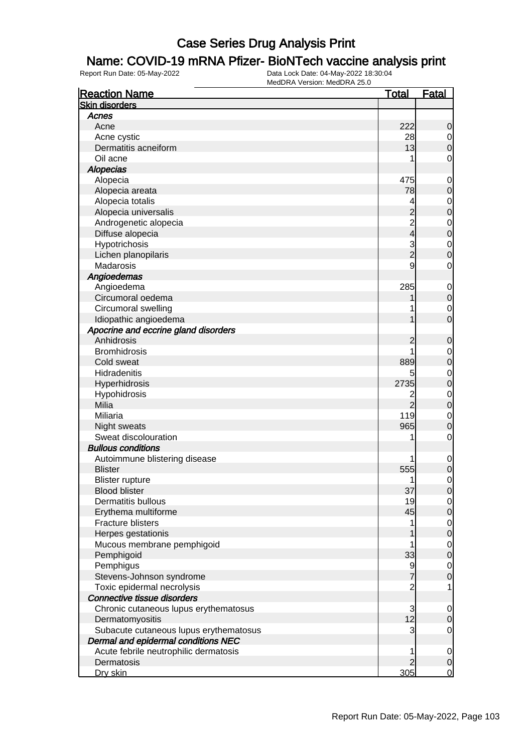### Name: COVID-19 mRNA Pfizer- BioNTech vaccine analysis print

| <b>Reaction Name</b>                   | <u>Total</u>   | <b>Fatal</b>   |
|----------------------------------------|----------------|----------------|
| <b>Skin disorders</b>                  |                |                |
| Acnes                                  |                |                |
| Acne                                   | 222            | 0              |
| Acne cystic                            | 28             | $\mathbf 0$    |
| Dermatitis acneiform                   | 13             | 0              |
| Oil acne                               | 1              | 0              |
| <b>Alopecias</b>                       |                |                |
| Alopecia                               | 475            | $\mathbf 0$    |
| Alopecia areata                        | 78             | 0              |
| Alopecia totalis                       | 4              | 0              |
| Alopecia universalis                   |                | 0              |
| Androgenetic alopecia                  | $\overline{c}$ | $\mathbf 0$    |
| Diffuse alopecia                       | 4              | 0              |
| Hypotrichosis                          | 3              | 0              |
| Lichen planopilaris                    | $\overline{2}$ | 0              |
| Madarosis                              | 9              | 0              |
| Angioedemas                            |                |                |
| Angioedema                             | 285            | $\mathbf 0$    |
| Circumoral oedema                      |                | 0              |
| Circumoral swelling                    |                |                |
| Idiopathic angioedema                  |                | 0<br>0         |
| Apocrine and eccrine gland disorders   |                |                |
| Anhidrosis                             |                |                |
| <b>Bromhidrosis</b>                    |                | 0              |
|                                        |                | 0              |
| Cold sweat                             | 889            | 0              |
| Hidradenitis                           | 5<br>2735      | 0              |
| Hyperhidrosis                          |                | 0              |
| Hypohidrosis                           | 2              | 0              |
| Milia                                  | $\overline{2}$ | 0              |
| Miliaria                               | 119            | 0              |
| Night sweats                           | 965            | 0              |
| Sweat discolouration                   | 1              | $\mathbf 0$    |
| <b>Bullous conditions</b>              |                |                |
| Autoimmune blistering disease          |                | 0              |
| <b>Blister</b>                         | 555            | 0              |
| <b>Blister rupture</b>                 | 1              | 0              |
| <b>Blood blister</b>                   | 37             | $\Omega$       |
| Dermatitis bullous                     | 19             | $\overline{0}$ |
| Erythema multiforme                    | 45             | 0              |
| <b>Fracture blisters</b>               | 1              | $\mathbf 0$    |
| Herpes gestationis                     |                | $\mathbf 0$    |
| Mucous membrane pemphigoid             | 1              | $\mathbf 0$    |
| Pemphigoid                             | 33             | $\mathbf 0$    |
| Pemphigus                              | 9              | $\mathbf 0$    |
| Stevens-Johnson syndrome               | 7              | 0              |
| Toxic epidermal necrolysis             | $\overline{c}$ | 1              |
| Connective tissue disorders            |                |                |
| Chronic cutaneous lupus erythematosus  | 3              | $\overline{0}$ |
| Dermatomyositis                        | 12             | 0              |
| Subacute cutaneous lupus erythematosus | 3              | 0              |
| Dermal and epidermal conditions NEC    |                |                |
| Acute febrile neutrophilic dermatosis  | 1              | $\mathbf 0$    |
| Dermatosis                             | 2              | $\mathbf 0$    |
| Dry skin                               | 305            | $\mathbf 0$    |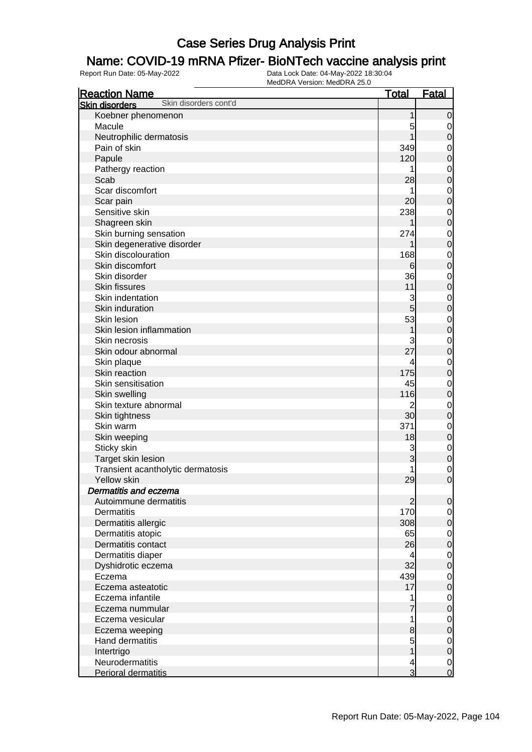### Name: COVID-19 mRNA Pfizer- BioNTech vaccine analysis print

| <b>Total</b><br><b>Fatal</b><br><b>Reaction Name</b><br>Skin disorders cont'd<br><b>Skin disorders</b><br>Koebner phenomenon<br>$\mathbf 0$<br>1<br>Macule<br>5<br>0<br>Neutrophilic dermatosis<br>$\mathbf 0$<br>Pain of skin<br>349<br>$\mathbf 0$<br>120<br>$\mathbf 0$<br>Papule<br>Pathergy reaction<br>$\mathbf 0$<br>$\mathbf 0$<br>28<br>Scab<br>Scar discomfort<br>$\mathbf 0$<br>$\mathbf 0$<br>20<br>Scar pain<br>238<br>Sensitive skin<br>$\mathbf 0$<br>$\mathbf 0$<br>Shagreen skin<br>Skin burning sensation<br>274<br>$\mathbf 0$<br>$\mathbf 0$<br>Skin degenerative disorder<br>Skin discolouration<br>168<br>$\mathbf 0$<br>Skin discomfort<br>$\mathbf 0$<br>6<br>36<br>Skin disorder<br>$\mathbf 0$<br>$\mathbf 0$<br>Skin fissures<br>11<br>Skin indentation<br>3<br>$\mathbf 0$<br>$\overline{5}$<br>$\mathbf 0$<br>Skin induration<br>53<br>Skin lesion<br>$\mathbf 0$<br>$\mathbf 0$<br>Skin lesion inflammation<br>Skin necrosis<br>$\mathbf 0$<br>27<br>$\mathbf 0$<br>Skin odour abnormal<br>Skin plaque<br>$\mathbf 0$<br>175<br>$\mathbf 0$<br>Skin reaction<br>45<br>Skin sensitisation<br>$\mathbf 0$<br>116<br>$\mathbf 0$<br>Skin swelling<br>Skin texture abnormal<br>2<br>$\mathbf 0$<br>30<br>$\mathbf 0$<br>Skin tightness<br>371<br>Skin warm<br>$\mathbf 0$<br>$\mathbf 0$<br>Skin weeping<br>18<br>Sticky skin<br>3<br>$\mathbf 0$<br>$\mathbf 0$<br>3<br>Target skin lesion<br>Transient acantholytic dermatosis<br>$\mathbf 0$<br>$\overline{0}$<br>29<br><b>Yellow skin</b><br>Dermatitis and eczema |
|--------------------------------------------------------------------------------------------------------------------------------------------------------------------------------------------------------------------------------------------------------------------------------------------------------------------------------------------------------------------------------------------------------------------------------------------------------------------------------------------------------------------------------------------------------------------------------------------------------------------------------------------------------------------------------------------------------------------------------------------------------------------------------------------------------------------------------------------------------------------------------------------------------------------------------------------------------------------------------------------------------------------------------------------------------------------------------------------------------------------------------------------------------------------------------------------------------------------------------------------------------------------------------------------------------------------------------------------------------------------------------------------------------------------------------------------------------------------------------------------------------------------------------------------------|
|                                                                                                                                                                                                                                                                                                                                                                                                                                                                                                                                                                                                                                                                                                                                                                                                                                                                                                                                                                                                                                                                                                                                                                                                                                                                                                                                                                                                                                                                                                                                                  |
|                                                                                                                                                                                                                                                                                                                                                                                                                                                                                                                                                                                                                                                                                                                                                                                                                                                                                                                                                                                                                                                                                                                                                                                                                                                                                                                                                                                                                                                                                                                                                  |
|                                                                                                                                                                                                                                                                                                                                                                                                                                                                                                                                                                                                                                                                                                                                                                                                                                                                                                                                                                                                                                                                                                                                                                                                                                                                                                                                                                                                                                                                                                                                                  |
|                                                                                                                                                                                                                                                                                                                                                                                                                                                                                                                                                                                                                                                                                                                                                                                                                                                                                                                                                                                                                                                                                                                                                                                                                                                                                                                                                                                                                                                                                                                                                  |
|                                                                                                                                                                                                                                                                                                                                                                                                                                                                                                                                                                                                                                                                                                                                                                                                                                                                                                                                                                                                                                                                                                                                                                                                                                                                                                                                                                                                                                                                                                                                                  |
|                                                                                                                                                                                                                                                                                                                                                                                                                                                                                                                                                                                                                                                                                                                                                                                                                                                                                                                                                                                                                                                                                                                                                                                                                                                                                                                                                                                                                                                                                                                                                  |
|                                                                                                                                                                                                                                                                                                                                                                                                                                                                                                                                                                                                                                                                                                                                                                                                                                                                                                                                                                                                                                                                                                                                                                                                                                                                                                                                                                                                                                                                                                                                                  |
|                                                                                                                                                                                                                                                                                                                                                                                                                                                                                                                                                                                                                                                                                                                                                                                                                                                                                                                                                                                                                                                                                                                                                                                                                                                                                                                                                                                                                                                                                                                                                  |
|                                                                                                                                                                                                                                                                                                                                                                                                                                                                                                                                                                                                                                                                                                                                                                                                                                                                                                                                                                                                                                                                                                                                                                                                                                                                                                                                                                                                                                                                                                                                                  |
|                                                                                                                                                                                                                                                                                                                                                                                                                                                                                                                                                                                                                                                                                                                                                                                                                                                                                                                                                                                                                                                                                                                                                                                                                                                                                                                                                                                                                                                                                                                                                  |
|                                                                                                                                                                                                                                                                                                                                                                                                                                                                                                                                                                                                                                                                                                                                                                                                                                                                                                                                                                                                                                                                                                                                                                                                                                                                                                                                                                                                                                                                                                                                                  |
|                                                                                                                                                                                                                                                                                                                                                                                                                                                                                                                                                                                                                                                                                                                                                                                                                                                                                                                                                                                                                                                                                                                                                                                                                                                                                                                                                                                                                                                                                                                                                  |
|                                                                                                                                                                                                                                                                                                                                                                                                                                                                                                                                                                                                                                                                                                                                                                                                                                                                                                                                                                                                                                                                                                                                                                                                                                                                                                                                                                                                                                                                                                                                                  |
|                                                                                                                                                                                                                                                                                                                                                                                                                                                                                                                                                                                                                                                                                                                                                                                                                                                                                                                                                                                                                                                                                                                                                                                                                                                                                                                                                                                                                                                                                                                                                  |
|                                                                                                                                                                                                                                                                                                                                                                                                                                                                                                                                                                                                                                                                                                                                                                                                                                                                                                                                                                                                                                                                                                                                                                                                                                                                                                                                                                                                                                                                                                                                                  |
|                                                                                                                                                                                                                                                                                                                                                                                                                                                                                                                                                                                                                                                                                                                                                                                                                                                                                                                                                                                                                                                                                                                                                                                                                                                                                                                                                                                                                                                                                                                                                  |
|                                                                                                                                                                                                                                                                                                                                                                                                                                                                                                                                                                                                                                                                                                                                                                                                                                                                                                                                                                                                                                                                                                                                                                                                                                                                                                                                                                                                                                                                                                                                                  |
|                                                                                                                                                                                                                                                                                                                                                                                                                                                                                                                                                                                                                                                                                                                                                                                                                                                                                                                                                                                                                                                                                                                                                                                                                                                                                                                                                                                                                                                                                                                                                  |
|                                                                                                                                                                                                                                                                                                                                                                                                                                                                                                                                                                                                                                                                                                                                                                                                                                                                                                                                                                                                                                                                                                                                                                                                                                                                                                                                                                                                                                                                                                                                                  |
|                                                                                                                                                                                                                                                                                                                                                                                                                                                                                                                                                                                                                                                                                                                                                                                                                                                                                                                                                                                                                                                                                                                                                                                                                                                                                                                                                                                                                                                                                                                                                  |
|                                                                                                                                                                                                                                                                                                                                                                                                                                                                                                                                                                                                                                                                                                                                                                                                                                                                                                                                                                                                                                                                                                                                                                                                                                                                                                                                                                                                                                                                                                                                                  |
|                                                                                                                                                                                                                                                                                                                                                                                                                                                                                                                                                                                                                                                                                                                                                                                                                                                                                                                                                                                                                                                                                                                                                                                                                                                                                                                                                                                                                                                                                                                                                  |
|                                                                                                                                                                                                                                                                                                                                                                                                                                                                                                                                                                                                                                                                                                                                                                                                                                                                                                                                                                                                                                                                                                                                                                                                                                                                                                                                                                                                                                                                                                                                                  |
|                                                                                                                                                                                                                                                                                                                                                                                                                                                                                                                                                                                                                                                                                                                                                                                                                                                                                                                                                                                                                                                                                                                                                                                                                                                                                                                                                                                                                                                                                                                                                  |
|                                                                                                                                                                                                                                                                                                                                                                                                                                                                                                                                                                                                                                                                                                                                                                                                                                                                                                                                                                                                                                                                                                                                                                                                                                                                                                                                                                                                                                                                                                                                                  |
|                                                                                                                                                                                                                                                                                                                                                                                                                                                                                                                                                                                                                                                                                                                                                                                                                                                                                                                                                                                                                                                                                                                                                                                                                                                                                                                                                                                                                                                                                                                                                  |
|                                                                                                                                                                                                                                                                                                                                                                                                                                                                                                                                                                                                                                                                                                                                                                                                                                                                                                                                                                                                                                                                                                                                                                                                                                                                                                                                                                                                                                                                                                                                                  |
|                                                                                                                                                                                                                                                                                                                                                                                                                                                                                                                                                                                                                                                                                                                                                                                                                                                                                                                                                                                                                                                                                                                                                                                                                                                                                                                                                                                                                                                                                                                                                  |
|                                                                                                                                                                                                                                                                                                                                                                                                                                                                                                                                                                                                                                                                                                                                                                                                                                                                                                                                                                                                                                                                                                                                                                                                                                                                                                                                                                                                                                                                                                                                                  |
|                                                                                                                                                                                                                                                                                                                                                                                                                                                                                                                                                                                                                                                                                                                                                                                                                                                                                                                                                                                                                                                                                                                                                                                                                                                                                                                                                                                                                                                                                                                                                  |
|                                                                                                                                                                                                                                                                                                                                                                                                                                                                                                                                                                                                                                                                                                                                                                                                                                                                                                                                                                                                                                                                                                                                                                                                                                                                                                                                                                                                                                                                                                                                                  |
|                                                                                                                                                                                                                                                                                                                                                                                                                                                                                                                                                                                                                                                                                                                                                                                                                                                                                                                                                                                                                                                                                                                                                                                                                                                                                                                                                                                                                                                                                                                                                  |
|                                                                                                                                                                                                                                                                                                                                                                                                                                                                                                                                                                                                                                                                                                                                                                                                                                                                                                                                                                                                                                                                                                                                                                                                                                                                                                                                                                                                                                                                                                                                                  |
|                                                                                                                                                                                                                                                                                                                                                                                                                                                                                                                                                                                                                                                                                                                                                                                                                                                                                                                                                                                                                                                                                                                                                                                                                                                                                                                                                                                                                                                                                                                                                  |
|                                                                                                                                                                                                                                                                                                                                                                                                                                                                                                                                                                                                                                                                                                                                                                                                                                                                                                                                                                                                                                                                                                                                                                                                                                                                                                                                                                                                                                                                                                                                                  |
|                                                                                                                                                                                                                                                                                                                                                                                                                                                                                                                                                                                                                                                                                                                                                                                                                                                                                                                                                                                                                                                                                                                                                                                                                                                                                                                                                                                                                                                                                                                                                  |
|                                                                                                                                                                                                                                                                                                                                                                                                                                                                                                                                                                                                                                                                                                                                                                                                                                                                                                                                                                                                                                                                                                                                                                                                                                                                                                                                                                                                                                                                                                                                                  |
| Autoimmune dermatitis<br>$\overline{2}$<br>$\mathbf 0$                                                                                                                                                                                                                                                                                                                                                                                                                                                                                                                                                                                                                                                                                                                                                                                                                                                                                                                                                                                                                                                                                                                                                                                                                                                                                                                                                                                                                                                                                           |
| 170<br>Dermatitis<br>$\mathbf 0$                                                                                                                                                                                                                                                                                                                                                                                                                                                                                                                                                                                                                                                                                                                                                                                                                                                                                                                                                                                                                                                                                                                                                                                                                                                                                                                                                                                                                                                                                                                 |
| 308<br>$\boldsymbol{0}$<br>Dermatitis allergic                                                                                                                                                                                                                                                                                                                                                                                                                                                                                                                                                                                                                                                                                                                                                                                                                                                                                                                                                                                                                                                                                                                                                                                                                                                                                                                                                                                                                                                                                                   |
| 65<br>Dermatitis atopic<br>$\mathbf 0$                                                                                                                                                                                                                                                                                                                                                                                                                                                                                                                                                                                                                                                                                                                                                                                                                                                                                                                                                                                                                                                                                                                                                                                                                                                                                                                                                                                                                                                                                                           |
| 26<br>$\mathbf 0$<br>Dermatitis contact                                                                                                                                                                                                                                                                                                                                                                                                                                                                                                                                                                                                                                                                                                                                                                                                                                                                                                                                                                                                                                                                                                                                                                                                                                                                                                                                                                                                                                                                                                          |
| Dermatitis diaper<br>$\mathbf 0$<br>4                                                                                                                                                                                                                                                                                                                                                                                                                                                                                                                                                                                                                                                                                                                                                                                                                                                                                                                                                                                                                                                                                                                                                                                                                                                                                                                                                                                                                                                                                                            |
| 32<br>$\overline{0}$<br>Dyshidrotic eczema                                                                                                                                                                                                                                                                                                                                                                                                                                                                                                                                                                                                                                                                                                                                                                                                                                                                                                                                                                                                                                                                                                                                                                                                                                                                                                                                                                                                                                                                                                       |
| 439<br>Eczema                                                                                                                                                                                                                                                                                                                                                                                                                                                                                                                                                                                                                                                                                                                                                                                                                                                                                                                                                                                                                                                                                                                                                                                                                                                                                                                                                                                                                                                                                                                                    |
| $\mathbf 0$<br>17<br>Eczema asteatotic                                                                                                                                                                                                                                                                                                                                                                                                                                                                                                                                                                                                                                                                                                                                                                                                                                                                                                                                                                                                                                                                                                                                                                                                                                                                                                                                                                                                                                                                                                           |
| $\overline{0}$<br>Eczema infantile<br>$\mathbf 0$                                                                                                                                                                                                                                                                                                                                                                                                                                                                                                                                                                                                                                                                                                                                                                                                                                                                                                                                                                                                                                                                                                                                                                                                                                                                                                                                                                                                                                                                                                |
| $\overline{7}$                                                                                                                                                                                                                                                                                                                                                                                                                                                                                                                                                                                                                                                                                                                                                                                                                                                                                                                                                                                                                                                                                                                                                                                                                                                                                                                                                                                                                                                                                                                                   |
| $\overline{0}$<br>Eczema nummular                                                                                                                                                                                                                                                                                                                                                                                                                                                                                                                                                                                                                                                                                                                                                                                                                                                                                                                                                                                                                                                                                                                                                                                                                                                                                                                                                                                                                                                                                                                |
| Eczema vesicular<br>$\mathbf 0$                                                                                                                                                                                                                                                                                                                                                                                                                                                                                                                                                                                                                                                                                                                                                                                                                                                                                                                                                                                                                                                                                                                                                                                                                                                                                                                                                                                                                                                                                                                  |
| $\mathbf 0$<br>8<br>Eczema weeping                                                                                                                                                                                                                                                                                                                                                                                                                                                                                                                                                                                                                                                                                                                                                                                                                                                                                                                                                                                                                                                                                                                                                                                                                                                                                                                                                                                                                                                                                                               |
| Hand dermatitis<br>5<br>$\mathbf 0$                                                                                                                                                                                                                                                                                                                                                                                                                                                                                                                                                                                                                                                                                                                                                                                                                                                                                                                                                                                                                                                                                                                                                                                                                                                                                                                                                                                                                                                                                                              |
| 1<br>$\mathbf 0$<br>Intertrigo                                                                                                                                                                                                                                                                                                                                                                                                                                                                                                                                                                                                                                                                                                                                                                                                                                                                                                                                                                                                                                                                                                                                                                                                                                                                                                                                                                                                                                                                                                                   |
| Neurodermatitis<br>$\mathbf 0$<br>4<br>$\overline{3}$<br>$\overline{0}$<br>Perioral dermatitis                                                                                                                                                                                                                                                                                                                                                                                                                                                                                                                                                                                                                                                                                                                                                                                                                                                                                                                                                                                                                                                                                                                                                                                                                                                                                                                                                                                                                                                   |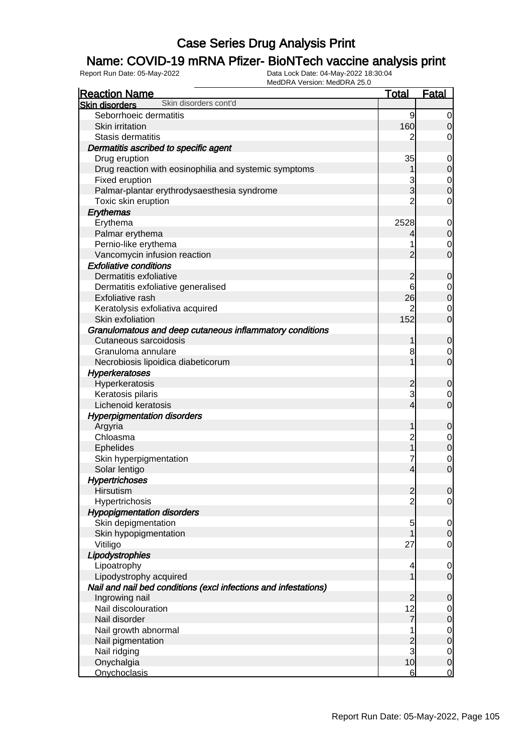### Name: COVID-19 mRNA Pfizer- BioNTech vaccine analysis print

| <b>Reaction Name</b>                                            | <u>Total</u>    | <b>Fatal</b>   |
|-----------------------------------------------------------------|-----------------|----------------|
| Skin disorders cont'd<br><b>Skin disorders</b>                  |                 |                |
| Seborrhoeic dermatitis                                          | 9               | 0              |
| Skin irritation                                                 | 160             | 0              |
| Stasis dermatitis                                               | 2               | 0              |
| Dermatitis ascribed to specific agent                           |                 |                |
| Drug eruption                                                   | 35              | $\mathbf 0$    |
| Drug reaction with eosinophilia and systemic symptoms           |                 | 0              |
| Fixed eruption                                                  | 3               | $\mathbf 0$    |
| Palmar-plantar erythrodysaesthesia syndrome                     | 3               | 0              |
| Toxic skin eruption                                             | $\overline{2}$  | 0              |
| Erythemas                                                       |                 |                |
| Erythema                                                        | 2528            | $\mathbf 0$    |
| Palmar erythema                                                 | 4               | $\mathbf 0$    |
| Pernio-like erythema                                            | 1               | 0              |
| Vancomycin infusion reaction                                    | 2               | $\mathbf 0$    |
| <b>Exfoliative conditions</b>                                   |                 |                |
| Dermatitis exfoliative                                          | 2               | 0              |
| Dermatitis exfoliative generalised                              | 6               | 0              |
| Exfoliative rash                                                | 26              | $\mathbf 0$    |
| Keratolysis exfoliativa acquired                                | 2               | 0              |
| Skin exfoliation                                                | 152             | $\mathbf 0$    |
| Granulomatous and deep cutaneous inflammatory conditions        |                 |                |
| Cutaneous sarcoidosis                                           | 1               | 0              |
| Granuloma annulare                                              | 8               | 0              |
| Necrobiosis lipoidica diabeticorum                              |                 | $\mathbf 0$    |
| <b>Hyperkeratoses</b>                                           |                 |                |
| Hyperkeratosis                                                  | $\overline{c}$  | 0              |
| Keratosis pilaris                                               | 3               | 0              |
| Lichenoid keratosis                                             | 4               | $\mathbf 0$    |
| <b>Hyperpigmentation disorders</b>                              |                 |                |
| Argyria                                                         | 1               | 0              |
| Chloasma                                                        | $\overline{c}$  | 0              |
| <b>Ephelides</b>                                                | 1               | $\mathbf 0$    |
| Skin hyperpigmentation                                          | 7               | $\mathbf 0$    |
| Solar lentigo                                                   | 4               | $\mathbf 0$    |
| <b>Hypertrichoses</b>                                           |                 |                |
| <b>Hirsutism</b>                                                | $\overline{c}$  | $\Omega$       |
| Hypertrichosis                                                  | $\overline{2}$  | $\mathbf 0$    |
| <b>Hypopigmentation disorders</b>                               |                 |                |
| Skin depigmentation                                             | 5               | $\mathbf 0$    |
| Skin hypopigmentation                                           |                 | $\mathbf 0$    |
| Vitiligo                                                        | 27              | $\mathbf 0$    |
| Lipodystrophies                                                 |                 |                |
| Lipoatrophy                                                     | 4               | $\mathbf 0$    |
| Lipodystrophy acquired                                          | 1               | $\mathbf 0$    |
| Nail and nail bed conditions (excl infections and infestations) |                 |                |
| Ingrowing nail                                                  | 2               | 0              |
| Nail discolouration                                             | 12              | $\overline{0}$ |
| Nail disorder                                                   | 7               | 0              |
| Nail growth abnormal                                            | 1               | $\mathbf 0$    |
| Nail pigmentation                                               |                 | 0              |
| Nail ridging                                                    | $\frac{2}{3}$   | $\mathbf 0$    |
| Onychalgia                                                      | 10              | $\mathbf 0$    |
| <b>Onychoclasis</b>                                             | $6 \overline{}$ | 0              |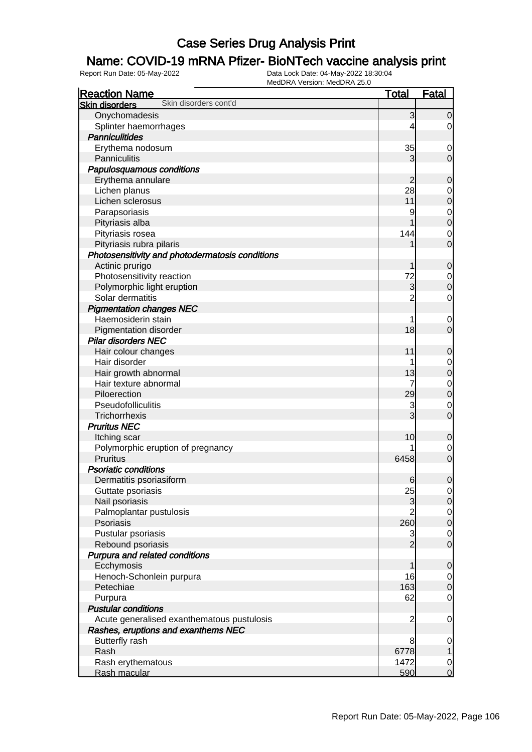### Name: COVID-19 mRNA Pfizer- BioNTech vaccine analysis print

| Skin disorders cont'd<br><b>Skin disorders</b><br>Onychomadesis<br>3<br>$\overline{0}$<br>Splinter haemorrhages<br>$\overline{0}$<br>4<br><b>Panniculitides</b><br>Erythema nodosum<br>35<br>0<br>Panniculitis<br>3<br>$\mathbf 0$<br>Papulosquamous conditions<br>Erythema annulare<br>$\overline{c}$<br>$\mathbf 0$<br>28<br>Lichen planus<br>0<br>Lichen sclerosus<br>11<br>$\boldsymbol{0}$<br>Parapsoriasis<br>9<br>0<br>$\boldsymbol{0}$<br>Pityriasis alba<br>Pityriasis rosea<br>144<br>0<br>$\overline{0}$<br>Pityriasis rubra pilaris<br>Photosensitivity and photodermatosis conditions<br>Actinic prurigo<br>1<br>$\mathbf 0$<br>Photosensitivity reaction<br>72<br>0<br>3<br>Polymorphic light eruption<br>$\boldsymbol{0}$<br>Solar dermatitis<br>$\overline{c}$<br>0<br><b>Pigmentation changes NEC</b><br>Haemosiderin stain<br>0<br>18<br>$\overline{0}$<br><b>Pigmentation disorder</b><br><b>Pilar disorders NEC</b><br>11<br>Hair colour changes<br>$\mathbf 0$<br>Hair disorder<br>0<br>13<br>Hair growth abnormal<br>$\boldsymbol{0}$<br>Hair texture abnormal<br>7<br>$\mathbf 0$<br>29<br>$\boldsymbol{0}$<br>Piloerection<br>Pseudofolliculitis<br>3<br>0<br>3<br>$\overline{0}$<br>Trichorrhexis<br><b>Pruritus NEC</b><br>10<br>Itching scar<br>$\mathbf 0$<br>Polymorphic eruption of pregnancy<br>0<br>Pruritus<br>$\mathbf 0$<br>6458<br><b>Psoriatic conditions</b><br>$\mathbf 0$<br>Dermatitis psoriasiform<br>$6 \,$<br>25<br>Guttate psoriasis<br>$\overline{0}$<br>Nail psoriasis<br>3<br>$\overline{0}$<br>$\overline{c}$<br>Palmoplantar pustulosis<br>$\overline{0}$<br>260<br>Psoriasis<br>$\mathbf 0$<br>Pustular psoriasis<br>3<br>$\overline{0}$<br>$\overline{2}$<br>Rebound psoriasis<br>$\overline{0}$<br>Purpura and related conditions<br>Ecchymosis<br>1<br>$\mathbf 0$<br>Henoch-Schonlein purpura<br>16<br>$\overline{0}$<br>163<br>Petechiae<br>$\mathbf 0$<br>62<br>$\mathbf 0$<br>Purpura<br><b>Pustular conditions</b><br>Acute generalised exanthematous pustulosis<br>$\overline{c}$<br>$\mathbf 0$<br>Rashes, eruptions and exanthems NEC<br><b>Butterfly rash</b><br>8<br>$\mathbf 0$<br>Rash<br>6778<br>$\mathbf{1}$ | <b>Reaction Name</b> | <b>Total</b> | <b>Fatal</b> |
|----------------------------------------------------------------------------------------------------------------------------------------------------------------------------------------------------------------------------------------------------------------------------------------------------------------------------------------------------------------------------------------------------------------------------------------------------------------------------------------------------------------------------------------------------------------------------------------------------------------------------------------------------------------------------------------------------------------------------------------------------------------------------------------------------------------------------------------------------------------------------------------------------------------------------------------------------------------------------------------------------------------------------------------------------------------------------------------------------------------------------------------------------------------------------------------------------------------------------------------------------------------------------------------------------------------------------------------------------------------------------------------------------------------------------------------------------------------------------------------------------------------------------------------------------------------------------------------------------------------------------------------------------------------------------------------------------------------------------------------------------------------------------------------------------------------------------------------------------------------------------------------------------------------------------------------------------------------------------------------------------------------------------------------------------------------------------------------------------------------------------------------------------------------------------------|----------------------|--------------|--------------|
|                                                                                                                                                                                                                                                                                                                                                                                                                                                                                                                                                                                                                                                                                                                                                                                                                                                                                                                                                                                                                                                                                                                                                                                                                                                                                                                                                                                                                                                                                                                                                                                                                                                                                                                                                                                                                                                                                                                                                                                                                                                                                                                                                                                  |                      |              |              |
|                                                                                                                                                                                                                                                                                                                                                                                                                                                                                                                                                                                                                                                                                                                                                                                                                                                                                                                                                                                                                                                                                                                                                                                                                                                                                                                                                                                                                                                                                                                                                                                                                                                                                                                                                                                                                                                                                                                                                                                                                                                                                                                                                                                  |                      |              |              |
|                                                                                                                                                                                                                                                                                                                                                                                                                                                                                                                                                                                                                                                                                                                                                                                                                                                                                                                                                                                                                                                                                                                                                                                                                                                                                                                                                                                                                                                                                                                                                                                                                                                                                                                                                                                                                                                                                                                                                                                                                                                                                                                                                                                  |                      |              |              |
|                                                                                                                                                                                                                                                                                                                                                                                                                                                                                                                                                                                                                                                                                                                                                                                                                                                                                                                                                                                                                                                                                                                                                                                                                                                                                                                                                                                                                                                                                                                                                                                                                                                                                                                                                                                                                                                                                                                                                                                                                                                                                                                                                                                  |                      |              |              |
|                                                                                                                                                                                                                                                                                                                                                                                                                                                                                                                                                                                                                                                                                                                                                                                                                                                                                                                                                                                                                                                                                                                                                                                                                                                                                                                                                                                                                                                                                                                                                                                                                                                                                                                                                                                                                                                                                                                                                                                                                                                                                                                                                                                  |                      |              |              |
|                                                                                                                                                                                                                                                                                                                                                                                                                                                                                                                                                                                                                                                                                                                                                                                                                                                                                                                                                                                                                                                                                                                                                                                                                                                                                                                                                                                                                                                                                                                                                                                                                                                                                                                                                                                                                                                                                                                                                                                                                                                                                                                                                                                  |                      |              |              |
|                                                                                                                                                                                                                                                                                                                                                                                                                                                                                                                                                                                                                                                                                                                                                                                                                                                                                                                                                                                                                                                                                                                                                                                                                                                                                                                                                                                                                                                                                                                                                                                                                                                                                                                                                                                                                                                                                                                                                                                                                                                                                                                                                                                  |                      |              |              |
|                                                                                                                                                                                                                                                                                                                                                                                                                                                                                                                                                                                                                                                                                                                                                                                                                                                                                                                                                                                                                                                                                                                                                                                                                                                                                                                                                                                                                                                                                                                                                                                                                                                                                                                                                                                                                                                                                                                                                                                                                                                                                                                                                                                  |                      |              |              |
|                                                                                                                                                                                                                                                                                                                                                                                                                                                                                                                                                                                                                                                                                                                                                                                                                                                                                                                                                                                                                                                                                                                                                                                                                                                                                                                                                                                                                                                                                                                                                                                                                                                                                                                                                                                                                                                                                                                                                                                                                                                                                                                                                                                  |                      |              |              |
|                                                                                                                                                                                                                                                                                                                                                                                                                                                                                                                                                                                                                                                                                                                                                                                                                                                                                                                                                                                                                                                                                                                                                                                                                                                                                                                                                                                                                                                                                                                                                                                                                                                                                                                                                                                                                                                                                                                                                                                                                                                                                                                                                                                  |                      |              |              |
|                                                                                                                                                                                                                                                                                                                                                                                                                                                                                                                                                                                                                                                                                                                                                                                                                                                                                                                                                                                                                                                                                                                                                                                                                                                                                                                                                                                                                                                                                                                                                                                                                                                                                                                                                                                                                                                                                                                                                                                                                                                                                                                                                                                  |                      |              |              |
|                                                                                                                                                                                                                                                                                                                                                                                                                                                                                                                                                                                                                                                                                                                                                                                                                                                                                                                                                                                                                                                                                                                                                                                                                                                                                                                                                                                                                                                                                                                                                                                                                                                                                                                                                                                                                                                                                                                                                                                                                                                                                                                                                                                  |                      |              |              |
|                                                                                                                                                                                                                                                                                                                                                                                                                                                                                                                                                                                                                                                                                                                                                                                                                                                                                                                                                                                                                                                                                                                                                                                                                                                                                                                                                                                                                                                                                                                                                                                                                                                                                                                                                                                                                                                                                                                                                                                                                                                                                                                                                                                  |                      |              |              |
|                                                                                                                                                                                                                                                                                                                                                                                                                                                                                                                                                                                                                                                                                                                                                                                                                                                                                                                                                                                                                                                                                                                                                                                                                                                                                                                                                                                                                                                                                                                                                                                                                                                                                                                                                                                                                                                                                                                                                                                                                                                                                                                                                                                  |                      |              |              |
|                                                                                                                                                                                                                                                                                                                                                                                                                                                                                                                                                                                                                                                                                                                                                                                                                                                                                                                                                                                                                                                                                                                                                                                                                                                                                                                                                                                                                                                                                                                                                                                                                                                                                                                                                                                                                                                                                                                                                                                                                                                                                                                                                                                  |                      |              |              |
|                                                                                                                                                                                                                                                                                                                                                                                                                                                                                                                                                                                                                                                                                                                                                                                                                                                                                                                                                                                                                                                                                                                                                                                                                                                                                                                                                                                                                                                                                                                                                                                                                                                                                                                                                                                                                                                                                                                                                                                                                                                                                                                                                                                  |                      |              |              |
|                                                                                                                                                                                                                                                                                                                                                                                                                                                                                                                                                                                                                                                                                                                                                                                                                                                                                                                                                                                                                                                                                                                                                                                                                                                                                                                                                                                                                                                                                                                                                                                                                                                                                                                                                                                                                                                                                                                                                                                                                                                                                                                                                                                  |                      |              |              |
|                                                                                                                                                                                                                                                                                                                                                                                                                                                                                                                                                                                                                                                                                                                                                                                                                                                                                                                                                                                                                                                                                                                                                                                                                                                                                                                                                                                                                                                                                                                                                                                                                                                                                                                                                                                                                                                                                                                                                                                                                                                                                                                                                                                  |                      |              |              |
|                                                                                                                                                                                                                                                                                                                                                                                                                                                                                                                                                                                                                                                                                                                                                                                                                                                                                                                                                                                                                                                                                                                                                                                                                                                                                                                                                                                                                                                                                                                                                                                                                                                                                                                                                                                                                                                                                                                                                                                                                                                                                                                                                                                  |                      |              |              |
|                                                                                                                                                                                                                                                                                                                                                                                                                                                                                                                                                                                                                                                                                                                                                                                                                                                                                                                                                                                                                                                                                                                                                                                                                                                                                                                                                                                                                                                                                                                                                                                                                                                                                                                                                                                                                                                                                                                                                                                                                                                                                                                                                                                  |                      |              |              |
|                                                                                                                                                                                                                                                                                                                                                                                                                                                                                                                                                                                                                                                                                                                                                                                                                                                                                                                                                                                                                                                                                                                                                                                                                                                                                                                                                                                                                                                                                                                                                                                                                                                                                                                                                                                                                                                                                                                                                                                                                                                                                                                                                                                  |                      |              |              |
|                                                                                                                                                                                                                                                                                                                                                                                                                                                                                                                                                                                                                                                                                                                                                                                                                                                                                                                                                                                                                                                                                                                                                                                                                                                                                                                                                                                                                                                                                                                                                                                                                                                                                                                                                                                                                                                                                                                                                                                                                                                                                                                                                                                  |                      |              |              |
|                                                                                                                                                                                                                                                                                                                                                                                                                                                                                                                                                                                                                                                                                                                                                                                                                                                                                                                                                                                                                                                                                                                                                                                                                                                                                                                                                                                                                                                                                                                                                                                                                                                                                                                                                                                                                                                                                                                                                                                                                                                                                                                                                                                  |                      |              |              |
|                                                                                                                                                                                                                                                                                                                                                                                                                                                                                                                                                                                                                                                                                                                                                                                                                                                                                                                                                                                                                                                                                                                                                                                                                                                                                                                                                                                                                                                                                                                                                                                                                                                                                                                                                                                                                                                                                                                                                                                                                                                                                                                                                                                  |                      |              |              |
|                                                                                                                                                                                                                                                                                                                                                                                                                                                                                                                                                                                                                                                                                                                                                                                                                                                                                                                                                                                                                                                                                                                                                                                                                                                                                                                                                                                                                                                                                                                                                                                                                                                                                                                                                                                                                                                                                                                                                                                                                                                                                                                                                                                  |                      |              |              |
|                                                                                                                                                                                                                                                                                                                                                                                                                                                                                                                                                                                                                                                                                                                                                                                                                                                                                                                                                                                                                                                                                                                                                                                                                                                                                                                                                                                                                                                                                                                                                                                                                                                                                                                                                                                                                                                                                                                                                                                                                                                                                                                                                                                  |                      |              |              |
|                                                                                                                                                                                                                                                                                                                                                                                                                                                                                                                                                                                                                                                                                                                                                                                                                                                                                                                                                                                                                                                                                                                                                                                                                                                                                                                                                                                                                                                                                                                                                                                                                                                                                                                                                                                                                                                                                                                                                                                                                                                                                                                                                                                  |                      |              |              |
|                                                                                                                                                                                                                                                                                                                                                                                                                                                                                                                                                                                                                                                                                                                                                                                                                                                                                                                                                                                                                                                                                                                                                                                                                                                                                                                                                                                                                                                                                                                                                                                                                                                                                                                                                                                                                                                                                                                                                                                                                                                                                                                                                                                  |                      |              |              |
|                                                                                                                                                                                                                                                                                                                                                                                                                                                                                                                                                                                                                                                                                                                                                                                                                                                                                                                                                                                                                                                                                                                                                                                                                                                                                                                                                                                                                                                                                                                                                                                                                                                                                                                                                                                                                                                                                                                                                                                                                                                                                                                                                                                  |                      |              |              |
|                                                                                                                                                                                                                                                                                                                                                                                                                                                                                                                                                                                                                                                                                                                                                                                                                                                                                                                                                                                                                                                                                                                                                                                                                                                                                                                                                                                                                                                                                                                                                                                                                                                                                                                                                                                                                                                                                                                                                                                                                                                                                                                                                                                  |                      |              |              |
|                                                                                                                                                                                                                                                                                                                                                                                                                                                                                                                                                                                                                                                                                                                                                                                                                                                                                                                                                                                                                                                                                                                                                                                                                                                                                                                                                                                                                                                                                                                                                                                                                                                                                                                                                                                                                                                                                                                                                                                                                                                                                                                                                                                  |                      |              |              |
|                                                                                                                                                                                                                                                                                                                                                                                                                                                                                                                                                                                                                                                                                                                                                                                                                                                                                                                                                                                                                                                                                                                                                                                                                                                                                                                                                                                                                                                                                                                                                                                                                                                                                                                                                                                                                                                                                                                                                                                                                                                                                                                                                                                  |                      |              |              |
|                                                                                                                                                                                                                                                                                                                                                                                                                                                                                                                                                                                                                                                                                                                                                                                                                                                                                                                                                                                                                                                                                                                                                                                                                                                                                                                                                                                                                                                                                                                                                                                                                                                                                                                                                                                                                                                                                                                                                                                                                                                                                                                                                                                  |                      |              |              |
|                                                                                                                                                                                                                                                                                                                                                                                                                                                                                                                                                                                                                                                                                                                                                                                                                                                                                                                                                                                                                                                                                                                                                                                                                                                                                                                                                                                                                                                                                                                                                                                                                                                                                                                                                                                                                                                                                                                                                                                                                                                                                                                                                                                  |                      |              |              |
|                                                                                                                                                                                                                                                                                                                                                                                                                                                                                                                                                                                                                                                                                                                                                                                                                                                                                                                                                                                                                                                                                                                                                                                                                                                                                                                                                                                                                                                                                                                                                                                                                                                                                                                                                                                                                                                                                                                                                                                                                                                                                                                                                                                  |                      |              |              |
|                                                                                                                                                                                                                                                                                                                                                                                                                                                                                                                                                                                                                                                                                                                                                                                                                                                                                                                                                                                                                                                                                                                                                                                                                                                                                                                                                                                                                                                                                                                                                                                                                                                                                                                                                                                                                                                                                                                                                                                                                                                                                                                                                                                  |                      |              |              |
|                                                                                                                                                                                                                                                                                                                                                                                                                                                                                                                                                                                                                                                                                                                                                                                                                                                                                                                                                                                                                                                                                                                                                                                                                                                                                                                                                                                                                                                                                                                                                                                                                                                                                                                                                                                                                                                                                                                                                                                                                                                                                                                                                                                  |                      |              |              |
|                                                                                                                                                                                                                                                                                                                                                                                                                                                                                                                                                                                                                                                                                                                                                                                                                                                                                                                                                                                                                                                                                                                                                                                                                                                                                                                                                                                                                                                                                                                                                                                                                                                                                                                                                                                                                                                                                                                                                                                                                                                                                                                                                                                  |                      |              |              |
|                                                                                                                                                                                                                                                                                                                                                                                                                                                                                                                                                                                                                                                                                                                                                                                                                                                                                                                                                                                                                                                                                                                                                                                                                                                                                                                                                                                                                                                                                                                                                                                                                                                                                                                                                                                                                                                                                                                                                                                                                                                                                                                                                                                  |                      |              |              |
|                                                                                                                                                                                                                                                                                                                                                                                                                                                                                                                                                                                                                                                                                                                                                                                                                                                                                                                                                                                                                                                                                                                                                                                                                                                                                                                                                                                                                                                                                                                                                                                                                                                                                                                                                                                                                                                                                                                                                                                                                                                                                                                                                                                  |                      |              |              |
|                                                                                                                                                                                                                                                                                                                                                                                                                                                                                                                                                                                                                                                                                                                                                                                                                                                                                                                                                                                                                                                                                                                                                                                                                                                                                                                                                                                                                                                                                                                                                                                                                                                                                                                                                                                                                                                                                                                                                                                                                                                                                                                                                                                  |                      |              |              |
|                                                                                                                                                                                                                                                                                                                                                                                                                                                                                                                                                                                                                                                                                                                                                                                                                                                                                                                                                                                                                                                                                                                                                                                                                                                                                                                                                                                                                                                                                                                                                                                                                                                                                                                                                                                                                                                                                                                                                                                                                                                                                                                                                                                  |                      |              |              |
|                                                                                                                                                                                                                                                                                                                                                                                                                                                                                                                                                                                                                                                                                                                                                                                                                                                                                                                                                                                                                                                                                                                                                                                                                                                                                                                                                                                                                                                                                                                                                                                                                                                                                                                                                                                                                                                                                                                                                                                                                                                                                                                                                                                  |                      |              |              |
|                                                                                                                                                                                                                                                                                                                                                                                                                                                                                                                                                                                                                                                                                                                                                                                                                                                                                                                                                                                                                                                                                                                                                                                                                                                                                                                                                                                                                                                                                                                                                                                                                                                                                                                                                                                                                                                                                                                                                                                                                                                                                                                                                                                  |                      |              |              |
|                                                                                                                                                                                                                                                                                                                                                                                                                                                                                                                                                                                                                                                                                                                                                                                                                                                                                                                                                                                                                                                                                                                                                                                                                                                                                                                                                                                                                                                                                                                                                                                                                                                                                                                                                                                                                                                                                                                                                                                                                                                                                                                                                                                  |                      |              |              |
|                                                                                                                                                                                                                                                                                                                                                                                                                                                                                                                                                                                                                                                                                                                                                                                                                                                                                                                                                                                                                                                                                                                                                                                                                                                                                                                                                                                                                                                                                                                                                                                                                                                                                                                                                                                                                                                                                                                                                                                                                                                                                                                                                                                  |                      |              |              |
|                                                                                                                                                                                                                                                                                                                                                                                                                                                                                                                                                                                                                                                                                                                                                                                                                                                                                                                                                                                                                                                                                                                                                                                                                                                                                                                                                                                                                                                                                                                                                                                                                                                                                                                                                                                                                                                                                                                                                                                                                                                                                                                                                                                  |                      |              |              |
|                                                                                                                                                                                                                                                                                                                                                                                                                                                                                                                                                                                                                                                                                                                                                                                                                                                                                                                                                                                                                                                                                                                                                                                                                                                                                                                                                                                                                                                                                                                                                                                                                                                                                                                                                                                                                                                                                                                                                                                                                                                                                                                                                                                  |                      |              |              |
|                                                                                                                                                                                                                                                                                                                                                                                                                                                                                                                                                                                                                                                                                                                                                                                                                                                                                                                                                                                                                                                                                                                                                                                                                                                                                                                                                                                                                                                                                                                                                                                                                                                                                                                                                                                                                                                                                                                                                                                                                                                                                                                                                                                  |                      |              |              |
|                                                                                                                                                                                                                                                                                                                                                                                                                                                                                                                                                                                                                                                                                                                                                                                                                                                                                                                                                                                                                                                                                                                                                                                                                                                                                                                                                                                                                                                                                                                                                                                                                                                                                                                                                                                                                                                                                                                                                                                                                                                                                                                                                                                  |                      |              |              |
|                                                                                                                                                                                                                                                                                                                                                                                                                                                                                                                                                                                                                                                                                                                                                                                                                                                                                                                                                                                                                                                                                                                                                                                                                                                                                                                                                                                                                                                                                                                                                                                                                                                                                                                                                                                                                                                                                                                                                                                                                                                                                                                                                                                  |                      |              |              |
|                                                                                                                                                                                                                                                                                                                                                                                                                                                                                                                                                                                                                                                                                                                                                                                                                                                                                                                                                                                                                                                                                                                                                                                                                                                                                                                                                                                                                                                                                                                                                                                                                                                                                                                                                                                                                                                                                                                                                                                                                                                                                                                                                                                  |                      |              |              |
|                                                                                                                                                                                                                                                                                                                                                                                                                                                                                                                                                                                                                                                                                                                                                                                                                                                                                                                                                                                                                                                                                                                                                                                                                                                                                                                                                                                                                                                                                                                                                                                                                                                                                                                                                                                                                                                                                                                                                                                                                                                                                                                                                                                  |                      |              |              |
|                                                                                                                                                                                                                                                                                                                                                                                                                                                                                                                                                                                                                                                                                                                                                                                                                                                                                                                                                                                                                                                                                                                                                                                                                                                                                                                                                                                                                                                                                                                                                                                                                                                                                                                                                                                                                                                                                                                                                                                                                                                                                                                                                                                  |                      | 1472         |              |
| Rash erythematous<br>$\overline{0}$<br>590<br>$\overline{0}$<br>Rash macular                                                                                                                                                                                                                                                                                                                                                                                                                                                                                                                                                                                                                                                                                                                                                                                                                                                                                                                                                                                                                                                                                                                                                                                                                                                                                                                                                                                                                                                                                                                                                                                                                                                                                                                                                                                                                                                                                                                                                                                                                                                                                                     |                      |              |              |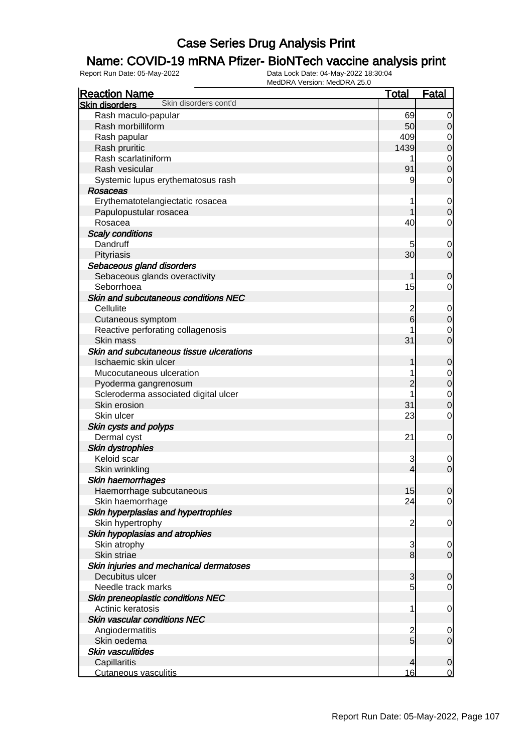### Name: COVID-19 mRNA Pfizer- BioNTech vaccine analysis print

| Skin disorders cont'd<br><b>Skin disorders</b><br>Rash maculo-papular<br>69<br>$\mathbf 0$<br>Rash morbilliform<br>50<br>$\mathbf 0$<br>409<br>Rash papular<br>$\mathbf 0$<br>1439<br>$\mathbf 0$<br>Rash pruritic<br>Rash scarlatiniform<br>$\mathbf 0$<br>$\overline{0}$<br>Rash vesicular<br>91<br>Systemic lupus erythematosus rash<br>9<br>$\mathbf 0$<br>Rosaceas<br>Erythematotelangiectatic rosacea<br>$\mathbf 0$<br>Papulopustular rosacea<br>$\mathbf 0$<br>40<br>Rosacea<br>$\mathbf 0$<br><b>Scaly conditions</b><br>Dandruff<br>$\mathbf 0$<br>30<br>$\mathbf 0$<br>Pityriasis<br>Sebaceous gland disorders<br>Sebaceous glands overactivity<br>$\mathbf 0$<br>Seborrhoea<br>15<br>0<br>Skin and subcutaneous conditions NEC<br>Cellulite<br>2<br>$\mathbf 0$<br>6<br>$\pmb{0}$<br>Cutaneous symptom<br>Reactive perforating collagenosis<br>$\mathbf 0$<br>Skin mass<br>31<br>$\overline{0}$<br>Skin and subcutaneous tissue ulcerations<br>Ischaemic skin ulcer<br>$\mathbf 0$<br>Mucocutaneous ulceration<br>$\mathbf 0$<br>$\mathbf 0$<br>2<br>Pyoderma gangrenosum<br>Scleroderma associated digital ulcer<br>$\mathbf 0$<br>31<br>$\boldsymbol{0}$<br>Skin erosion<br>Skin ulcer<br>23<br>$\mathbf 0$<br>Skin cysts and polyps<br>Dermal cyst<br>21<br>0<br><b>Skin dystrophies</b><br>Keloid scar<br>3<br>$\mathbf 0$<br>$\mathbf 0$<br>Skin wrinkling<br>$\overline{4}$<br>Skin haemorrhages<br>15<br>Haemorrhage subcutaneous<br>$\overline{0}$<br>Skin haemorrhage<br>24<br>$\overline{0}$<br>Skin hyperplasias and hypertrophies<br>Skin hypertrophy<br>$\overline{c}$<br>0<br>Skin hypoplasias and atrophies<br>Skin atrophy<br>3<br>$\mathbf 0$<br>$\mathbf{8}$<br>Skin striae<br>$\overline{0}$<br>Skin injuries and mechanical dermatoses<br>Decubitus ulcer<br>3<br>$\mathbf 0$<br>5<br>Needle track marks<br>$\mathbf 0$<br>Skin preneoplastic conditions NEC<br>Actinic keratosis<br>1<br>$\mathbf 0$<br><b>Skin vascular conditions NEC</b><br>Angiodermatitis<br>$\overline{c}$<br>$\mathbf 0$<br>$\overline{5}$<br>Skin oedema<br>$\overline{0}$ | <b>Reaction Name</b> | <b>Total</b> | <b>Fatal</b> |
|-------------------------------------------------------------------------------------------------------------------------------------------------------------------------------------------------------------------------------------------------------------------------------------------------------------------------------------------------------------------------------------------------------------------------------------------------------------------------------------------------------------------------------------------------------------------------------------------------------------------------------------------------------------------------------------------------------------------------------------------------------------------------------------------------------------------------------------------------------------------------------------------------------------------------------------------------------------------------------------------------------------------------------------------------------------------------------------------------------------------------------------------------------------------------------------------------------------------------------------------------------------------------------------------------------------------------------------------------------------------------------------------------------------------------------------------------------------------------------------------------------------------------------------------------------------------------------------------------------------------------------------------------------------------------------------------------------------------------------------------------------------------------------------------------------------------------------------------------------------------------------------------------------------------------------------------------------------------------------------------------------------------------------------------------------------------------------------|----------------------|--------------|--------------|
|                                                                                                                                                                                                                                                                                                                                                                                                                                                                                                                                                                                                                                                                                                                                                                                                                                                                                                                                                                                                                                                                                                                                                                                                                                                                                                                                                                                                                                                                                                                                                                                                                                                                                                                                                                                                                                                                                                                                                                                                                                                                                     |                      |              |              |
|                                                                                                                                                                                                                                                                                                                                                                                                                                                                                                                                                                                                                                                                                                                                                                                                                                                                                                                                                                                                                                                                                                                                                                                                                                                                                                                                                                                                                                                                                                                                                                                                                                                                                                                                                                                                                                                                                                                                                                                                                                                                                     |                      |              |              |
|                                                                                                                                                                                                                                                                                                                                                                                                                                                                                                                                                                                                                                                                                                                                                                                                                                                                                                                                                                                                                                                                                                                                                                                                                                                                                                                                                                                                                                                                                                                                                                                                                                                                                                                                                                                                                                                                                                                                                                                                                                                                                     |                      |              |              |
|                                                                                                                                                                                                                                                                                                                                                                                                                                                                                                                                                                                                                                                                                                                                                                                                                                                                                                                                                                                                                                                                                                                                                                                                                                                                                                                                                                                                                                                                                                                                                                                                                                                                                                                                                                                                                                                                                                                                                                                                                                                                                     |                      |              |              |
|                                                                                                                                                                                                                                                                                                                                                                                                                                                                                                                                                                                                                                                                                                                                                                                                                                                                                                                                                                                                                                                                                                                                                                                                                                                                                                                                                                                                                                                                                                                                                                                                                                                                                                                                                                                                                                                                                                                                                                                                                                                                                     |                      |              |              |
|                                                                                                                                                                                                                                                                                                                                                                                                                                                                                                                                                                                                                                                                                                                                                                                                                                                                                                                                                                                                                                                                                                                                                                                                                                                                                                                                                                                                                                                                                                                                                                                                                                                                                                                                                                                                                                                                                                                                                                                                                                                                                     |                      |              |              |
|                                                                                                                                                                                                                                                                                                                                                                                                                                                                                                                                                                                                                                                                                                                                                                                                                                                                                                                                                                                                                                                                                                                                                                                                                                                                                                                                                                                                                                                                                                                                                                                                                                                                                                                                                                                                                                                                                                                                                                                                                                                                                     |                      |              |              |
|                                                                                                                                                                                                                                                                                                                                                                                                                                                                                                                                                                                                                                                                                                                                                                                                                                                                                                                                                                                                                                                                                                                                                                                                                                                                                                                                                                                                                                                                                                                                                                                                                                                                                                                                                                                                                                                                                                                                                                                                                                                                                     |                      |              |              |
|                                                                                                                                                                                                                                                                                                                                                                                                                                                                                                                                                                                                                                                                                                                                                                                                                                                                                                                                                                                                                                                                                                                                                                                                                                                                                                                                                                                                                                                                                                                                                                                                                                                                                                                                                                                                                                                                                                                                                                                                                                                                                     |                      |              |              |
|                                                                                                                                                                                                                                                                                                                                                                                                                                                                                                                                                                                                                                                                                                                                                                                                                                                                                                                                                                                                                                                                                                                                                                                                                                                                                                                                                                                                                                                                                                                                                                                                                                                                                                                                                                                                                                                                                                                                                                                                                                                                                     |                      |              |              |
|                                                                                                                                                                                                                                                                                                                                                                                                                                                                                                                                                                                                                                                                                                                                                                                                                                                                                                                                                                                                                                                                                                                                                                                                                                                                                                                                                                                                                                                                                                                                                                                                                                                                                                                                                                                                                                                                                                                                                                                                                                                                                     |                      |              |              |
|                                                                                                                                                                                                                                                                                                                                                                                                                                                                                                                                                                                                                                                                                                                                                                                                                                                                                                                                                                                                                                                                                                                                                                                                                                                                                                                                                                                                                                                                                                                                                                                                                                                                                                                                                                                                                                                                                                                                                                                                                                                                                     |                      |              |              |
|                                                                                                                                                                                                                                                                                                                                                                                                                                                                                                                                                                                                                                                                                                                                                                                                                                                                                                                                                                                                                                                                                                                                                                                                                                                                                                                                                                                                                                                                                                                                                                                                                                                                                                                                                                                                                                                                                                                                                                                                                                                                                     |                      |              |              |
|                                                                                                                                                                                                                                                                                                                                                                                                                                                                                                                                                                                                                                                                                                                                                                                                                                                                                                                                                                                                                                                                                                                                                                                                                                                                                                                                                                                                                                                                                                                                                                                                                                                                                                                                                                                                                                                                                                                                                                                                                                                                                     |                      |              |              |
|                                                                                                                                                                                                                                                                                                                                                                                                                                                                                                                                                                                                                                                                                                                                                                                                                                                                                                                                                                                                                                                                                                                                                                                                                                                                                                                                                                                                                                                                                                                                                                                                                                                                                                                                                                                                                                                                                                                                                                                                                                                                                     |                      |              |              |
|                                                                                                                                                                                                                                                                                                                                                                                                                                                                                                                                                                                                                                                                                                                                                                                                                                                                                                                                                                                                                                                                                                                                                                                                                                                                                                                                                                                                                                                                                                                                                                                                                                                                                                                                                                                                                                                                                                                                                                                                                                                                                     |                      |              |              |
|                                                                                                                                                                                                                                                                                                                                                                                                                                                                                                                                                                                                                                                                                                                                                                                                                                                                                                                                                                                                                                                                                                                                                                                                                                                                                                                                                                                                                                                                                                                                                                                                                                                                                                                                                                                                                                                                                                                                                                                                                                                                                     |                      |              |              |
|                                                                                                                                                                                                                                                                                                                                                                                                                                                                                                                                                                                                                                                                                                                                                                                                                                                                                                                                                                                                                                                                                                                                                                                                                                                                                                                                                                                                                                                                                                                                                                                                                                                                                                                                                                                                                                                                                                                                                                                                                                                                                     |                      |              |              |
|                                                                                                                                                                                                                                                                                                                                                                                                                                                                                                                                                                                                                                                                                                                                                                                                                                                                                                                                                                                                                                                                                                                                                                                                                                                                                                                                                                                                                                                                                                                                                                                                                                                                                                                                                                                                                                                                                                                                                                                                                                                                                     |                      |              |              |
|                                                                                                                                                                                                                                                                                                                                                                                                                                                                                                                                                                                                                                                                                                                                                                                                                                                                                                                                                                                                                                                                                                                                                                                                                                                                                                                                                                                                                                                                                                                                                                                                                                                                                                                                                                                                                                                                                                                                                                                                                                                                                     |                      |              |              |
|                                                                                                                                                                                                                                                                                                                                                                                                                                                                                                                                                                                                                                                                                                                                                                                                                                                                                                                                                                                                                                                                                                                                                                                                                                                                                                                                                                                                                                                                                                                                                                                                                                                                                                                                                                                                                                                                                                                                                                                                                                                                                     |                      |              |              |
|                                                                                                                                                                                                                                                                                                                                                                                                                                                                                                                                                                                                                                                                                                                                                                                                                                                                                                                                                                                                                                                                                                                                                                                                                                                                                                                                                                                                                                                                                                                                                                                                                                                                                                                                                                                                                                                                                                                                                                                                                                                                                     |                      |              |              |
|                                                                                                                                                                                                                                                                                                                                                                                                                                                                                                                                                                                                                                                                                                                                                                                                                                                                                                                                                                                                                                                                                                                                                                                                                                                                                                                                                                                                                                                                                                                                                                                                                                                                                                                                                                                                                                                                                                                                                                                                                                                                                     |                      |              |              |
|                                                                                                                                                                                                                                                                                                                                                                                                                                                                                                                                                                                                                                                                                                                                                                                                                                                                                                                                                                                                                                                                                                                                                                                                                                                                                                                                                                                                                                                                                                                                                                                                                                                                                                                                                                                                                                                                                                                                                                                                                                                                                     |                      |              |              |
|                                                                                                                                                                                                                                                                                                                                                                                                                                                                                                                                                                                                                                                                                                                                                                                                                                                                                                                                                                                                                                                                                                                                                                                                                                                                                                                                                                                                                                                                                                                                                                                                                                                                                                                                                                                                                                                                                                                                                                                                                                                                                     |                      |              |              |
|                                                                                                                                                                                                                                                                                                                                                                                                                                                                                                                                                                                                                                                                                                                                                                                                                                                                                                                                                                                                                                                                                                                                                                                                                                                                                                                                                                                                                                                                                                                                                                                                                                                                                                                                                                                                                                                                                                                                                                                                                                                                                     |                      |              |              |
|                                                                                                                                                                                                                                                                                                                                                                                                                                                                                                                                                                                                                                                                                                                                                                                                                                                                                                                                                                                                                                                                                                                                                                                                                                                                                                                                                                                                                                                                                                                                                                                                                                                                                                                                                                                                                                                                                                                                                                                                                                                                                     |                      |              |              |
|                                                                                                                                                                                                                                                                                                                                                                                                                                                                                                                                                                                                                                                                                                                                                                                                                                                                                                                                                                                                                                                                                                                                                                                                                                                                                                                                                                                                                                                                                                                                                                                                                                                                                                                                                                                                                                                                                                                                                                                                                                                                                     |                      |              |              |
|                                                                                                                                                                                                                                                                                                                                                                                                                                                                                                                                                                                                                                                                                                                                                                                                                                                                                                                                                                                                                                                                                                                                                                                                                                                                                                                                                                                                                                                                                                                                                                                                                                                                                                                                                                                                                                                                                                                                                                                                                                                                                     |                      |              |              |
|                                                                                                                                                                                                                                                                                                                                                                                                                                                                                                                                                                                                                                                                                                                                                                                                                                                                                                                                                                                                                                                                                                                                                                                                                                                                                                                                                                                                                                                                                                                                                                                                                                                                                                                                                                                                                                                                                                                                                                                                                                                                                     |                      |              |              |
|                                                                                                                                                                                                                                                                                                                                                                                                                                                                                                                                                                                                                                                                                                                                                                                                                                                                                                                                                                                                                                                                                                                                                                                                                                                                                                                                                                                                                                                                                                                                                                                                                                                                                                                                                                                                                                                                                                                                                                                                                                                                                     |                      |              |              |
|                                                                                                                                                                                                                                                                                                                                                                                                                                                                                                                                                                                                                                                                                                                                                                                                                                                                                                                                                                                                                                                                                                                                                                                                                                                                                                                                                                                                                                                                                                                                                                                                                                                                                                                                                                                                                                                                                                                                                                                                                                                                                     |                      |              |              |
|                                                                                                                                                                                                                                                                                                                                                                                                                                                                                                                                                                                                                                                                                                                                                                                                                                                                                                                                                                                                                                                                                                                                                                                                                                                                                                                                                                                                                                                                                                                                                                                                                                                                                                                                                                                                                                                                                                                                                                                                                                                                                     |                      |              |              |
|                                                                                                                                                                                                                                                                                                                                                                                                                                                                                                                                                                                                                                                                                                                                                                                                                                                                                                                                                                                                                                                                                                                                                                                                                                                                                                                                                                                                                                                                                                                                                                                                                                                                                                                                                                                                                                                                                                                                                                                                                                                                                     |                      |              |              |
|                                                                                                                                                                                                                                                                                                                                                                                                                                                                                                                                                                                                                                                                                                                                                                                                                                                                                                                                                                                                                                                                                                                                                                                                                                                                                                                                                                                                                                                                                                                                                                                                                                                                                                                                                                                                                                                                                                                                                                                                                                                                                     |                      |              |              |
|                                                                                                                                                                                                                                                                                                                                                                                                                                                                                                                                                                                                                                                                                                                                                                                                                                                                                                                                                                                                                                                                                                                                                                                                                                                                                                                                                                                                                                                                                                                                                                                                                                                                                                                                                                                                                                                                                                                                                                                                                                                                                     |                      |              |              |
|                                                                                                                                                                                                                                                                                                                                                                                                                                                                                                                                                                                                                                                                                                                                                                                                                                                                                                                                                                                                                                                                                                                                                                                                                                                                                                                                                                                                                                                                                                                                                                                                                                                                                                                                                                                                                                                                                                                                                                                                                                                                                     |                      |              |              |
|                                                                                                                                                                                                                                                                                                                                                                                                                                                                                                                                                                                                                                                                                                                                                                                                                                                                                                                                                                                                                                                                                                                                                                                                                                                                                                                                                                                                                                                                                                                                                                                                                                                                                                                                                                                                                                                                                                                                                                                                                                                                                     |                      |              |              |
|                                                                                                                                                                                                                                                                                                                                                                                                                                                                                                                                                                                                                                                                                                                                                                                                                                                                                                                                                                                                                                                                                                                                                                                                                                                                                                                                                                                                                                                                                                                                                                                                                                                                                                                                                                                                                                                                                                                                                                                                                                                                                     |                      |              |              |
|                                                                                                                                                                                                                                                                                                                                                                                                                                                                                                                                                                                                                                                                                                                                                                                                                                                                                                                                                                                                                                                                                                                                                                                                                                                                                                                                                                                                                                                                                                                                                                                                                                                                                                                                                                                                                                                                                                                                                                                                                                                                                     |                      |              |              |
|                                                                                                                                                                                                                                                                                                                                                                                                                                                                                                                                                                                                                                                                                                                                                                                                                                                                                                                                                                                                                                                                                                                                                                                                                                                                                                                                                                                                                                                                                                                                                                                                                                                                                                                                                                                                                                                                                                                                                                                                                                                                                     |                      |              |              |
|                                                                                                                                                                                                                                                                                                                                                                                                                                                                                                                                                                                                                                                                                                                                                                                                                                                                                                                                                                                                                                                                                                                                                                                                                                                                                                                                                                                                                                                                                                                                                                                                                                                                                                                                                                                                                                                                                                                                                                                                                                                                                     |                      |              |              |
|                                                                                                                                                                                                                                                                                                                                                                                                                                                                                                                                                                                                                                                                                                                                                                                                                                                                                                                                                                                                                                                                                                                                                                                                                                                                                                                                                                                                                                                                                                                                                                                                                                                                                                                                                                                                                                                                                                                                                                                                                                                                                     |                      |              |              |
|                                                                                                                                                                                                                                                                                                                                                                                                                                                                                                                                                                                                                                                                                                                                                                                                                                                                                                                                                                                                                                                                                                                                                                                                                                                                                                                                                                                                                                                                                                                                                                                                                                                                                                                                                                                                                                                                                                                                                                                                                                                                                     |                      |              |              |
|                                                                                                                                                                                                                                                                                                                                                                                                                                                                                                                                                                                                                                                                                                                                                                                                                                                                                                                                                                                                                                                                                                                                                                                                                                                                                                                                                                                                                                                                                                                                                                                                                                                                                                                                                                                                                                                                                                                                                                                                                                                                                     |                      |              |              |
|                                                                                                                                                                                                                                                                                                                                                                                                                                                                                                                                                                                                                                                                                                                                                                                                                                                                                                                                                                                                                                                                                                                                                                                                                                                                                                                                                                                                                                                                                                                                                                                                                                                                                                                                                                                                                                                                                                                                                                                                                                                                                     |                      |              |              |
|                                                                                                                                                                                                                                                                                                                                                                                                                                                                                                                                                                                                                                                                                                                                                                                                                                                                                                                                                                                                                                                                                                                                                                                                                                                                                                                                                                                                                                                                                                                                                                                                                                                                                                                                                                                                                                                                                                                                                                                                                                                                                     |                      |              |              |
|                                                                                                                                                                                                                                                                                                                                                                                                                                                                                                                                                                                                                                                                                                                                                                                                                                                                                                                                                                                                                                                                                                                                                                                                                                                                                                                                                                                                                                                                                                                                                                                                                                                                                                                                                                                                                                                                                                                                                                                                                                                                                     |                      |              |              |
|                                                                                                                                                                                                                                                                                                                                                                                                                                                                                                                                                                                                                                                                                                                                                                                                                                                                                                                                                                                                                                                                                                                                                                                                                                                                                                                                                                                                                                                                                                                                                                                                                                                                                                                                                                                                                                                                                                                                                                                                                                                                                     |                      |              |              |
|                                                                                                                                                                                                                                                                                                                                                                                                                                                                                                                                                                                                                                                                                                                                                                                                                                                                                                                                                                                                                                                                                                                                                                                                                                                                                                                                                                                                                                                                                                                                                                                                                                                                                                                                                                                                                                                                                                                                                                                                                                                                                     |                      |              |              |
|                                                                                                                                                                                                                                                                                                                                                                                                                                                                                                                                                                                                                                                                                                                                                                                                                                                                                                                                                                                                                                                                                                                                                                                                                                                                                                                                                                                                                                                                                                                                                                                                                                                                                                                                                                                                                                                                                                                                                                                                                                                                                     |                      |              |              |
| <b>Skin vasculitides</b>                                                                                                                                                                                                                                                                                                                                                                                                                                                                                                                                                                                                                                                                                                                                                                                                                                                                                                                                                                                                                                                                                                                                                                                                                                                                                                                                                                                                                                                                                                                                                                                                                                                                                                                                                                                                                                                                                                                                                                                                                                                            |                      |              |              |
| Capillaritis<br>$\overline{4}$<br>$\overline{0}$<br>16<br>$\overline{0}$<br><b>Cutaneous vasculitis</b>                                                                                                                                                                                                                                                                                                                                                                                                                                                                                                                                                                                                                                                                                                                                                                                                                                                                                                                                                                                                                                                                                                                                                                                                                                                                                                                                                                                                                                                                                                                                                                                                                                                                                                                                                                                                                                                                                                                                                                             |                      |              |              |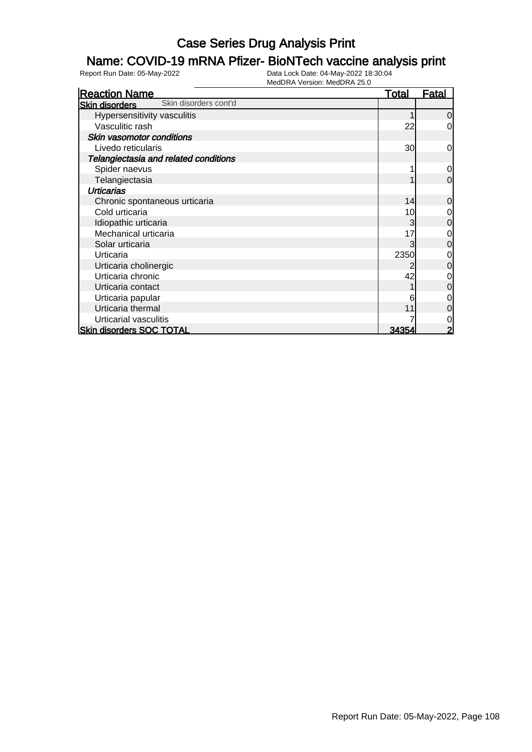### Name: COVID-19 mRNA Pfizer- BioNTech vaccine analysis print

| <b>Reaction Name</b>                           | <u>Total</u> | Fatal          |
|------------------------------------------------|--------------|----------------|
| Skin disorders cont'd<br><b>Skin disorders</b> |              |                |
| Hypersensitivity vasculitis                    |              | 0              |
| Vasculitic rash                                | 22           | 0              |
| Skin vasomotor conditions                      |              |                |
| Livedo reticularis                             | 30           | 0              |
| Telangiectasia and related conditions          |              |                |
| Spider naevus                                  |              | 0              |
| Telangiectasia                                 |              | $\overline{0}$ |
| <b>Urticarias</b>                              |              |                |
| Chronic spontaneous urticaria                  | 14           | 0              |
| Cold urticaria                                 | 10           | 0              |
| Idiopathic urticaria                           |              | $\mathbf 0$    |
| Mechanical urticaria                           | 17           | 0              |
| Solar urticaria                                |              | 0              |
| Urticaria                                      | 2350         | 0              |
| Urticaria cholinergic                          |              | 0              |
| Urticaria chronic                              | 42           | 0              |
| Urticaria contact                              |              | 0              |
| Urticaria papular                              |              | 0              |
| Urticaria thermal                              |              | 0              |
| Urticarial vasculitis                          |              | 0              |
| <b>Skin disorders SOC TOTAL</b>                | 34354        | $\overline{2}$ |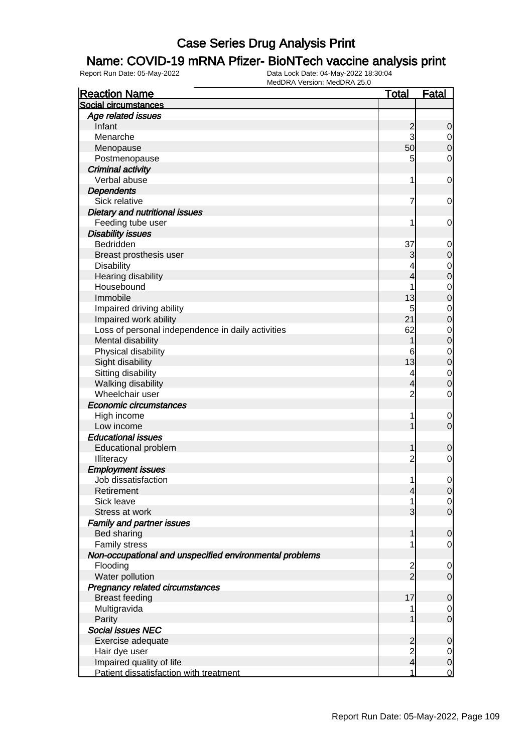### Name: COVID-19 mRNA Pfizer- BioNTech vaccine analysis print

| <b>Reaction Name</b>                                    | <b>Total</b>            | <b>Fatal</b>     |
|---------------------------------------------------------|-------------------------|------------------|
| Social circumstances                                    |                         |                  |
| Age related issues                                      |                         |                  |
| Infant                                                  | $\overline{c}$          | $\mathbf 0$      |
| Menarche                                                | 3                       | $\overline{0}$   |
| Menopause                                               | 50                      | $\boldsymbol{0}$ |
| Postmenopause                                           | 5                       | $\mathbf 0$      |
| <b>Criminal activity</b>                                |                         |                  |
| Verbal abuse                                            | 1                       | $\mathbf 0$      |
| <b>Dependents</b>                                       |                         |                  |
| Sick relative                                           | 7                       | $\mathbf 0$      |
| Dietary and nutritional issues                          |                         |                  |
| Feeding tube user                                       | 1                       | 0                |
| <b>Disability issues</b>                                |                         |                  |
| Bedridden                                               | 37                      | $\mathbf 0$      |
| Breast prosthesis user                                  | 3                       | $\mathbf 0$      |
| <b>Disability</b>                                       | 4                       | $\mathbf 0$      |
| Hearing disability                                      | 4                       | $\mathbf 0$      |
| Housebound                                              |                         | $\mathbf 0$      |
| Immobile                                                | 13                      | $\mathbf 0$      |
| Impaired driving ability                                | 5                       | $\mathbf 0$      |
| Impaired work ability                                   | 21                      | $\mathbf 0$      |
| Loss of personal independence in daily activities       | 62                      | $\mathbf 0$      |
| Mental disability                                       | 1                       | $\mathbf 0$      |
| Physical disability                                     | 6                       | $\mathbf 0$      |
| Sight disability                                        | 13                      | $\mathbf 0$      |
| Sitting disability                                      | 4                       | $\mathbf 0$      |
| Walking disability                                      | 4                       | $\mathbf 0$      |
| Wheelchair user                                         | $\overline{2}$          | $\mathbf 0$      |
| <b>Economic circumstances</b>                           |                         |                  |
| High income                                             | 1                       | $\mathbf 0$      |
| Low income                                              | 1                       | $\mathbf 0$      |
| <b>Educational issues</b>                               |                         |                  |
| <b>Educational problem</b>                              | 1                       | $\boldsymbol{0}$ |
| Illiteracy                                              | $\overline{2}$          | $\mathbf 0$      |
| <b>Employment issues</b>                                |                         |                  |
| Job dissatisfaction                                     | 1                       | $\mathbf 0$      |
| Retirement                                              | 4                       | $\overline{0}$   |
| Sick leave                                              |                         | $\overline{0}$   |
| Stress at work                                          | 3                       | $\mathbf 0$      |
| <b>Family and partner issues</b>                        |                         |                  |
| Bed sharing                                             | 1                       | $\mathbf 0$      |
| Family stress                                           |                         | $\mathbf 0$      |
| Non-occupational and unspecified environmental problems |                         |                  |
| Flooding                                                | $\overline{c}$          | 0                |
| Water pollution                                         | $\overline{2}$          | $\mathbf 0$      |
| Pregnancy related circumstances                         |                         |                  |
| <b>Breast feeding</b>                                   | 17                      | $\mathbf 0$      |
| Multigravida                                            |                         | 0                |
| Parity                                                  |                         | $\mathbf 0$      |
| Social issues NEC                                       |                         |                  |
| Exercise adequate                                       | $\overline{c}$          | $\mathbf 0$      |
| Hair dye user                                           | $\overline{c}$          | $\overline{0}$   |
| Impaired quality of life                                | $\overline{\mathbf{r}}$ | $\pmb{0}$        |
| Patient dissatisfaction with treatment                  | 1                       | $\overline{0}$   |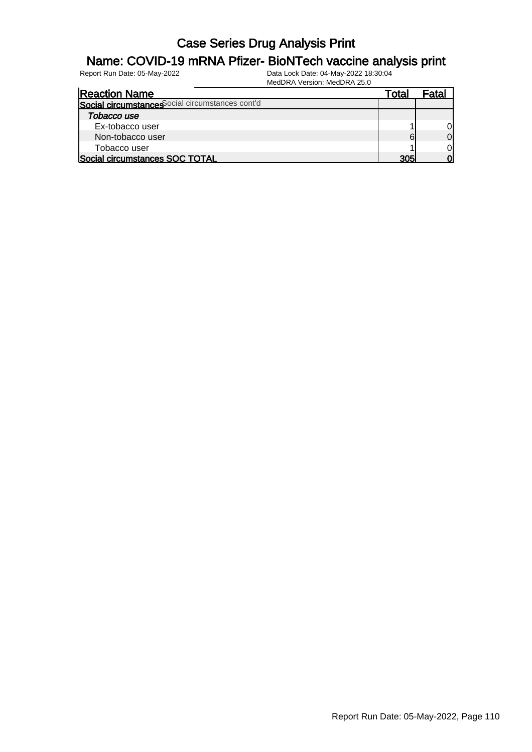#### Name: COVID-19 mRNA Pfizer- BioNTech vaccine analysis print

| <b>Reaction Name</b>                             | Гоtal |    |
|--------------------------------------------------|-------|----|
| Social circumstances Social circumstances cont'd |       |    |
| Tobacco use                                      |       |    |
| Ex-tobacco user                                  |       |    |
| Non-tobacco user                                 | 61    |    |
| Tobacco user                                     |       | ΩI |
| Social circumstances SOC TOTAL                   | 305   |    |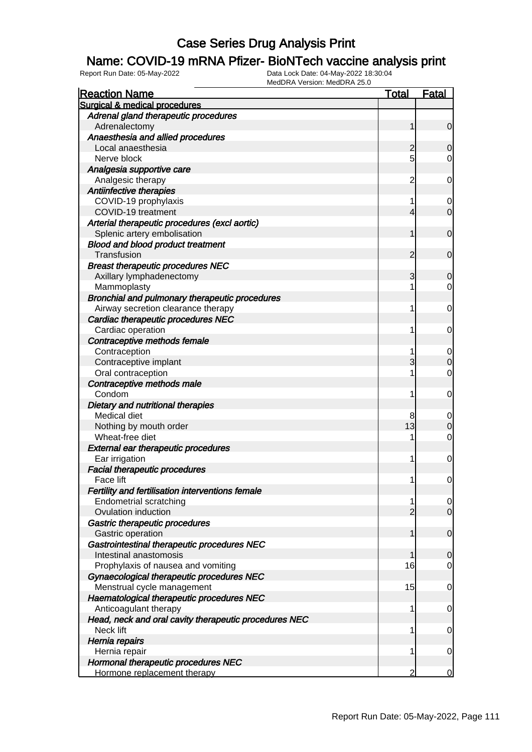### Name: COVID-19 mRNA Pfizer- BioNTech vaccine analysis print

| <b>Reaction Name</b>                                   | <u>Total</u>   | <b>Fatal</b>   |
|--------------------------------------------------------|----------------|----------------|
| Surgical & medical procedures                          |                |                |
| Adrenal gland therapeutic procedures                   |                |                |
| Adrenalectomy                                          | 1              | $\mathbf 0$    |
| Anaesthesia and allied procedures                      |                |                |
| Local anaesthesia                                      | 2              | 0              |
| Nerve block                                            | 5              | 0              |
| Analgesia supportive care                              |                |                |
| Analgesic therapy                                      | $\overline{2}$ | 0              |
| Antiinfective therapies                                |                |                |
| COVID-19 prophylaxis                                   | 1              | 0              |
| COVID-19 treatment                                     | 4              | $\mathbf 0$    |
| Arterial therapeutic procedures (excl aortic)          |                |                |
| Splenic artery embolisation                            | 1              | $\mathbf 0$    |
| <b>Blood and blood product treatment</b>               |                |                |
| Transfusion                                            | 2              | $\mathbf 0$    |
| <b>Breast therapeutic procedures NEC</b>               |                |                |
| Axillary lymphadenectomy                               | 3              | 0              |
| Mammoplasty                                            | 1              | 0              |
| Bronchial and pulmonary therapeutic procedures         |                |                |
| Airway secretion clearance therapy                     | 1              | 0              |
| Cardiac therapeutic procedures NEC                     |                |                |
| Cardiac operation                                      | 1              | 0              |
| Contraceptive methods female                           |                |                |
| Contraception                                          |                | 0              |
| Contraceptive implant                                  | 3              | 0              |
| Oral contraception                                     | 1              | $\mathbf 0$    |
| Contraceptive methods male                             |                |                |
| Condom                                                 | 1              | 0              |
| Dietary and nutritional therapies                      |                |                |
| Medical diet                                           | 8              | 0              |
| Nothing by mouth order<br>Wheat-free diet              | 13             | 0              |
|                                                        | 1              | 0              |
| External ear therapeutic procedures                    | 1              |                |
| Ear irrigation<br><b>Facial therapeutic procedures</b> |                | 0              |
| Face lift                                              | 1              | 0              |
| Fertility and fertilisation interventions female       |                |                |
| <b>Endometrial scratching</b>                          | 1              | $\overline{0}$ |
| Ovulation induction                                    | $\overline{2}$ | $\overline{0}$ |
| Gastric therapeutic procedures                         |                |                |
| Gastric operation                                      | 1              | $\mathbf 0$    |
| Gastrointestinal therapeutic procedures NEC            |                |                |
| Intestinal anastomosis                                 | 1              | 0              |
| Prophylaxis of nausea and vomiting                     | 16             | 0              |
| Gynaecological therapeutic procedures NEC              |                |                |
| Menstrual cycle management                             | 15             | $\mathbf 0$    |
| Haematological therapeutic procedures NEC              |                |                |
| Anticoagulant therapy                                  | 1              | 0              |
| Head, neck and oral cavity therapeutic procedures NEC  |                |                |
| Neck lift                                              | 1              | $\mathbf 0$    |
| Hernia repairs                                         |                |                |
| Hernia repair                                          | 1              | 0              |
| Hormonal therapeutic procedures NEC                    |                |                |
| Hormone replacement therapy                            | 2              | 0              |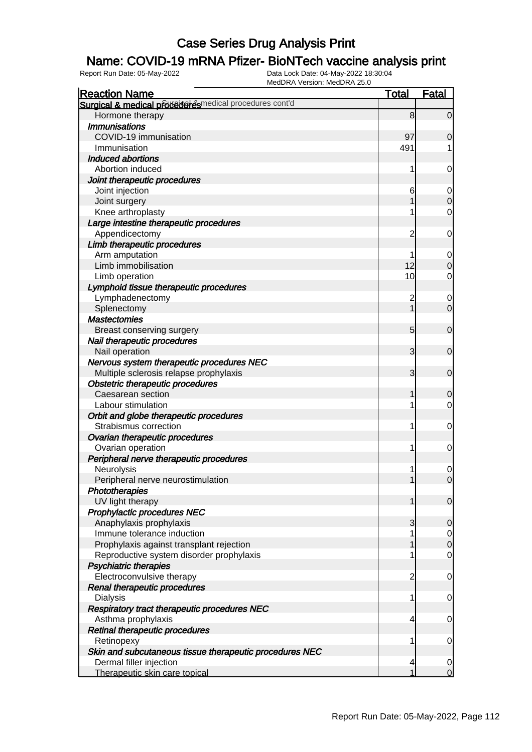### Name: COVID-19 mRNA Pfizer- BioNTech vaccine analysis print

| <b>Reaction Name</b>                                     | <b>Total</b>   | <b>Fatal</b>     |
|----------------------------------------------------------|----------------|------------------|
| Surgical & medical proceeder esmedical procedures cont'd |                |                  |
| Hormone therapy                                          | 8              | $\overline{0}$   |
| <b>Immunisations</b>                                     |                |                  |
| COVID-19 immunisation                                    | 97             | $\mathbf 0$      |
| Immunisation                                             | 491            |                  |
| <b>Induced abortions</b>                                 |                |                  |
| Abortion induced                                         | 1              | $\mathbf 0$      |
| Joint therapeutic procedures                             |                |                  |
| Joint injection                                          | 6              | $\mathbf 0$      |
| Joint surgery                                            |                | $\mathbf 0$      |
| Knee arthroplasty                                        |                | 0                |
| Large intestine therapeutic procedures                   |                |                  |
| Appendicectomy                                           | 2              | 0                |
| Limb therapeutic procedures                              |                |                  |
| Arm amputation                                           |                | $\mathbf 0$      |
| Limb immobilisation                                      | 12             | $\boldsymbol{0}$ |
| Limb operation                                           | 10             | 0                |
| Lymphoid tissue therapeutic procedures                   |                |                  |
| Lymphadenectomy                                          | $\overline{c}$ | $\mathbf 0$      |
| Splenectomy                                              | 1              | $\overline{0}$   |
| <b>Mastectomies</b>                                      |                |                  |
| Breast conserving surgery                                | 5              | $\mathbf 0$      |
| Nail therapeutic procedures                              |                |                  |
| Nail operation                                           | 3              | $\mathbf 0$      |
| Nervous system therapeutic procedures NEC                |                |                  |
| Multiple sclerosis relapse prophylaxis                   | 3              | $\mathbf 0$      |
| <b>Obstetric therapeutic procedures</b>                  |                |                  |
| Caesarean section                                        | 1              | 0                |
| Labour stimulation                                       |                | $\mathbf 0$      |
| Orbit and globe therapeutic procedures                   |                |                  |
| Strabismus correction                                    | 1              | 0                |
| Ovarian therapeutic procedures                           |                |                  |
| Ovarian operation                                        | 1              | $\mathbf 0$      |
| Peripheral nerve therapeutic procedures                  |                |                  |
| Neurolysis                                               |                | 0                |
| Peripheral nerve neurostimulation                        | 1              | $\overline{O}$   |
| Phototherapies                                           |                |                  |
| UV light therapy                                         | 1              | $\overline{0}$   |
| <b>Prophylactic procedures NEC</b>                       |                |                  |
| Anaphylaxis prophylaxis                                  | 3              | $\overline{0}$   |
| Immune tolerance induction                               |                | $\overline{0}$   |
| Prophylaxis against transplant rejection                 |                | $\mathbf 0$      |
| Reproductive system disorder prophylaxis                 |                | $\mathbf 0$      |
| <b>Psychiatric therapies</b>                             |                |                  |
| Electroconvulsive therapy                                | $\overline{c}$ | $\mathbf 0$      |
| Renal therapeutic procedures                             |                |                  |
| <b>Dialysis</b>                                          | 1              | $\overline{0}$   |
| Respiratory tract therapeutic procedures NEC             |                |                  |
| Asthma prophylaxis                                       | 4              | 0                |
| Retinal therapeutic procedures                           |                |                  |
| Retinopexy                                               |                | 0                |
| Skin and subcutaneous tissue therapeutic procedures NEC  |                |                  |
| Dermal filler injection                                  | 4              | $\overline{0}$   |
| Therapeutic skin care topical                            |                | $\overline{0}$   |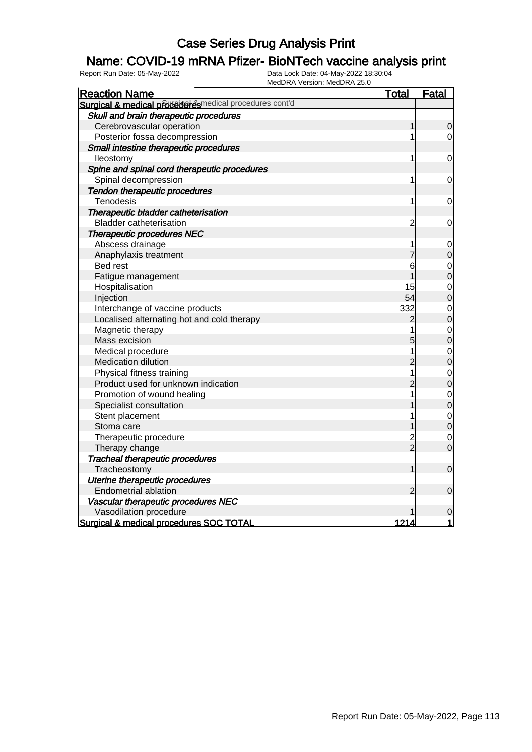### Name: COVID-19 mRNA Pfizer- BioNTech vaccine analysis print

| <b>Reaction Name</b>                                     | <b>Total</b>   | Fatal          |
|----------------------------------------------------------|----------------|----------------|
| Surgical & medical proceed example and procedures cont'd |                |                |
| Skull and brain therapeutic procedures                   |                |                |
| Cerebrovascular operation                                | 1              | $\overline{0}$ |
| Posterior fossa decompression                            |                | $\overline{0}$ |
| Small intestine therapeutic procedures                   |                |                |
| lleostomy                                                | 1              | $\mathbf 0$    |
| Spine and spinal cord therapeutic procedures             |                |                |
| Spinal decompression                                     | 1              | 0              |
| Tendon therapeutic procedures                            |                |                |
| Tenodesis                                                | 1              | 0              |
| Therapeutic bladder catheterisation                      |                |                |
| <b>Bladder catheterisation</b>                           | $\overline{c}$ | 0              |
| <b>Therapeutic procedures NEC</b>                        |                |                |
| Abscess drainage                                         | 1              | $\mathbf 0$    |
| Anaphylaxis treatment                                    |                | $\mathbf 0$    |
| <b>Bed rest</b>                                          | 6              | $\mathbf 0$    |
| Fatigue management                                       |                | $\overline{0}$ |
| Hospitalisation                                          | 15             | $\overline{0}$ |
| Injection                                                | 54             | $\overline{0}$ |
| Interchange of vaccine products                          | 332            | $\mathbf{0}$   |
| Localised alternating hot and cold therapy               | 2              | $\overline{0}$ |
| Magnetic therapy                                         | 1              | $\mathbf{0}$   |
| Mass excision                                            | 5              | $\overline{0}$ |
| Medical procedure                                        |                | $\mathbf{O}$   |
| Medication dilution                                      | $\overline{c}$ | $\overline{0}$ |
| Physical fitness training                                | 1              | $\mathbf{0}$   |
| Product used for unknown indication                      | $\overline{c}$ | $\overline{0}$ |
| Promotion of wound healing                               | 1              | $\mathbf 0$    |
| Specialist consultation                                  |                | $\overline{0}$ |
| Stent placement                                          | 1              | $\mathbf{O}$   |
| Stoma care                                               |                | $\overline{0}$ |
| Therapeutic procedure                                    | 2<br>2         | $\overline{0}$ |
| Therapy change                                           |                | $\overline{0}$ |
| <b>Tracheal therapeutic procedures</b>                   |                |                |
| Tracheostomy                                             | 1              | $\mathbf 0$    |
| Uterine therapeutic procedures                           |                |                |
| <b>Endometrial ablation</b>                              | 2              | $\mathbf 0$    |
| Vascular therapeutic procedures NEC                      |                |                |
| Vasodilation procedure                                   |                | 0              |
| Surgical & medical procedures SOC TOTAL                  | 1214           | 1              |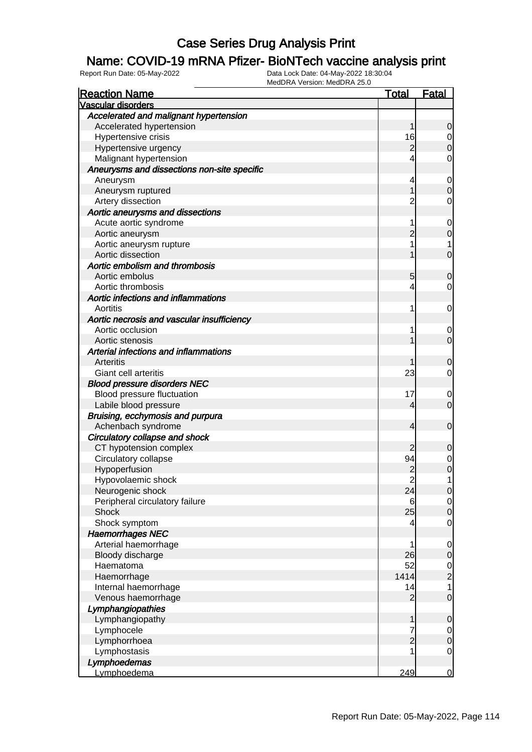### Name: COVID-19 mRNA Pfizer- BioNTech vaccine analysis print

| <b>Reaction Name</b>                        | <b>Total</b>   | <b>Fatal</b>     |
|---------------------------------------------|----------------|------------------|
| <b>Vascular disorders</b>                   |                |                  |
| Accelerated and malignant hypertension      |                |                  |
| Accelerated hypertension                    | 1              | 0                |
| Hypertensive crisis                         | 16             | 0                |
| Hypertensive urgency                        | $\overline{c}$ | $\mathbf 0$      |
| Malignant hypertension                      |                | $\mathbf 0$      |
| Aneurysms and dissections non-site specific |                |                  |
| Aneurysm                                    | 4              | $\mathbf 0$      |
| Aneurysm ruptured                           |                | $\mathbf 0$      |
| Artery dissection                           | $\overline{c}$ | $\mathbf 0$      |
| Aortic aneurysms and dissections            |                |                  |
| Acute aortic syndrome                       |                | $\mathbf 0$      |
| Aortic aneurysm                             | 2              | $\mathbf 0$      |
| Aortic aneurysm rupture                     |                | 1                |
| Aortic dissection                           |                | $\mathbf 0$      |
| Aortic embolism and thrombosis              |                |                  |
| Aortic embolus                              | 5              | $\mathbf 0$      |
| Aortic thrombosis                           | 4              | 0                |
| Aortic infections and inflammations         |                |                  |
| Aortitis                                    | 1              | $\mathbf 0$      |
| Aortic necrosis and vascular insufficiency  |                |                  |
| Aortic occlusion                            |                | 0                |
| Aortic stenosis                             |                | $\mathbf 0$      |
| Arterial infections and inflammations       |                |                  |
| Arteritis                                   |                | 0                |
| Giant cell arteritis                        | 23             | 0                |
| <b>Blood pressure disorders NEC</b>         |                |                  |
| Blood pressure fluctuation                  | 17             | 0                |
| Labile blood pressure                       | 4              | $\mathbf 0$      |
| Bruising, ecchymosis and purpura            |                |                  |
| Achenbach syndrome                          | 4              | $\mathbf 0$      |
| Circulatory collapse and shock              |                |                  |
| CT hypotension complex                      | 2              | 0                |
| Circulatory collapse                        | 94             | 0                |
| Hypoperfusion                               | $\frac{2}{2}$  | $\boldsymbol{0}$ |
| Hypovolaemic shock                          |                | 1                |
| Neurogenic shock                            | 24             | $\mathbf 0$      |
| Peripheral circulatory failure              | 6              | $\overline{0}$   |
| <b>Shock</b>                                | 25             | $\mathbf 0$      |
| Shock symptom                               | 4              | $\mathbf 0$      |
| <b>Haemorrhages NEC</b>                     |                |                  |
| Arterial haemorrhage                        | 1              | $\mathbf 0$      |
| Bloody discharge                            | 26             | $\mathbf 0$      |
| Haematoma                                   | 52             | $\overline{0}$   |
| Haemorrhage                                 | 1414           | $\overline{c}$   |
| Internal haemorrhage                        | 14             | 1                |
| Venous haemorrhage                          | $\overline{2}$ | $\mathbf 0$      |
| Lymphangiopathies                           |                |                  |
| Lymphangiopathy                             | 1              | $\mathbf 0$      |
| Lymphocele                                  | 7              | $\overline{0}$   |
| Lymphorrhoea                                | $\overline{2}$ | $\mathbf 0$      |
| Lymphostasis                                |                | $\mathbf 0$      |
| Lymphoedemas                                |                |                  |
| Lymphoedema                                 | 249            | $\overline{0}$   |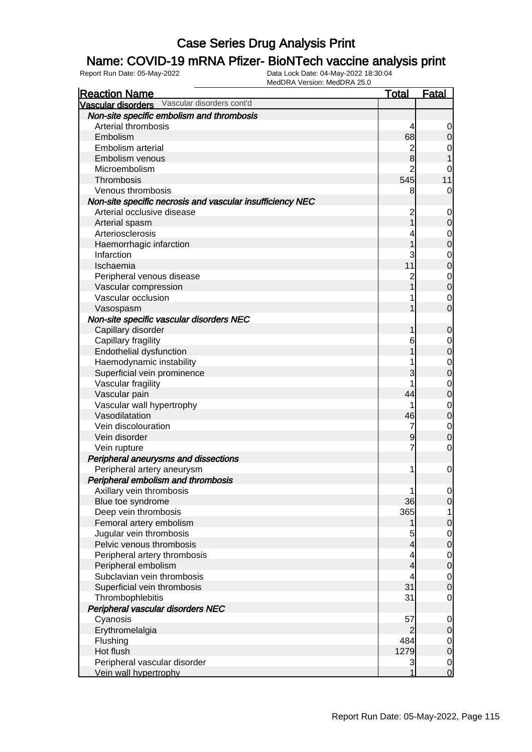### Name: COVID-19 mRNA Pfizer- BioNTech vaccine analysis print

| <b>Reaction Name</b>                                      | <b>Total</b>   | <b>Fatal</b>     |
|-----------------------------------------------------------|----------------|------------------|
| Vascular disorders Vascular disorders cont'd              |                |                  |
| Non-site specific embolism and thrombosis                 |                |                  |
| Arterial thrombosis                                       | 4              | 0                |
| Embolism                                                  | 68             | $\mathbf 0$      |
| Embolism arterial                                         | $\overline{c}$ | 0                |
| Embolism venous                                           | 8              |                  |
| Microembolism                                             | $\overline{2}$ | 0                |
| Thrombosis                                                | 545            | 11               |
| Venous thrombosis                                         | 8              | 0                |
| Non-site specific necrosis and vascular insufficiency NEC |                |                  |
| Arterial occlusive disease                                | 2              | 0                |
| Arterial spasm                                            |                | $\mathbf 0$      |
| Arteriosclerosis                                          |                |                  |
|                                                           |                | 0<br>$\mathbf 0$ |
| Haemorrhagic infarction                                   |                |                  |
| Infarction                                                | 3              | $\mathbf 0$      |
| Ischaemia                                                 | 11             | $\boldsymbol{0}$ |
| Peripheral venous disease                                 | $\overline{c}$ | $\mathbf 0$      |
| Vascular compression                                      |                | $\mathbf 0$      |
| Vascular occlusion                                        |                | 0                |
| Vasospasm                                                 |                | $\overline{0}$   |
| Non-site specific vascular disorders NEC                  |                |                  |
| Capillary disorder                                        |                | $\mathbf 0$      |
| Capillary fragility                                       | 6              | 0                |
| Endothelial dysfunction                                   |                | $\mathbf 0$      |
| Haemodynamic instability                                  |                | 0                |
| Superficial vein prominence                               | 3              | $\mathbf 0$      |
| Vascular fragility                                        |                | $\mathbf 0$      |
| Vascular pain                                             | 44             | $\mathbf 0$      |
| Vascular wall hypertrophy                                 |                | $\mathbf 0$      |
| Vasodilatation                                            | 46             | $\mathbf 0$      |
| Vein discolouration                                       | 7              | $\mathbf 0$      |
| Vein disorder                                             | 9              | $\mathbf 0$      |
| Vein rupture                                              | 7              | 0                |
| Peripheral aneurysms and dissections                      |                |                  |
| Peripheral artery aneurysm                                | 1              | $\mathbf 0$      |
| Peripheral embolism and thrombosis                        |                |                  |
| Axillary vein thrombosis                                  | 1              | $\overline{0}$   |
| Blue toe syndrome                                         | 36             | $\overline{O}$   |
| Deep vein thrombosis                                      | 365            | 1                |
| Femoral artery embolism                                   |                | $\boldsymbol{0}$ |
| Jugular vein thrombosis                                   | 5              | $\overline{0}$   |
| Pelvic venous thrombosis                                  | 4              | $\mathbf 0$      |
| Peripheral artery thrombosis                              |                | $\overline{0}$   |
| Peripheral embolism                                       | 4              | $\mathbf 0$      |
| Subclavian vein thrombosis                                |                |                  |
|                                                           | 4<br>31        | $\overline{0}$   |
| Superficial vein thrombosis                               |                | $\mathbf 0$      |
| Thrombophlebitis                                          | 31             | $\overline{0}$   |
| Peripheral vascular disorders NEC                         |                |                  |
| Cyanosis                                                  | 57             | $\mathbf 0$      |
| Erythromelalgia                                           | $\overline{2}$ | $\mathbf 0$      |
| Flushing                                                  | 484            | $\overline{0}$   |
| Hot flush                                                 | 1279           | $\mathbf 0$      |
| Peripheral vascular disorder                              | 3              | $\overline{0}$   |
| Vein wall hypertrophy                                     | 1              | $\mathbf 0$      |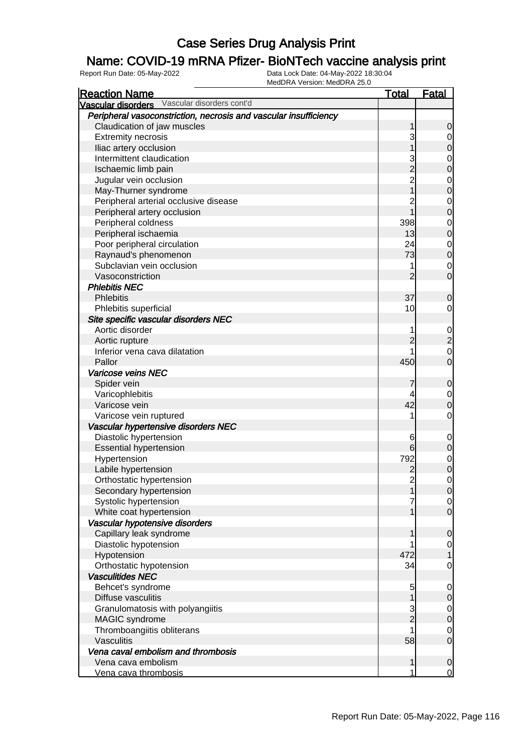### Name: COVID-19 mRNA Pfizer- BioNTech vaccine analysis print

| <b>Reaction Name</b>                                             | <b>Total</b>    | <u>Fatal</u>                         |
|------------------------------------------------------------------|-----------------|--------------------------------------|
| Vascular disorders Vascular disorders cont'd                     |                 |                                      |
| Peripheral vasoconstriction, necrosis and vascular insufficiency |                 |                                      |
| Claudication of jaw muscles                                      | 1               | $\mathbf 0$                          |
| <b>Extremity necrosis</b>                                        | 3               | $\Omega$                             |
| Iliac artery occlusion                                           |                 | $\overline{0}$                       |
| Intermittent claudication                                        |                 |                                      |
| Ischaemic limb pain                                              | $\overline{c}$  | $\begin{matrix} 0 \\ 0 \end{matrix}$ |
| Jugular vein occlusion                                           | $\overline{c}$  |                                      |
| May-Thurner syndrome                                             |                 | $\begin{matrix}0\\0\end{matrix}$     |
| Peripheral arterial occlusive disease                            | 2               |                                      |
| Peripheral artery occlusion                                      |                 | $\begin{matrix} 0 \\ 0 \end{matrix}$ |
| Peripheral coldness                                              | 398             |                                      |
| Peripheral ischaemia                                             | 13              | $\begin{matrix} 0 \\ 0 \end{matrix}$ |
| Poor peripheral circulation                                      | 24              |                                      |
| Raynaud's phenomenon                                             | 73              | $\begin{matrix} 0 \\ 0 \end{matrix}$ |
| Subclavian vein occlusion                                        | 1               | $\overline{0}$                       |
| Vasoconstriction                                                 | $\overline{2}$  | $\overline{0}$                       |
| <b>Phlebitis NEC</b>                                             |                 |                                      |
| <b>Phlebitis</b>                                                 | 37              | $\mathbf 0$                          |
| Phlebitis superficial                                            | 10              | $\mathbf 0$                          |
| Site specific vascular disorders NEC                             |                 |                                      |
| Aortic disorder                                                  |                 |                                      |
| Aortic rupture                                                   | $\overline{c}$  | $\frac{0}{2}$                        |
| Inferior vena cava dilatation                                    |                 | $\mathbf{O}$                         |
| Pallor                                                           | 450             | $\overline{0}$                       |
| Varicose veins NEC                                               |                 |                                      |
| Spider vein                                                      | 7               | $\mathbf 0$                          |
| Varicophlebitis                                                  | 4               | $\overline{0}$                       |
| Varicose vein                                                    | 42              | $\overline{0}$                       |
| Varicose vein ruptured                                           |                 | $\mathsf{O}\xspace$                  |
| Vascular hypertensive disorders NEC                              |                 |                                      |
| Diastolic hypertension                                           | 6               | $\mathbf{0}$                         |
| <b>Essential hypertension</b>                                    | $6 \overline{}$ | $\pmb{0}$                            |
| Hypertension                                                     | 792             | $0\atop 0$                           |
| Labile hypertension                                              | $\overline{c}$  |                                      |
| Orthostatic hypertension                                         | $\overline{2}$  | $\mathsf{O}\xspace$                  |
| Secondary hypertension                                           | 1               | 0                                    |
| Systolic hypertension                                            |                 | $\overline{0}$                       |
| White coat hypertension                                          |                 | $\overline{0}$                       |
| Vascular hypotensive disorders                                   |                 |                                      |
| Capillary leak syndrome                                          |                 | $\mathbf 0$                          |
| Diastolic hypotension                                            |                 | $\overline{0}$                       |
| Hypotension                                                      | 472             | $\mathbf{1}$                         |
| Orthostatic hypotension                                          | 34              | $\mathbf 0$                          |
| <b>Vasculitides NEC</b>                                          |                 |                                      |
| Behcet's syndrome                                                | 5               | $\mathbf 0$                          |
| Diffuse vasculitis                                               | 1               | $\mathbf 0$                          |
| Granulomatosis with polyangiitis                                 | 3               | $\overline{0}$                       |
| MAGIC syndrome                                                   | $\overline{2}$  | $\pmb{0}$                            |
| Thromboangiitis obliterans                                       |                 | $\mathbf 0$                          |
| Vasculitis                                                       | 58              | $\mathbf 0$                          |
| Vena caval embolism and thrombosis                               |                 |                                      |
| Vena cava embolism                                               | 1               | $\mathbf 0$                          |
| Vena cava thrombosis                                             | 1               | $\overline{0}$                       |